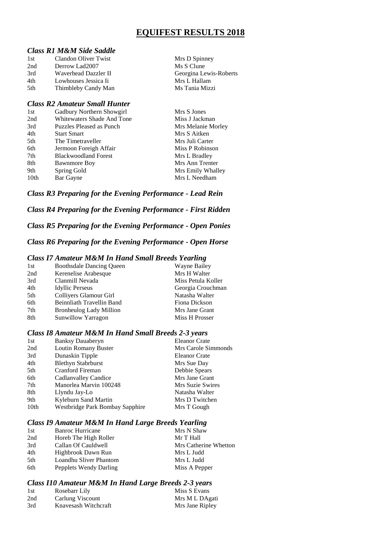## **EQUIFEST RESULTS 2018**

#### *Class R1 M&M Side Saddle*

| 1st | Clandon Oliver Twist | Mrs D Spinney          |
|-----|----------------------|------------------------|
| 2nd | Derrow Lad2007       | Ms S Clune             |
| 3rd | Waverhead Dazzler II | Georgina Lewis-Roberts |
| 4th | Lowhouses Jessica Ii | Mrs L Hallam           |
| 5th | Thimbleby Candy Man  | Ms Tania Mizzi         |
|     |                      |                        |

#### *Class R2 Amateur Small Hunter*

| 1st              | Gadbury Northern Showgirl   | Mrs S Jones        |
|------------------|-----------------------------|--------------------|
| 2nd              | Whitewaters Shade And Tone  | Miss J Jackman     |
| 3rd              | Puzzles Pleased as Punch    | Mrs Melanie Morley |
| 4th              | <b>Start Smart</b>          | Mrs S Aitken       |
| 5th              | The Timetraveller           | Mrs Juli Carter    |
| 6th              | Jermoon Foreigh Affair      | Miss P Robinson    |
| 7th              | <b>Blackwoodland Forest</b> | Mrs L Bradley      |
| 8th              | <b>Bawnmore Boy</b>         | Mrs Ann Trenter    |
| 9th              | Spring Gold                 | Mrs Emily Whalley  |
| 10 <sub>th</sub> | Bar Gayne                   | Mrs L Needham      |

*Class R3 Preparing for the Evening Performance - Lead Rein*

*Class R4 Preparing for the Evening Performance - First Ridden*

*Class R5 Preparing for the Evening Performance - Open Ponies*

#### *Class R6 Preparing for the Evening Performance - Open Horse*

#### *Class I7 Amateur M&M In Hand Small Breeds Yearling*

| 1st | <b>Boothsdale Dancing Queen</b> | Wayne Bailey       |
|-----|---------------------------------|--------------------|
| 2nd | Kerenelise Arabesque            | Mrs H Walter       |
| 3rd | Clanmill Nevada                 | Miss Petula Koller |
| 4th | <b>Idyllic Perseus</b>          | Georgia Crouchman  |
| 5th | Colliyers Glamour Girl          | Natasha Walter     |
| 6th | Beinnliath Travellin Band       | Fiona Dickson      |
| 7th | <b>Bronheulog Lady Million</b>  | Mrs Jane Grant     |
| 8th | Sunwillow Yarragon              | Miss H Prosser     |

### *Class I8 Amateur M&M In Hand Small Breeds 2-3 years*

| 1st  | <b>Banksy Dauaberyn</b>         | Eleanor Crate       |
|------|---------------------------------|---------------------|
| 2nd  | Loutin Romany Buster            | Mrs Carole Simmonds |
| 3rd  | Dunaskin Tipple                 | Eleanor Crate       |
| 4th  | <b>Blethyn Stabrburst</b>       | Mrs Sue Day         |
| 5th  | <b>Cranford Fireman</b>         | Debbie Spears       |
| 6th  | Cadlanvalley Candice            | Mrs Jane Grant      |
| 7th  | Manorlea Marvin 100248          | Mrs Suzie Swires    |
| 8th  | Llyndu Jay-Lo                   | Natasha Walter      |
| 9th  | Kyleburn Sand Martin            | Mrs D Twitchen      |
| 10th | Westbridge Park Bombay Sapphire | Mrs T Gough         |

#### *Class I9 Amateur M&M In Hand Large Breeds Yearling*

| 1st  | <b>Banroc Hurricane</b> | Mrs N Shaw            |
|------|-------------------------|-----------------------|
| 2nd  | Horeb The High Roller   | Mr T Hall             |
| 3rd  | Callan Of Cauldwell     | Mrs Catherine Whetton |
| 4th  | Highbrook Dawn Run      | Mrs L Judd            |
| .5th | Loandhu Sliver Phantom  | Mrs L Judd            |
| 6th  | Pepplets Wendy Darling  | Miss A Pepper         |

#### *Class I10 Amateur M&M In Hand Large Breeds 2-3 years*

| 1st | Rosebarr Lily        | Miss S Evans    |
|-----|----------------------|-----------------|
| 2nd | Carlung Viscount     | Mrs M L DAgati  |
| 3rd | Knavesash Witchcraft | Mrs Jane Ripley |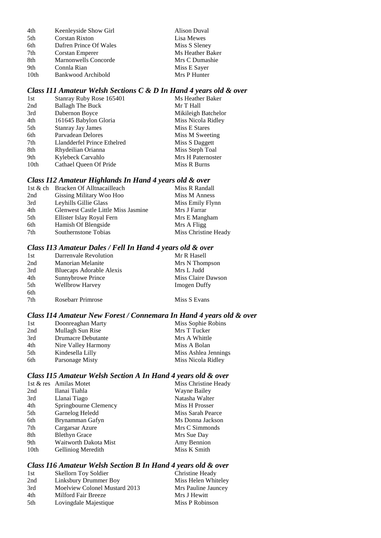| 4th              | Keenleyside Show Girl       | Alison Duval     |
|------------------|-----------------------------|------------------|
| 5th              | <b>Corstan Rixton</b>       | Lisa Mewes       |
| 6th              | Dafren Prince Of Wales      | Miss S Sleney    |
| 7th              | Corstan Emperer             | Ms Heather Baker |
| 8th              | <b>Marnonwells Concorde</b> | Mrs C Dumashie   |
| 9th              | Connla Rian                 | Miss E Sayer     |
| 10 <sub>th</sub> | Bankwood Archibold          | Mrs P Hunter     |

### *Class I11 Amateur Welsh Sections C & D In Hand 4 years old & over*

| Stanray Ruby Rose 165401    | Ms Heather Baker    |
|-----------------------------|---------------------|
| <b>Ballagh The Buck</b>     | Mr T Hall           |
| Dabernon Boyce              | Mikileigh Batchelor |
| 161645 Babylon Gloria       | Miss Nicola Ridley  |
| <b>Stanray Jay James</b>    | Miss E Stares       |
| Parvadean Delores           | Miss M Sweeting     |
| Llandderfel Prince Ethelred | Miss S Daggett      |
| Rhydeilian Orianna          | Miss Steph Toal     |
| Kylebeck Carvahlo           | Mrs H Paternoster   |
| Cathael Queen Of Pride      | Miss R Burns        |
|                             |                     |

### *Class I12 Amateur Highlands In Hand 4 years old & over*

| 1st & ch Bracken Of Alltnacailleach        | Miss R Randall       |
|--------------------------------------------|----------------------|
| Gissing Military Woo Hoo                   | Miss M Anness        |
| Leyhills Gillie Glass                      | Miss Emily Flynn     |
| <b>Glenwest Castle Little Miss Jasmine</b> | Mrs J Farrar         |
| Ellister Islay Royal Fern                  | Mrs E Mangham        |
| Hamish Of Blengside                        | Mrs A Fligg          |
| Southernstone Tobias                       | Miss Christine Heady |
|                                            |                      |

### *Class I13 Amateur Dales / Fell In Hand 4 years old & over*

| 1st | Darrenvale Revolution    | Mr R Hasell         |
|-----|--------------------------|---------------------|
| 2nd | <b>Manorian Melanite</b> | Mrs N Thompson      |
| 3rd | Bluecaps Adorable Alexis | Mrs L Judd          |
| 4th | Sunnybrowe Prince        | Miss Claire Dawson  |
| 5th | <b>Wellbrow Harvey</b>   | <b>Imogen Duffy</b> |
| 6th |                          |                     |
| 7th | Rosebarr Primrose        | Miss S Evans        |

#### *Class I14 Amateur New Forest / Connemara In Hand 4 years old & over*

| 1st | Doonreaghan Marty   | Miss Sophie Robins   |
|-----|---------------------|----------------------|
| 2nd | Mullagh Sun Rise    | Mrs T Tucker         |
| 3rd | Drumacre Debutante  | Mrs A Whittle        |
| 4th | Nire Valley Harmony | Miss A Bolan         |
| 5th | Kindesella Lilly    | Miss Ashlea Jennings |
| 6th | Parsonage Misty     | Miss Nicola Ridley   |

### *Class I15 Amateur Welsh Section A In Hand 4 years old & over*

|      | 1st & res Amilas Motet | Miss Christine Heady |
|------|------------------------|----------------------|
| 2nd  | Ilanai Tiahla          | Wayne Bailey         |
| 3rd  | Llanai Tiago           | Natasha Walter       |
| 4th  | Springbourne Clemency  | Miss H Prosser       |
| 5th  | Garnelog Heledd        | Miss Sarah Pearce    |
| 6th  | Brynamman Gafyn        | Ms Donna Jackson     |
| 7th  | Cargarsar Azure        | Mrs C Simmonds       |
| 8th  | <b>Blethyn Grace</b>   | Mrs Sue Day          |
| 9th  | Waitworth Dakota Mist  | Amy Bennion          |
| 10th | Gelliniog Meredith     | Miss K Smith         |
|      |                        |                      |

### *Class I16 Amateur Welsh Section B In Hand 4 years old & over*

| Skellorn Toy Soldier          | Christine Heady     |
|-------------------------------|---------------------|
| Linksbury Drummer Boy         | Miss Helen Whiteley |
| Moelview Colonel Mustard 2013 | Mrs Pauline Jauncey |
| Milford Fair Breeze           | Mrs J Hewitt        |
| Lovingdale Majestique         | Miss P Robinson     |
|                               |                     |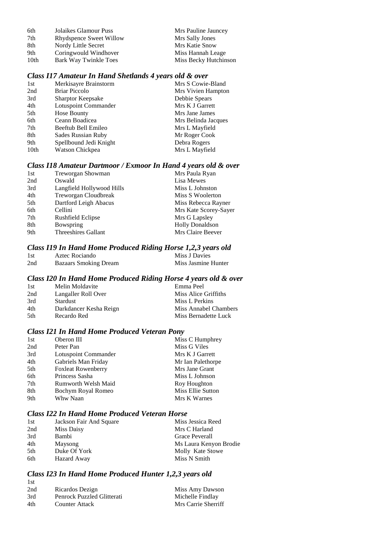| 6th  | Jolaikes Glamour Puss   | Mrs Pauline Jauncey   |
|------|-------------------------|-----------------------|
| 7th  | Rhydspence Sweet Willow | Mrs Sally Jones       |
| 8th  | Nordy Little Secret     | Mrs Katie Snow        |
| 9th  | Coringwould Windhover   | Miss Hannah Leage     |
| 10th | Bark Way Twinkle Toes   | Miss Becky Hutchinson |

### *Class I17 Amateur In Hand Shetlands 4 years old & over*

| 1st              | Merkisayre Brainstorm     | Mrs S Cowie-Bland   |
|------------------|---------------------------|---------------------|
| 2nd              | <b>Briar Piccolo</b>      | Mrs Vivien Hampton  |
| 3rd              | <b>Sharptor Keepsake</b>  | Debbie Spears       |
| 4th              | Lotuspoint Commander      | Mrs K J Garrett     |
| 5th              | Hose Bounty               | Mrs Jane James      |
| 6th              | Ceann Boadicea            | Mrs Belinda Jacques |
| 7th              | Beeftub Bell Emileo       | Mrs L Mayfield      |
| 8th              | <b>Sades Russian Ruby</b> | Mr Roger Cook       |
| 9th              | Spellbound Jedi Knight    | Debra Rogers        |
| 10 <sub>th</sub> | Watson Chickpea           | Mrs L Mayfield      |
|                  |                           |                     |

### *Class I18 Amateur Dartmoor / Exmoor In Hand 4 years old & over*

| Treworgan Showman          | Mrs Paula Ryan         |
|----------------------------|------------------------|
| Oswald                     | Lisa Mewes             |
| Langfield Hollywood Hills  | Miss L Johnston        |
| Treworgan Cloudbreak       | Miss S Woolerton       |
| Dartford Leigh Abacus      | Miss Rebecca Rayner    |
| Cellini                    | Mrs Kate Scorey-Sayer  |
| Rushfield Eclipse          | Mrs G Lapsley          |
| Bowspring                  | <b>Holly Donaldson</b> |
| <b>Threeshires Gallant</b> | Mrs Claire Beever      |
|                            |                        |

### *Class I19 In Hand Home Produced Riding Horse 1,2,3 years old*

| 1st | Aztec Rociando               | Miss J Davies       |
|-----|------------------------------|---------------------|
| 2nd | <b>Bazaars Smoking Dream</b> | Miss Jasmine Hunter |

### *Class I20 In Hand Home Produced Riding Horse 4 years old & over*

| 1st  | Melin Moldavite        | Emma Peel             |
|------|------------------------|-----------------------|
| 2nd  | Langaller Roll Over    | Miss Alice Griffiths  |
| 3rd  | <b>Stardust</b>        | Miss L Perkins        |
| 4th  | Darkdancer Kesha Reign | Miss Annabel Chambers |
| .5th | Recardo Red            | Miss Bernadette Luck  |

### *Class I21 In Hand Home Produced Veteran Pony*

| 1st | Oberon III                | Miss C Humphrey   |
|-----|---------------------------|-------------------|
| 2nd | Peter Pan                 | Miss G Viles      |
| 3rd | Lotuspoint Commander      | Mrs K J Garrett   |
| 4th | Gabriels Man Friday       | Mr Ian Palethorpe |
| 5th | <b>Foxleat Rowenberry</b> | Mrs Jane Grant    |
| 6th | Princess Sasha            | Miss L Johnson    |
| 7th | Rumworth Welsh Maid       | Roy Houghton      |
| 8th | Bochym Royal Romeo        | Miss Ellie Sutton |
| 9th | Whw Naan                  | Mrs K Warnes      |

### *Class I22 In Hand Home Produced Veteran Horse*

| 1st  | Jackson Fair And Square | Miss Jessica Reed      |
|------|-------------------------|------------------------|
| 2nd  | Miss Daisy              | Mrs C Harland          |
| 3rd  | Bambi                   | Grace Peverall         |
| 4th  | Maysong                 | Ms Laura Kenyon Brodie |
| .5th | Duke Of York            | Molly Kate Stowe       |
| 6th  | Hazard Away             | Miss N Smith           |

#### *Class I23 In Hand Home Produced Hunter 1,2,3 years old* 1st

| 2nd | Ricardos Dezign            | Miss Amy Dawson     |
|-----|----------------------------|---------------------|
| 3rd | Penrock Puzzled Glitterati | Michelle Findlay    |
| 4th | <b>Counter Attack</b>      | Mrs Carrie Sherriff |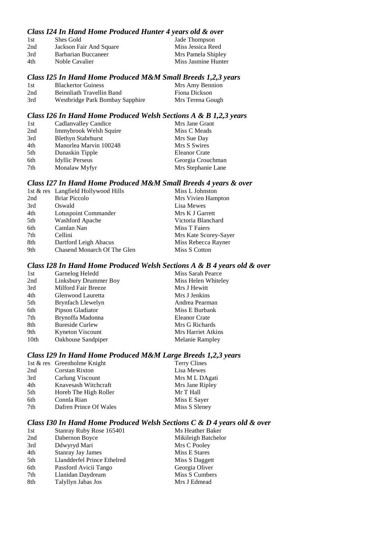#### *Class I24 In Hand Home Produced Hunter 4 years old & over*

| 1st | Shes Gold               | Jade Thompson       |
|-----|-------------------------|---------------------|
| 2nd | Jackson Fair And Square | Miss Jessica Reed   |
| 3rd | Barbarian Buccaneer     | Mrs Pamela Shipley  |
| 4th | Noble Cavalier          | Miss Jasmine Hunter |

### *Class I25 In Hand Home Produced M&M Small Breeds 1,2,3 years*

| -1st | <b>Blackertor Guiness</b>       | Mrs Amy Bennion  |
|------|---------------------------------|------------------|
| 2nd  | Beinnliath Travellin Band       | Fiona Dickson    |
| 3rd  | Westbridge Park Bombay Sapphire | Mrs Terena Gough |

#### *Class I26 In Hand Home Produced Welsh Sections A & B 1,2,3 years*

| 1st | Cadlanvalley Candice      | Mrs Jane Grant       |
|-----|---------------------------|----------------------|
| 2nd | Immybrook Welsh Squire    | Miss C Meads         |
| 3rd | <b>Blethyn Stabrburst</b> | Mrs Sue Day          |
| 4th | Manorlea Marvin 100248    | Mrs S Swires         |
| 5th | Dunaskin Tipple           | <b>Eleanor Crate</b> |
| 6th | <b>Idyllic Perseus</b>    | Georgia Crouchman    |
| 7th | Monalaw Myfyr             | Mrs Stephanie Lane   |

#### *Class I27 In Hand Home Produced M&M Small Breeds 4 years & over*

|                             | Miss L Johnston                     |
|-----------------------------|-------------------------------------|
| <b>Briar Piccolo</b>        | Mrs Vivien Hampton                  |
| Oswald                      | Lisa Mewes                          |
| Lotuspoint Commander        | Mrs K J Garrett                     |
| Washford Apache             | Victoria Blanchard                  |
| Camlan Nan                  | Miss T Faiers                       |
| Cellini                     | Mrs Kate Scorey-Sayer               |
| Dartford Leigh Abacus       | Miss Rebecca Rayner                 |
| Chasend Monarch Of The Glen | Miss S Cotton                       |
|                             | 1st & res Langfield Hollywood Hills |

#### *Class I28 In Hand Home Produced Welsh Sections A & B 4 years old & over*

| Miss Sarah Pearce      |
|------------------------|
| Miss Helen Whiteley    |
| Mrs J Hewitt           |
| Mrs J Jenkins          |
| Andrea Pearman         |
| Miss E Burbank         |
| Eleanor Crate          |
| Mrs G Richards         |
| Mrs Harriet Atkins     |
| <b>Melanie Rampley</b> |
|                        |

### *Class I29 In Hand Home Produced M&M Large Breeds 1,2,3 years*

|     | 1st & res Greenholme Knight | <b>Terry Clines</b> |
|-----|-----------------------------|---------------------|
| 2nd | Corstan Rixton              | Lisa Mewes          |
| 3rd | Carlung Viscount            | Mrs M L DAgati      |
| 4th | Knavesash Witchcraft        | Mrs Jane Ripley     |
| 5th | Horeb The High Roller       | Mr T Hall           |
| 6th | Connla Rian                 | Miss E Sayer        |
| 7th | Dafren Prince Of Wales      | Miss S Sleney       |

### *Class I30 In Hand Home Produced Welsh Sections C & D 4 years old & over*

| 1st | Stanray Ruby Rose 165401    | Ms Heather Baker    |
|-----|-----------------------------|---------------------|
| 2nd | Dabernon Boyce              | Mikileigh Batchelor |
| 3rd | Ddwyryd Mari                | Mrs C Pooley        |
| 4th | <b>Stanray Jay James</b>    | Miss E Stares       |
| 5th | Llandderfel Prince Ethelred | Miss S Daggett      |
| 6th | Passford Avicii Tango       | Georgia Oliver      |
| 7th | Llanidan Daydream           | Miss S Cumbers      |
| 8th | Talyllyn Jabas Jos          | Mrs J Edmead        |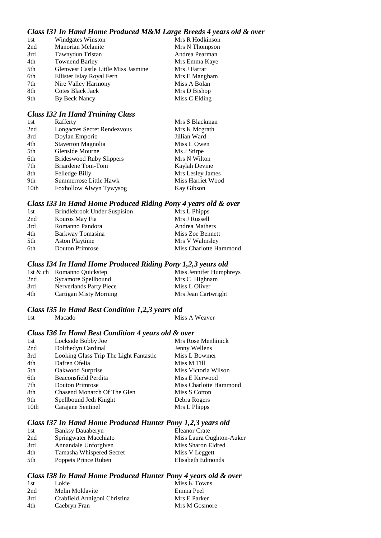### *Class I31 In Hand Home Produced M&M Large Breeds 4 years old & over*

| 1st | <b>Windgates Winston</b>            | Mrs R Hodkinson |
|-----|-------------------------------------|-----------------|
| 2nd | Manorian Melanite                   | Mrs N Thompson  |
| 3rd | Tawnydun Tristan                    | Andrea Pearman  |
| 4th | <b>Townend Barley</b>               | Mrs Emma Kaye   |
| 5th | Glenwest Castle Little Miss Jasmine | Mrs J Farrar    |
| 6th | Ellister Islay Royal Fern           | Mrs E Mangham   |
| 7th | Nire Valley Harmony                 | Miss A Bolan    |
| 8th | Cotes Black Jack                    | Mrs D Bishop    |
| 9th | By Beck Nancy                       | Miss C Elding   |

#### *Class I32 In Hand Training Class*

| Rafferty                        | Mrs S Blackman    |
|---------------------------------|-------------------|
| Longacres Secret Rendezvous     | Mrs K Megrath     |
| Doylan Emporio                  | Jillian Ward      |
| Staverton Magnolia              | Miss L Owen       |
| Glenside Mourne                 | Ms J Stirpe       |
| <b>Brideswood Ruby Slippers</b> | Mrs N Wilton      |
| Briardene Tom-Tom               | Kaylah Devine     |
| Felledge Billy                  | Mrs Lesley James  |
| Summerrose Little Hawk          | Miss Harriet Wood |
| Foxhollow Alwyn Tywysog         | Kay Gibson        |
|                                 |                   |

#### *Class I33 In Hand Home Produced Riding Pony 4 years old & over*

| 1st | <b>Brindlebrook Under Suspision</b> | Mrs L Phipps           |
|-----|-------------------------------------|------------------------|
| 2nd | Kouros May Fia                      | Mrs J Russell          |
| 3rd | Romanno Pandora                     | <b>Andrea Mathers</b>  |
| 4th | Barkway Tomasina                    | Miss Zoe Bennett       |
| 5th | <b>Aston Playtime</b>               | Mrs V Walmsley         |
| 6th | Douton Primrose                     | Miss Charlotte Hammond |

#### *Class I34 In Hand Home Produced Riding Pony 1,2,3 years old*

|     | 1st & ch Romanno Quickstep    | Miss Jennifer Humphreys |
|-----|-------------------------------|-------------------------|
| 2nd | Sycamore Spellbound           | Mrs C Highnam           |
| 3rd | Nerverlands Party Piece       | Miss L Oliver           |
| 4th | <b>Cartigan Misty Morning</b> | Mrs Jean Cartwright     |

# *Class I35 In Hand Best Condition 1,2,3 years old*

#### 1st Macado Miss A Weaver

#### *Class I36 In Hand Best Condition 4 years old & over*

| Lockside Bobby Joe                     | Mrs Rose Menhinick     |
|----------------------------------------|------------------------|
| Dolrhedyn Cardinal                     | Jenny Wellens          |
| Looking Glass Trip The Light Fantastic | Miss L Bowmer          |
| Dafren Ofelia                          | Miss M Till            |
| Oakwood Surprise                       | Miss Victoria Wilson   |
| Beaconsfield Perdita                   | Miss E Kerwood         |
| Douton Primrose                        | Miss Charlotte Hammond |
| Chasend Monarch Of The Glen            | Miss S Cotton          |
| Spellbound Jedi Knight                 | Debra Rogers           |
| Carajane Sentinel                      | Mrs L Phipps           |
|                                        |                        |

#### *Class I37 In Hand Home Produced Hunter Pony 1,2,3 years old*

| 1st | Banksy Dauaberyn         | <b>Eleanor Crate</b>     |
|-----|--------------------------|--------------------------|
| 2nd | Springwater Macchiato    | Miss Laura Oughton-Auker |
| 3rd | Annandale Unforgiven     | Miss Sharon Eldred       |
| 4th | Tamasha Whispered Secret | Miss V Leggett           |
| 5th | Poppets Prince Ruben     | Elisabeth Edmonds        |

#### *Class I38 In Hand Home Produced Hunter Pony 4 years old & over*

| 1st | Lokie                        | Miss K Towns  |
|-----|------------------------------|---------------|
| 2nd | Melin Moldavite              | Emma Peel     |
| 3rd | Crabfield Annigoni Christina | Mrs E Parker  |
| 4th | Caebryn Fran                 | Mrs M Gosmore |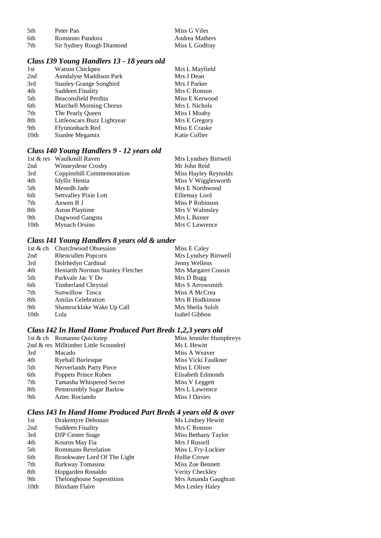| .5th | Peter Pan                | Miss G Viles          |  |
|------|--------------------------|-----------------------|--|
| -6th | Romanno Pandora          | <b>Andrea Mathers</b> |  |
| 7th  | Sir Sydney Rough Diamond | Miss L Godfray        |  |

# *Class I39 Young Handlers 13 - 18 years old*

| 1st              | Watson Chickpea                | Mrs L Mayfield |
|------------------|--------------------------------|----------------|
| 2nd              | Anndalyse Maddison Park        | Mrs J Dean     |
| 3rd              | <b>Stanley Grange Songbird</b> | Mrs J Parker   |
| 4th              | <b>Suddeen Finality</b>        | Mrs C Ronson   |
| 5th              | Beaconsfield Perdita           | Miss E Kerwood |
| 6th              | <b>Marchell Morning Chorus</b> | Mrs L Nichols  |
| 7th              | The Pearly Queen               | Miss I Moaby   |
| 8th              | Littleoscars Buzz Lightyear    | Mrs E Gregory  |
| 9th              | Ffynnonbach Red                | Miss E Craske  |
| 10 <sub>th</sub> | Sianlee Megamix                | Katie Collier  |

### *Class I40 Young Handlers 9 - 12 years old*

|      | 1st & res Waulkmill Raven | Mrs Lyndsey Birtwell |
|------|---------------------------|----------------------|
| 2nd  | Winneydene Crosby         | Mr John Reid         |
| 3rd  | Coppinshill Commemoration | Miss Hayley Reynolds |
| 4th  | Idyllic Hestia            | Miss V Wigglesworth  |
| 5th  | Menedh Jade               | Mrs E Northwood      |
| 6th  | Settvalley Pixie Lott     | Elliemay Lord        |
| 7th  | Anwen B J                 | Miss P Robinson      |
| 8th  | <b>Aston Playtime</b>     | Mrs V Walmsley       |
| 9th  | Dagwood Gangsta           | Mrs L Baxter         |
| 10th | Mynach Orsino             | Mrs C Lawrence       |

### *Class I41 Young Handlers 8 years old & under*

|                  | 1st & ch Churchwood Obsession    | Miss E Caley         |
|------------------|----------------------------------|----------------------|
| 2nd              | Rhencullen Popcorn               | Mrs Lyndsey Birtwell |
| 3rd              | Dolrhedyn Cardinal               | Jenny Wellens        |
| 4th              | Heniarth Norman Stanley Fletcher | Mrs Margaret Cousin  |
| 5th              | Parkvale Jac Y Do                | Mrs D Bugg           |
| 6th              | Timberland Chrystal              | Mrs S Arrowsmith     |
| 7th              | Sunwillow Tosca                  | Miss A McCrea        |
| 8th              | <b>Amilas Celebration</b>        | Mrs R Hodkinson      |
| 9th              | Shamrocklake Wake Up Call        | Mrs Sheila Sulsh     |
| 10 <sub>th</sub> | Lola                             | Isabel Gibbon        |

### *Class I42 In Hand Home Produced Part Breds 1,2,3 years old*

|     | 1st & ch Romanno Quickstep            | Miss Jennifer Humphreys |
|-----|---------------------------------------|-------------------------|
|     | 2nd & res Milltimber Little Scoundrel | Ms L Hewitt             |
| 3rd | Macado                                | Miss A Weaver           |
| 4th | <b>Ryehall Burlesque</b>              | Miss Vicki Faulkner     |
| 5th | Nerverlands Party Piece               | Miss L Oliver           |
| 6th | Poppets Prince Ruben                  | Elisabeth Edmonds       |
| 7th | Tamasha Whispered Secret              | Miss V Leggett          |
| 8th | Penstrumbly Sugar Barlow              | Mrs L Lawrence          |
| 9th | Aztec Rociando                        | Miss J Davies           |

### *Class I43 In Hand Home Produced Part Breds 4 years old & over*

| 1st              | Drakemyre Debonair           | Ms Lindsey Hewitt   |
|------------------|------------------------------|---------------------|
| 2nd              | <b>Suddeen Finality</b>      | Mrs C Ronson        |
| 3rd              | <b>DJP</b> Center Stage      | Miss Bethany Taylor |
| 4th              | Kouros May Fia               | Mrs J Russell       |
| 5th              | <b>Rommano Revelation</b>    | Miss L Fry-Lockier  |
| 6th              | Brookwater Lord Of The Light | <b>Hollie Crowe</b> |
| 7th              | Barkway Tomasina             | Miss Zoe Bennett    |
| 8th              | Hopgarden Ronaldo            | Verity Checkley     |
| 9th              | Thelonghouse Superstition    | Mrs Amanda Gaughran |
| 10 <sub>th</sub> | <b>Bloxham Flaire</b>        | Mrs Lesley Haley    |
|                  |                              |                     |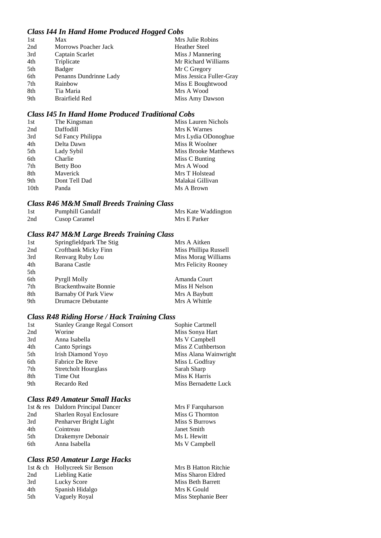#### *Class I44 In Hand Home Produced Hogged Cobs*

| 1st | Max                         | Mrs Julie Robins         |
|-----|-----------------------------|--------------------------|
| 2nd | <b>Morrows Poacher Jack</b> | <b>Heather Steel</b>     |
| 3rd | Captain Scarlet             | Miss J Mannering         |
| 4th | Triplicate                  | Mr Richard Williams      |
| 5th | Badger                      | Mr C Gregory             |
| 6th | Penanns Dundrinne Lady      | Miss Jessica Fuller-Gray |
| 7th | Rainbow                     | Miss E Boughtwood        |
| 8th | Tia Maria                   | Mrs A Wood               |
| 9th | <b>Brairfield Red</b>       | Miss Amy Dawson          |

#### *Class I45 In Hand Home Produced Traditional Cobs*

| The Kingsman      | Miss Lauren Nichols         |
|-------------------|-----------------------------|
| Daffodill         | Mrs K Warnes                |
| Sd Fancy Philippa | Mrs Lydia ODonoghue         |
| Delta Dawn        | Miss R Woolner              |
| Lady Sybil        | <b>Miss Brooke Matthews</b> |
| Charlie           | Miss C Bunting              |
| Betty Boo         | Mrs A Wood                  |
| Maverick          | Mrs T Holstead              |
| Dont Tell Dad     | Malakai Gillivan            |
| Panda             | Ms A Brown                  |
|                   |                             |

#### *Class R46 M&M Small Breeds Training Class*

| 1st | <b>Pumphill Gandalf</b> | Mrs Kate Waddington |
|-----|-------------------------|---------------------|
| 2nd | Cusop Caramel           | Mrs E Parker        |

### *Class R47 M&M Large Breeds Training Class*

| 1st | Springfieldpark The Stig     | Mrs A Aitken          |
|-----|------------------------------|-----------------------|
| 2nd | Croftbank Micky Finn         | Miss Phillipa Russell |
| 3rd | Renvarg Ruby Lou             | Miss Morag Williams   |
| 4th | Barana Castle                | Mrs Felicity Rooney   |
| 5th |                              |                       |
| 6th | Pyrgll Molly                 | Amanda Court          |
| 7th | <b>Brackenthwaite Bonnie</b> | Miss H Nelson         |
| 8th | Barnaby Of Park View         | Mrs A Baybutt         |
| 9th | <b>Drumacre Debutante</b>    | Mrs A Whittle         |

### *Class R48 Riding Horse / Hack Training Class*

| 1st | <b>Stanley Grange Regal Consort</b> | Sophie Cartmell       |
|-----|-------------------------------------|-----------------------|
| 2nd | Worine                              | Miss Sonya Hart       |
| 3rd | Anna Isabella                       | Ms V Campbell         |
| 4th | <b>Canto Springs</b>                | Miss Z Cuthbertson    |
| 5th | Irish Diamond Yoyo                  | Miss Alana Wainwright |
| 6th | Fabrice De Reve                     | Miss L Godfray        |
| 7th | <b>Stretcholt Hourglass</b>         | Sarah Sharp           |
| 8th | Time Out                            | Miss K Harris         |
| 9th | Recardo Red                         | Miss Bernadette Luck  |

### *Class R49 Amateur Small Hacks*

|     | 1st & res Daldorn Principal Dancer | Mrs F Farquharson |
|-----|------------------------------------|-------------------|
| 2nd | Sharlen Royal Enclosure            | Miss G Thornton   |
| 3rd | Penharver Bright Light             | Miss S Burrows    |
| 4th | Cointreau                          | Janet Smith       |
| 5th | Drakemyre Debonair                 | Ms L Hewitt       |
| 6th | Anna Isabella                      | Ms V Campbell     |

### *Class R50 Amateur Large Hacks*

|     | 1st & ch Hollycreek Sir Benson | <b>Mrs B Hatton Ritchie</b> |
|-----|--------------------------------|-----------------------------|
| 2nd | Liebling Katie                 | Miss Sharon Eldred          |
| 3rd | Lucky Score                    | Miss Beth Barrett           |
| 4th | Spanish Hidalgo                | Mrs K Gould                 |
| 5th | Vaguely Royal                  | Miss Stephanie Beer         |
|     |                                |                             |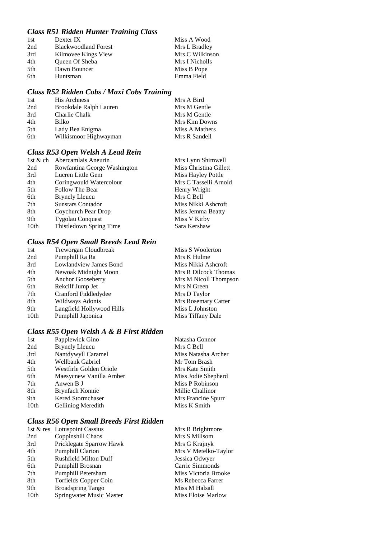### *Class R51 Ridden Hunter Training Class*

| 1st | Dexter IX                   | Miss A Wood     |
|-----|-----------------------------|-----------------|
| 2nd | <b>Blackwoodland Forest</b> | Mrs L Bradley   |
| 3rd | Kilmovee Kings View         | Mrs C Wilkinson |
| 4th | Queen Of Sheba              | Mrs I Nicholls  |
| 5th | Dawn Bouncer                | Miss B Pope     |
| 6th | Huntsman                    | Emma Field      |

### *Class R52 Ridden Cobs / Maxi Cobs Training*

| 1st | <b>His Archness</b>    | Mrs A Bird     |
|-----|------------------------|----------------|
| 2nd | Brookdale Ralph Lauren | Mrs M Gentle   |
| 3rd | Charlie Chalk          | Mrs M Gentle   |
| 4th | Bilko                  | Mrs Kim Downs  |
| 5th | Lady Bea Enigma        | Miss A Mathers |
| 6th | Wilkismoor Highwayman  | Mrs R Sandell  |

### *Class R53 Open Welsh A Lead Rein*

| 1st $&$ ch       | Abercamlais Aneurin          | Mrs Lynn Shimwell      |
|------------------|------------------------------|------------------------|
| 2nd              | Rowfantina George Washington | Miss Christina Gillett |
| 3rd              | Lucren Little Gem            | Miss Hayley Pottle     |
| 4th              | Coringwould Watercolour      | Mrs C Tasselli Arnold  |
| 5th              | Follow The Bear              | Henry Wright           |
| 6th              | <b>Brynely Lleucu</b>        | Mrs C Bell             |
| 7th              | <b>Sunstars Contador</b>     | Miss Nikki Ashcroft    |
| 8th              | Coychurch Pear Drop          | Miss Jemma Beatty      |
| 9th              | <b>Tygolau Conquest</b>      | Miss V Kirby           |
| 10 <sub>th</sub> | Thistledown Spring Time      | Sara Kershaw           |

### *Class R54 Open Small Breeds Lead Rein*

| Treworgan Cloudbreak      | Miss S Woolerton      |
|---------------------------|-----------------------|
| Pumphill Ra Ra            | Mrs K Hulme           |
| Lowlandview James Bond    | Miss Nikki Ashcroft   |
| Newoak Midnight Moon      | Mrs R Dilcock Thomas  |
| Anchor Gooseberry         | Mrs M Nicoll Thompson |
| Rekcilf Jump Jet          | Mrs N Green           |
| Cranford Fiddledydee      | Mrs D Taylor          |
| Wildways Adonis           | Mrs Rosemary Carter   |
| Langfield Hollywood Hills | Miss L Johnston       |
| Pumphill Japonica         | Miss Tiffany Dale     |
|                           |                       |

### *Class R55 Open Welsh A & B First Ridden*

| 1st              | Papplewick Gino         | Natasha Connor      |
|------------------|-------------------------|---------------------|
| 2nd              | <b>Brynely Lleucu</b>   | Mrs C Bell          |
| 3rd              | Nantdywyll Caramel      | Miss Natasha Archer |
| 4th              | Wellbank Gabriel        | Mr Tom Brash        |
| 5th              | Westfirle Golden Oriole | Mrs Kate Smith      |
| 6th              | Maesycnew Vanilla Amber | Miss Jodie Shepherd |
| 7th              | Anwen B J               | Miss P Robinson     |
| 8th              | Brynfach Konnie         | Millie Challinor    |
| 9th              | Kered Stormchaser       | Mrs Francine Spurr  |
| 10 <sub>th</sub> | Gelliniog Meredith      | Miss K Smith        |
|                  |                         |                     |

### *Class R56 Open Small Breeds First Ridden*

|                  | 1st & res Lotuspoint Cassius | Mrs R Brightmore     |
|------------------|------------------------------|----------------------|
| 2nd              | Coppinshill Chaos            | Mrs S Millsom        |
| 3rd              | Pricklegate Sparrow Hawk     | Mrs G Krajnyk        |
| 4th              | <b>Pumphill Clarion</b>      | Mrs V Metelko-Taylor |
| 5th              | Rushfield Milton Duff        | Jessica Odwyer       |
| 6th              | Pumphill Brosnan             | Carrie Simmonds      |
| 7th              | Pumphill Petersham           | Miss Victoria Brooke |
| 8th              | Torfields Copper Coin        | Ms Rebecca Farrer    |
| 9th              | <b>Broadspring Tango</b>     | Miss M Halsall       |
| 10 <sub>th</sub> | Springwater Music Master     | Miss Eloise Marlow   |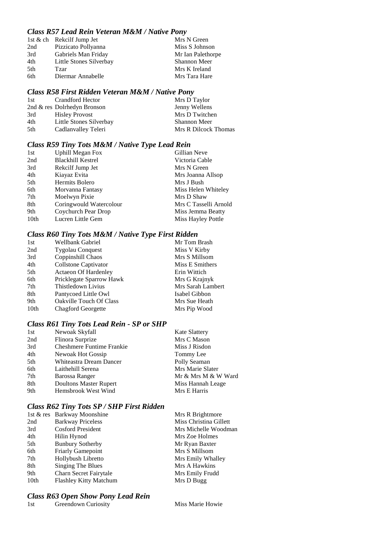#### *Class R57 Lead Rein Veteran M&M / Native Pony*

| 1st & ch Rekcilf Jump Jet | Mrs N Green         |
|---------------------------|---------------------|
| Pizzicato Pollyanna       | Miss S Johnson      |
| Gabriels Man Friday       | Mr Ian Palethorpe   |
| Little Stones Silverbay   | <b>Shannon Meer</b> |
| Tzar                      | Mrs K Ireland       |
| Diermar Annabelle         | Mrs Tara Hare       |
|                           |                     |

#### *Class R58 First Ridden Veteran M&M / Native Pony*

| 1st | Crandford Hector            | Mrs D Taylor         |
|-----|-----------------------------|----------------------|
|     | 2nd & res Dolrhedyn Bronson | Jenny Wellens        |
| 3rd | <b>Hisley Provost</b>       | Mrs D Twitchen       |
| 4th | Little Stones Silverbay     | <b>Shannon Meer</b>  |
| 5th | Cadlanvalley Teleri         | Mrs R Dilcock Thomas |

### *Class R59 Tiny Tots M&M / Native Type Lead Rein*

| 1st              | <b>Uphill Megan Fox</b>  | Gillian Neve          |
|------------------|--------------------------|-----------------------|
| 2nd              | <b>Blackhill Kestrel</b> | Victoria Cable        |
| 3rd              | Rekcilf Jump Jet         | Mrs N Green           |
| 4th              | Kiayaz Evita             | Mrs Joanna Allsop     |
| 5th              | Hermits Bolero           | Mrs J Bush            |
| 6th              | Morvanna Fantasy         | Miss Helen Whiteley   |
| 7th              | Moelwyn Pixie            | Mrs D Shaw            |
| 8th              | Coringwould Watercolour  | Mrs C Tasselli Arnold |
| 9th              | Coychurch Pear Drop      | Miss Jemma Beatty     |
| 10 <sub>th</sub> | Lucren Little Gem        | Miss Hayley Pottle    |

### *Class R60 Tiny Tots M&M / Native Type First Ridden*

| 1st              | Wellbank Gabriel               | Mr Tom Brash      |
|------------------|--------------------------------|-------------------|
| 2nd              | <b>Tygolau Conquest</b>        | Miss V Kirby      |
| 3rd              | Coppinshill Chaos              | Mrs S Millsom     |
| 4th              | Collstone Captivator           | Miss E Smithers   |
| 5th              | <b>Actaeon Of Hardenley</b>    | Erin Wittich      |
| 6th              | Pricklegate Sparrow Hawk       | Mrs G Krajnyk     |
| 7th              | Thistledown Livius             | Mrs Sarah Lambert |
| 8th              | Pantycoed Little Owl           | Isabel Gibbon     |
| 9th              | <b>Oakville Touch Of Class</b> | Mrs Sue Heath     |
| 10 <sub>th</sub> | <b>Chagford Georgette</b>      | Mrs Pip Wood      |

# *Class R61 Tiny Tots Lead Rein - SP or SHP*

| 1st | Newoak Skyfall                   | <b>Kate Slattery</b> |
|-----|----------------------------------|----------------------|
| 2nd | Flinora Surprize                 | Mrs C Mason          |
| 3rd | <b>Cheshmere Funtime Frankie</b> | Miss J Risdon        |
| 4th | Newoak Hot Gossip                | Tommy Lee            |
| 5th | Whiteastra Dream Dancer          | Polly Seaman         |
| 6th | Laithehill Serena                | Mrs Marie Slater     |
| 7th | Barossa Ranger                   | Mr & Mrs M & W Ward  |
| 8th | <b>Doultons Master Rupert</b>    | Miss Hannah Leage    |
| 9th | Hemsbrook West Wind              | Mrs E Harris         |

### *Class R62 Tiny Tots SP / SHP First Ridden*

|      | 1st & res Barkway Moonshine | Mrs R Brightmore       |
|------|-----------------------------|------------------------|
| 2nd  | <b>Barkway Priceless</b>    | Miss Christina Gillett |
| 3rd  | <b>Cosford President</b>    | Mrs Michelle Woodman   |
| 4th  | Hilin Hynod                 | Mrs Zoe Holmes         |
| 5th  | <b>Bunbury Sotherby</b>     | Mr Ryan Baxter         |
| 6th  | <b>Friarly Gamepoint</b>    | Mrs S Millsom          |
| 7th  | Hollybush Libretto          | Mrs Emily Whalley      |
| 8th  | Singing The Blues           | Mrs A Hawkins          |
| 9th  | Charn Secret Fairytale      | Mrs Emily Frudd        |
| 10th | Flashley Kitty Matchum      | Mrs D Bugg             |
|      |                             |                        |

### *Class R63 Open Show Pony Lead Rein*

| 1st | Greendown Curiosity |
|-----|---------------------|
|-----|---------------------|

Miss Marie Howie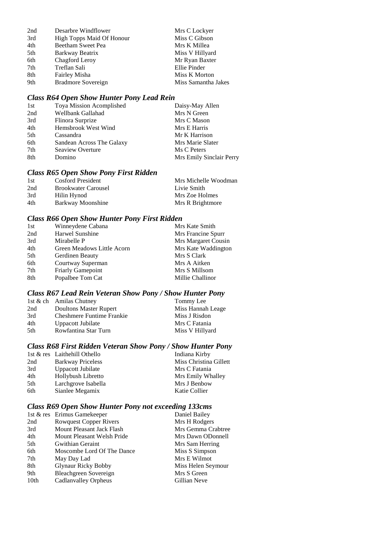| 2nd             | Desarbre Windflower       | Mrs C Lockyer       |
|-----------------|---------------------------|---------------------|
| 3rd             | High Topps Maid Of Honour | Miss C Gibson       |
| 4th             | Beetham Sweet Pea         | Mrs K Millea        |
| 5th             | Barkway Beatrix           | Miss V Hillyard     |
| 6th             | Chagford Leroy            | Mr Ryan Baxter      |
| 7 <sup>th</sup> | Treflan Sali              | Ellie Pinder        |
| 8th             | Fairley Misha             | Miss K Morton       |
| 9th             | <b>Bradmore Sovereign</b> | Miss Samantha Jakes |

# *Class R64 Open Show Hunter Pony Lead Rein*

| 1st | Toya Mission Acomplished  | Daisy-May Allen          |
|-----|---------------------------|--------------------------|
| 2nd | Wellbank Gallahad         | Mrs N Green              |
| 3rd | Flinora Surprize          | Mrs C Mason              |
| 4th | Hemsbrook West Wind       | Mrs E Harris             |
| 5th | Cassandra                 | Mr K Harrison            |
| 6th | Sandean Across The Galaxy | Mrs Marie Slater         |
| 7th | Seaview Overture          | Ms C Peters              |
| 8th | Domino                    | Mrs Emily Sinclair Perry |

### *Class R65 Open Show Pony First Ridden*

| 1st | Cosford President          | Mrs Michelle Woodman |
|-----|----------------------------|----------------------|
| 2nd | <b>Brookwater Carousel</b> | Livie Smith          |
| 3rd | Hilin Hynod                | Mrs Zoe Holmes       |
| 4th | Barkway Moonshine          | Mrs R Brightmore     |

#### *Class R66 Open Show Hunter Pony First Ridden*

| 1st | Winneydene Cabana          | Mrs Kate Smith      |
|-----|----------------------------|---------------------|
| 2nd | Harwel Sunshine            | Mrs Francine Spurr  |
| 3rd | Mirabelle P                | Mrs Margaret Cousin |
| 4th | Green Meadows Little Acorn | Mrs Kate Waddington |
| 5th | Gerdinen Beauty            | Mrs S Clark         |
| 6th | Courtway Superman          | Mrs A Aitken        |
| 7th | <b>Friarly Gamepoint</b>   | Mrs S Millsom       |
| 8th | Popalbee Tom Cat           | Millie Challinor    |
|     |                            |                     |

### *Class R67 Lead Rein Veteran Show Pony / Show Hunter Pony*

|      | 1st & ch Amilas Chutney   | Tommy Lee         |
|------|---------------------------|-------------------|
| 2nd  | Doultons Master Rupert    | Miss Hannah Leage |
| 3rd  | Cheshmere Funtime Frankie | Miss J Risdon     |
| 4th  | Uppacott Jubilate         | Mrs C Fatania     |
| .5th | Rowfantina Star Turn      | Miss V Hillyard   |

### *Class R68 First Ridden Veteran Show Pony / Show Hunter Pony*

|     | 1st & res Laithehill Othello | Indiana Kirby          |
|-----|------------------------------|------------------------|
| 2nd | <b>Barkway Priceless</b>     | Miss Christina Gillett |
| 3rd | Uppacott Jubilate            | Mrs C Fatania          |
| 4th | Hollybush Libretto           | Mrs Emily Whalley      |
| 5th | Larchgrove Isabella          | Mrs J Benbow           |
| 6th | Sianlee Megamix              | Katie Collier          |

### *Class R69 Open Show Hunter Pony not exceeding 133cms*

|                               | Daniel Bailey               |
|-------------------------------|-----------------------------|
| <b>Rowquest Copper Rivers</b> | Mrs H Rodgers               |
| Mount Pleasant Jack Flash     | Mrs Gemma Crabtree          |
| Mount Pleasant Welsh Pride    | Mrs Dawn ODonnell           |
| Gwithian Geraint              | Mrs Sam Herring             |
| Moscombe Lord Of The Dance    | Miss S Simpson              |
| May Day Lad                   | Mrs E Wilmot                |
| <b>Glynaur Ricky Bobby</b>    | Miss Helen Seymour          |
| Bleachgreen Sovereign         | Mrs S Green                 |
| Cadlanvalley Orpheus          | Gillian Neve                |
|                               | 1st & res Erimus Gamekeeper |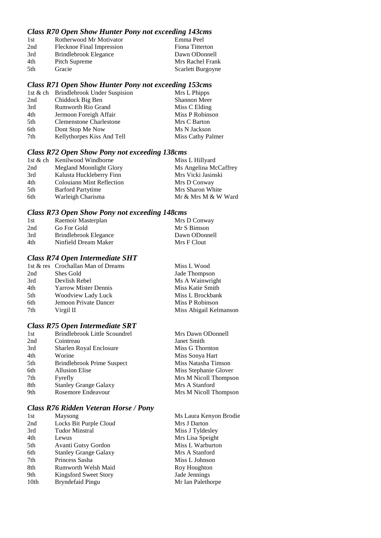#### *Class R70 Open Show Hunter Pony not exceeding 143cms*

| 1st | Rotherwood Mr Motivator   | Emma Peel         |
|-----|---------------------------|-------------------|
| 2nd | Flecknoe Final Impression | Fiona Titterton   |
| 3rd | Brindlebrook Elegance     | Dawn ODonnell     |
| 4th | Pitch Supreme             | Mrs Rachel Frank  |
| 5th | Gracie                    | Scarlett Burgoyne |
|     |                           |                   |

#### *Class R71 Open Show Hunter Pony not exceeding 153cms*

| 1st & ch Brindlebrook Under Suspision | Mrs L Phipps      |
|---------------------------------------|-------------------|
| Chiddock Big Ben                      | Shannon Meer      |
| <b>Rumworth Rio Grand</b>             | Miss C Elding     |
| Jermoon Foreigh Affair                | Miss P Robinson   |
| <b>Clemenstone Charlestone</b>        | Mrs C Barton      |
| Dont Stop Me Now                      | Ms N Jackson      |
| Kellythorpes Kiss And Tell            | Miss Cathy Palmer |
|                                       |                   |

#### *Class R72 Open Show Pony not exceeding 138cms*

|     | 1st & ch Kenilwood Windborne     | Miss L Hillyard       |
|-----|----------------------------------|-----------------------|
| 2nd | <b>Megland Moonlight Glory</b>   | Ms Angelina McCaffrey |
| 3rd | Kalusta Huckleberry Finn         | Mrs Vicki Jasinski    |
| 4th | <b>Colouiann Mint Reflection</b> | Mrs D Conway          |
| 5th | <b>Barford Partytime</b>         | Mrs Sharon White      |
| 6th | Warleigh Charisma                | Mr & Mrs M & W Ward   |

#### *Class R73 Open Show Pony not exceeding 148cms*

| Raemoir Masterplan    | Mrs D Conway  |
|-----------------------|---------------|
| Go For Gold           | Mr S Bimson   |
| Brindlebrook Elegance | Dawn ODonnell |
| Ninfield Dream Maker  | Mrs F Clout   |
|                       |               |

#### *Class R74 Open Intermediate SHT*

|     | 1st & res Crochallan Man of Dreams | Miss L Wood            |
|-----|------------------------------------|------------------------|
| 2nd | Shes Gold                          | Jade Thompson          |
| 3rd | Devlish Rebel                      | Ms A Wainwright        |
| 4th | <b>Yarrow Mister Dennis</b>        | Miss Katie Smith       |
| 5th | Woodview Lady Luck                 | Miss L Brockbank       |
| 6th | Jemoon Private Dancer              | Miss P Robinson        |
| 7th | Virgil II                          | Miss Abigail Kelmanson |

#### *Class R75 Open Intermediate SRT*

| 1st | Brindlebrook Little Scoundrel | Mrs Dawn ODonnell     |
|-----|-------------------------------|-----------------------|
| 2nd | Cointreau                     | Janet Smith           |
| 3rd | Sharlen Royal Enclosure       | Miss G Thornton       |
| 4th | Worine                        | Miss Sonya Hart       |
| 5th | Brindlebrook Prime Suspect    | Miss Natasha Timson   |
| 6th | <b>Allusion Elise</b>         | Miss Stephanie Glover |
| 7th | Fyrefly                       | Mrs M Nicoll Thompson |
| 8th | <b>Stanley Grange Galaxy</b>  | Mrs A Stanford        |
| 9th | Rosemore Endeavour            | Mrs M Nicoll Thompson |
|     |                               |                       |

#### *Class R76 Ridden Veteran Horse / Pony*

| 1st              | Maysong                      | Ms Laura Kenyon Brodie |
|------------------|------------------------------|------------------------|
| 2nd              | Locks Bit Purple Cloud       | Mrs J Darton           |
| 3rd              | <b>Tudor Minstral</b>        | Miss J Tyldesley       |
| 4th              | Lewus                        | Mrs Lisa Speight       |
| 5th              | Avanti Gutsy Gordon          | Miss L Warburton       |
| 6th              | <b>Stanley Grange Galaxy</b> | Mrs A Stanford         |
| 7th              | Princess Sasha               | Miss L Johnson         |
| 8th              | Rumworth Welsh Maid          | Roy Houghton           |
| 9th              | Kingsford Sweet Story        | Jade Jennings          |
| 10 <sub>th</sub> | <b>Bryndefaid Pingu</b>      | Mr Ian Palethorpe      |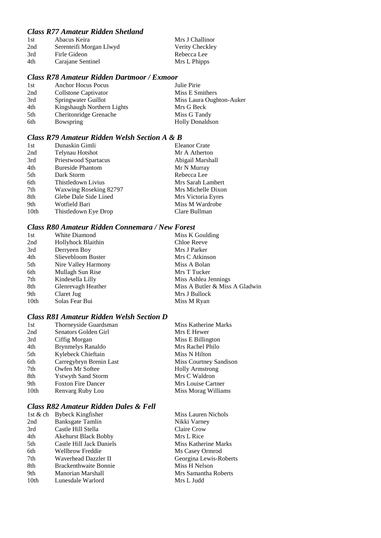### *Class R77 Amateur Ridden Shetland*

| 1st | Abacus Keira            | Mrs J Challinor |
|-----|-------------------------|-----------------|
| 2nd | Serenteifi Morgan Llwyd | Verity Checkley |
| 3rd | Firle Gideon            | Rebecca Lee     |
| 4th | Carajane Sentinel       | Mrs L Phipps    |

#### *Class R78 Amateur Ridden Dartmoor / Exmoor*

| 1st | <b>Anchor Hocus Pocus</b>  | Julie Pirie              |
|-----|----------------------------|--------------------------|
| 2nd | Collstone Captivator       | Miss E Smithers          |
| 3rd | Springwater Guillot        | Miss Laura Oughton-Auker |
| 4th | Kingshaugh Northern Lights | Mrs G Beck               |
| 5th | Cheritonridge Grenache     | Miss G Tandy             |
| 6th | Bowspring                  | <b>Holly Donaldson</b>   |

#### *Class R79 Amateur Ridden Welsh Section A & B*

| 1st              | Dunaskin Gimli          | <b>Eleanor Crate</b> |
|------------------|-------------------------|----------------------|
| 2nd              | Telynau Hotshot         | Mr A Atherton        |
| 3rd              | Priestwood Spartacus    | Abigail Marshall     |
| 4th              | <b>Bureside Phantom</b> | Mr N Murray          |
| 5th              | Dark Storm              | Rebecca Lee          |
| 6th              | Thistledown Livius      | Mrs Sarah Lambert    |
| 7th              | Waxwing Roseking 82797  | Mrs Michelle Dixon   |
| 8th              | Glebe Dale Side Lined   | Mrs Victoria Eyres   |
| 9th              | Wotfield Bari           | Miss M Wardrobe      |
| 10 <sub>th</sub> | Thistledown Eye Drop    | Clare Bullman        |

#### *Class R80 Amateur Ridden Connemara / New Forest*

| 1st  | White Diamond       | Miss K Goulding                |
|------|---------------------|--------------------------------|
| 2nd  | Hollyhock Blaithin  | Chloe Reeve                    |
| 3rd  | Derryeen Boy        | Mrs J Parker                   |
| 4th  | Slievebloom Buster  | Mrs C Atkinson                 |
| 5th  | Nire Valley Harmony | Miss A Bolan                   |
| 6th  | Mullagh Sun Rise    | Mrs T Tucker                   |
| 7th  | Kindesella Lilly    | Miss Ashlea Jennings           |
| 8th  | Glenrevagh Heather  | Miss A Butler & Miss A Gladwin |
| 9th  | Claret Jug          | Mrs J Bullock                  |
| 10th | Solas Fear Bui      | Miss M Ryan                    |

#### *Class R81 Amateur Ridden Welsh Section D*

| 1st              | Thorneyside Guardsman     | Miss Katherine Marks   |
|------------------|---------------------------|------------------------|
| 2nd              | Senators Golden Girl      | Mrs E Hewer            |
| 3rd              | Ciffig Morgan             | Miss E Billington      |
| 4th              | <b>Brynmelys Ranaldo</b>  | Mrs Rachel Philo       |
| 5th              | Kylebeck Chieftain        | Miss N Hilton          |
| 6th              | Carregybryn Brenin Last   | Miss Courtney Sandison |
| 7th              | Owfen Mr Softee           | <b>Holly Armstrong</b> |
| 8th              | <b>Ystwyth Sand Storm</b> | Mrs C Waldron          |
| 9th              | <b>Foxton Fire Dancer</b> | Mrs Louise Cartner     |
| 10 <sub>th</sub> | Renvarg Ruby Lou          | Miss Morag Williams    |

### *Class R82 Amateur Ridden Dales & Fell*

| <b>Bybeck Kingfisher</b>     |
|------------------------------|
| Banksgate Tamlin             |
| Castle Hill Stella           |
| <b>Akehurst Black Bobby</b>  |
| Castle Hill Jack Daniels     |
| Wellbrow Freddie             |
| Waverhead Dazzler II         |
| <b>Brackenthwaite Bonnie</b> |
| Manorian Marshall            |
| Lunesdale Warlord            |
|                              |

Miss Lauren Nichols Nikki Varney Claire Crow Mrs L Rice Miss Katherine Marks Ms Casey Ormrod Georgina Lewis-Roberts Miss H Nelson Mrs Samantha Roberts Mrs L Judd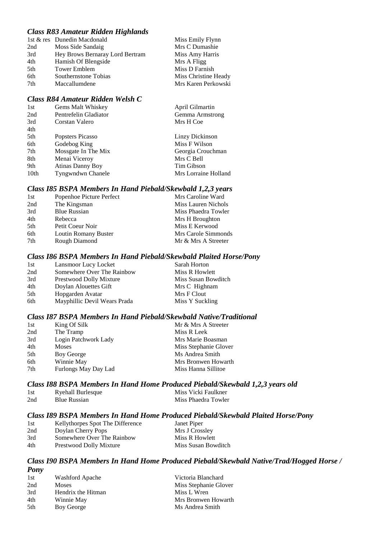#### *Class R83 Amateur Ridden Highlands*

|     | 1st & res Dunedin Macdonald     | Miss Emily Flynn     |
|-----|---------------------------------|----------------------|
| 2nd | Moss Side Sandaig               | Mrs C Dumashie       |
| 3rd | Hey Brows Bernaray Lord Bertram | Miss Amy Harris      |
| 4th | Hamish Of Blengside             | Mrs A Fligg          |
| 5th | <b>Tower Emblem</b>             | Miss D Farnish       |
| 6th | Southernstone Tobias            | Miss Christine Heady |
| 7th | Maccallumdene                   | Mrs Karen Perkowski  |
|     |                                 |                      |

#### *Class R84 Amateur Ridden Welsh C*

| 1st              | Gems Malt Whiskey       | April Gilmartin      |
|------------------|-------------------------|----------------------|
| 2nd              | Pentrefelin Gladiator   | Gemma Armstrong      |
| 3rd              | Corstan Valero          | Mrs H Coe            |
| 4th              |                         |                      |
| 5th              | Popsters Picasso        | Linzy Dickinson      |
| 6th              | Godebog King            | Miss F Wilson        |
| 7th              | Mossgate In The Mix     | Georgia Crouchman    |
| 8th              | Menai Viceroy           | Mrs C Bell           |
| 9th              | <b>Atinas Danny Boy</b> | Tim Gibson           |
| 10 <sub>th</sub> | Tyngwndwn Chanele       | Mrs Lorraine Holland |

### *Class I85 BSPA Members In Hand Piebald/Skewbald 1,2,3 years*

| Popenhoe Picture Perfect | Mrs Caroline Ward   |
|--------------------------|---------------------|
| The Kingsman             | Miss Lauren Nichols |
| <b>Blue Russian</b>      | Miss Phaedra Towler |
| Rebecca                  | Mrs H Broughton     |
| Petit Coeur Noir         | Miss E Kerwood      |
| Loutin Romany Buster     | Mrs Carole Simmonds |
| Rough Diamond            | Mr & Mrs A Streeter |
|                          |                     |

#### *Class I86 BSPA Members In Hand Piebald/Skewbald Plaited Horse/Pony*

| 1st | Lansmoor Lucy Locket           | Sarah Horton        |
|-----|--------------------------------|---------------------|
| 2nd | Somewhere Over The Rainbow     | Miss R Howlett      |
| 3rd | <b>Prestwood Dolly Mixture</b> | Miss Susan Bowditch |
| 4th | Doylan Alouettes Gift          | Mrs C Highnam       |
| 5th | Hopgarden Avatar               | Mrs F Clout         |
| 6th | Mayphillic Devil Wears Prada   | Miss Y Suckling     |

#### *Class I87 BSPA Members In Hand Piebald/Skewbald Native/Traditional*

| 1st | King Of Silk         | Mr & Mrs A Streeter   |
|-----|----------------------|-----------------------|
| 2nd | The Tramp            | Miss R Leek           |
| 3rd | Login Patchwork Lady | Mrs Marie Boasman     |
| 4th | <b>Moses</b>         | Miss Stephanie Glover |
| 5th | Boy George           | Ms Andrea Smith       |
| 6th | Winnie May           | Mrs Bronwen Howarth   |
| 7th | Furlongs May Day Lad | Miss Hanna Sillitoe   |

### *Class I88 BSPA Members In Hand Home Produced Piebald/Skewbald 1,2,3 years old*

| 1st | <b>Ryehall Burlesque</b> | Miss Vicki Faulkner |
|-----|--------------------------|---------------------|
| 2nd | <b>Blue Russian</b>      | Miss Phaedra Towler |

#### *Class I89 BSPA Members In Hand Home Produced Piebald/Skewbald Plaited Horse/Pony*

| 1st | Kellythorpes Spot The Difference | Janet Piper         |
|-----|----------------------------------|---------------------|
| 2nd | Doylan Cherry Pops               | Mrs J Crossley      |
| 3rd | Somewhere Over The Rainbow       | Miss R Howlett      |
| 4th | Prestwood Dolly Mixture          | Miss Susan Bowditch |

#### *Class I90 BSPA Members In Hand Home Produced Piebald/Skewbald Native/Trad/Hogged Horse / Pony*

| 1st | Washford Apache    | Victoria Blanchard    |
|-----|--------------------|-----------------------|
| 2nd | <b>Moses</b>       | Miss Stephanie Glover |
| 3rd | Hendrix the Hitman | Miss L Wren           |
| 4th | Winnie May         | Mrs Bronwen Howarth   |
| 5th | Boy George         | Ms Andrea Smith       |
|     |                    |                       |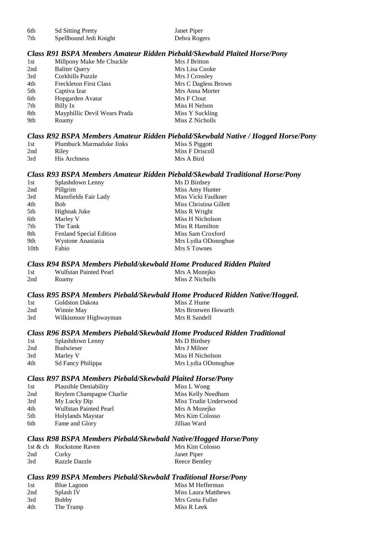| -6th | <b>Sd Sitting Pretty</b> | Janet Piper  |
|------|--------------------------|--------------|
| 7th  | Spellbound Jedi Knight   | Debra Rogers |

#### *Class R91 BSPA Members Amateur Ridden Piebald/Skewbald Plaited Horse/Pony*

| 1st | Millpony Make Me Chuckle      | Mrs J Britton       |
|-----|-------------------------------|---------------------|
| 2nd | <b>Baliter Query</b>          | Mrs Lisa Cooke      |
| 3rd | Corkhills Puzzle              | Mrs J Crossley      |
| 4th | <b>Freckleton First Class</b> | Mrs C Dagless Brown |
| 5th | Captiva Izar                  | Mrs Anna Morter     |
| 6th | Hopgarden Avatar              | Mrs F Clout         |
| 7th | Billy Ix                      | Miss H Nelson       |
| 8th | Mayphillic Devil Wears Prada  | Miss Y Suckling     |
| 9th | Roamy                         | Miss Z Nicholls     |
|     |                               |                     |

#### *Class R92 BSPA Members Amateur Ridden Piebald/Skewbald Native / Hogged Horse/Pony*

| 1st | Plumbuck Marmaduke Jinks | Miss S Piggott  |
|-----|--------------------------|-----------------|
| 2nd | Riley                    | Miss F Driscoll |
| 3rd | His Archness             | Mrs A Bird      |

#### *Class R93 BSPA Members Amateur Ridden Piebald/Skewbald Traditional Horse/Pony*

| 1st  | Splashdown Lenny        | Ms D Birdsey           |
|------|-------------------------|------------------------|
| 2nd  | Pillgrim                | Miss Amy Hunter        |
| 3rd  | Mansfields Fair Lady    | Miss Vicki Faulkner    |
| 4th  | Bob-                    | Miss Christina Gillett |
| 5th  | Highoak Juke            | Miss R Wright          |
| 6th  | Marley V                | Miss H Nicholson       |
| 7th  | The Tank                | Miss R Hamilton        |
| 8th  | Fenland Special Edition | Miss Sam Croxford      |
| 9th  | Wystone Anastasia       | Mrs Lydia ODonoghue    |
| 10th | Fabio                   | Mrs S Townes           |
|      |                         |                        |

#### *Class R94 BSPA Members Piebald/skewbald Home Produced Ridden Plaited*

| 1st | <b>Wulfstan Painted Pearl</b> | Mrs A Mozejko   |
|-----|-------------------------------|-----------------|
| 2nd | Roamy                         | Miss Z Nicholls |

#### *Class R95 BSPA Members Piebald/Skewbald Home Produced Ridden Native/Hogged.*

| 1st | Goldston Dakota       | Miss Z Hume         |
|-----|-----------------------|---------------------|
| 2nd | Winnie May            | Mrs Bronwen Howarth |
| 3rd | Wilkismoor Highwayman | Mrs R Sandell       |

#### *Class R96 BSPA Members Piebald/Skewbald Home Produced Ridden Traditional*

| 1st | Splashdown Lenny  | Ms D Birdsey        |
|-----|-------------------|---------------------|
| 2nd | <b>Budwieser</b>  | Mrs J Milner        |
| 3rd | Marley V          | Miss H Nicholson    |
| 4th | Sd Fancy Philippa | Mrs Lydia ODonoghue |

#### *Class R97 BSPA Members Piebald/Skewbald Plaited Horse/Pony*

| Plausible Deniability         | Miss L Wong           |
|-------------------------------|-----------------------|
| Reylem Champagne Charlie      | Miss Kelly Needham    |
| My Lucky Dip                  | Miss Trudie Underwood |
| <b>Wulfstan Painted Pearl</b> | Mrs A Mozejko         |
| Holylands Maystar             | Mrs Kim Colosso       |
| Fame and Glory                | Jillian Ward          |
|                               |                       |

#### *Class R98 BSPA Members Piebald/Skewbald Native/Hogged Horse/Pony*

|     | 1st & ch Rockstone Raven | Mrs Kim Colosso |
|-----|--------------------------|-----------------|
| 2nd | Corky                    | Janet Piper     |
| 3rd | <b>Razzle Dazzle</b>     | Reece Bentley   |

#### *Class R99 BSPA Members Piebald/Skewbald Traditional Horse/Pony*

| 1st | Blue Lagoon  | Miss M Hefferman    |
|-----|--------------|---------------------|
| 2nd | Splash IV    | Miss Laura Matthews |
| 3rd | <b>Bobby</b> | Mrs Greta Fuller    |
| 4th | The Tramp    | Miss R Leek         |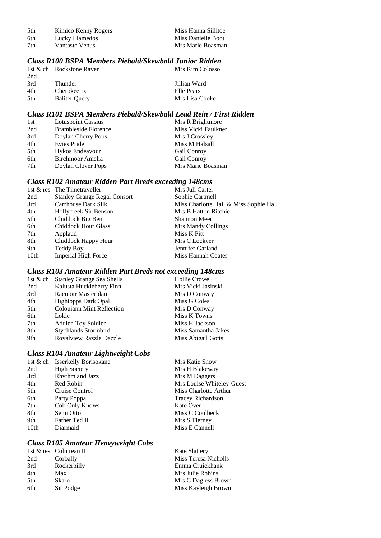| 5th | Kimico Kenny Rogers | Miss Hanna Sillitoe |
|-----|---------------------|---------------------|
| 6th | Lucky Llamedos      | Miss Danielle Boot  |
| 7th | Vantaste Venus      | Mrs Marie Boasman   |

### *Class R100 BSPA Members Piebald/Skewbald Junior Ridden*

|     | 1st & ch Rockstone Raven | Mrs Kim Colosso |
|-----|--------------------------|-----------------|
| 2nd |                          |                 |
| 3rd | Thunder                  | Jillian Ward    |
| 4th | Cherokee Ix              | Elle Pears      |
| 5th | <b>Baliter Query</b>     | Mrs Lisa Cooke  |

#### *Class R101 BSPA Members Piebald/Skewbald Lead Rein / First Ridden*

| 1st | <b>Lotuspoint Cassius</b>   | Mrs R Brightmore    |
|-----|-----------------------------|---------------------|
| 2nd | <b>Brambleside Florence</b> | Miss Vicki Faulkner |
| 3rd | Doylan Cherry Pops          | Mrs J Crossley      |
| 4th | Evies Pride                 | Miss M Halsall      |
| 5th | Hykos Endeavour             | <b>Gail Conroy</b>  |
| 6th | Birchmoor Amelia            | Gail Conroy         |
| 7th | Doylan Clover Pops          | Mrs Marie Boasman   |

#### *Class R102 Amateur Ridden Part Breds exceeding 148cms*

|      | 1st & res The Timetraveller         | Mrs Juli Carter                        |
|------|-------------------------------------|----------------------------------------|
| 2nd  | <b>Stanley Grange Regal Consort</b> | Sophie Cartmell                        |
| 3rd  | Carrhouse Dark Silk                 | Miss Charlotte Hall & Miss Sophie Hall |
| 4th  | Hollycreek Sir Benson               | Mrs B Hatton Ritchie                   |
| 5th  | Chiddock Big Ben                    | Shannon Meer                           |
| 6th  | <b>Chiddock Hour Glass</b>          | Mrs Mandy Collings                     |
| 7th  | Applaud                             | Miss K Pitt                            |
| 8th  | Chiddock Happy Hour                 | Mrs C Lockyer                          |
| 9th  | Teddy Boy                           | Jennifer Garland                       |
| 10th | <b>Imperial High Force</b>          | Miss Hannah Coates                     |
|      |                                     |                                        |

### *Class R103 Amateur Ridden Part Breds not exceeding 148cms*

| <b>Hollie Crowe</b> |
|---------------------|
| Mrs Vicki Jasinski  |
| Mrs D Conway        |
| Miss G Coles        |
| Mrs D Conway        |
| Miss K Towns        |
| Miss H Jackson      |
| Miss Samantha Jakes |
| Miss Abigail Gotts  |
|                     |

### *Class R104 Amateur Lightweight Cobs*

|      | 1st & ch Isserkelly Borisokane | Mrs Katie Snow            |
|------|--------------------------------|---------------------------|
| 2nd  | <b>High Society</b>            | Mrs H Blakeway            |
| 3rd  | Rhythm and Jazz                | Mrs M Daggers             |
| 4th  | Red Robin                      | Mrs Louise Whiteley-Guest |
| 5th  | Cruise Control                 | Miss Charlotte Arthur     |
| 6th  | Party Poppa                    | Tracey Richardson         |
| 7th  | Cob Only Knows                 | Kate Over                 |
| 8th  | Semi Otto                      | Miss C Coulbeck           |
| 9th  | Father Ted II                  | Mrs S Tierney             |
| 10th | Diarmaid                       | Miss E Cannell            |
|      |                                |                           |

### *Class R105 Amateur Heavyweight Cobs*

| 1st & res Colntreau II | <b>Kate Slattery</b> |
|------------------------|----------------------|
| Corbally               | Miss Teresa Nicholls |
| Rockerbilly            | Emma Cruickhank      |
| Max                    | Mrs Julie Robins     |
| Skaro                  | Mrs C Dagless Brown  |
| Sir Podge              | Miss Kayleigh Brown  |
|                        |                      |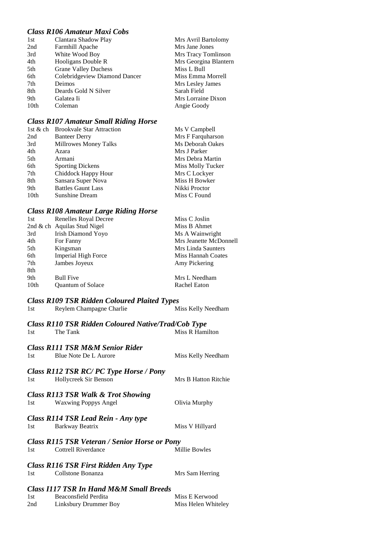### *Class R106 Amateur Maxi Cobs*

| 1st  | Clantara Shadow Play          | Mrs Avril Bartolomy   |
|------|-------------------------------|-----------------------|
| 2nd  | Farmhill Apache               | Mrs Jane Jones        |
| 3rd  | White Wood Boy                | Mrs Tracy Tomlinson   |
| 4th  | Hooligans Double R            | Mrs Georgina Blantern |
| 5th  | <b>Grane Valley Duchess</b>   | Miss L Bull           |
| 6th  | Colebridgeview Diamond Dancer | Miss Emma Morrell     |
| 7th  | Deimos                        | Mrs Lesley James      |
| 8th  | Deards Gold N Silver          | Sarah Field           |
| 9th  | Galatea Ii                    | Mrs Lorraine Dixon    |
| 10th | Coleman                       | Angie Goody           |

### *Class R107 Amateur Small Riding Horse*

| 1st & ch         | <b>Brookvale Star Attraction</b> | Ms V Campbell     |
|------------------|----------------------------------|-------------------|
| 2nd              | <b>Banteer Derry</b>             | Mrs F Farquharson |
| 3rd              | Millrowes Money Talks            | Ms Deborah Oakes  |
| 4th              | Azara                            | Mrs J Parker      |
| 5th              | Armani                           | Mrs Debra Martin  |
| 6th              | <b>Sporting Dickens</b>          | Miss Molly Tucker |
| 7th              | Chiddock Happy Hour              | Mrs C Lockyer     |
| 8th              | Sansara Super Nova               | Miss H Bowker     |
| 9th              | <b>Battles Gaunt Lass</b>        | Nikki Proctor     |
| 10 <sub>th</sub> | <b>Sunshine Dream</b>            | Miss C Found      |

### *Class R108 Amateur Large Riding Horse*

| 1st  | Renelles Royal Decree       | Miss C Joslin          |
|------|-----------------------------|------------------------|
|      | 2nd & ch Aquilas Stud Nigel | Miss B Ahmet           |
| 3rd  | Irish Diamond Yoyo          | Ms A Wainwright        |
| 4th  | For Fanny                   | Mrs Jeanette McDonnell |
| 5th  | Kingsman                    | Mrs Linda Saunters     |
| 6th  | <b>Imperial High Force</b>  | Miss Hannah Coates     |
| 7th  | Jambes Joyeux               | Amy Pickering          |
| 8th  |                             |                        |
| 9th  | <b>Bull Five</b>            | Mrs L Needham          |
| 10th | <b>Ouantum of Solace</b>    | Rachel Eaton           |
|      |                             |                        |

### *Class R109 TSR Ridden Coloured Plaited Types*

| 1st | Reylem Champagne Charlie | Miss Kelly Needham |
|-----|--------------------------|--------------------|
|-----|--------------------------|--------------------|

### *Class R110 TSR Ridden Coloured Native/Trad/Cob Type*

| 1st | The Tank | Miss R Hamilton |
|-----|----------|-----------------|
|     |          |                 |

### *Class R111 TSR M&M Senior Rider*

| 1st   | Blue Note De L Aurore                                            | Miss Kelly Needham   |
|-------|------------------------------------------------------------------|----------------------|
| 1st - | Class R112 TSR RC/ PC Type Horse / Pony<br>Hollycreek Sir Benson | Mrs B Hatton Ritchie |
|       | <b>Class R113 TSR Walk &amp; Trot Showing</b>                    |                      |

# 1st Waxwing Poppys Angel Olivia Murphy

| 1st | Class R114 TSR Lead Rein - Any type<br>Barkway Beatrix                      | Miss V Hillyard |
|-----|-----------------------------------------------------------------------------|-----------------|
| 1st | <b>Class R115 TSR Veteran / Senior Horse or Pony</b><br>Cottrell Riverdance | Millie Bowles   |
| 1st | <b>Class R116 TSR First Ridden Any Type</b><br>Collstone Bonanza            | Mrs Sam Herring |
|     | <b>Class I117 TSR In Hand M&amp;M Small Breeds</b>                          |                 |

| 1st | Beaconsfield Perdita  | Miss E Kerwood      |
|-----|-----------------------|---------------------|
| 2nd | Linksbury Drummer Boy | Miss Helen Whiteley |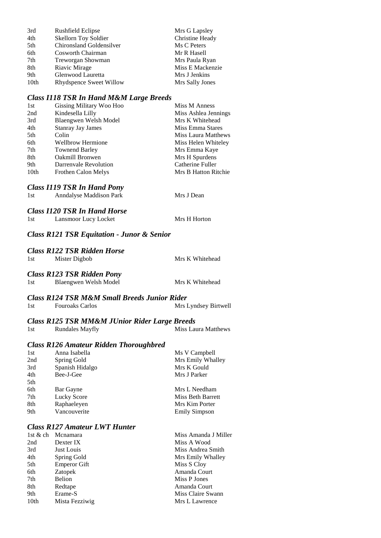| 3rd              | Rushfield Eclipse        | Mrs G Lapsley    |
|------------------|--------------------------|------------------|
| 4th              | Skellorn Toy Soldier     | Christine Heady  |
| 5th              | Chironsland Goldensilver | Ms C Peters      |
| 6th              | Cosworth Chairman        | Mr R Hasell      |
| 7th              | Treworgan Showman        | Mrs Paula Ryan   |
| 8th              | Riavic Mirage            | Miss E Mackenzie |
| 9th              | Glenwood Lauretta        | Mrs J Jenkins    |
| 10 <sub>th</sub> | Rhydspence Sweet Willow  | Mrs Sally Jones  |

#### *Class I118 TSR In Hand M&M Large Breeds*

| 1st  | Gissing Military Woo Hoo   | Miss M Anness        |
|------|----------------------------|----------------------|
| 2nd  | Kindesella Lilly           | Miss Ashlea Jennings |
| 3rd  | Blaengwen Welsh Model      | Mrs K Whitehead      |
| 4th  | <b>Stanray Jay James</b>   | Miss Emma Stares     |
| 5th  | Colin                      | Miss Laura Matthews  |
| 6th  | <b>Wellbrow Hermione</b>   | Miss Helen Whiteley  |
| 7th  | <b>Townend Barley</b>      | Mrs Emma Kaye        |
| 8th  | <b>Oakmill Bronwen</b>     | Mrs H Spurdens       |
| 9th  | Darrenvale Revolution      | Catherine Fuller     |
| 10th | <b>Frothen Calon Melys</b> | Mrs B Hatton Ritchie |

### *Class I119 TSR In Hand Pony*

| 1st | Anndalyse Maddison Park | Mrs J Dean |
|-----|-------------------------|------------|
|     |                         |            |

### *Class I120 TSR In Hand Horse*

| 1st | Lansmoor Lucy Locket | Mrs H Horton |
|-----|----------------------|--------------|
|-----|----------------------|--------------|

### *Class R121 TSR Equitation - Junor & Senior*

### *Class R122 TSR Ridden Horse*

| 1st | Mister Digbob                     | Mrs K Whitehead |
|-----|-----------------------------------|-----------------|
|     | <b>Class R123 TSR Ridden Pony</b> |                 |
| 1st | Blaengwen Welsh Model             | Mrs K Whitehead |

### *Class R124 TSR M&M Small Breeds Junior Rider*

|      | <u>UWOO ALLE I TOAL MACCHI DHIWII DI UUWO DWIIVOI TUWOI</u> |                      |
|------|-------------------------------------------------------------|----------------------|
| -1st | <b>Fouroaks Carlos</b>                                      | Mrs Lyndsey Birtwell |

#### *Class R125 TSR MM&M JUnior Rider Large Breeds*

| <b>Rundales Mayfly</b><br>1st |  | <b>Miss Laura Matthews</b> |
|-------------------------------|--|----------------------------|
|-------------------------------|--|----------------------------|

#### *Class R126 Amateur Ridden Thoroughbred*

| 1st | Anna Isabella   | Ms V Campbell        |
|-----|-----------------|----------------------|
| 2nd | Spring Gold     | Mrs Emily Whalley    |
| 3rd | Spanish Hidalgo | Mrs K Gould          |
| 4th | Bee-J-Gee       | Mrs J Parker         |
| 5th |                 |                      |
| 6th | Bar Gayne       | Mrs L Needham        |
| 7th | Lucky Score     | Miss Beth Barrett    |
| 8th | Raphaeleyen     | Mrs Kim Porter       |
| 9th | Vancouverite    | <b>Emily Simpson</b> |
|     |                 |                      |

### *Class R127 Amateur LWT Hunter*

| 1st & ch         | Mcnamara            | Miss Amanda J Miller |
|------------------|---------------------|----------------------|
| 2nd              | Dexter IX           | Miss A Wood          |
| 3rd              | Just Louis          | Miss Andrea Smith    |
| 4th              | Spring Gold         | Mrs Emily Whalley    |
| 5th              | <b>Emperor Gift</b> | Miss S Cloy          |
| 6th              | Zatopek             | Amanda Court         |
| 7th              | Belion              | Miss P Jones         |
| 8th              | Redtape             | Amanda Court         |
| 9th              | Erame-S             | Miss Claire Swann    |
| 10 <sub>th</sub> | Mista Fezziwig      | Mrs L Lawrence       |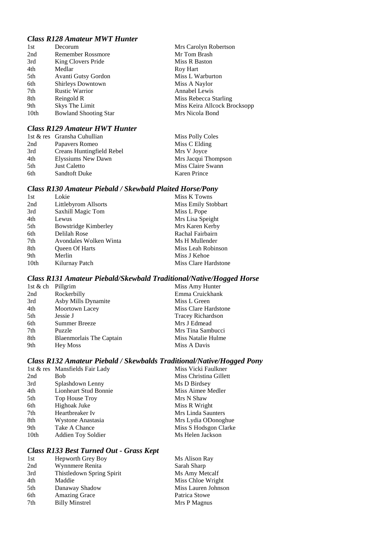### *Class R128 Amateur MWT Hunter*

| 1st  | Decorum                      | Mrs Carolyn Robertson        |
|------|------------------------------|------------------------------|
| 2nd  | Remember Rossmore            | Mr Tom Brash                 |
| 3rd  | King Clovers Pride           | Miss R Baston                |
| 4th  | Medlar                       | Roy Hart                     |
| 5th  | Avanti Gutsy Gordon          | Miss L Warburton             |
| 6th  | <b>Shirleys Downtown</b>     | Miss A Naylor                |
| 7th  | <b>Rustic Warrior</b>        | <b>Annabel Lewis</b>         |
| 8th  | Reingold R                   | Miss Rebecca Starling        |
| 9th  | Skys The Limit               | Miss Keira Allcock Brocksopp |
| 10th | <b>Bowland Shooting Star</b> | Mrs Nicola Bond              |
|      |                              |                              |

### *Class R129 Amateur HWT Hunter*

|     | 1st & res Gransha Cuhullian | <b>Miss Polly Coles</b> |
|-----|-----------------------------|-------------------------|
| 2nd | Papavers Romeo              | Miss C Elding           |
| 3rd | Creans Huntingfield Rebel   | Mrs V Joyce             |
| 4th | Elyssiums New Dawn          | Mrs Jacqui Thompson     |
| 5th | <b>Just Caletto</b>         | Miss Claire Swann       |
| 6th | <b>Sandtoft Duke</b>        | <b>Karen Prince</b>     |

### *Class R130 Amateur Piebald / Skewbald Plaited Horse/Pony*

| 1st  | Lokie                  | Miss K Towns         |
|------|------------------------|----------------------|
| 2nd  | Littlebyrom Allsorts   | Miss Emily Stobbart  |
| 3rd  | Saxhill Magic Tom      | Miss L Pope          |
| 4th  | Lewus                  | Mrs Lisa Speight     |
| 5th  | Bowstridge Kimberley   | Mrs Karen Kerby      |
| 6th  | Delilah Rose           | Rachal Fairbairn     |
| 7th  | Avondales Wolken Winta | Ms H Mullender       |
| 8th  | <b>Oueen Of Harts</b>  | Miss Leah Robinson   |
| 9th  | Merlin                 | Miss J Kehoe         |
| 10th | Kilurnay Patch         | Miss Clare Hardstone |

### *Class R131 Amateur Piebald/Skewbald Traditional/Native/Hogged Horse*

| 1st & ch Pillgrim |                                 | Miss Amy Hunter          |
|-------------------|---------------------------------|--------------------------|
| 2nd               | Rockerbilly                     | Emma Cruickhank          |
| 3rd               | Asby Mills Dynamite             | Miss L Green             |
| 4th               | Moortown Lacey                  | Miss Clare Hardstone     |
| 5th               | Jessie J                        | <b>Tracey Richardson</b> |
| 6th               | <b>Summer Breeze</b>            | Mrs J Edmead             |
| 7th               | Puzzle                          | Mrs Tina Sambucci        |
| 8th               | <b>Blaenmorlais</b> The Captain | Miss Natalie Hulme       |
| 9th               | <b>Hey Moss</b>                 | Miss A Davis             |

### *Class R132 Amateur Piebald / Skewbalds Traditional/Native/Hogged Pony*

|      | 1st & res Mansfields Fair Lady | Miss Vicki Faulkner    |
|------|--------------------------------|------------------------|
| 2nd  | <b>Bob</b>                     | Miss Christina Gillett |
| 3rd  | Splashdown Lenny               | Ms D Birdsey           |
| 4th  | Lionheart Stud Bonnie          | Miss Aimee Medler      |
| 5th  | Top House Troy                 | Mrs N Shaw             |
| 6th  | Highoak Juke                   | Miss R Wright          |
| 7th  | Heartbreaker Iv                | Mrs Linda Saunters     |
| 8th  | Wystone Anastasia              | Mrs Lydia ODonoghue    |
| 9th  | Take A Chance                  | Miss S Hodsgon Clarke  |
| 10th | Addien Toy Soldier             | Ms Helen Jackson       |

### *Class R133 Best Turned Out - Grass Kept*

| 1st | Hepworth Grey Boy         | Ms Alison Ray       |
|-----|---------------------------|---------------------|
| 2nd | Wynnmere Renita           | Sarah Sharp         |
| 3rd | Thistledown Spring Spirit | Ms Amy Metcalf      |
| 4th | Maddie                    | Miss Chloe Wright   |
| 5th | Danaway Shadow            | Miss Lauren Johnson |
| 6th | <b>Amazing Grace</b>      | Patrica Stowe       |
| 7th | <b>Billy Minstrel</b>     | Mrs P Magnus        |
|     |                           |                     |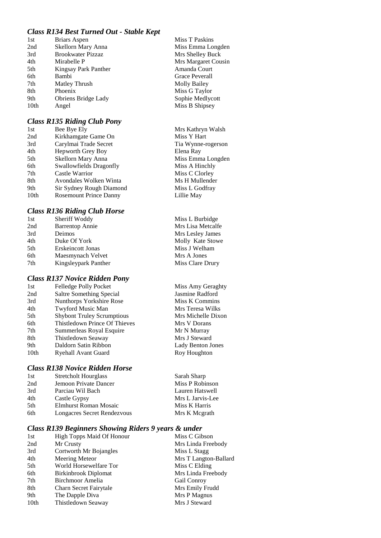#### *Class R134 Best Turned Out - Stable Kept*

| 1st  | Briars Aspen             |
|------|--------------------------|
| 2nd  | Skellorn Mary Anna       |
| 3rd  | <b>Brookwater Pizzaz</b> |
| 4th  | Mirabelle P              |
| 5th  | Kingsay Park Panther     |
| 6th  | Bambi                    |
| 7th  | Matley Thrush            |
| 8th  | Phoenix                  |
| 9th  | Obriens Bridge Lady      |
| 10th | Angel                    |
|      |                          |

#### *Class R135 Riding Club Pony*

| 1st              | Bee Bye Ely                   |
|------------------|-------------------------------|
| 2nd              | Kirkhamgate Game On           |
| 3rd              | Carylmai Trade Secret         |
| 4th              | <b>Hepworth Grey Boy</b>      |
| 5th              | Skellorn Mary Anna            |
| 6th              | Swallowfields Dragonfly       |
| 7th              | Castle Warrior                |
| 8th              | Avondales Wolken Winta        |
| 9th              | Sir Sydney Rough Diamon       |
| 10 <sub>th</sub> | <b>Rosemount Prince Danny</b> |
|                  |                               |

#### *Class R136 Riding Club Horse*

| 1st | Sheriff Woddy          |
|-----|------------------------|
| 2nd | <b>Barrentop Annie</b> |
| 3rd | Deimos                 |
| 4th | Duke Of York           |
| 5th | Erskeincott Jonas      |
| 6th | Maesmynach Velvet      |
| 7th | Kingsleypark Panther   |
|     |                        |

#### *Class R137 Novice Ridden Pony*

| 1st              | Felledge Polly Pocket             |
|------------------|-----------------------------------|
| 2nd              | Saltre Something Special          |
| 3rd              | Nunthorps Yorkshire Rose          |
| 4th              | Twyford Music Man                 |
| 5th              | <b>Shybont Truley Scrumptious</b> |
| 6th              | Thistledown Prince Of Thieve      |
| 7th              | Summerleas Royal Esquire          |
| 8th              | Thistledown Seaway                |
| 9th              | Daldorn Satin Ribbon              |
| 10 <sub>th</sub> | Ryehall Avant Guard               |
|                  |                                   |

#### *Class R138 Novice Ridden Horse*

| 1st | <b>Stretcholt Hourglass</b> |
|-----|-----------------------------|
| 2nd | Jemoon Private Dancer       |
| 3rd | Parciau Wil Bach            |
| 4th | Castle Gypsy                |
| 5th | Elmhurst Roman Mosaic       |
| 6th | Longacres Secret Rendezvous |
|     |                             |

#### *Class R139 Beginners Showing Riders 9 years & under*

| 1st  | <b>High Topps Maid Of Honour</b> | Miss C Gibson         |
|------|----------------------------------|-----------------------|
| 2nd  | Mr Crusty                        | Mrs Linda Freebody    |
| 3rd  | Cortworth Mr Bojangles           | Miss L Stagg          |
| 4th  | Meering Meteor                   | Mrs T Langton-Ballard |
| 5th  | World Horsewelfare Tor           | Miss C Elding         |
| 6th  | Birkinbrook Diplomat             | Mrs Linda Freebody    |
| 7th  | Birchmoor Amelia                 | Gail Conroy           |
| 8th  | Charn Secret Fairytale           | Mrs Emily Frudd       |
| 9th  | The Dapple Diva                  | Mrs P Magnus          |
| 10th | Thistledown Seaway               | Mrs J Steward         |

**Miss T Paskins** Miss Emma Longden Mrs Shelley Buck Mrs Margaret Cousin Amanda Court Grace Peverall Molly Bailey Miss G Taylor Sophie Medlycott Miss B Shipsey

Mrs Kathryn Walsh Miss Y Hart Tia Wynne-rogerson Elena Ray Miss Emma Longden Miss A Hinchly Miss C Clorley Ms H Mullender d Miss L Godfray Lillie May

> Miss L Burbidge Mrs Lisa Metcalfe Mrs Lesley James Molly Kate Stowe Miss J Welham Mrs A Jones Miss Clare Drury

Miss Amy Geraghty Jasmine Radford Miss K Commins Mrs Teresa Wilks Mrs Michelle Dixon es Mrs V Dorans Mr N Murray Mrs J Steward Lady Benton Jones Roy Houghton

> Sarah Sharp Miss P Robinson Lauren Hatswell Mrs L Jarvis-Lee Miss K Harris Mrs K Mcgrath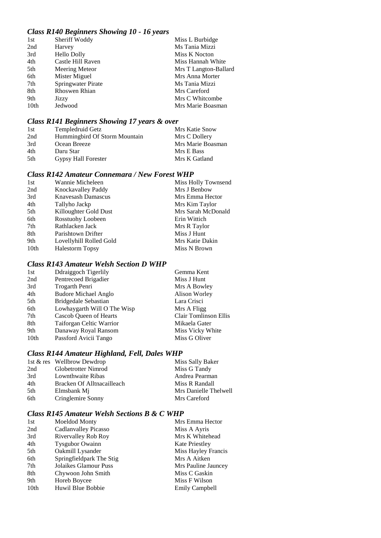#### *Class R140 Beginners Showing 10 - 16 years*

| 1st  | Sheriff Woddy             |  | Miss L Burbidge       |
|------|---------------------------|--|-----------------------|
| 2nd  | Harvey                    |  | Ms Tania Mizzi        |
| 3rd  | <b>Hello Dolly</b>        |  | Miss K Nocton         |
| 4th  | Castle Hill Raven         |  | Miss Hannah White     |
| 5th  | Meering Meteor            |  | Mrs T Langton-Ballard |
| 6th  | Mister Miguel             |  | Mrs Anna Morter       |
| 7th  | <b>Springwater Pirate</b> |  | Ms Tania Mizzi        |
| 8th  | <b>Rhoswen Rhian</b>      |  | Mrs Careford          |
| 9th  | Jizzy                     |  | Mrs C Whitcombe       |
| 10th | Jedwood                   |  | Mrs Marie Boasman     |
|      |                           |  |                       |

### *Class R141 Beginners Showing 17 years & over*

| 1st  | Templedruid Getz              | Mrs Katie Snow    |
|------|-------------------------------|-------------------|
| 2nd  | Hummingbird Of Storm Mountain | Mrs C Dollery     |
| 3rd  | Ocean Breeze                  | Mrs Marie Boasman |
| 4th  | Daru Star                     | Mrs E Bass        |
| .5th | <b>Gypsy Hall Forester</b>    | Mrs K Gatland     |

### *Class R142 Amateur Connemara / New Forest WHP*

| Wannie Micheleen        | Miss Holly Townsend |
|-------------------------|---------------------|
| Knockavalley Paddy      | Mrs J Benbow        |
| Knavesash Damascus      | Mrs Emma Hector     |
| Tallyho Jackp           | Mrs Kim Taylor      |
| Killoughter Gold Dust   | Mrs Sarah McDonald  |
| Rosstuohy Loobeen       | Erin Wittich        |
| Rathlacken Jack         | Mrs R Taylor        |
| Parishtown Drifter      | Miss J Hunt         |
| Lovellyhill Rolled Gold | Mrs Katie Dakin     |
| <b>Halestorm Topsy</b>  | Miss N Brown        |
|                         |                     |

### *Class R143 Amateur Welsh Section D WHP*

| 1st              | Ddraiggoch Tigerlily        | Gemma Kent            |
|------------------|-----------------------------|-----------------------|
| 2nd              | Pentrecoed Brigadier        | Miss J Hunt           |
| 3rd              | Trogarth Penri              | Mrs A Bowley          |
| 4th              | <b>Budore Michael Anglo</b> | Alison Worley         |
| 5th              | <b>Bridgedale Sebastian</b> | Lara Crisci           |
| 6th              | Lowhaygarth Will O The Wisp | Mrs A Fligg           |
| 7th              | Cascob Queen of Hearts      | Clair Tomlinson Ellis |
| 8th              | Taiforgan Celtic Warrior    | Mikaela Gater         |
| 9th              | Danaway Royal Ransom        | Miss Vicky White      |
| 10 <sub>th</sub> | Passford Avicii Tango       | Miss G Oliver         |
|                  |                             |                       |

### *Class R144 Amateur Highland, Fell, Dales WHP*

|      | 1st & res Wellbrow Dewdrop | Miss Sally Baker      |
|------|----------------------------|-----------------------|
| 2nd  | Globetrotter Nimrod        | Miss G Tandy          |
| 3rd  | Lownthwaite Ribas          | Andrea Pearman        |
| 4th  | Bracken Of Alltnacailleach | Miss R Randall        |
| .5th | Elmsbank Mi                | Mrs Danielle Thelwell |
| 6th  | Cringlemire Sonny          | Mrs Careford          |

#### *Class R145 Amateur Welsh Sections B & C WHP*

| 1st              | Moeldod Monty            | Mrs Emma Hector       |
|------------------|--------------------------|-----------------------|
| 2nd              | Cadlanvalley Picasso     | Miss A Ayris          |
| 3rd              | Rivervalley Rob Roy      | Mrs K Whitehead       |
| 4th              | <b>Tysgubor Owainn</b>   | <b>Kate Priestley</b> |
| 5th              | Oakmill Lysander         | Miss Hayley Francis   |
| 6th              | Springfieldpark The Stig | Mrs A Aitken          |
| 7th              | Jolaikes Glamour Puss    | Mrs Pauline Jauncey   |
| 8th              | Chywoon John Smith       | Miss C Gaskin         |
| 9th              | Horeb Boycee             | Miss F Wilson         |
| 10 <sub>th</sub> | Huwil Blue Bobbie        | <b>Emily Campbell</b> |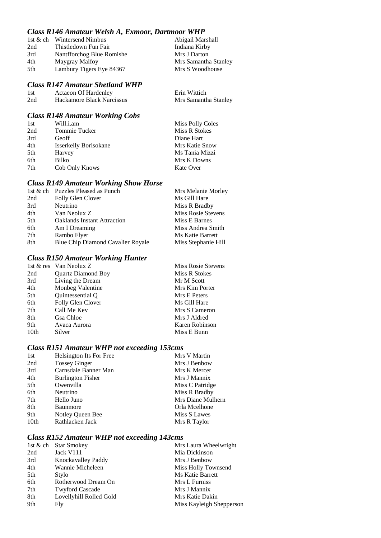#### *Class R146 Amateur Welsh A, Exmoor, Dartmoor WHP*

|     | 1st & ch Wintersend Nimbus | Abigail Marshall     |
|-----|----------------------------|----------------------|
| 2nd | Thistledown Fun Fair       | Indiana Kirby        |
| 3rd | Nantfforchog Blue Romishe  | Mrs J Darton         |
| 4th | Maygray Malfoy             | Mrs Samantha Stanley |
| 5th | Lambury Tigers Eye 84367   | Mrs S Woodhouse      |

#### *Class R147 Amateur Shetland WHP*

| -1st | <b>Actaeon Of Hardenley</b> | Erin Wittich         |
|------|-----------------------------|----------------------|
| 2nd  | Hackamore Black Narcissus   | Mrs Samantha Stanley |

### *Class R148 Amateur Working Cobs*

| 1st | Will.i.am                    | <b>Miss Polly Coles</b> |
|-----|------------------------------|-------------------------|
| 2nd | Tommie Tucker                | Miss R Stokes           |
| 3rd | Geoff                        | Diane Hart              |
| 4th | <b>Isserkelly Borisokane</b> | Mrs Katie Snow          |
| 5th | Harvey                       | Ms Tania Mizzi          |
| 6th | Bilko                        | Mrs K Downs             |
| 7th | Cob Only Knows               | Kate Over               |

### *Class R149 Amateur Working Show Horse*

|                 | 1st & ch Puzzles Pleased as Punch  | Mrs Melanie Morley  |
|-----------------|------------------------------------|---------------------|
| 2nd             | Folly Glen Clover                  | Ms Gill Hare        |
| 3rd             | Neutrino                           | Miss R Bradby       |
| 4th             | Van Neolux Z                       | Miss Rosie Stevens  |
| 5 <sup>th</sup> | <b>Oaklands Instant Attraction</b> | Miss E Barnes       |
| 6th             | Am I Dreaming                      | Miss Andrea Smith   |
| 7th             | Rambo Flyer                        | Ms Katie Barrett    |
| 8th             | Blue Chip Diamond Cavalier Royale  | Miss Stephanie Hill |

### *Class R150 Amateur Working Hunter*

|      | 1st & res Van Neolux Z    | Miss Rosie Stevens |
|------|---------------------------|--------------------|
| 2nd  | <b>Ouartz Diamond Boy</b> | Miss R Stokes      |
| 3rd  | Living the Dream          | Mr M Scott         |
| 4th  | Monbeg Valentine          | Mrs Kim Porter     |
| 5th  | Quintessential Q          | Mrs E Peters       |
| 6th  | Folly Glen Clover         | Ms Gill Hare       |
| 7th  | Call Me Kev               | Mrs S Cameron      |
| 8th  | Gsa Chloe                 | Mrs J Aldred       |
| 9th  | Avaca Aurora              | Karen Robinson     |
| 10th | Silver                    | Miss E Bunn        |

## *Class R151 Amateur WHP not exceeding 153cms*

| 1st  | Helsington Its For Free  | Mrs V Martin      |
|------|--------------------------|-------------------|
| 2nd  | <b>Tossey Ginger</b>     | Mrs J Benbow      |
| 3rd  | Carnsdale Banner Man     | Mrs K Mercer      |
| 4th  | <b>Burlington Fisher</b> | Mrs J Mannix      |
| 5th  | Owenvilla                | Miss C Patridge   |
| 6th  | Neutrino                 | Miss R Bradby     |
| 7th  | Hello Juno               | Mrs Diane Mulhern |
| 8th  | Baunmore                 | Orla Mcelhone     |
| 9th  | Notley Queen Bee         | Miss S Lawes      |
| 10th | Rathlacken Jack          | Mrs R Taylor      |

### *Class R152 Amateur WHP not exceeding 143cms*

|                         | Mrs Laura Wheelwright    |
|-------------------------|--------------------------|
| Jack V111               | Mia Dickinson            |
| Knockavalley Paddy      | Mrs J Benbow             |
| Wannie Micheleen        | Miss Holly Townsend      |
| Stylo                   | Ms Katie Barrett         |
| Rotherwood Dream On     | Mrs L Furniss            |
| <b>Twyford Cascade</b>  | Mrs J Mannix             |
| Lovellyhill Rolled Gold | Mrs Katie Dakin          |
| Fly                     | Miss Kayleigh Shepperson |
|                         | 1st & ch Star Smokey     |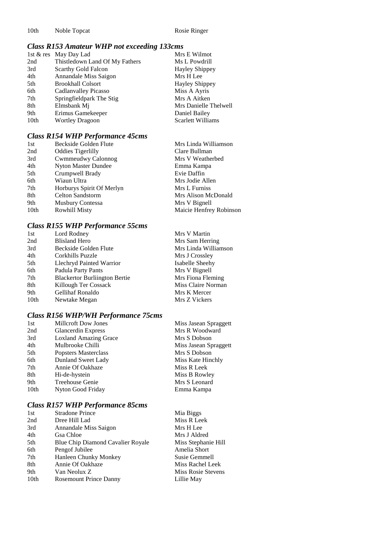10th Noble Topcat Rosie Ringer

### *Class R153 Amateur WHP not exceeding 133cms*

|                  | 1st & res May Day Lad          | Mrs E Wilmot          |
|------------------|--------------------------------|-----------------------|
| 2nd              | Thistledown Land Of My Fathers | Ms L Powdrill         |
| 3rd              | <b>Scarthy Gold Falcon</b>     | <b>Hayley Shippey</b> |
| 4th              | Annandale Miss Saigon          | Mrs H Lee             |
| 5th              | <b>Brookhall Colsort</b>       | <b>Hayley Shippey</b> |
| 6th              | Cadlanvalley Picasso           | Miss A Ayris          |
| 7th              | Springfieldpark The Stig       | Mrs A Aitken          |
| 8th              | Elmsbank Mj                    | Mrs Danielle Thelwell |
| 9th              | Erimus Gamekeeper              | Daniel Bailey         |
| 10 <sub>th</sub> | <b>Wortley Dragoon</b>         | Scarlett Williams     |

### *Class R154 WHP Performance 45cms*

| 1st              | Beckside Golden Flute     | Mrs Linda Williamson    |
|------------------|---------------------------|-------------------------|
| 2nd              | <b>Oddies Tigerlilly</b>  | Clare Bullman           |
| 3rd              | Cwmmeudwy Calonnog        | Mrs V Weatherbed        |
| 4th              | Nyton Master Dundee       | Emma Kampa              |
| 5th              | Crumpwell Brady           | Evie Daffin             |
| 6th              | Wiaun Ultra               | Mrs Jodie Allen         |
| 7th              | Horburys Spirit Of Merlyn | Mrs L Furniss           |
| 8th              | <b>Celton Sandstorm</b>   | Mrs Alison McDonald     |
| 9th              | <b>Musbury Contessa</b>   | Mrs V Bignell           |
| 10 <sub>th</sub> | <b>Rowhill Misty</b>      | Maicie Henfrey Robinson |
|                  |                           |                         |

### *Class R155 WHP Performance 55cms*

| 1st              | Lord Rodney                          | Mrs V Martin         |
|------------------|--------------------------------------|----------------------|
| 2nd              | <b>Blisland Hero</b>                 | Mrs Sam Herring      |
| 3rd              | Beckside Golden Flute                | Mrs Linda Williamson |
| 4th              | Corkhills Puzzle                     | Mrs J Crossley       |
| 5th              | Llechryd Painted Warrior             | Isabelle Sheehy      |
| 6th              | Padula Party Pants                   | Mrs V Bignell        |
| 7th              | <b>Blackertor Burliington Bertie</b> | Mrs Fiona Fleming    |
| 8th              | Killough Ter Cossack                 | Miss Claire Norman   |
| 9th              | <b>Gellihaf Ronaldo</b>              | Mrs K Mercer         |
| 10 <sub>th</sub> | Newtake Megan                        | Mrs Z Vickers        |

### *Class R156 WHP/WH Performance 75cms*

| 1st  | <b>Millcroft Dow Jones</b>   | Miss Jasean Spraggett |
|------|------------------------------|-----------------------|
| 2nd  | <b>Glancerdin Express</b>    | Mrs R Woodward        |
| 3rd  | <b>Loxland Amazing Grace</b> | Mrs S Dobson          |
| 4th  | Mulbrooke Chilli             | Miss Jasean Spraggett |
| 5th  | <b>Popsters Masterclass</b>  | Mrs S Dobson          |
| 6th  | Dunland Sweet Lady           | Miss Kate Hinchly     |
| 7th  | Annie Of Oakhaze             | Miss R Leek           |
| 8th  | Hi-de-hystein                | Miss B Rowley         |
| 9th  | <b>Treehouse Genie</b>       | Mrs S Leonard         |
| 10th | Nyton Good Friday            | Emma Kampa            |
|      |                              |                       |

### *Class R157 WHP Performance 85cms*

| 1st  | <b>Stradone Prince</b>            | Mia Biggs           |
|------|-----------------------------------|---------------------|
| 2nd  | Dree Hill Lad                     | Miss R Leek         |
| 3rd  | Annandale Miss Saigon             | Mrs H Lee           |
| 4th  | Gsa Chloe                         | Mrs J Aldred        |
| 5th  | Blue Chip Diamond Cavalier Royale | Miss Stephanie Hill |
| 6th  | Pengof Jubilee                    | Amelia Short        |
| 7th  | Hanleen Chunky Monkey             | Susie Gemmell       |
| 8th  | Annie Of Oakhaze                  | Miss Rachel Leek    |
| 9th  | Van Neolux Z                      | Miss Rosie Stevens  |
| 10th | <b>Rosemount Prince Danny</b>     | Lillie May          |
|      |                                   |                     |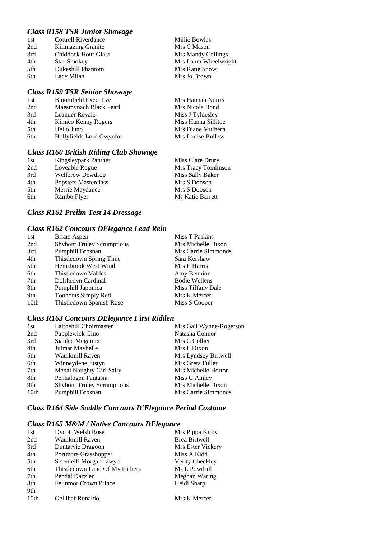### *Class R158 TSR Junior Showage*

| 1st | Cottrell Riverdance        | Millie Bowles         |
|-----|----------------------------|-----------------------|
| 2nd | Kilimazing Granite         | Mrs C Mason           |
| 3rd | <b>Chiddock Hour Glass</b> | Mrs Mandy Collings    |
| 4th | <b>Star Smokey</b>         | Mrs Laura Wheelwright |
| 5th | Dukeshill Phantom          | Mrs Katie Snow        |
| 6th | Lacy Milan                 | Mrs Jo Brown          |

#### *Class R159 TSR Senior Showage*

| 1st | <b>Bloomfield Executive</b> | Mrs Hannah Norris   |
|-----|-----------------------------|---------------------|
| 2nd | Maesmynach Black Pearl      | Mrs Nicola Bond     |
| 3rd | Leander Royale              | Miss J Tyldesley    |
| 4th | Kimico Kenny Rogers         | Miss Hanna Sillitoe |
| 5th | Hello Juno                  | Mrs Diane Mulhern   |
| 6th | Hollyfields Lord Gwynfor    | Mrs Louise Bulless  |
|     |                             |                     |

### *Class R160 British Riding Club Showage*

| 1st | Kingsleypark Panther    | Miss Clare Drury    |
|-----|-------------------------|---------------------|
| 2nd | Loveable Rogue          | Mrs Tracy Tomlinson |
| 3rd | <b>Wellbrow Dewdrop</b> | Miss Sally Baker    |
| 4th | Popsters Masterclass    | Mrs S Dobson        |
| 5th | Merrie Maydance         | Mrs S Dobson        |
| 6th | Rambo Flyer             | Ms Katie Barrett    |

### *Class R161 Prelim Test 14 Dressage*

### *Class R162 Concours DElegance Lead Rein*

| Briars Aspen                      | Miss T Paskins       |
|-----------------------------------|----------------------|
| <b>Shybont Truley Scrumptious</b> | Mrs Michelle Dixon   |
| Pumphill Brosnan                  | Mrs Carrie Simmonds  |
| Thistledown Spring Time           | Sara Kershaw         |
| Hemsbrook West Wind               | Mrs E Harris         |
| Thistledown Valdes                | Amy Bennion          |
| Dolrhedyn Cardinal                | <b>Bodie Wellens</b> |
| Pumphill Japonica                 | Miss Tiffany Dale    |
| <b>Toohoots Simply Red</b>        | Mrs K Mercer         |
| Thistledown Spanish Rose          | Miss S Cooper        |
|                                   |                      |

### *Class R163 Concours DElegance First Ridden*

| Laithehill Choirmaster            | Mrs Gail Wynne-Rogerson |
|-----------------------------------|-------------------------|
| Papplewick Gino                   | Natasha Connor          |
| Sianlee Megamix                   | Mrs C Collier           |
| Julmar Maybelle                   | Mrs L Dixon             |
| Waulkmill Raven                   | Mrs Lyndsey Birtwell    |
| Winneydene Justyn                 | Mrs Greta Fuller        |
| Menai Naughty Girl Sally          | Mrs Michelle Horton     |
| Penhalogen Fantasia               | Miss C Ainley           |
| <b>Shybont Truley Scrumptious</b> | Mrs Michelle Dixon      |
| Pumphill Brosnan                  | Mrs Carrie Simmonds     |
|                                   |                         |

### *Class R164 Side Saddle Concours D'Elegance Period Costume*

# *Class R165 M&M / Native Concours DElegance*

| 1st              | <b>Dycott Welsh Rose</b>       | Mrs Pippa Kirby      |
|------------------|--------------------------------|----------------------|
| 2nd              | Waulkmill Raven                | <b>Brea Birtwell</b> |
| 3rd              | Duntarvie Dragoon              | Mrs Ester Vickery    |
| 4th              | Portmore Grasshopper           | Miss A Kidd          |
| 5th              | Serenteifi Morgan Llwyd        | Verity Checkley      |
| 6th              | Thistledown Land Of My Fathers | Ms L Powdrill        |
| 7th              | Pendal Dazzler                 | Meghan Waring        |
| 8th              | <b>Felinmor Crown Prince</b>   | Heidi Sharp          |
| 9th              |                                |                      |
| 10 <sub>th</sub> | <b>Gellihaf Ronaldo</b>        | Mrs K Mercer         |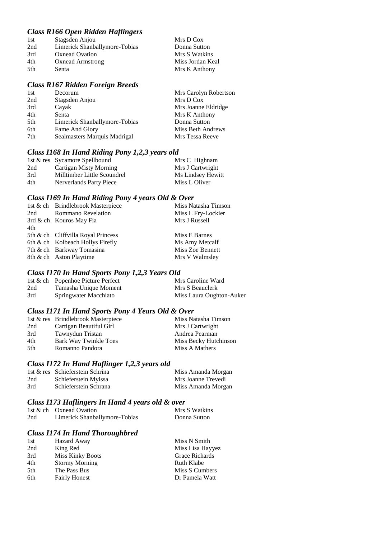### *Class R166 Open Ridden Haflingers*

| 1st  | Stagsden Anjou                | Mrs D Cox        |
|------|-------------------------------|------------------|
| 2nd  | Limerick Shanballymore-Tobias | Donna Sutton     |
| 3rd  | <b>Oxnead Ovation</b>         | Mrs S Watkins    |
| 4th  | <b>Oxnead Armstrong</b>       | Miss Jordan Keal |
| .5th | Senta                         | Mrs K Anthony    |

#### *Class R167 Ridden Foreign Breeds*

| 1st | Decorum                       | Mrs Carolyn Robertson |
|-----|-------------------------------|-----------------------|
| 2nd | Stagsden Anjou                | Mrs D Cox             |
| 3rd | Cayak                         | Mrs Joanne Eldridge   |
| 4th | Senta                         | Mrs K Anthony         |
| 5th | Limerick Shanballymore-Tobias | Donna Sutton          |
| 6th | Fame And Glory                | Miss Beth Andrews     |
| 7th | Sealmasters Marquis Madrigal  | Mrs Tessa Reeve       |

### *Class I168 In Hand Riding Pony 1,2,3 years old*

|     | 1st & res Sycamore Spellbound | Mrs C Highnam     |
|-----|-------------------------------|-------------------|
| 2nd | Cartigan Misty Morning        | Mrs J Cartwright  |
| 3rd | Milltimber Little Scoundrel   | Ms Lindsey Hewitt |
| 4th | Nerverlands Party Piece       | Miss L Oliver     |

#### *Class I169 In Hand Riding Pony 4 years Old & Over*

|     | 1st & ch Brindlebrook Masterpiece  | Miss Natasha Timson |
|-----|------------------------------------|---------------------|
| 2nd | <b>Rommano Revelation</b>          | Miss L Fry-Lockier  |
|     | 3rd & ch Kouros May Fia            | Mrs J Russell       |
| 4th |                                    |                     |
|     | 5th & ch Cliffvilla Royal Princess | Miss E Barnes       |
|     | 6th & ch Kolbeach Hollys Firefly   | Ms Amy Metcalf      |
|     | 7th & ch Barkway Tomasina          | Miss Zoe Bennett    |
|     | 8th & ch Aston Playtime            | Mrs V Walmsley      |
|     |                                    |                     |

### *Class I170 In Hand Sports Pony 1,2,3 Years Old*

|     | 1st & ch Popenhoe Picture Perfect | Mrs Caroline Ward        |
|-----|-----------------------------------|--------------------------|
| 2nd | Tamasha Unique Moment             | Mrs S Beauclerk          |
| 3rd | Springwater Macchiato             | Miss Laura Oughton-Auker |

#### *Class I171 In Hand Sports Pony 4 Years Old & Over*

|     | 1st & res Brindlebrook Masterpiece | Miss Natasha Timson   |
|-----|------------------------------------|-----------------------|
| 2nd | Cartigan Beautiful Girl            | Mrs J Cartwright      |
| 3rd | Tawnydun Tristan                   | Andrea Pearman        |
| 4th | Bark Way Twinkle Toes              | Miss Becky Hutchinson |
| 5th | Romanno Pandora                    | Miss A Mathers        |

### *Class I172 In Hand Haflinger 1,2,3 years old*

|     | 1st & res Schieferstein Schrina | Miss Amanda Morgan |
|-----|---------------------------------|--------------------|
| 2nd | Schieferstein Myissa            | Mrs Joanne Trevedi |
| 3rd | Schieferstein Schrana           | Miss Amanda Morgan |

### *Class I173 Haflingers In Hand 4 years old & over*

|     | 1st & ch Oxnead Ovation       | Mrs S Watkins |
|-----|-------------------------------|---------------|
| 2nd | Limerick Shanballymore-Tobias | Donna Sutton  |

### *Class I174 In Hand Thoroughbred*

| 1st | Hazard Away             | Miss N Smith     |
|-----|-------------------------|------------------|
| 2nd | King Red                | Miss Lisa Hayyez |
| 3rd | <b>Miss Kinky Boots</b> | Grace Richards   |
| 4th | <b>Stormy Morning</b>   | Ruth Klabe       |
| 5th | The Pass Bus            | Miss S Cumbers   |
| 6th | <b>Fairly Honest</b>    | Dr Pamela Watt   |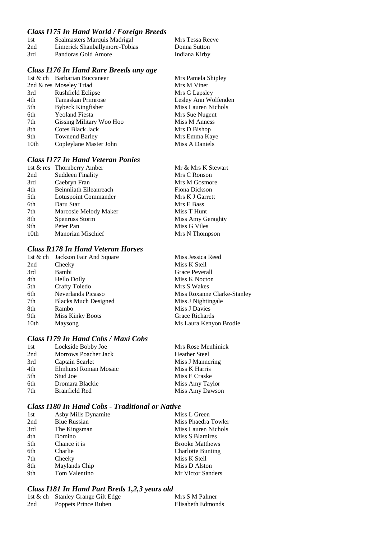### *Class I175 In Hand World / Foreign Breeds*

| 1st | Sealmasters Marquis Madrigal  | Mrs Tessa Reeve |
|-----|-------------------------------|-----------------|
| 2nd | Limerick Shanballymore-Tobias | Donna Sutton    |
| 3rd | Pandoras Gold Amore           | Indiana Kirby   |

### *Class I176 In Hand Rare Breeds any age*

|      | 1st & ch Barbarian Buccaneer | Mrs Pamela Shipley   |
|------|------------------------------|----------------------|
|      | 2nd & res Moseley Triad      | Mrs M Viner          |
| 3rd  | <b>Rushfield Eclipse</b>     | Mrs G Lapsley        |
| 4th  | Tamaskan Primrose            | Lesley Ann Wolfenden |
| 5th  | <b>Bybeck Kingfisher</b>     | Miss Lauren Nichols  |
| 6th  | <b>Yeoland Fiesta</b>        | Mrs Sue Nugent       |
| 7th  | Gissing Military Woo Hoo     | Miss M Anness        |
| 8th  | Cotes Black Jack             | Mrs D Bishop         |
| 9th  | <b>Townend Barley</b>        | Mrs Emma Kaye        |
| 10th | Copleylane Master John       | Miss A Daniels       |
|      |                              |                      |

### *Class I177 In Hand Veteran Ponies*

|                  | 1st & res Thornberry Amber | Mr & Mrs K Stewart |
|------------------|----------------------------|--------------------|
| 2nd              | <b>Suddeen Finality</b>    | Mrs C Ronson       |
| 3rd              | Caebryn Fran               | Mrs M Gosmore      |
| 4th              | Beinnliath Eileanreach     | Fiona Dickson      |
| 5th              | Lotuspoint Commander       | Mrs K J Garrett    |
| 6th              | Daru Star                  | Mrs E Bass         |
| 7th              | Marcosie Melody Maker      | Miss T Hunt        |
| 8th              | Spenruss Storm             | Miss Amy Geraghty  |
| 9th              | Peter Pan                  | Miss G Viles       |
| 10 <sub>th</sub> | <b>Manorian Mischief</b>   | Mrs N Thompson     |

### *Class R178 In Hand Veteran Horses*

|      | 1st & ch Jackson Fair And Square | Miss Jessica Reed           |
|------|----------------------------------|-----------------------------|
| 2nd  | Cheeky                           | Miss K Stell                |
| 3rd  | Bambi                            | Grace Peverall              |
| 4th  | <b>Hello Dolly</b>               | Miss K Nocton               |
| 5th  | Crafty Toledo                    | Mrs S Wakes                 |
| 6th  | Neverlands Picasso               | Miss Roxanne Clarke-Stanley |
| 7th  | <b>Blacks Much Designed</b>      | Miss J Nightingale          |
| 8th  | Rambo                            | Miss J Davies               |
| 9th  | <b>Miss Kinky Boots</b>          | Grace Richards              |
| 10th | Maysong                          | Ms Laura Kenyon Brodie      |
|      |                                  |                             |

#### *Class I179 In Hand Cobs / Maxi Cobs*

| Lockside Bobby Joe    | Mrs Rose Menhinick   |
|-----------------------|----------------------|
| Morrows Poacher Jack  | <b>Heather Steel</b> |
| Captain Scarlet       | Miss J Mannering     |
| Elmhurst Roman Mosaic | Miss K Harris        |
| Stud Joe              | Miss E Craske        |
| Dromara Blackie       | Miss Amy Taylor      |
| Brairfield Red        | Miss Amy Dawson      |
|                       |                      |

### *Class I180 In Hand Cobs - Traditional or Native*

| 1st | Asby Mills Dynamite | Miss L Green             |
|-----|---------------------|--------------------------|
| 2nd | <b>Blue Russian</b> | Miss Phaedra Towler      |
| 3rd | The Kingsman        | Miss Lauren Nichols      |
| 4th | Domino              | Miss S Blamires          |
| 5th | Chance it is        | <b>Brooke Matthews</b>   |
| 6th | Charlie             | <b>Charlotte Bunting</b> |
| 7th | Cheeky              | Miss K Stell             |
| 8th | Maylands Chip       | Miss D Alston            |
| 9th | Tom Valentino       | Mr Victor Sanders        |

### *Class I181 In Hand Part Breds 1,2,3 years old*

|     | 1st & ch Stanley Grange Gilt Edge | Mrs S M Palmer    |
|-----|-----------------------------------|-------------------|
| 2nd | Poppets Prince Ruben              | Elisabeth Edmonds |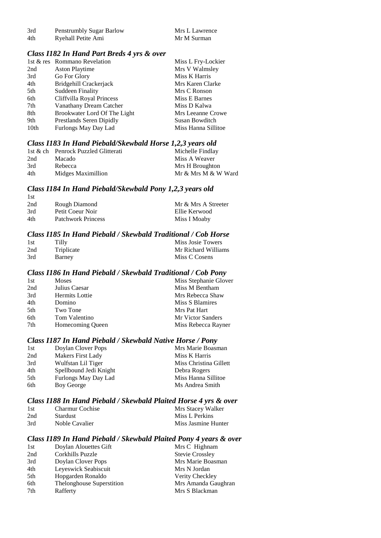| 3rd | Penstrumbly Sugar Barlow | Mrs L Lawrence |
|-----|--------------------------|----------------|
| 4th | Ryehall Petite Ami       | Mr M Surman    |

#### *Class I182 In Hand Part Breds 4 yrs & over*

|                  | 1st & res Rommano Revelation | Miss L Fry-Lockier  |
|------------------|------------------------------|---------------------|
| 2nd              | <b>Aston Playtime</b>        | Mrs V Walmsley      |
| 3rd              | Go For Glory                 | Miss K Harris       |
| 4th              | Bridgehill Crackerjack       | Mrs Karen Clarke    |
| 5th              | Suddeen Finality             | Mrs C Ronson        |
| 6th              | Cliffvilla Royal Princess    | Miss E Barnes       |
| 7th              | Vanathany Dream Catcher      | Miss D Kalwa        |
| 8th              | Brookwater Lord Of The Light | Mrs Leeanne Crowe   |
| 9th              | Prestlands Seren Dipidly     | Susan Bowditch      |
| 10 <sub>th</sub> | Furlongs May Day Lad         | Miss Hanna Sillitoe |

#### *Class I183 In Hand Piebald/Skewbald Horse 1,2,3 years old*

|     | 1st & ch Penrock Puzzled Glitterati | Michelle Findlay    |
|-----|-------------------------------------|---------------------|
| 2nd | Macado                              | Miss A Weaver       |
| 3rd | Rebecca                             | Mrs H Broughton     |
| 4th | Midges Maximillion                  | Mr & Mrs M & W Ward |

#### *Class I184 In Hand Piebald/Skewbald Pony 1,2,3 years old*

| -1st |                           |                     |
|------|---------------------------|---------------------|
| 2nd  | Rough Diamond             | Mr & Mrs A Streeter |
| 3rd  | Petit Coeur Noir          | Ellie Kerwood       |
| 4th  | <b>Patchwork Princess</b> | Miss I Moaby        |

#### *Class I185 In Hand Piebald / Skewbald Traditional / Cob Horse*

| 1st | Tilly      | Miss Josie Towers   |
|-----|------------|---------------------|
| 2nd | Triplicate | Mr Richard Williams |
| 3rd | Barney     | Miss C Cosens       |

#### *Class I186 In Hand Piebald / Skewbald Traditional / Cob Pony*

| 1st | <b>Moses</b>     | Miss Stephanie Glover |
|-----|------------------|-----------------------|
| 2nd | Julius Caesar    | Miss M Bentham        |
| 3rd | Hermits Lottie   | Mrs Rebecca Shaw      |
| 4th | Domino           | Miss S Blamires       |
| 5th | Two Tone         | Mrs Pat Hart          |
| 6th | Tom Valentino    | Mr Victor Sanders     |
| 7th | Homecoming Queen | Miss Rebecca Rayner   |
|     |                  |                       |

### *Class I187 In Hand Piebald / Skewbald Native Horse / Pony*

| 1st | Doylan Clover Pops       | Mrs Marie Boasman      |
|-----|--------------------------|------------------------|
| 2nd | <b>Makers First Lady</b> | Miss K Harris          |
| 3rd | Wulfstan Lil Tiger       | Miss Christina Gillett |
| 4th | Spellbound Jedi Knight   | Debra Rogers           |
| 5th | Furlongs May Day Lad     | Miss Hanna Sillitoe    |
| 6th | Boy George               | Ms Andrea Smith        |

#### *Class I188 In Hand Piebald / Skewbald Plaited Horse 4 yrs & over*

| 1st | <b>Charmur Cochise</b> | Mrs Stacey Walker   |
|-----|------------------------|---------------------|
| 2nd | <b>Stardust</b>        | Miss L Perkins      |
| 3rd | Noble Cavalier         | Miss Jasmine Hunter |

### *Class I189 In Hand Piebald / Skewbald Plaited Pony 4 years & over*

| 1st | Doylan Alouettes Gift     | Mrs C Highnam          |
|-----|---------------------------|------------------------|
| 2nd | Corkhills Puzzle          | <b>Stevie Crossley</b> |
| 3rd | Doylan Clover Pops        | Mrs Marie Boasman      |
| 4th | Leyeswick Seabiscuit      | Mrs N Jordan           |
| 5th | Hopgarden Ronaldo         | Verity Checkley        |
| 6th | Thelonghouse Superstition | Mrs Amanda Gaughran    |
| 7th | Rafferty                  | Mrs S Blackman         |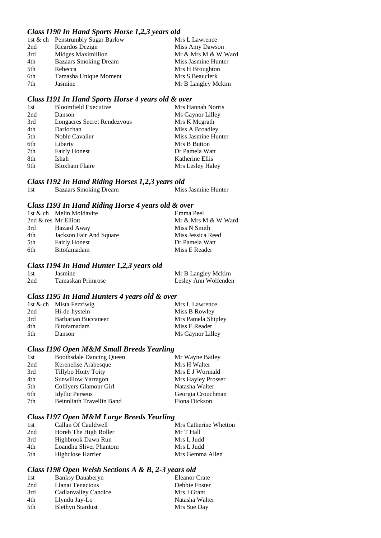### *Class I190 In Hand Sports Horse 1,2,3 years old*

|     | 1st & ch Penstrumbly Sugar Barlow | Mrs L Lawrence      |
|-----|-----------------------------------|---------------------|
| 2nd | Ricardos Dezign                   | Miss Amy Dawson     |
| 3rd | Midges Maximillion                | Mr & Mrs M & W Ward |
| 4th | <b>Bazaars Smoking Dream</b>      | Miss Jasmine Hunter |
| 5th | Rebecca                           | Mrs H Broughton     |
| 6th | Tamasha Unique Moment             | Mrs S Beauclerk     |
| 7th | Jasmine                           | Mr B Langley Mckim  |

#### *Class I191 In Hand Sports Horse 4 years old & over*

| <b>Bloomfield Executive</b> | Mrs Hannah Norris   |
|-----------------------------|---------------------|
| Danson                      | Ms Gaynor Lilley    |
| Longacres Secret Rendezvous | Mrs K Megrath       |
| Darlochan                   | Miss A Broadley     |
| Noble Cavalier              | Miss Jasmine Hunter |
| Liberty                     | Mrs B Button        |
| <b>Fairly Honest</b>        | Dr Pamela Watt      |
| Ishah                       | Katherine Ellis     |
| <b>Bloxham Flaire</b>       | Mrs Lesley Haley    |
|                             |                     |

#### *Class I192 In Hand Riding Horses 1,2,3 years old*

| 1st | <b>Bazaars Smoking Dream</b> | Miss Jasmine Hunter |  |
|-----|------------------------------|---------------------|--|
|     |                              |                     |  |

#### *Class I193 In Hand Riding Horse 4 years old & over*

|     | 1st & ch Melin Moldavite | Emma Peel           |
|-----|--------------------------|---------------------|
|     | 2nd $\&$ res Mr Elliott  | Mr & Mrs M & W Ward |
| 3rd | Hazard Away              | Miss N Smith        |
| 4th | Jackson Fair And Square  | Miss Jessica Reed   |
| 5th | <b>Fairly Honest</b>     | Dr Pamela Watt      |
| 6th | <b>Bitofamadam</b>       | Miss E Reader       |

#### *Class I194 In Hand Hunter 1,2,3 years old*

| 1st | Jasmine           | Mr B Langley Mckim   |
|-----|-------------------|----------------------|
| 2nd | Tamaskan Primrose | Lesley Ann Wolfenden |

#### *Class I195 In Hand Hunters 4 years old & over*

|     | 1st & ch Mista Fezziwig | Mrs L Lawrence     |
|-----|-------------------------|--------------------|
| 2nd | Hi-de-hystein           | Miss B Rowley      |
| 3rd | Barbarian Buccaneer     | Mrs Pamela Shipley |
| 4th | <b>Bitofamadam</b>      | Miss E Reader      |
| 5th | Danson                  | Ms Gaynor Lilley   |

#### *Class I196 Open M&M Small Breeds Yearling*

| 1st | <b>Boothsdale Dancing Queen</b> | Mr Wayne Bailey    |
|-----|---------------------------------|--------------------|
| 2nd | Kerenelise Arabesque            | Mrs H Walter       |
| 3rd | Tillybo Hoity Toity             | Mrs E J Wormald    |
| 4th | Sunwillow Yarragon              | Mrs Hayley Prosser |
| 5th | Colliyers Glamour Girl          | Natasha Walter     |
| 6th | <b>Idyllic Perseus</b>          | Georgia Crouchman  |
| 7th | Beinnliath Travellin Band       | Fiona Dickson      |
|     |                                 |                    |

### *Class I197 Open M&M Large Breeds Yearling*

| 1st | Callan Of Cauldwell    | Mrs Catherine Whetton |
|-----|------------------------|-----------------------|
| 2nd | Horeb The High Roller  | Mr T Hall             |
| 3rd | Highbrook Dawn Run     | Mrs L Judd            |
| 4th | Loandhu Sliver Phantom | Mrs L Judd            |
| 5th | Highclose Harrier      | Mrs Gemma Allen       |

### *Class I198 Open Welsh Sections A & B, 2-3 years old*

| 1st | <b>Banksy Dauaberyn</b> | Eleanor Crate  |
|-----|-------------------------|----------------|
| 2nd | Llanai Tenacious        | Debbie Foster  |
| 3rd | Cadlanvalley Candice    | Mrs J Grant    |
| 4th | Llyndu Jay-Lo           | Natasha Walter |
| 5th | <b>Blethyn Stardust</b> | Mrs Sue Day    |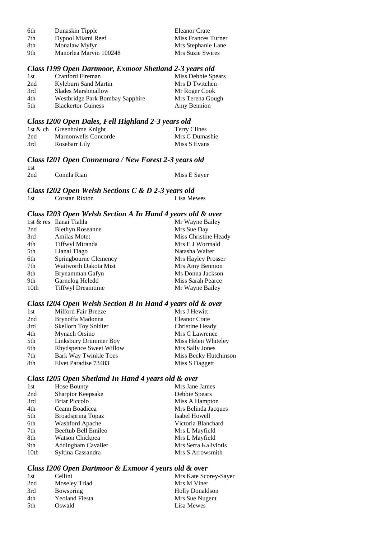| 6th | Dunaskin Tipple        | Eleanor Crate       |
|-----|------------------------|---------------------|
| 7th | Dypool Miami Reef      | Miss Frances Turner |
| 8th | Monalaw Myfyr          | Mrs Stephanie Lane  |
| 9th | Manorlea Marvin 100248 | Mrs Suzie Swires    |

#### *Class I199 Open Dartmoor, Exmoor Shetland 2-3 years old*

| 1st | Cranford Fireman                | Miss Debbie Spears |
|-----|---------------------------------|--------------------|
| 2nd | Kyleburn Sand Martin            | Mrs D Twitchen     |
| 3rd | Slades Marshmallow              | Mr Roger Cook      |
| 4th | Westbridge Park Bombay Sapphire | Mrs Terena Gough   |
| 5th | <b>Blackertor Guiness</b>       | Amy Bennion        |

### *Class I200 Open Dales, Fell Highland 2-3 years old*

|     | 1st & ch Greenholme Knight | Terry Clines   |
|-----|----------------------------|----------------|
| 2nd | Marnonwells Concorde       | Mrs C Dumashie |
| 3rd | Rosebarr Lily              | Miss S Evans   |

### *Class I201 Open Connemara / New Forest 2-3 years old*

| 1st |             |              |
|-----|-------------|--------------|
| 2nd | Connla Rian | Miss E Sayer |

#### *Class I202 Open Welsh Sections C & D 2-3 years old*

| 1st | Corstan Rixton | Lisa Mewes |
|-----|----------------|------------|
|-----|----------------|------------|

### *Class I203 Open Welsh Section A In Hand 4 years old & over*

|      | 1st & res Ilanai Tiahla  | Mr Wayne Bailey      |
|------|--------------------------|----------------------|
| 2nd  | <b>Blethyn Roseanne</b>  | Mrs Sue Day          |
| 3rd  | <b>Amilas Motet</b>      | Miss Christine Heady |
| 4th  | Tiffwyl Miranda          | Mrs E J Wormald      |
| 5th  | Llanai Tiago             | Natasha Walter       |
| 6th  | Springbourne Clemency    | Mrs Hayley Prosser   |
| 7th  | Waitworth Dakota Mist    | Mrs Amy Bennion      |
| 8th  | Brynamman Gafyn          | Ms Donna Jackson     |
| 9th  | Garnelog Heledd          | Miss Sarah Pearce    |
| 10th | <b>Tiffwyl Dreamtime</b> | Mr Wayne Bailey      |
|      |                          |                      |

#### *Class I204 Open Welsh Section B In Hand 4 years old & over*

| 1st | Milford Fair Breeze          | Mrs J Hewitt          |
|-----|------------------------------|-----------------------|
| 2nd | Brynoffa Madonna             | <b>Eleanor Crate</b>  |
| 3rd | <b>Skellorn Toy Soldier</b>  | Christine Heady       |
| 4th | Mynach Orsino                | Mrs C Lawrence        |
| 5th | Linksbury Drummer Boy        | Miss Helen Whiteley   |
| 6th | Rhydspence Sweet Willow      | Mrs Sally Jones       |
| 7th | <b>Bark Way Twinkle Toes</b> | Miss Becky Hutchinson |
| 8th | Elvet Paradise 73483         | Miss S Daggett        |

### *Class I205 Open Shetland In Hand 4 years old & over*

| 1st              | Hose Bounty              | Mrs Jane James       |
|------------------|--------------------------|----------------------|
| 2nd              | <b>Sharptor Keepsake</b> | Debbie Spears        |
| 3rd              | <b>Briar Piccolo</b>     | Miss A Hampton       |
| 4th              | Ceann Boadicea           | Mrs Belinda Jacques  |
| 5th              | <b>Broadspring Topaz</b> | Isabel Howell        |
| 6th              | <b>Washford Apache</b>   | Victoria Blanchard   |
| 7th              | Beeftub Bell Emileo      | Mrs L Mayfield       |
| 8th              | Watson Chickpea          | Mrs L Mayfield       |
| 9th              | Addingham Cavalier       | Mrs Serra Kaliviotis |
| 10 <sub>th</sub> | Syltina Cassandra        | Mrs S Arrowsmith     |

#### *Class I206 Open Dartmoor & Exmoor 4 years old & over*

| 1st | Cellini               | Mrs Kate Scorey-Sayer  |
|-----|-----------------------|------------------------|
| 2nd | Moseley Triad         | Mrs M Viner            |
| 3rd | Bowspring             | <b>Holly Donaldson</b> |
| 4th | <b>Yeoland Fiesta</b> | Mrs Sue Nugent         |
| 5th | Oswald                | Lisa Mewes             |
|     |                       |                        |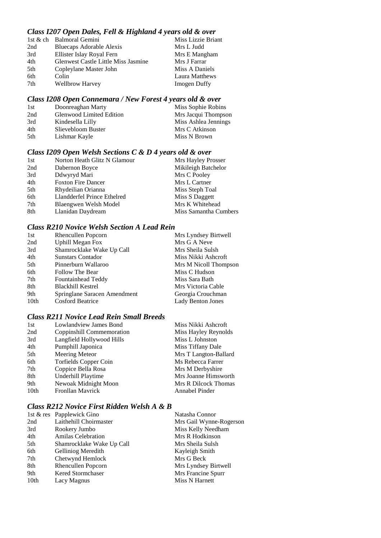### *Class I207 Open Dales, Fell & Highland 4 years old & over*

|     | 1st & ch Balmoral Gemini            | Miss Lizzie Briant  |
|-----|-------------------------------------|---------------------|
| 2nd | Bluecaps Adorable Alexis            | Mrs L Judd          |
| 3rd | Ellister Islay Royal Fern           | Mrs E Mangham       |
| 4th | Glenwest Castle Little Miss Jasmine | Mrs J Farrar        |
| 5th | Copleylane Master John              | Miss A Daniels      |
| 6th | Colin                               | Laura Matthews      |
| 7th | <b>Wellbrow Harvey</b>              | <b>Imogen Duffy</b> |
|     |                                     |                     |

### *Class I208 Open Connemara / New Forest 4 years old & over*

| 1st | Doonreaghan Marty               | Miss Sophie Robins   |
|-----|---------------------------------|----------------------|
| 2nd | <b>Glenwood Limited Edition</b> | Mrs Jacqui Thompson  |
| 3rd | Kindesella Lilly                | Miss Ashlea Jennings |
| 4th | Slievebloom Buster              | Mrs C Atkinson       |
| 5th | Lishmar Kayle                   | Miss N Brown         |

### *Class I209 Open Welsh Sections C & D 4 years old & over*

| 1st | Norton Heath Glitz N Glamour | Mrs Hayley Prosser    |
|-----|------------------------------|-----------------------|
| 2nd | Dabernon Boyce               | Mikileigh Batchelor   |
| 3rd | Ddwyryd Mari                 | Mrs C Pooley          |
| 4th | <b>Foxton Fire Dancer</b>    | Mrs L Cartner         |
| 5th | Rhydeilian Orianna           | Miss Steph Toal       |
| 6th | Llandderfel Prince Ethelred  | Miss S Daggett        |
| 7th | Blaengwen Welsh Model        | Mrs K Whitehead       |
| 8th | Llanidan Daydream            | Miss Samantha Cumbers |
|     |                              |                       |

### *Class R210 Novice Welsh Section A Lead Rein*

| 1st              | <b>Rhencullen Popcorn</b>    | Mrs Lyndsey Birtwell     |
|------------------|------------------------------|--------------------------|
| 2nd              | <b>Uphill Megan Fox</b>      | Mrs G A Neve             |
| 3rd              | Shamrocklake Wake Up Call    | Mrs Sheila Sulsh         |
| 4th              | <b>Sunstars Contador</b>     | Miss Nikki Ashcroft      |
| 5th              | Pinnerburn Wallaroo          | Mrs M Nicoll Thompson    |
| 6th              | Follow The Bear              | Miss C Hudson            |
| 7th              | Fountainhead Teddy           | Miss Sara Bath           |
| 8th              | <b>Blackhill Kestrel</b>     | Mrs Victoria Cable       |
| 9th              | Springlane Saracen Amendment | Georgia Crouchman        |
| 10 <sub>th</sub> | <b>Cosford Beatrice</b>      | <b>Lady Benton Jones</b> |

#### *Class R211 Novice Lead Rein Small Breeds*

| 1st              | Lowlandview James Bond    | Miss Nikki Ashcroft   |
|------------------|---------------------------|-----------------------|
| 2nd              | Coppinshill Commemoration | Miss Hayley Reynolds  |
| 3rd              | Langfield Hollywood Hills | Miss L Johnston       |
| 4th              | Pumphill Japonica         | Miss Tiffany Dale     |
| 5th              | <b>Meering Meteor</b>     | Mrs T Langton-Ballard |
| 6th              | Torfields Copper Coin     | Ms Rebecca Farrer     |
| 7th              | Coppice Bella Rosa        | Mrs M Derbyshire      |
| 8th              | Underhill Playtime        | Mrs Joanne Himsworth  |
| 9th              | Newoak Midnight Moon      | Mrs R Dilcock Thomas  |
| 10 <sub>th</sub> | <b>Fronllan Mayrick</b>   | Annabel Pinder        |
|                  |                           |                       |

### *Class R212 Novice First Ridden Welsh A & B*

| 1st & res Papplewick Gino | Natasha Connor          |
|---------------------------|-------------------------|
| Laithehill Choirmaster    | Mrs Gail Wynne-Rogerson |
| Rookery Jumbo             | Miss Kelly Needham      |
| <b>Amilas Celebration</b> | Mrs R Hodkinson         |
| Shamrocklake Wake Up Call | Mrs Sheila Sulsh        |
| Gelliniog Meredith        | Kayleigh Smith          |
| Chetwynd Hemlock          | Mrs G Beck              |
| Rhencullen Popcorn        | Mrs Lyndsey Birtwell    |
| Kered Stormchaser         | Mrs Francine Spurr      |
| Lacy Magnus               | Miss N Harnett          |
|                           |                         |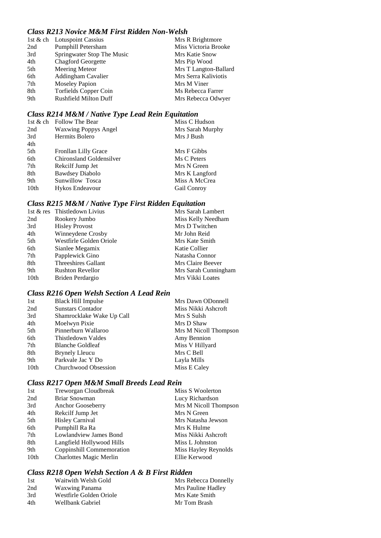### *Class R213 Novice M&M First Ridden Non-Welsh*

|     | 1st & ch Lotuspoint Cassius  | Mrs R Brightmore      |
|-----|------------------------------|-----------------------|
| 2nd | Pumphill Petersham           | Miss Victoria Brooke  |
| 3rd | Springwater Stop The Music   | Mrs Katie Snow        |
| 4th | <b>Chagford Georgette</b>    | Mrs Pip Wood          |
| 5th | <b>Meering Meteor</b>        | Mrs T Langton-Ballard |
| 6th | Addingham Cavalier           | Mrs Serra Kaliviotis  |
| 7th | <b>Moseley Papion</b>        | Mrs M Viner           |
| 8th | <b>Torfields Copper Coin</b> | Ms Rebecca Farrer     |
| 9th | <b>Rushfield Milton Duff</b> | Mrs Rebecca Odwyer    |

### *Class R214 M&M / Native Type Lead Rein Equitation*

|                  | 1st $\&$ ch Follow The Bear | Miss C Hudson    |
|------------------|-----------------------------|------------------|
| 2nd              | <b>Waxwing Poppys Angel</b> | Mrs Sarah Murphy |
| 3rd              | Hermits Bolero              | Mrs J Bush       |
| 4th              |                             |                  |
| 5th              | Fronllan Lilly Grace        | Mrs F Gibbs      |
| 6th              | Chironsland Goldensilver    | Ms C Peters      |
| 7th              | Rekcilf Jump Jet            | Mrs N Green      |
| 8th              | <b>Bawdsey Diabolo</b>      | Mrs K Langford   |
| 9th              | Sunwillow Tosca             | Miss A McCrea    |
| 10 <sub>th</sub> | Hykos Endeavour             | Gail Conroy      |
|                  |                             |                  |

### *Class R215 M&M / Native Type First Ridden Equitation*

|      | 1st & res Thistledown Livius | Mrs Sarah Lambert    |
|------|------------------------------|----------------------|
| 2nd  | Rookery Jumbo                | Miss Kelly Needham   |
| 3rd  | <b>Hisley Provost</b>        | Mrs D Twitchen       |
| 4th  | Winneydene Crosby            | Mr John Reid         |
| 5th  | Westfirle Golden Oriole      | Mrs Kate Smith       |
| 6th  | Sianlee Megamix              | Katie Collier        |
| 7th  | Papplewick Gino              | Natasha Connor       |
| 8th  | Threeshires Gallant          | Mrs Claire Beever    |
| 9th  | <b>Rushton Revellor</b>      | Mrs Sarah Cunningham |
| 10th | Briden Perdargio             | Mrs Vikki Loates     |
|      |                              |                      |

### *Class R216 Open Welsh Section A Lead Rein*

| 1st  | <b>Black Hill Impulse</b> | Mrs Dawn ODonnell     |
|------|---------------------------|-----------------------|
| 2nd  | <b>Sunstars Contador</b>  | Miss Nikki Ashcroft   |
| 3rd  | Shamrocklake Wake Up Call | Mrs S Sulsh           |
| 4th  | Moelwyn Pixie             | Mrs D Shaw            |
| 5th  | Pinnerburn Wallaroo       | Mrs M Nicoll Thompson |
| 6th  | Thistledown Valdes        | Amy Bennion           |
| 7th  | <b>Blanche Goldleaf</b>   | Miss V Hillyard       |
| 8th  | <b>Brynely Lleucu</b>     | Mrs C Bell            |
| 9th  | Parkvale Jac Y Do         | Layla Mills           |
| 10th | Churchwood Obsession      | Miss E Caley          |

### *Class R217 Open M&M Small Breeds Lead Rein*

| 2nd<br>Briar Snowman<br>Lucy Richardson<br>3rd<br>Anchor Gooseberry<br>4th<br>Rekcilf Jump Jet<br>Mrs N Green<br><b>Hisley Carnival</b><br>5th<br>Mrs Natasha Jewson<br>Pumphill Ra Ra<br>6th<br>Mrs K Hulme<br>Lowlandview James Bond<br>7th<br>Miss Nikki Ashcroft<br>8th<br>Langfield Hollywood Hills<br>Miss L Johnston<br>Coppinshill Commemoration<br>9th<br>Miss Hayley Reynolds<br>10th<br><b>Charlottes Magic Merlin</b><br>Ellie Kerwood | 1st | Treworgan Cloudbreak | Miss S Woolerton      |
|----------------------------------------------------------------------------------------------------------------------------------------------------------------------------------------------------------------------------------------------------------------------------------------------------------------------------------------------------------------------------------------------------------------------------------------------------|-----|----------------------|-----------------------|
|                                                                                                                                                                                                                                                                                                                                                                                                                                                    |     |                      |                       |
|                                                                                                                                                                                                                                                                                                                                                                                                                                                    |     |                      | Mrs M Nicoll Thompson |
|                                                                                                                                                                                                                                                                                                                                                                                                                                                    |     |                      |                       |
|                                                                                                                                                                                                                                                                                                                                                                                                                                                    |     |                      |                       |
|                                                                                                                                                                                                                                                                                                                                                                                                                                                    |     |                      |                       |
|                                                                                                                                                                                                                                                                                                                                                                                                                                                    |     |                      |                       |
|                                                                                                                                                                                                                                                                                                                                                                                                                                                    |     |                      |                       |
|                                                                                                                                                                                                                                                                                                                                                                                                                                                    |     |                      |                       |
|                                                                                                                                                                                                                                                                                                                                                                                                                                                    |     |                      |                       |

### *Class R218 Open Welsh Section A & B First Ridden*

| 1st | Waitwith Welsh Gold     | Mrs Rebecca Donnelly |
|-----|-------------------------|----------------------|
| 2nd | Waxwing Panama          | Mrs Pauline Hadley   |
| 3rd | Westfirle Golden Oriole | Mrs Kate Smith       |
| 4th | Wellbank Gabriel        | Mr Tom Brash         |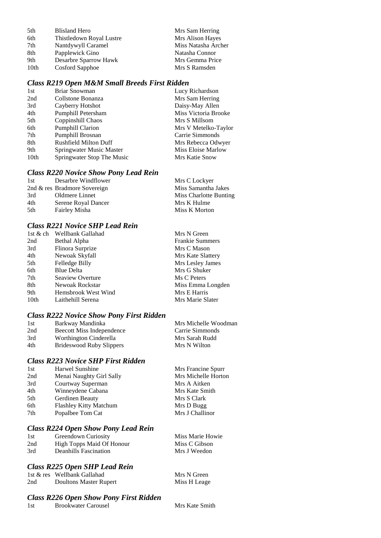| 5th  | <b>Blisland Hero</b>     | Mrs Sam Herring     |
|------|--------------------------|---------------------|
| 6th  | Thistledown Royal Lustre | Mrs Alison Hayes    |
| 7th  | Nantdywyll Caramel       | Miss Natasha Archer |
| 8th  | Papplewick Gino          | Natasha Connor      |
| 9th  | Desarbre Sparrow Hawk    | Mrs Gemma Price     |
| 10th | Cosford Sapphoe          | Mrs S Ramsden       |
|      |                          |                     |

### *Class R219 Open M&M Small Breeds First Ridden*

| 1st  | Briar Snowman                | Lucy Richardson      |
|------|------------------------------|----------------------|
| 2nd  | Collstone Bonanza            | Mrs Sam Herring      |
| 3rd  | Cayberry Hotshot             | Daisy-May Allen      |
| 4th  | Pumphill Petersham           | Miss Victoria Brooke |
| 5th  | Coppinshill Chaos            | Mrs S Millsom        |
| 6th  | <b>Pumphill Clarion</b>      | Mrs V Metelko-Taylor |
| 7th  | Pumphill Brosnan             | Carrie Simmonds      |
| 8th  | <b>Rushfield Milton Duff</b> | Mrs Rebecca Odwyer   |
| 9th  | Springwater Music Master     | Miss Eloise Marlow   |
| 10th | Springwater Stop The Music   | Mrs Katie Snow       |

#### *Class R220 Novice Show Pony Lead Rein*

| 1st | Desarbre Windflower          | Mrs C Lockyer          |
|-----|------------------------------|------------------------|
|     | 2nd & res Bradmore Sovereign | Miss Samantha Jakes    |
| 3rd | Oldmere Linnet               | Miss Charlotte Bunting |
| 4th | Serene Royal Dancer          | Mrs K Hulme            |
| 5th | Fairley Misha                | Miss K Morton          |

### *Class R221 Novice SHP Lead Rein*

|                  | 1st & ch Wellbank Gallahad | Mrs N Green            |
|------------------|----------------------------|------------------------|
| 2nd              | Bethal Alpha               | <b>Frankie Summers</b> |
| 3rd              | Flinora Surprize           | Mrs C Mason            |
| 4th              | Newoak Skyfall             | Mrs Kate Slattery      |
| 5th              | Felledge Billy             | Mrs Lesley James       |
| 6th              | <b>Blue Delta</b>          | Mrs G Shuker           |
| 7th              | Seaview Overture           | Ms C Peters            |
| 8th              | Newoak Rockstar            | Miss Emma Longden      |
| 9th              | Hemsbrook West Wind        | Mrs E Harris           |
| 10 <sub>th</sub> | Laithehill Serena          | Mrs Marie Slater       |

#### *Class R222 Novice Show Pony First Ridden*

| 1st | Barkway Mandinka          | Mrs Michelle Woodman |
|-----|---------------------------|----------------------|
| 2nd | Beecott Miss Independence | Carrie Simmonds      |
| 3rd | Worthington Cinderella    | Mrs Sarah Rudd       |
| 4th | Brideswood Ruby Slippers  | Mrs N Wilton         |

### *Class R223 Novice SHP First Ridden*

| 1st | Harwel Sunshine               | Mrs Francine Spurr  |
|-----|-------------------------------|---------------------|
| 2nd | Menai Naughty Girl Sally      | Mrs Michelle Horton |
| 3rd | Courtway Superman             | Mrs A Aitken        |
| 4th | Winneydene Cabana             | Mrs Kate Smith      |
| 5th | Gerdinen Beauty               | Mrs S Clark         |
| 6th | <b>Flashley Kitty Matchum</b> | Mrs D Bugg          |
| 7th | Popalbee Tom Cat              | Mrs J Challinor     |
|     |                               |                     |

#### *Class R224 Open Show Pony Lead Rein*

| 1st | Greendown Curiosity              | Miss Marie Howie |
|-----|----------------------------------|------------------|
| 2nd | <b>High Topps Maid Of Honour</b> | Miss C Gibson    |
| 3rd | Deanhills Fascination            | Mrs J Weedon     |

### *Class R225 Open SHP Lead Rein*

|     | 1st & res Wellbank Gallahad | Mrs N Green  |
|-----|-----------------------------|--------------|
| 2nd | Doultons Master Rupert      | Miss H Leage |

#### *Class R226 Open Show Pony First Ridden*

1st Brookwater Carousel Mrs Kate Smith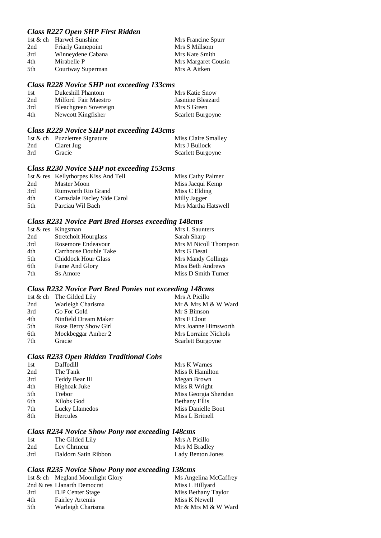### *Class R227 Open SHP First Ridden*

| Mrs Francine Spurr  |
|---------------------|
|                     |
|                     |
| Mrs Margaret Cousin |
|                     |
| Mrs Kate Smith      |

#### *Class R228 Novice SHP not exceeding 133cms*

| 1st | Dukeshill Phantom     | Mrs Katie Snow    |
|-----|-----------------------|-------------------|
| 2nd | Milford Fair Maestro  | Jasmine Bleazard  |
| 3rd | Bleachgreen Sovereign | Mrs S Green       |
| 4th | Newcott Kingfisher    | Scarlett Burgoyne |

# *Class R229 Novice SHP not exceeding 143cms*

|     | 1st & ch Puzzletree Signature | Miss Claire Smalley |
|-----|-------------------------------|---------------------|
| 2nd | Claret Jug                    | Mrs J Bullock       |
| 3rd | Gracie                        | Scarlett Burgoyne   |

### *Class R230 Novice SHP not exceeding 153cms*

|     | 1st & res Kellythorpes Kiss And Tell | Miss Cathy Palmer   |
|-----|--------------------------------------|---------------------|
| 2nd | Master Moon                          | Miss Jacqui Kemp    |
| 3rd | <b>Rumworth Rio Grand</b>            | Miss C Elding       |
| 4th | Carnsdale Escley Side Carol          | Milly Jagger        |
| 5th | Parciau Wil Bach                     | Mrs Martha Hatswell |

#### *Class R231 Novice Part Bred Horses exceeding 148cms*

|     | 1st & res Kingsman          | Mrs L Saunters        |
|-----|-----------------------------|-----------------------|
| 2nd | <b>Stretcholt Hourglass</b> | Sarah Sharp           |
| 3rd | Rosemore Endeavour          | Mrs M Nicoll Thompson |
| 4th | Carrhouse Double Take       | Mrs G Desai           |
| 5th | <b>Chiddock Hour Glass</b>  | Mrs Mandy Collings    |
| 6th | Fame And Glory              | Miss Beth Andrews     |
| 7th | Ss Amore                    | Miss D Smith Turner   |

#### *Class R232 Novice Part Bred Ponies not exceeding 148cms*

| Mr & Mrs M & W Ward  |
|----------------------|
|                      |
|                      |
| Mrs Joanne Himsworth |
|                      |
|                      |
|                      |

#### *Class R233 Open Ridden Traditional Cobs*

| 1st | Daffodill      | Mrs K Warnes              |
|-----|----------------|---------------------------|
| 2nd | The Tank       | Miss R Hamilton           |
| 3rd | Teddy Bear III | Megan Brown               |
| 4th | Highoak Juke   | Miss R Wright             |
| 5th | Trebor         | Miss Georgia Sheridan     |
| 6th | Xilobs God     | <b>Bethany Ellis</b>      |
| 7th | Lucky Llamedos | <b>Miss Danielle Boot</b> |
| 8th | Hercules       | Miss L Britnell           |
|     |                |                           |

### *Class R234 Novice Show Pony not exceeding 148cms*

| 1st | The Gilded Lily      | Mrs A Picillo     |
|-----|----------------------|-------------------|
| 2nd | Lev Chrmeur          | Mrs M Bradley     |
| 3rd | Daldorn Satin Ribbon | Lady Benton Jones |

### *Class R235 Novice Show Pony not exceeding 138cms*

|     | 1st & ch Megland Moonlight Glory | Ms Angelina McCaffrey |
|-----|----------------------------------|-----------------------|
|     | 2nd & res Llanarth Democrat      | Miss L Hillyard       |
| 3rd | DJP Center Stage                 | Miss Bethany Taylor   |
| 4th | <b>Fairley Artemis</b>           | Miss K Newell         |
| 5th | Warleigh Charisma                | Mr & Mrs M & W Ward   |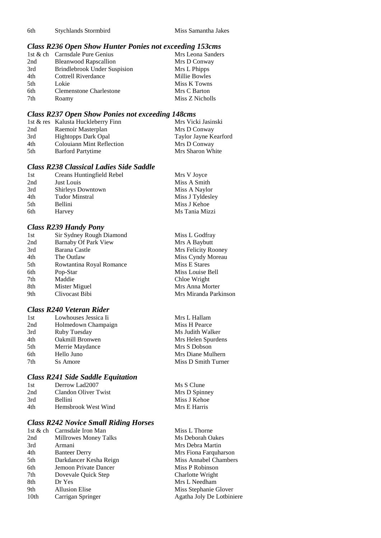6th Stychlands Stormbird Miss Samantha Jakes

### *Class R236 Open Show Hunter Ponies not exceeding 153cms*

|                 | 1st & ch Carnsdale Pure Genius      | Mrs Leona Sanders |
|-----------------|-------------------------------------|-------------------|
| 2nd             | <b>Bleanwood Rapscallion</b>        | Mrs D Conway      |
| 3rd             | <b>Brindlebrook Under Suspision</b> | Mrs L Phipps      |
| 4th             | Cottrell Riverdance                 | Millie Bowles     |
| 5 <sup>th</sup> | Lokie                               | Miss K Towns      |
| 6th             | Clemenstone Charlestone             | Mrs C Barton      |
| 7th             | Roamy                               | Miss Z Nicholls   |

### *Class R237 Open Show Ponies not exceeding 148cms*

|     | 1st & res Kalusta Huckleberry Finn | Mrs Vicki Jasinski    |
|-----|------------------------------------|-----------------------|
| 2nd | Raemoir Masterplan                 | Mrs D Conway          |
| 3rd | <b>Hightopps Dark Opal</b>         | Taylor Jayne Kearford |
| 4th | <b>Colouiann Mint Reflection</b>   | Mrs D Conway          |
| 5th | <b>Barford Partytime</b>           | Mrs Sharon White      |

### *Class R238 Classical Ladies Side Saddle*

| 1st | Creans Huntingfield Rebel | Mrs V Joyce      |
|-----|---------------------------|------------------|
| 2nd | Just Louis                | Miss A Smith     |
| 3rd | Shirleys Downtown         | Miss A Naylor    |
| 4th | <b>Tudor Minstral</b>     | Miss J Tyldesley |
| 5th | Bellini                   | Miss J Kehoe     |
| 6th | Harvey                    | Ms Tania Mizzi   |

### *Class R239 Handy Pony*

| 1st | Sir Sydney Rough Diamond | Miss L Godfray        |
|-----|--------------------------|-----------------------|
| 2nd | Barnaby Of Park View     | Mrs A Baybutt         |
| 3rd | Barana Castle            | Mrs Felicity Rooney   |
| 4th | The Outlaw               | Miss Cyndy Moreau     |
| 5th | Rowtantina Royal Romance | Miss E Stares         |
| 6th | Pop-Star                 | Miss Louise Bell      |
| 7th | Maddie                   | Chloe Wright          |
| 8th | Mister Miguel            | Mrs Anna Morter       |
| 9th | Clivocast Bibi           | Mrs Miranda Parkinson |

#### *Class R240 Veteran Rider*

| 1st | Lowhouses Jessica Ii | Mrs L Hallam        |
|-----|----------------------|---------------------|
| 2nd | Holmedown Champaign  | Miss H Pearce       |
| 3rd | Ruby Tuesday         | Ms Judith Walker    |
| 4th | Oakmill Bronwen      | Mrs Helen Spurdens  |
| 5th | Merrie Maydance      | Mrs S Dobson        |
| 6th | Hello Juno           | Mrs Diane Mulhern   |
| 7th | <b>Ss Amore</b>      | Miss D Smith Turner |
|     |                      |                     |

### *Class R241 Side Saddle Equitation*

| 1st | Derrow Lad2007       | Ms S Clune    |
|-----|----------------------|---------------|
| 2nd | Clandon Oliver Twist | Mrs D Spinney |
| 3rd | <b>Bellini</b>       | Miss J Kehoe  |
| 4th | Hemsbrook West Wind  | Mrs E Harris  |
|     |                      |               |

### *Class R242 Novice Small Riding Horses*

| 1st & ch Carnsdale Iron Man | Miss L Thorne             |
|-----------------------------|---------------------------|
| Millrowes Money Talks       | Ms Deborah Oakes          |
| Armani                      | Mrs Debra Martin          |
| <b>Banteer Derry</b>        | Mrs Fiona Farquharson     |
| Darkdancer Kesha Reign      | Miss Annabel Chambers     |
| Jemoon Private Dancer       | Miss P Robinson           |
| Dovevale Ouick Step         | Charlotte Wright          |
| Dr Yes                      | Mrs L Needham             |
| <b>Allusion Elise</b>       | Miss Stephanie Glover     |
| Carrigan Springer           | Agatha Joly De Lotbiniere |
|                             |                           |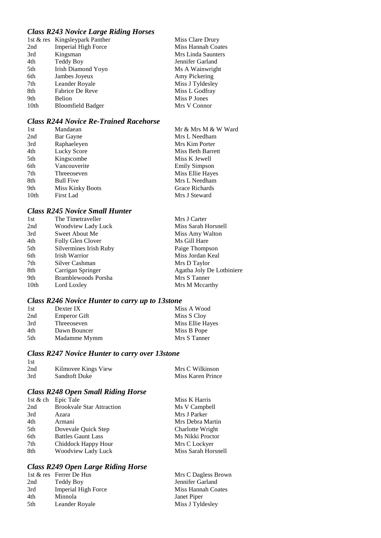### *Class R243 Novice Large Riding Horses*

|      | 1st & res Kingsleypark Panther | Miss Clare Drury   |
|------|--------------------------------|--------------------|
| 2nd  | Imperial High Force            | Miss Hannah Coates |
| 3rd  | Kingsman                       | Mrs Linda Saunters |
| 4th  | Teddy Boy                      | Jennifer Garland   |
| 5th  | Irish Diamond Yoyo             | Ms A Wainwright    |
| 6th  | Jambes Joyeux                  | Amy Pickering      |
| 7th  | Leander Royale                 | Miss J Tyldesley   |
| 8th  | Fabrice De Reve                | Miss L Godfray     |
| 9th  | Belion                         | Miss P Jones       |
| 10th | <b>Bloomfield Badger</b>       | Mrs V Connor       |

### *Class R244 Novice Re-Trained Racehorse*

| 1st              | Mandaean                | Mr & Mrs M & W Ward  |
|------------------|-------------------------|----------------------|
| 2nd              | Bar Gayne               | Mrs L Needham        |
| 3rd              | Raphaeleyen             | Mrs Kim Porter       |
| 4th              | Lucky Score             | Miss Beth Barrett    |
| 5th              | Kingscombe              | Miss K Jewell        |
| 6th              | Vancouverite            | <b>Emily Simpson</b> |
| 7th              | Threeoseven             | Miss Ellie Hayes     |
| 8th              | <b>Bull Five</b>        | Mrs L Needham        |
| 9th              | <b>Miss Kinky Boots</b> | Grace Richards       |
| 10 <sub>th</sub> | First Lad               | Mrs J Steward        |

### *Class R245 Novice Small Hunter*

| 1st              | The Timetraveller          | Mrs J Carter              |
|------------------|----------------------------|---------------------------|
| 2nd              | Woodview Lady Luck         | Miss Sarah Horsnell       |
| 3rd              | Sweet About Me             | Miss Amy Walton           |
| 4th              | Folly Glen Clover          | Ms Gill Hare              |
| 5th              | Silvermines Irish Ruby     | Paige Thompson            |
| 6th              | Irish Warrior              | Miss Jordan Keal          |
| 7th              | Silver Cashman             | Mrs D Taylor              |
| 8th              | Carrigan Springer          | Agatha Joly De Lotbiniere |
| 9th              | <b>Bramblewoods Porsha</b> | Mrs S Tanner              |
| 10 <sub>th</sub> | Lord Loxley                | Mrs M Mccarthy            |
|                  |                            |                           |

### *Class R246 Novice Hunter to carry up to 13stone*

| 1st | Dexter IX    | Miss A Wood      |
|-----|--------------|------------------|
| 2nd | Emperor Gift | Miss S Cloy      |
| 3rd | Threeoseven  | Miss Ellie Hayes |
| 4th | Dawn Bouncer | Miss B Pope      |
| 5th | Madamme Mymm | Mrs S Tanner     |

### *Class R247 Novice Hunter to carry over 13stone*

| Kilmovee Kings View  | Mrs C Wilkinson   |
|----------------------|-------------------|
| <b>Sandtoft Duke</b> | Miss Karen Prince |
|                      |                   |

### *Class R248 Open Small Riding Horse*

|     | 1st & ch Epic Tale               | Miss K Harris       |
|-----|----------------------------------|---------------------|
| 2nd | <b>Brookvale Star Attraction</b> | Ms V Campbell       |
| 3rd | Azara                            | Mrs J Parker        |
| 4th | Armani                           | Mrs Debra Martin    |
| 5th | Dovevale Quick Step              | Charlotte Wright    |
| 6th | <b>Battles Gaunt Lass</b>        | Ms Nikki Proctor    |
| 7th | Chiddock Happy Hour              | Mrs C Lockyer       |
| 8th | Woodview Lady Luck               | Miss Sarah Horsnell |

### *Class R249 Open Large Riding Horse*

|     | 1st & res Ferrer De Hus    | Mrs C Dagless Brown |
|-----|----------------------------|---------------------|
| 2nd | Teddy Boy                  | Jennifer Garland    |
| 3rd | <b>Imperial High Force</b> | Miss Hannah Coates  |
| 4th | Minnola                    | Janet Piper         |
| 5th | Leander Royale             | Miss J Tyldesley    |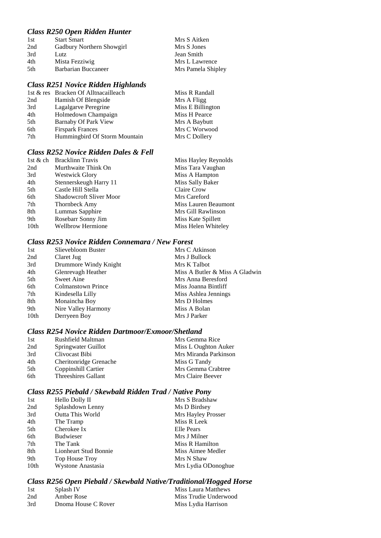### *Class R250 Open Ridden Hunter*

| 1st  | <b>Start Smart</b>        | Mrs S Aitken       |
|------|---------------------------|--------------------|
| 2nd  | Gadbury Northern Showgirl | Mrs S Jones        |
| 3rd  | Lutz                      | Jean Smith         |
| 4th  | Mista Fezziwig            | Mrs L Lawrence     |
| .5th | Barbarian Buccaneer       | Mrs Pamela Shipley |

### *Class R251 Novice Ridden Highlands*

|     | 1st & res Bracken Of Alltnacailleach | Miss R Randall    |
|-----|--------------------------------------|-------------------|
| 2nd | Hamish Of Blengside                  | Mrs A Fligg       |
| 3rd | Lagalgarve Peregrine                 | Miss E Billington |
| 4th | Holmedown Champaign                  | Miss H Pearce     |
| 5th | <b>Barnaby Of Park View</b>          | Mrs A Baybutt     |
| 6th | <b>Firspark Frances</b>              | Mrs C Worwood     |
| 7th | Hummingbird Of Storm Mountain        | Mrs C Dollery     |
|     |                                      |                   |

#### *Class R252 Novice Ridden Dales & Fell*

|      | 1st & ch Bracklinn Travis      | Miss Hayley Reynolds |
|------|--------------------------------|----------------------|
| 2nd  | Murthwaite Think On            | Miss Tara Vaughan    |
| 3rd  | <b>Westwick Glory</b>          | Miss A Hampton       |
| 4th  | Stennerskeugh Harry 11         | Miss Sally Baker     |
| 5th  | Castle Hill Stella             | Claire Crow          |
| 6th  | <b>Shadowcroft Sliver Moor</b> | Mrs Careford         |
| 7th  | Thornbeck Amy                  | Miss Lauren Beaumont |
| 8th  | Lummas Sapphire                | Mrs Gill Rawlinson   |
| 9th  | Rosebarr Sonny Jim             | Miss Kate Spillett   |
| 10th | <b>Wellbrow Hermione</b>       | Miss Helen Whiteley  |

### *Class R253 Novice Ridden Connemara / New Forest*

| 1st  | Slievebloom Buster        | Mrs C Atkinson                 |
|------|---------------------------|--------------------------------|
| 2nd  | Claret Jug                | Mrs J Bullock                  |
| 3rd  | Drummore Windy Knight     | Mrs K Talbot                   |
| 4th  | Glenrevagh Heather        | Miss A Butler & Miss A Gladwin |
| 5th  | Sweet Aine                | Mrs Anna Beresford             |
| 6th  | <b>Colmanstown Prince</b> | Miss Joanna Bintliff           |
| 7th  | Kindesella Lilly          | Miss Ashlea Jennings           |
| 8th  | Monaincha Boy             | Mrs D Holmes                   |
| 9th  | Nire Valley Harmony       | Miss A Bolan                   |
| 10th | Derryeen Boy              | Mrs J Parker                   |
|      |                           |                                |

### *Class R254 Novice Ridden Dartmoor/Exmoor/Shetland*

| 1st | Rushfield Maltman      | Mrs Gemma Rice        |
|-----|------------------------|-----------------------|
| 2nd | Springwater Guillot    | Miss L Oughton Auker  |
| 3rd | Clivocast Bibi         | Mrs Miranda Parkinson |
| 4th | Cheritonridge Grenache | Miss G Tandy          |
| 5th | Coppinshill Cartier    | Mrs Gemma Crabtree    |
| 6th | Threeshires Gallant    | Mrs Claire Beever     |

### *Class R255 Piebald / Skewbald Ridden Trad / Native Pony*

| 1st  | Hello Dolly II          | Mrs S Bradshaw      |
|------|-------------------------|---------------------|
| 2nd  | Splashdown Lenny        | Ms D Birdsey        |
| 3rd  | <b>Outta This World</b> | Mrs Hayley Prosser  |
| 4th  | The Tramp               | Miss R Leek         |
| 5th  | Cherokee Ix             | Elle Pears          |
| 6th  | <b>Budwieser</b>        | Mrs J Milner        |
| 7th  | The Tank                | Miss R Hamilton     |
| 8th  | Lionheart Stud Bonnie   | Miss Aimee Medler   |
| 9th  | Top House Troy          | Mrs N Shaw          |
| 10th | Wystone Anastasia       | Mrs Lydia ODonoghue |

## *Class R256 Open Piebald / Skewbald Native/Traditional/Hogged Horse*

|     |                     | .                     |
|-----|---------------------|-----------------------|
| 1st | Splash IV           | Miss Laura Matthews   |
| 2nd | Amber Rose          | Miss Trudie Underwood |
| 3rd | Dnoma House C Rover | Miss Lydia Harrison   |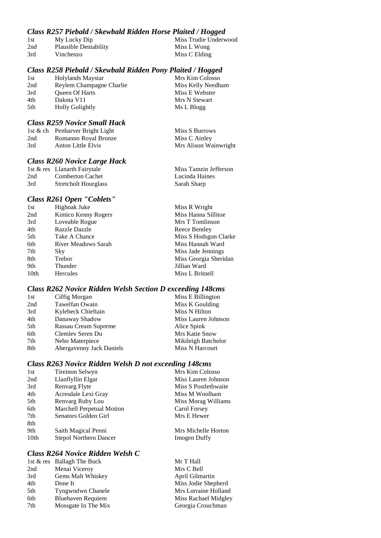### *Class R257 Piebald / Skewbald Ridden Horse Plaited / Hogged*

| 1st | My Lucky Dip          | Miss Trudie Underwood |
|-----|-----------------------|-----------------------|
| 2nd | Plausible Deniability | Miss L Wong           |
| 3rd | Vinchenzo             | Miss C Elding         |

### *Class R258 Piebald / Skewbald Ridden Pony Plaited / Hogged*

| 1st | Holylands Maystar        | Mrs Kim Colosso    |
|-----|--------------------------|--------------------|
| 2nd | Reylem Champagne Charlie | Miss Kelly Needham |
| 3rd | <b>Oueen Of Harts</b>    | Miss E Webster     |
| 4th | Dakota V11               | Mrs N Stewart      |
| 5th | <b>Holly Golightly</b>   | Ms L Blogg         |

#### *Class R259 Novice Small Hack*

|     | 1st & ch Penharver Bright Light | Miss S Burrows        |
|-----|---------------------------------|-----------------------|
| 2nd | Romanno Royal Bronze            | Miss C Ainley         |
| 3rd | Anton Little Elvis              | Mrs Alison Wainwright |

#### *Class R260 Novice Large Hack*

|     | 1st & res Llanarth Fairytale | Miss Tamzin Jefferson |
|-----|------------------------------|-----------------------|
| 2nd | <b>Comberton Cachet</b>      | Lucinda Haines        |
| 3rd | <b>Stretcholt Hourglass</b>  | Sarah Sharp           |

#### *Class R261 Open "Coblets"*

| 1st  | Highoak Juke               | Miss R Wright         |
|------|----------------------------|-----------------------|
| 2nd  | Kimico Kenny Rogers        | Miss Hanna Sillitoe   |
| 3rd  | Loveable Rogue             | Mrs T Tomlinson       |
| 4th  | Razzle Dazzle              | Reece Bentley         |
| 5th  | Take A Chance              | Miss S Hodsgon Clarke |
| 6th  | <b>River Meadows Sarah</b> | Miss Hannah Ward      |
| 7th  | <b>Sky</b>                 | Miss Jade Jennings    |
| 8th  | Trebor                     | Miss Georgia Sheridan |
| 9th  | Thunder                    | Jillian Ward          |
| 10th | <b>Hercules</b>            | Miss L Britnell       |

### *Class R262 Novice Ridden Welsh Section D exceeding 148cms*

| Ciffig Morgan            | Miss E Billington     |
|--------------------------|-----------------------|
| Tawelfan Owain           | Miss K Goulding       |
| Kylebeck Chieftain       | Miss N Hilton         |
| Danaway Shadow           | Miss Lauren Johnson   |
| Rassau Cream Supreme     | Alice Spink           |
| Clemley Seren Du         | <b>Mrs Katie Snow</b> |
| Nebo Materpiece          | Mikileigh Batchelor   |
| Abergavenny Jack Daniels | Miss N Harcourt       |
|                          |                       |

### *Class R263 Novice Ridden Welsh D not exceeding 148cms*

| 1st              | Tireinon Selwyn               | Mrs Kim Colosso      |
|------------------|-------------------------------|----------------------|
| 2nd              | Llanflyllin Elgar             | Miss Lauren Johnson  |
| 3rd              | Renvarg Flyte                 | Miss S Postlethwaite |
| 4th              | Acresdale Lexi Gray           | Miss M Woolham       |
| 5th              | Renvarg Ruby Lou              | Miss Morag Williams  |
| 6th              | Marchell Perpetual Motion     | Carol Forsey         |
| 7th              | Senators Golden Girl          | Mrs E Hewer          |
| 8th              |                               |                      |
| 9th              | Saith Magical Penni           | Mrs Michelle Horton  |
| 10 <sub>th</sub> | <b>Stepol Northern Dancer</b> | Imogen Duffy         |

### *Class R264 Novice Ridden Welsh C*

| Menai Viceroy<br>Mrs C Bell<br>2nd<br>Gems Malt Whiskey<br>3rd<br>April Gilmartin<br>4th<br>Miss Jodie Shepherd<br>Done It<br>5th<br><b>Tyngwndwn Chanele</b><br>6th<br><b>Bluehaven Requiem</b> |     | 1st & res Ballagh The Buck | Mr T Hall            |
|--------------------------------------------------------------------------------------------------------------------------------------------------------------------------------------------------|-----|----------------------------|----------------------|
|                                                                                                                                                                                                  |     |                            |                      |
|                                                                                                                                                                                                  |     |                            |                      |
|                                                                                                                                                                                                  |     |                            |                      |
|                                                                                                                                                                                                  |     |                            | Mrs Lorraine Holland |
|                                                                                                                                                                                                  |     |                            | Miss Rachael Midgley |
|                                                                                                                                                                                                  | 7th | Mossgate In The Mix        | Georgia Crouchman    |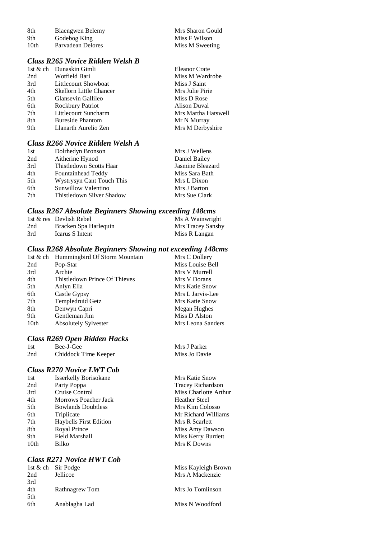| 8th  | Blaengwen Belemy  | Mrs Sharon Gould |
|------|-------------------|------------------|
| 9th  | Godebog King      | Miss F Wilson    |
| 10th | Parvadean Delores | Miss M Sweeting  |

## *Class R265 Novice Ridden Welsh B*

|     | 1st & ch Dunaskin Gimli        | <b>Eleanor Crate</b> |
|-----|--------------------------------|----------------------|
| 2nd | Wotfield Bari                  | Miss M Wardrobe      |
| 3rd | Littlecourt Showboat           | Miss J Saint         |
| 4th | <b>Skellorn Little Chancer</b> | Mrs Julie Pirie      |
| 5th | Glansevin Gallileo             | Miss D Rose          |
| 6th | <b>Rockbury Patriot</b>        | Alison Duval         |
| 7th | Littlecourt Suncharm           | Mrs Martha Hatswell  |
| 8th | <b>Bureside Phantom</b>        | Mr N Murray          |
| 9th | Llanarth Aurelio Zen           | Mrs M Derbyshire     |
|     |                                |                      |

## *Class R266 Novice Ridden Welsh A*

| 1st | Dolrhedyn Bronson         | Mrs J Wellens    |
|-----|---------------------------|------------------|
| 2nd | Aitherine Hynod           | Daniel Bailey    |
| 3rd | Thistledown Scotts Haar   | Jasmine Bleazard |
| 4th | Fountainhead Teddy        | Miss Sara Bath   |
| 5th | Wystrysyn Cant Touch This | Mrs L Dixon      |
| 6th | Sunwillow Valentino       | Mrs J Barton     |
| 7th | Thistledown Silver Shadow | Mrs Sue Clark    |

#### *Class R267 Absolute Beginners Showing exceeding 148cms*

|     | 1st & res Devlish Rebel | Ms A Wainwright   |
|-----|-------------------------|-------------------|
| 2nd | Bracken Spa Harlequin   | Mrs Tracey Sansby |
| 3rd | Icarus S Intent         | Miss R Langan     |

### *Class R268 Absolute Beginners Showing not exceeding 148cms*

|      | 1st & ch Hummingbird Of Storm Mountain | Mrs C Dollery     |
|------|----------------------------------------|-------------------|
| 2nd  | Pop-Star                               | Miss Louise Bell  |
| 3rd  | Archie                                 | Mrs V Murrell     |
| 4th  | Thistledown Prince Of Thieves          | Mrs V Dorans      |
| 5th  | Anlyn Ella                             | Mrs Katie Snow    |
| 6th  | Castle Gypsy                           | Mrs L Jarvis-Lee  |
| 7th  | Templedruid Getz                       | Mrs Katie Snow    |
| 8th  | Denwyn Capri                           | Megan Hughes      |
| 9th  | Gentleman Jim                          | Miss D Alston     |
| 10th | <b>Absolutely Sylvester</b>            | Mrs Leona Sanders |

Mrs J Parker Miss Jo Davie

#### *Class R269 Open Ridden Hacks*

| 1st | Bee-J-Gee            |
|-----|----------------------|
| 2nd | Chiddock Time Keeper |

## *Class R270 Novice LWT Cob*

| 1st  | <b>Isserkelly Borisokane</b>  | Mrs Katie Snow           |
|------|-------------------------------|--------------------------|
| 2nd  | Party Poppa                   | <b>Tracey Richardson</b> |
| 3rd  | Cruise Control                | Miss Charlotte Arthur    |
| 4th  | <b>Morrows Poacher Jack</b>   | <b>Heather Steel</b>     |
| 5th  | <b>Bowlands Doubtless</b>     | Mrs Kim Colosso          |
| 6th  | Triplicate                    | Mr Richard Williams      |
| 7th  | <b>Haybells First Edition</b> | Mrs R Scarlett           |
| 8th  | Royal Prince                  | Miss Amy Dawson          |
| 9th  | Field Marshall                | Miss Kerry Burdett       |
| 10th | Bilko                         | Mrs K Downs              |
|      |                               |                          |

## *Class R271 Novice HWT Cob*

|     | 1st & ch Sir Podge | Miss Kayleigh Brown |
|-----|--------------------|---------------------|
| 2nd | Jellicoe           | Mrs A Mackenzie     |
| 3rd |                    |                     |
| 4th | Rathnagrew Tom     | Mrs Jo Tomlinson    |
| 5th |                    |                     |
| 6th | Anablagha Lad      | Miss N Woodford     |
|     |                    |                     |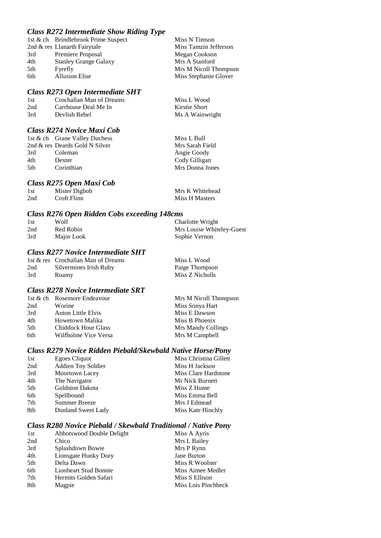## *Class R272 Intermediate Show Riding Type*

|     | 1st & ch Brindlebrook Prime Suspect | Miss N Timson         |
|-----|-------------------------------------|-----------------------|
|     | 2nd & res Llanarth Fairytale        | Miss Tamzin Jefferson |
| 3rd | Premiere Proposal                   | Megan Cookson         |
| 4th | <b>Stanley Grange Galaxy</b>        | Mrs A Stanford        |
| 5th | Fyrefly                             | Mrs M Nicoll Thompson |
| 6th | <b>Allusion Elise</b>               | Miss Stephanie Glover |
|     |                                     |                       |

#### *Class R273 Open Intermediate SHT*

| -1st | Crochallan Man of Dreams | Miss L Wood     |
|------|--------------------------|-----------------|
| 2nd  | Carrhouse Deal Me In     | Kirstie Short   |
| 3rd  | Devlish Rebel            | Ms A Wainwright |

### *Class R274 Novice Maxi Cob*

#### *Class R275 Open Maxi Cob*

| 1st | Mister Digbob | Mrs K Whitehead |
|-----|---------------|-----------------|
| 2nd | Croft Flinn   | Miss H Masters  |

#### *Class R276 Open Ridden Cobs exceeding 148cms*

| 1st | Wolf       | Charlotte Wright          |
|-----|------------|---------------------------|
| 2nd | Red Robin  | Mrs Louise Whiteley-Guest |
| 3rd | Major Look | Sophie Vernon             |

### *Class R277 Novice Intermediate SHT*

|     | 1st & res Crochallan Man of Dreams | Miss L Wood     |
|-----|------------------------------------|-----------------|
| 2nd | Silvermines Irish Ruby             | Paige Thompson  |
| 3rd | Roamy                              | Miss Z Nicholls |

## *Class R278 Novice Intermediate SRT*

|      | 1st & ch Rosemore Endeavour | Mrs M Nicoll Thompson |
|------|-----------------------------|-----------------------|
| 2nd  | Worine                      | Miss Sonya Hart       |
| 3rd  | Anton Little Elvis          | Miss E Dawson         |
| 4th  | Howetown Malika             | Miss B Phoenix        |
| .5th | <b>Chiddock Hour Glass</b>  | Mrs Mandy Collings    |
| 6th  | Wilfholme Vice Versa        | Mrs M Campbell        |

#### *Class R279 Novice Ridden Piebald/Skewbald Native Horse/Pony*

| 1st | Egoes Cliquot             | Miss Christina Gillett |
|-----|---------------------------|------------------------|
| 2nd | <b>Addien Toy Soldier</b> | Miss H Jackson         |
| 3rd | Moortown Lacey            | Miss Clare Hardstone   |
| 4th | The Navigator             | Mr Nick Burnett        |
| 5th | <b>Goldston Dakota</b>    | Miss Z Hume            |
| 6th | Spellbound                | Miss Emma Bell         |
| 7th | <b>Summer Breeze</b>      | Mrs J Edmead           |
| 8th | Dunland Sweet Lady        | Miss Kate Hinchly      |
|     |                           |                        |

#### *Class R280 Novice Piebald / Skewbald Traditional / Native Pony*

| 1st | Abbotswood Double Delight | Miss A Ayris        |
|-----|---------------------------|---------------------|
| 2nd | Chico                     | Mrs L Bailey        |
| 3rd | Splashdown Bowie          | Mrs P Rynn          |
| 4th | Lionsgate Hunky Dory      | Jane Burton         |
| 5th | Delta Dawn                | Miss R Woolner      |
| 6th | Lionheart Stud Bonnie     | Miss Aimee Medler   |
| 7th | Hermits Golden Safari     | Miss S Ellison      |
| 8th | Magpie                    | Miss Lois Pinchbeck |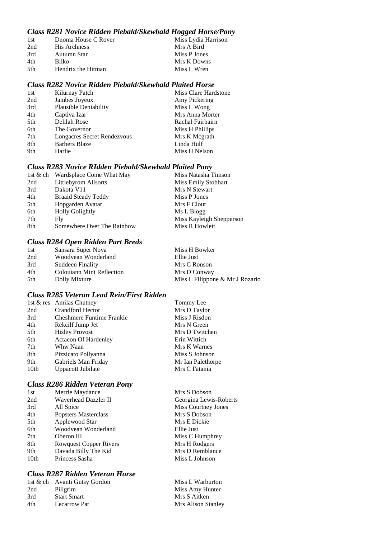## *Class R281 Novice Ridden Piebald/Skewbald Hogged Horse/Pony*

| 1st  | Dnoma House C Rover | Miss Lydia Harrison |
|------|---------------------|---------------------|
| 2nd  | His Archness        | Mrs A Bird          |
| 3rd  | Autumn Star         | Miss P Jones        |
| 4th  | Bilko               | Mrs K Downs         |
| .5th | Hendrix the Hitman  | Miss L Wren         |
|      |                     |                     |

#### *Class R282 Novice Ridden Piebald/Skewbald Plaited Horse*

| 1st | Kilurnay Patch               | Miss Clare Hardstone |
|-----|------------------------------|----------------------|
| 2nd | Jambes Joyeux                | Amy Pickering        |
| 3rd | <b>Plausible Deniability</b> | Miss L Wong          |
| 4th | Captiva Izar                 | Mrs Anna Morter      |
| 5th | Delilah Rose                 | Rachal Fairbairn     |
| 6th | The Governor                 | Miss H Phillips      |
| 7th | Longacres Secret Rendezvous  | Mrs K Megrath        |
| 8th | <b>Barbers Blaze</b>         | Linda Hulf           |
| 9th | Harlie                       | Miss H Nelson        |
|     |                              |                      |

## *Class R283 Novice RIdden Piebald/Skewbald Plaited Pony*

|     | 1st & ch Wardsplace Come What May | Miss Natasha Timson      |
|-----|-----------------------------------|--------------------------|
| 2nd | Littlebyrom Allsorts              | Miss Emily Stobbart      |
| 3rd | Dakota V11                        | Mrs N Stewart            |
| 4th | <b>Braaid Steady Teddy</b>        | Miss P Jones             |
| 5th | Hopgarden Avatar                  | Mrs F Clout              |
| 6th | <b>Holly Golightly</b>            | Ms L Blogg               |
| 7th | Fly.                              | Miss Kayleigh Shepperson |
| 8th | Somewhere Over The Rainbow        | Miss R Howlett           |

## *Class R284 Open Ridden Part Breds*

| 1st | Sansara Super Nova        | Miss H Bowker                   |
|-----|---------------------------|---------------------------------|
| 2nd | Woodvean Wonderland       | Ellie Just                      |
| 3rd | Suddeen Finality          | Mrs C Ronson                    |
| 4th | Colouiann Mint Reflection | Mrs D Conway                    |
| 5th | Dolly Mixture             | Miss L Filippone & Mr J Rozario |

### *Class R285 Veteran Lead Rein/First Ridden*

|                  | 1st & res Amilas Chutney         | Tommy Lee         |
|------------------|----------------------------------|-------------------|
| 2nd              | <b>Crandford Hector</b>          | Mrs D Taylor      |
| 3rd              | <b>Cheshmere Funtime Frankie</b> | Miss J Risdon     |
| 4th              | Rekcilf Jump Jet                 | Mrs N Green       |
| 5th              | <b>Hisley Provost</b>            | Mrs D Twitchen    |
| 6th              | <b>Actaeon Of Hardenley</b>      | Erin Wittich      |
| 7th              | Whw Naan                         | Mrs K Warnes      |
| 8th              | Pizzicato Pollyanna              | Miss S Johnson    |
| 9th              | Gabriels Man Friday              | Mr Ian Palethorpe |
| 10 <sub>th</sub> | Uppacott Jubilate                | Mrs C Fatania     |

#### *Class R286 Ridden Veteran Pony*

| 1st  | Merrie Maydance               | Mrs S Dobson           |
|------|-------------------------------|------------------------|
| 2nd  | Waverhead Dazzler II          | Georgina Lewis-Roberts |
| 3rd  | All Spice                     | Miss Courtney Jones    |
| 4th  | Popsters Masterclass          | Mrs S Dobson           |
| 5th  | Applewood Star                | Mrs E Dickie           |
| 6th  | Woodvean Wonderland           | Ellie Just             |
| 7th  | Oberon III                    | Miss C Humphrey        |
| 8th  | <b>Rowquest Copper Rivers</b> | Mrs H Rodgers          |
| 9th  | Davada Billy The Kid          | Mrs D Remblance        |
| 10th | Princess Sasha                | Miss L Johnson         |
|      |                               |                        |

## *Class R287 Ridden Veteran Horse*

|     | 1st & ch Avanti Gutsy Gordon | Miss L Warburton   |
|-----|------------------------------|--------------------|
| 2nd | Pillgrim                     | Miss Amy Hunter    |
| 3rd | <b>Start Smart</b>           | Mrs S Aitken       |
| 4th | <b>Lecarrow Pat</b>          | Mrs Alison Stanley |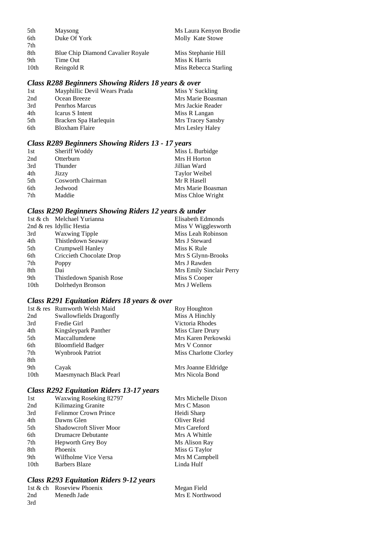| 5th  | Maysong                                  | Ms Laura Kenyon Brodie |
|------|------------------------------------------|------------------------|
| 6th  | Duke Of York                             | Molly Kate Stowe       |
| 7th  |                                          |                        |
| 8th  | <b>Blue Chip Diamond Cavalier Royale</b> | Miss Stephanie Hill    |
| 9th  | Time Out                                 | Miss K Harris          |
| 10th | Reingold R                               | Miss Rebecca Starling  |

## *Class R288 Beginners Showing Riders 18 years & over*

| 1st | Mayphillic Devil Wears Prada | Miss Y Suckling   |
|-----|------------------------------|-------------------|
| 2nd | Ocean Breeze                 | Mrs Marie Boasman |
| 3rd | Penrhos Marcus               | Mrs Jackie Reader |
| 4th | Icarus S Intent              | Miss R Langan     |
| 5th | Bracken Spa Harlequin        | Mrs Tracey Sansby |
| 6th | <b>Bloxham Flaire</b>        | Mrs Lesley Haley  |

## *Class R289 Beginners Showing Riders 13 - 17 years*

| Sheriff Woddy     | Miss L Burbidge      |
|-------------------|----------------------|
| Otterburn         | Mrs H Horton         |
| Thunder           | Jillian Ward         |
| Jizzy             | <b>Taylor Weibel</b> |
| Cosworth Chairman | Mr R Hasell          |
| Jedwood           | Mrs Marie Boasman    |
| Maddie            | Miss Chloe Wright    |
|                   |                      |

## *Class R290 Beginners Showing Riders 12 years & under*

|                  | 1st & ch Melchael Yurianna | Elisabeth Edmonds        |
|------------------|----------------------------|--------------------------|
|                  | 2nd & res Idyllic Hestia   | Miss V Wigglesworth      |
| 3rd              | <b>Waxwing Tipple</b>      | Miss Leah Robinson       |
| 4th              | Thistledown Seaway         | Mrs J Steward            |
| 5th              | Crumpwell Hanley           | Miss K Rule              |
| 6th              | Criccieth Chocolate Drop   | Mrs S Glynn-Brooks       |
| 7th              | Poppy                      | Mrs J Rawden             |
| 8th              | Dai                        | Mrs Emily Sinclair Perry |
| 9th              | Thistledown Spanish Rose   | Miss S Cooper            |
| 10 <sub>th</sub> | Dolrhedyn Bronson          | Mrs J Wellens            |
|                  |                            |                          |

## *Class R291 Equitation Riders 18 years & over*

|      | 1st & res Rumworth Welsh Maid | Roy Houghton           |
|------|-------------------------------|------------------------|
| 2nd  | Swallowfields Dragonfly       | Miss A Hinchly         |
| 3rd  | Fredie Girl                   | Victoria Rhodes        |
| 4th  | Kingsleypark Panther          | Miss Clare Drury       |
| 5th  | Maccallumdene                 | Mrs Karen Perkowski    |
| 6th  | <b>Bloomfield Badger</b>      | Mrs V Connor           |
| 7th  | Wynbrook Patriot              | Miss Charlotte Clorley |
| 8th  |                               |                        |
| 9th  | Cayak                         | Mrs Joanne Eldridge    |
| 10th | Maesmynach Black Pearl        | Mrs Nicola Bond        |

## *Class R292 Equitation Riders 13-17 years*

| 1st  | Waxwing Roseking 82797         | Mrs Michelle Dixon |
|------|--------------------------------|--------------------|
| 2nd  | Kilimazing Granite             | Mrs C Mason        |
| 3rd  | <b>Felinmor Crown Prince</b>   | Heidi Sharp        |
| 4th  | Dawns Glen                     | Oliver Reid        |
| 5th  | <b>Shadowcroft Sliver Moor</b> | Mrs Careford       |
| 6th  | <b>Drumacre Debutante</b>      | Mrs A Whittle      |
| 7th  | <b>Hepworth Grey Boy</b>       | Ms Alison Ray      |
| 8th  | Phoenix                        | Miss G Taylor      |
| 9th  | Wilfholme Vice Versa           | Mrs M Campbell     |
| 10th | <b>Barbers Blaze</b>           | Linda Hulf         |
|      |                                |                    |

## *Class R293 Equitation Riders 9-12 years*

|     | 1st & ch Roseview Phoenix | Megan Field     |
|-----|---------------------------|-----------------|
| 2nd | Menedh Jade               | Mrs E Northwood |
| 3rd |                           |                 |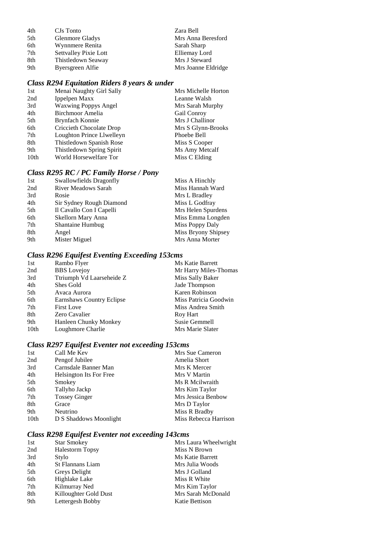| 4th | CJs Tonto                    | Zara Bell           |
|-----|------------------------------|---------------------|
| 5th | Glenmore Gladys              | Mrs Anna Beresford  |
| 6th | Wynnmere Renita              | Sarah Sharp         |
| 7th | <b>Settvalley Pixie Lott</b> | Elliemay Lord       |
| 8th | Thistledown Seaway           | Mrs J Steward       |
| 9th | Byersgreen Alfie             | Mrs Joanne Eldridge |

## *Class R294 Equitation Riders 8 years & under*

| 1st              | Menai Naughty Girl Sally    | Mrs Michelle Horton |
|------------------|-----------------------------|---------------------|
| 2nd              | Ippelpen Maxx               | Leanne Walsh        |
| 3rd              | <b>Waxwing Poppys Angel</b> | Mrs Sarah Murphy    |
| 4th              | Birchmoor Amelia            | Gail Conroy         |
| 5th              | Brynfach Konnie             | Mrs J Challinor     |
| 6th              | Criccieth Chocolate Drop    | Mrs S Glynn-Brooks  |
| 7th              | Loughton Prince Llwelleyn   | Phoebe Bell         |
| 8th              | Thistledown Spanish Rose    | Miss S Cooper       |
| 9th              | Thistledown Spring Spirit   | Ms Amy Metcalf      |
| 10 <sub>th</sub> | World Horsewelfare Tor      | Miss C Elding       |
|                  |                             |                     |

## *Class R295 RC / PC Family Horse / Pony*

| 1st | Swallowfields Dragonfly  | Miss A Hinchly      |
|-----|--------------------------|---------------------|
| 2nd | River Meadows Sarah      | Miss Hannah Ward    |
| 3rd | Rosie                    | Mrs L Bradley       |
| 4th | Sir Sydney Rough Diamond | Miss L Godfray      |
| 5th | Il Cavallo Con I Capelli | Mrs Helen Spurdens  |
| 6th | Skellorn Mary Anna       | Miss Emma Longden   |
| 7th | <b>Shantaine Humbug</b>  | Miss Poppy Daly     |
| 8th | Angel                    | Miss Bryony Shipsey |
| 9th | Mister Miguel            | Mrs Anna Morter     |

## *Class R296 Equifest Eventing Exceeding 153cms*

| 1st  | Rambo Flyer               | Ms Katie Barrett      |
|------|---------------------------|-----------------------|
| 2nd  | <b>BBS</b> Lovejoy        | Mr Harry Miles-Thomas |
| 3rd  | Ttriumph Vd Laarseheide Z | Miss Sally Baker      |
| 4th  | Shes Gold                 | Jade Thompson         |
| 5th  | Avaca Aurora              | Karen Robinson        |
| 6th  | Earnshaws Country Eclipse | Miss Patricia Goodwin |
| 7th  | <b>First Love</b>         | Miss Andrea Smith     |
| 8th  | Zero Cavalier             | Roy Hart              |
| 9th  | Hanleen Chunky Monkey     | Susie Gemmell         |
| 10th | Loughmore Charlie         | Mrs Marie Slater      |
|      |                           |                       |

## *Class R297 Equifest Eventer not exceeding 153cms*

| 1st              | Call Me Kev             | Mrs Sue Cameron       |
|------------------|-------------------------|-----------------------|
| 2nd              | Pengof Jubilee          | Amelia Short          |
| 3rd              | Carnsdale Banner Man    | Mrs K Mercer          |
| 4th              | Helsington Its For Free | Mrs V Martin          |
| 5th              | Smokey                  | Ms R Meilwraith       |
| 6th              | Tallyho Jackp           | Mrs Kim Taylor        |
| 7th              | <b>Tossey Ginger</b>    | Mrs Jessica Benbow    |
| 8th              | Grace                   | Mrs D Taylor          |
| 9th              | Neutrino                | Miss R Bradby         |
| 10 <sub>th</sub> | D S Shaddows Moonlight  | Miss Rebecca Harrison |
|                  |                         |                       |

## *Class R298 Equifest Eventer not exceeding 143cms*

| 1st | <b>Star Smokey</b>     | Mrs Laura Wheelwright |
|-----|------------------------|-----------------------|
| 2nd | <b>Halestorm Topsy</b> | Miss N Brown          |
| 3rd | Stylo                  | Ms Katie Barrett      |
| 4th | St Flannans Liam       | Mrs Julia Woods       |
| 5th | Greys Delight          | Mrs J Golland         |
| 6th | Highlake Lake          | Miss R White          |
| 7th | Kilmurray Ned          | Mrs Kim Taylor        |
| 8th | Killoughter Gold Dust  | Mrs Sarah McDonald    |
| 9th | Lettergesh Bobby       | Katie Bettison        |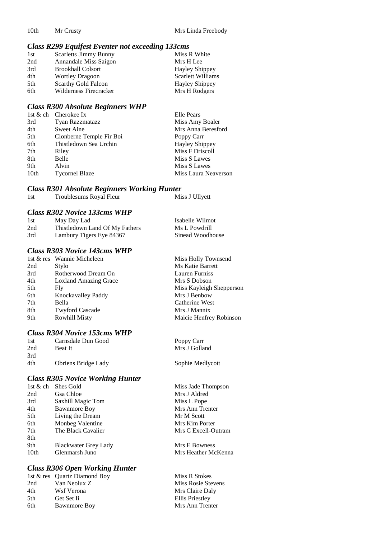#### *Class R299 Equifest Eventer not exceeding 133cms*

| 1st | <b>Scarletts Jimmy Bunny</b> | Miss R White             |
|-----|------------------------------|--------------------------|
| 2nd | Annandale Miss Saigon        | Mrs H Lee                |
| 3rd | <b>Brookhall Colsort</b>     | <b>Hayley Shippey</b>    |
| 4th | <b>Wortley Dragoon</b>       | <b>Scarlett Williams</b> |
| 5th | <b>Scarthy Gold Falcon</b>   | <b>Hayley Shippey</b>    |
| 6th | Wilderness Firecracker       | Mrs H Rodgers            |

#### *Class R300 Absolute Beginners WHP*

|                  | 1st & ch Cherokee Ix     | Elle Pears            |
|------------------|--------------------------|-----------------------|
| 3rd              | Tyan Razzmatazz          | Miss Amy Boaler       |
| 4th              | <b>Sweet Aine</b>        | Mrs Anna Beresford    |
| 5th              | Clonberne Temple Fir Boi | Poppy Carr            |
| 6th              | Thistledown Sea Urchin   | <b>Hayley Shippey</b> |
| 7th              | Riley                    | Miss F Driscoll       |
| 8th              | Belle                    | Miss S Lawes          |
| 9th              | Alvin                    | Miss S Lawes          |
| 10 <sub>th</sub> | <b>Tycornel Blaze</b>    | Miss Laura Neaverson  |

#### *Class R301 Absolute Beginners Working Hunter*

1st Troublesums Royal Fleur Miss J Ullyett

#### *Class R302 Novice 133cms WHP*

| 1st | May Day Lad                    | Isabelle Wilmot  |
|-----|--------------------------------|------------------|
| 2nd | Thistledown Land Of My Fathers | Ms L Powdrill    |
| 3rd | Lambury Tigers Eye 84367       | Sinead Woodhouse |

## *Class R303 Novice 143cms WHP*

|     | 1st & res Wannie Micheleen   | Miss Holly Townsend      |
|-----|------------------------------|--------------------------|
| 2nd | Stylo                        | Ms Katie Barrett         |
| 3rd | Rotherwood Dream On          | Lauren Furniss           |
| 4th | <b>Loxland Amazing Grace</b> | Mrs S Dobson             |
| 5th | Fly                          | Miss Kayleigh Shepperson |
| 6th | Knockavalley Paddy           | Mrs J Benbow             |
| 7th | Bella                        | Catherine West           |
| 8th | <b>Twyford Cascade</b>       | Mrs J Mannix             |
| 9th | <b>Rowhill Misty</b>         | Maicie Henfrey Robinson  |

## *Class R304 Novice 153cms WHP*

| Carnsdale Dun Good  | Poppy Carr    |
|---------------------|---------------|
| <b>Beat It</b>      | Mrs J Golland |
|                     |               |
| Obriens Bridge Lady | Sophie Medly  |
|                     |               |

### *Class R305 Novice Working Hunter*

| 1st $&$ ch       | Shes Gold                   | Miss Jade Thompson  |
|------------------|-----------------------------|---------------------|
| 2nd              | Gsa Chloe                   | Mrs J Aldred        |
| 3rd              | Saxhill Magic Tom           | Miss L Pope         |
| 4th              | <b>Bawnmore Boy</b>         | Mrs Ann Trenter     |
| 5th              | Living the Dream            | Mr M Scott          |
| 6th              | Monbeg Valentine            | Mrs Kim Porter      |
| 7th              | The Black Cavalier          | Mrs C Excell-Outram |
| 8th              |                             |                     |
| 9th              | <b>Blackwater Grey Lady</b> | Mrs E Bowness       |
| 10 <sub>th</sub> | Glenmarsh Juno              | Mrs Heather McKenna |
|                  |                             |                     |

### *Class R306 Open Working Hunter*

|     | 1st & res Quartz Diamond Boy |
|-----|------------------------------|
| 2nd | Van Neolux Z                 |
| 4th | Wsf Verona                   |
| 5th | Get Set Ii                   |
| 6th | <b>Bawnmore Boy</b>          |

ledlycott

Miss R Stokes Miss Rosie Stevens Mrs Claire Daly Ellis Priestley Mrs Ann Trenter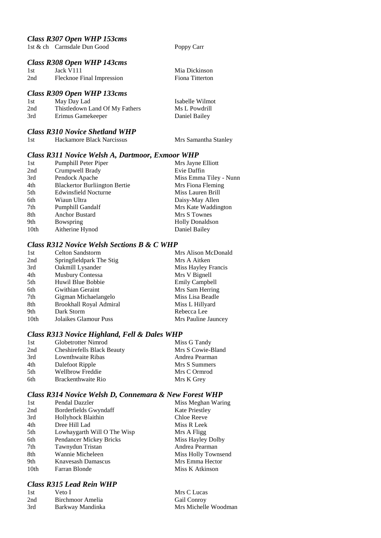## *Class R307 Open WHP 153cms*

1st & ch Carnsdale Dun Good Poppy Carr

Mrs Samantha Stanley

### *Class R308 Open WHP 143cms*

| 1st | Jack V111                 | Mia Dickinson   |
|-----|---------------------------|-----------------|
| 2nd | Flecknoe Final Impression | Fiona Titterton |

## *Class R309 Open WHP 133cms*

| 1st | May Day Lad                    | Isabelle Wilmot |
|-----|--------------------------------|-----------------|
| 2nd | Thistledown Land Of My Fathers | Ms L Powdrill   |
| 3rd | Erimus Gamekeeper              | Daniel Bailey   |

## *Class R310 Novice Shetland WHP*

| Hackamore Black Narcissus<br>1st |  |
|----------------------------------|--|
|----------------------------------|--|

## *Class R311 Novice Welsh A, Dartmoor, Exmoor WHP*

| 1st  | <b>Pumphill Peter Piper</b>          | Mrs Jayne Elliott      |
|------|--------------------------------------|------------------------|
| 2nd  | Crumpwell Brady                      | Evie Daffin            |
| 3rd  | Pendock Apache                       | Miss Emma Tiley - Nunn |
| 4th  | <b>Blackertor Burliington Bertie</b> | Mrs Fiona Fleming      |
| 5th  | Edwinsfield Nocturne                 | Miss Lauren Brill      |
| 6th  | Wiaun Ultra                          | Daisy-May Allen        |
| 7th  | <b>Pumphill Gandalf</b>              | Mrs Kate Waddington    |
| 8th  | <b>Anchor Bustard</b>                | Mrs S Townes           |
| 9th  | Bowspring                            | <b>Holly Donaldson</b> |
| 10th | Aitherine Hynod                      | Daniel Bailey          |

## *Class R312 Novice Welsh Sections B & C WHP*

| 1st  | Celton Sandstorm         | Mrs Alison McDonald   |
|------|--------------------------|-----------------------|
| 2nd  | Springfieldpark The Stig | Mrs A Aitken          |
| 3rd  | Oakmill Lysander         | Miss Hayley Francis   |
| 4th  | <b>Musbury Contessa</b>  | Mrs V Bignell         |
| 5th  | Huwil Blue Bobbie        | <b>Emily Campbell</b> |
| 6th  | Gwithian Geraint         | Mrs Sam Herring       |
| 7th  | Gigman Michaelangelo     | Miss Lisa Beadle      |
| 8th  | Brookhall Royal Admiral  | Miss L Hillyard       |
| 9th  | Dark Storm               | Rebecca Lee           |
| 10th | Jolaikes Glamour Puss    | Mrs Pauline Jauncey   |

## *Class R313 Novice Highland, Fell & Dales WHP*

| 1st | Globetrotter Nimrod               | Miss G Tandy      |
|-----|-----------------------------------|-------------------|
| 2nd | <b>Cheshirefells Black Beauty</b> | Mrs S Cowie-Bland |
| 3rd | Lownthwaite Ribas                 | Andrea Pearman    |
| 4th | Dalefoot Ripple                   | Mrs S Summers     |
| 5th | Wellbrow Freddie                  | Mrs C Ormrod      |
| 6th | Brackenthwaite Rio                | Mrs K Grey        |
|     |                                   |                   |

## *Class R314 Novice Welsh D, Connemara & New Forest WHP*

| 1st  | Pendal Dazzler              | Miss Meghan Waring    |
|------|-----------------------------|-----------------------|
| 2nd  | Borderfields Gwyndaff       | <b>Kate Priestley</b> |
| 3rd  | Hollyhock Blaithin          | Chloe Reeve           |
| 4th  | Dree Hill Lad               | Miss R Leek           |
| 5th  | Lowhaygarth Will O The Wisp | Mrs A Fligg           |
| 6th  | Pendancer Mickey Bricks     | Miss Hayley Dolby     |
| 7th  | Tawnydun Tristan            | Andrea Pearman        |
| 8th  | Wannie Micheleen            | Miss Holly Townsend   |
| 9th  | Knavesash Damascus          | Mrs Emma Hector       |
| 10th | Farran Blonde               | Miss K Atkinson       |
|      |                             |                       |

## *Class R315 Lead Rein WHP*

| 1st | Veto I           | Mrs C Lucas          |
|-----|------------------|----------------------|
| 2nd | Birchmoor Amelia | <b>Gail Conroy</b>   |
| 3rd | Barkway Mandinka | Mrs Michelle Woodman |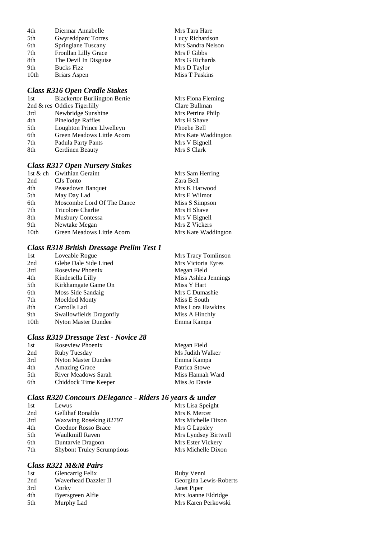| 4th  | Diermar Annabelle     | Mrs Tara Hare  |
|------|-----------------------|----------------|
| 5th  | Gwyreddparc Torres    | Lucy Richardso |
| 6th  | Springlane Tuscany    | Mrs Sandra Nel |
| 7th  | Fronllan Lilly Grace  | Mrs F Gibbs    |
| 8th  | The Devil In Disguise | Mrs G Richards |
| 9th  | <b>Bucks Fizz</b>     | Mrs D Taylor   |
| 10th | <b>Briars Aspen</b>   | Miss T Paskins |
|      |                       |                |

#### *Class R316 Open Cradle Stakes*

| 1st | <b>Blackertor Burliington Bertie</b> |
|-----|--------------------------------------|
|     | 2nd & res Oddies Tigerlilly          |
| 3rd | Newbridge Sunshine                   |
| 4th | Pinelodge Raffles                    |
| 5th | Loughton Prince Llwelleyn            |
| 6th | Green Meadows Little Acorn           |
| 7th | Padula Party Pants                   |
| 8th | Gerdinen Beauty                      |
|     |                                      |

## *Class R317 Open Nursery Stakes*

|                  | 1st & ch Gwithian Geraint  | Mrs Sam Herring     |
|------------------|----------------------------|---------------------|
| 2nd              | CJs Tonto                  | Zara Bell           |
| 4th              | Peasedown Banquet          | Mrs K Harwood       |
| 5th              | May Day Lad                | Mrs E Wilmot        |
| 6th              | Moscombe Lord Of The Dance | Miss S Simpson      |
| 7th              | Tricolore Charlie          | Mrs H Shave         |
| 8th              | <b>Musbury Contessa</b>    | Mrs V Bignell       |
| 9th              | Newtake Megan              | Mrs Z Vickers       |
| 10 <sub>th</sub> | Green Meadows Little Acorn | Mrs Kate Waddington |
|                  |                            |                     |

Mrs Tara Hare Lucy Richardson Mrs Sandra Nelson Mrs F Gibbs Mrs G Richards Mrs D Taylor

Mrs Fiona Fleming Clare Bullman Mrs Petrina Philp Mrs H Shave Phoebe Bell

Mrs Kate Waddington Mrs V Bignell Mrs S Clark

### *Class R318 British Dressage Prelim Test 1*

|      | Class R318 British Dressage Prelim 1 est 1 |                      |
|------|--------------------------------------------|----------------------|
| 1st  | Loveable Rogue                             | Mrs Tracy Tomlinson  |
| 2nd  | Glebe Dale Side Lined                      | Mrs Victoria Eyres   |
| 3rd  | Roseview Phoenix                           | Megan Field          |
| 4th  | Kindesella Lilly                           | Miss Ashlea Jennings |
| 5th  | Kirkhamgate Game On                        | Miss Y Hart          |
| 6th  | Moss Side Sandaig                          | Mrs C Dumashie       |
| 7th  | Moeldod Monty                              | Miss E South         |
| 8th  | Carrolls Lad                               | Miss Lora Hawkins    |
| 9th  | Swallowfields Dragonfly                    | Miss A Hinchly       |
| 10th | Nyton Master Dundee                        | Emma Kampa           |
|      |                                            |                      |

#### *Class R319 Dressage Test - Novice 28*

| 1st | Roseview Phoenix     | Megan Field      |
|-----|----------------------|------------------|
| 2nd | Ruby Tuesday         | Ms Judith Walker |
| 3rd | Nyton Master Dundee  | Emma Kampa       |
| 4th | <b>Amazing Grace</b> | Patrica Stowe    |
| 5th | River Meadows Sarah  | Miss Hannah Ward |
| 6th | Chiddock Time Keeper | Miss Jo Davie    |

## *Class R320 Concours DElegance - Riders 16 years & under*

| 1st | Lewus                             | Mrs Lisa Speight     |
|-----|-----------------------------------|----------------------|
| 2nd | Gellihaf Ronaldo                  | Mrs K Mercer         |
| 3rd | Waxwing Roseking 82797            | Mrs Michelle Dixon   |
| 4th | <b>Coednor Rosso Brace</b>        | Mrs G Lapsley        |
| 5th | Waulkmill Raven                   | Mrs Lyndsey Birtwell |
| 6th | Duntarvie Dragoon                 | Mrs Ester Vickery    |
| 7th | <b>Shybont Truley Scrumptious</b> | Mrs Michelle Dixon   |
|     |                                   |                      |

## *Class R321 M&M Pairs*

| <b>Glencarrig Felix</b> | Ruby Venni             |
|-------------------------|------------------------|
| Waverhead Dazzler II    | Georgina Lewis-Roberts |
| Corky                   | Janet Piper            |
| Byersgreen Alfie        | Mrs Joanne Eldridge    |
| Murphy Lad              | Mrs Karen Perkowski    |
|                         |                        |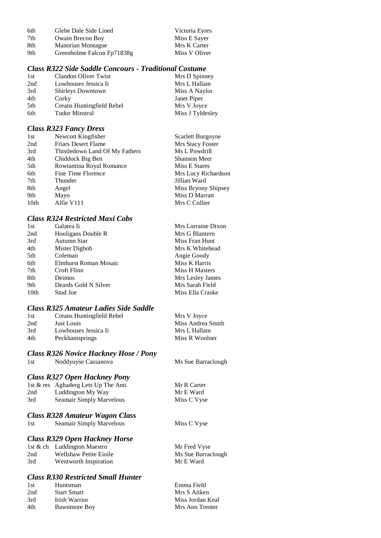| 6th | Glebe Dale Side Lined      | Victoria Eyres |
|-----|----------------------------|----------------|
| 7th | Owain Brecon Boy           | Miss E Sayer   |
| 8th | <b>Manorian Montague</b>   | Mrs K Carter   |
| 9th | Greenholme Falcon Fp71838g | Miss V Oliver  |

#### *Class R322 Side Saddle Concours - Traditional Costume*

| 1st | Clandon Oliver Twist      | Mrs D Spinney    |
|-----|---------------------------|------------------|
| 2nd | Lowhouses Jessica Ii      | Mrs L Hallam     |
| 3rd | <b>Shirleys Downtown</b>  | Miss A Naylor    |
| 4th | Corky                     | Janet Piper      |
| 5th | Creans Huntingfield Rebel | Mrs V Joyce      |
| 6th | <b>Tudor Minstral</b>     | Miss J Tyldesley |

#### *Class R323 Fancy Dress*

| Newcott Kingfisher             | Scarlett Burgoyne   |
|--------------------------------|---------------------|
| <b>Friars Desert Flame</b>     | Mrs Stacy Foster    |
| Thistledown Land Of My Fathers | Ms L Powdrill       |
| Chiddock Big Ben               | Shannon Meer        |
| Rowtantina Royal Romance       | Miss E Stares       |
| Fine Time Florence             | Mrs Lucy Richardson |
| Thunder                        | Jillian Ward        |
| Angel                          | Miss Bryony Shipsey |
| Mayo                           | Miss D Marratt      |
| Alfie V111                     | Mrs C Collier       |
|                                |                     |

#### *Class R324 Restricted Maxi Cobs*

| 1st  | Galatea Ii            | Mrs Lorraine Dixon |
|------|-----------------------|--------------------|
| 2nd  | Hooligans Double R    | Mrs G Blantern     |
| 3rd  | Autumn Star           | Miss Fran Hunt     |
| 4th  | Mister Digbob         | Mrs K Whitehead    |
| 5th  | Coleman               | Angie Goody        |
| 6th  | Elmhurst Roman Mosaic | Miss K Harris      |
| 7th  | Croft Flinn           | Miss H Masters     |
| 8th  | Deimos                | Mrs Lesley James   |
| 9th  | Deards Gold N Silver  | Mrs Sarah Field    |
| 10th | Stud Joe              | Miss Ella Craske   |
|      |                       |                    |

## *Class R325 Amateur Ladies Side Saddle*

| 1st | Creans Huntingfield Rebel | Mrs V Joyce       |
|-----|---------------------------|-------------------|
| 2nd | Just Louis                | Miss Andrea Smith |
| 3rd | Lowhouses Jessica Ii      | Mrs L Hallam      |
| 4th | <b>Peckhamsprings</b>     | Miss R Woolner    |

Mr R Carter  $Mr E Ward$ Miss C Vyse

Miss C Vyse

# *Class R326 Novice Hackney Hose / Pony*

Noddyuyse Cassanova Ms Sue Barraclough

## *Class R327 Open Hackney Pony*

|     | 1st & res Aghaderg Lets Up The Anti |
|-----|-------------------------------------|
| 2nd | Luddington My Way                   |
| 3rd | Seamair Simply Marvelous            |

#### *Class R328 Amateur Wagon Class*

| 1st | Seamair Simply Marvelous |
|-----|--------------------------|
|     |                          |

## *Class R329 Open Hackney Horse*

|     | 1st & ch Luddington Maestro | Mr Fred Vyse       |
|-----|-----------------------------|--------------------|
| 2nd | Wellshaw Petite Eioile      | Ms Sue Barraclough |
| 3rd | Wentworth Inspiration       | Mr E Ward          |

## *Class R330 Restricted Small Hunter*

| 1st | Huntsman            | Emma Field       |
|-----|---------------------|------------------|
| 2nd | <b>Start Smart</b>  | Mrs S Aitken     |
| 3rd | Irish Warrior       | Miss Jordan Keal |
| 4th | <b>Bawnmore Boy</b> | Mrs Ann Trenter  |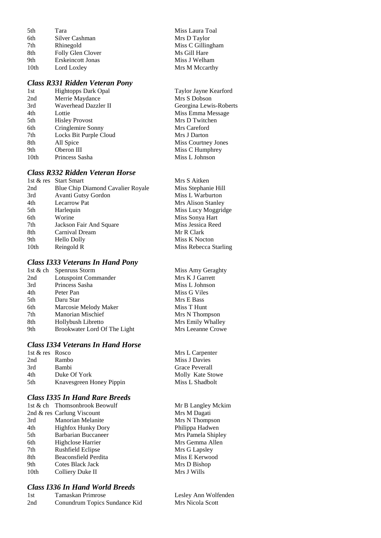| 5th              | Tara                     |
|------------------|--------------------------|
| 6th              | Silver Cashman           |
| 7th              | Rhinegold                |
| 8th              | Folly Glen Clover        |
| 9th              | <b>Erskeincott Jonas</b> |
| 10 <sub>th</sub> | Lord Loxley              |
|                  |                          |

## *Class R331 Ridden Veteran Pony*

| 1st  | <b>Hightopps Dark Opal</b> |
|------|----------------------------|
| 2nd  | Merrie Maydance            |
| 3rd  | Waverhead Dazzler II       |
| 4th  | Lottie                     |
| 5th  | <b>Hisley Provost</b>      |
| 6th  | Cringlemire Sonny          |
| 7th  | Locks Bit Purple Cloud     |
| 8th  | All Spice                  |
| 9th  | Oberon III                 |
| 10th | Princess Sasha             |

## *Class R332 Ridden Veteran Horse*

|                  | 1st & res Start Smart             | Mrs S Aitken          |
|------------------|-----------------------------------|-----------------------|
| 2nd              | Blue Chip Diamond Cavalier Royale | Miss Stephanie Hill   |
| 3rd              | Avanti Gutsy Gordon               | Miss L Warburton      |
| 4th              | Lecarrow Pat                      | Mrs Alison Stanley    |
| 5th              | Harlequin                         | Miss Lucy Moggridge   |
| 6th              | Worine                            | Miss Sonya Hart       |
| 7th              | Jackson Fair And Square           | Miss Jessica Reed     |
| 8th              | Carnival Dream                    | Mr R Clark            |
| 9th              | <b>Hello Dolly</b>                | Miss K Nocton         |
| 10 <sub>th</sub> | Reingold R                        | Miss Rebecca Starling |
|                  |                                   |                       |

## *Class I333 Veterans In Hand Pony*

|     | 1st & ch Spenruss Storm      | Miss Amy G   |
|-----|------------------------------|--------------|
| 2nd | Lotuspoint Commander         | Mrs K J Garr |
| 3rd | Princess Sasha               | Miss L Johns |
| 4th | Peter Pan                    | Miss G Viles |
| 5th | Daru Star                    | Mrs E Bass   |
| 6th | Marcosie Melody Maker        | Miss T Hunt  |
| 7th | <b>Manorian Mischief</b>     | Mrs N Thom   |
| 8th | Hollybush Libretto           | Mrs Emily W  |
| 9th | Brookwater Lord Of The Light | Mrs Leeanne  |
|     |                              |              |

#### *Class I334 Veterans In Hand Horse*

| 1st & res Rosco |                          |  |
|-----------------|--------------------------|--|
| 2nd             | Rambo                    |  |
| 3rd             | <b>Bambi</b>             |  |
| 4th             | Duke Of York             |  |
| 5th             | Knavesgreen Honey Pippin |  |
|                 |                          |  |

## *Class I335 In Hand Rare Breeds*

|                  | 1st & ch Thomsonbrook Beowulf |
|------------------|-------------------------------|
|                  | 2nd & res Carlung Viscount    |
| 3rd              | <b>Manorian Melanite</b>      |
| 4th              | <b>Highfox Hunky Dory</b>     |
| 5th              | <b>Barbarian Buccaneer</b>    |
| 6th              | <b>Highclose Harrier</b>      |
| 7th              | Rushfield Eclipse             |
| 8th              | Beaconsfield Perdita          |
| 9th              | Cotes Black Jack              |
| 10 <sub>th</sub> | Colliery Duke II              |

## *Class I336 In Hand World Breeds*

| 1st | Tamaskan Primrose             |
|-----|-------------------------------|
| 2nd | Conundrum Topics Sundance Kid |

Miss Laura Toal Mrs D Taylor Miss C Gillingham Ms Gill Hare Miss J Welham Mrs M Mccarthy

Taylor Jayne Kearford Mrs S Dobson Georgina Lewis-Roberts Miss Emma Message Mrs D Twitchen Mrs Careford Mrs J Darton Miss Courtney Jones Miss C Humphrey Miss L Johnson

Amy Geraghty J Garrett Johnson Thompson mily Whalley eeanne Crowe

Mrs L Carpenter Miss J Davies Grace Peverall Molly Kate Stowe Miss L Shadbolt

Mr B Langley Mckim Mrs M Dagati Mrs N Thompson Philippa Hadwen Mrs Pamela Shipley Mrs Gemma Allen Mrs G Lapsley Miss E Kerwood Mrs D Bishop Mrs J Wills

Lesley Ann Wolfenden Mrs Nicola Scott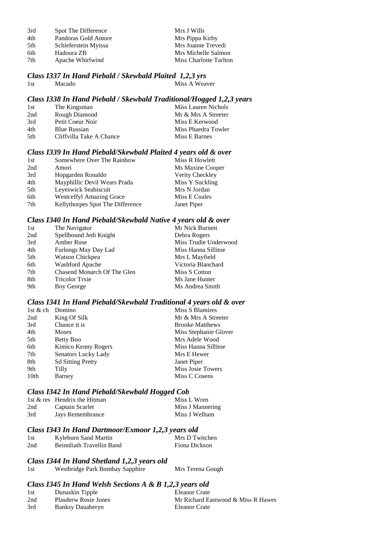| 3rd | Spot The Difference  | Mrs J Wills            |
|-----|----------------------|------------------------|
| 4th | Pandoras Gold Amore  | Mrs Pippa Kirby        |
| 5th | Schieferstein Myissa | Mrs Joanne Trevedi     |
| 6th | Hadoura ZB           | Mrs Michelle Salmon    |
| 7th | Apache Whirlwind     | Miss Charlotte Tarlton |

#### *Class I337 In Hand Piebald / Skewbald Plaited 1,2,3 yrs* 1st Macado Miss A Weaver

## *Class I338 In Hand Piebald / Skewbald Traditional/Hogged 1,2,3 years*

| 1st | The Kingsman             | Miss Lauren Nichols |
|-----|--------------------------|---------------------|
| 2nd | Rough Diamond            | Mr & Mrs A Streeter |
| 3rd | Petit Coeur Noir         | Miss E Kerwood      |
| 4th | <b>Blue Russian</b>      | Miss Phaedra Towler |
| 5th | Cliffyilla Take A Chance | Miss E Barnes       |

#### *Class I339 In Hand Piebald/Skewbald Plaited 4 years old & over*

| 1st | Somewhere Over The Rainbow       | Miss R Howlett   |
|-----|----------------------------------|------------------|
| 2nd | Amori                            | Ms Maxine Cooper |
| 3rd | Hopgarden Ronaldo                | Verity Checkley  |
| 4th | Mayphillic Devil Wears Prada     | Miss Y Suckling  |
| 5th | Leyeswick Seabiscuit             | Mrs N Jordan     |
| 6th | <b>Westceffyl Amazing Grace</b>  | Miss E Coales    |
| 7th | Kellythorpes Spot The Difference | Janet Piper      |

#### *Class I340 In Hand Piebald/Skewbald Native 4 years old & over*

| 1st | The Navigator               | Mr Nick Burnett       |
|-----|-----------------------------|-----------------------|
| 2nd | Spellbound Jedi Knight      | Debra Rogers          |
| 3rd | Amber Rose                  | Miss Trudie Underwood |
| 4th | Furlongs May Day Lad        | Miss Hanna Sillitoe   |
| 5th | Watson Chickpea             | Mrs L Mayfield        |
| 6th | <b>Washford Apache</b>      | Victoria Blanchard    |
| 7th | Chasend Monarch Of The Glen | Miss S Cotton         |
| 8th | <b>Tricolor Trxie</b>       | Ms Jane Hunter        |
| 9th | Boy George                  | Ms Andrea Smith       |
|     |                             |                       |

#### *Class I341 In Hand Piebald/Skewbald Traditional 4 years old & over*

| 1st $&$ ch | Domino                   | Miss S Blamires        |
|------------|--------------------------|------------------------|
| 2nd        | King Of Silk             | Mr & Mrs A Streeter    |
| 3rd        | Chance it is             | <b>Brooke Matthews</b> |
| 4th        | <b>Moses</b>             | Miss Stephanie Glover  |
| 5th        | Betty Boo                | Mrs Adele Wood         |
| 6th        | Kimico Kenny Rogers      | Miss Hanna Sillitoe    |
| 7th        | Senators Lucky Lady      | Mrs E Hewer            |
| 8th        | <b>Sd Sitting Pretty</b> | Janet Piper            |
| 9th        | Tilly                    | Miss Josie Towers      |
| 10th       | Barney                   | Miss C Cosens          |

## *Class I342 In Hand Piebald/Skewbald Hogged Cob*

|     | 1st & res Hendrix the Hitman | Miss L Wren      |
|-----|------------------------------|------------------|
| 2nd | Captain Scarlet              | Miss J Mannering |
| 3rd | Jays Remembrance             | Miss J Welham    |

#### *Class I343 In Hand Dartmoor/Exmoor 1,2,3 years old*

| 1st | Kyleburn Sand Martin      | Mrs D Twitchen |
|-----|---------------------------|----------------|
| 2nd | Beinnliath Travellin Band | Fiona Dickson  |

#### *Class I344 In Hand Shetland 1,2,3 years old*

| 1st | Westbridge Park Bombay Sapphire | Mrs Terena Gough |
|-----|---------------------------------|------------------|
|-----|---------------------------------|------------------|

#### *Class I345 In Hand Welsh Sections A & B 1,2,3 years old*

| 1st | Dunaskin Tipple             | Eleanor Crate                      |
|-----|-----------------------------|------------------------------------|
| 2nd | <b>Plasderw Rosie Jones</b> | Mr Richard Eastwood & Miss R Hawes |
| 3rd | Banksy Dauaberyn            | Eleanor Crate                      |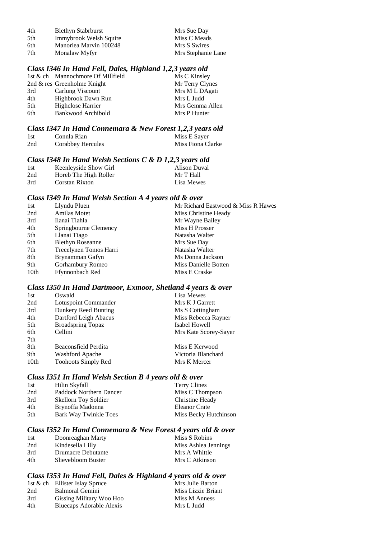| 4th | <b>Blethyn Stabrburst</b> | Mrs Sue Day        |
|-----|---------------------------|--------------------|
| 5th | Immybrook Welsh Squire    | Miss C Meads       |
| 6th | Manorlea Marvin 100248    | Mrs S Swires       |
| 7th | Monalaw Myfyr             | Mrs Stephanie Lane |

#### *Class I346 In Hand Fell, Dales, Highland 1,2,3 years old*

|                 | 1st & ch Mannochmore Of Millfield | Ms C Kinsley    |
|-----------------|-----------------------------------|-----------------|
|                 | 2nd $\&$ res Greenholme Knight    | Mr Terry Clynes |
| 3rd             | Carlung Viscount                  | Mrs M L DAgati  |
| 4th             | Highbrook Dawn Run                | Mrs L Judd      |
| 5 <sup>th</sup> | Highclose Harrier                 | Mrs Gemma Allen |
| 6th             | Bankwood Archibold                | Mrs P Hunter    |
|                 |                                   |                 |

#### *Class I347 In Hand Connemara & New Forest 1,2,3 years old*

| 1st | Connla Rian              | Miss E Sayer      |
|-----|--------------------------|-------------------|
| 2nd | <b>Corabbey Hercules</b> | Miss Fiona Clarke |

## *Class I348 In Hand Welsh Sections C & D 1,2,3 years old*

|     |                       | .            |
|-----|-----------------------|--------------|
| 1st | Keenleyside Show Girl | Alison Duval |
| 2nd | Horeb The High Roller | Mr T Hall    |
| 3rd | Corstan Rixton        | Lisa Mewes   |

#### *Class I349 In Hand Welsh Section A 4 years old & over*

| 1st  | Llyndu Pluen            | Mr Richard Eastwood & Miss R Hawes |
|------|-------------------------|------------------------------------|
| 2nd  | Amilas Motet            | Miss Christine Heady               |
| 3rd  | Ilanai Tiahla           | Mr Wayne Bailey                    |
| 4th  | Springbourne Clemency   | Miss H Prosser                     |
| 5th  | Llanai Tiago            | Natasha Walter                     |
| 6th  | <b>Blethyn Roseanne</b> | Mrs Sue Day                        |
| 7th  | Trecelynen Tomos Harri  | Natasha Walter                     |
| 8th  | Brynamman Gafyn         | Ms Donna Jackson                   |
| 9th  | Gorhambury Romeo        | Miss Danielle Botten               |
| 10th | Ffynnonbach Red         | Miss E Craske                      |
|      |                         |                                    |

#### *Class I350 In Hand Dartmoor, Exmoor, Shetland 4 years & over*

| 1st              | Oswald                   | Lisa Mewes            |
|------------------|--------------------------|-----------------------|
| 2nd              | Lotuspoint Commander     | Mrs K J Garrett       |
| 3rd              | Dunkery Reed Bunting     | Ms S Cottingham       |
| 4th              | Dartford Leigh Abacus    | Miss Rebecca Rayner   |
| 5th              | <b>Broadspring Topaz</b> | Isabel Howell         |
| 6th              | Cellini                  | Mrs Kate Scorey-Sayer |
| 7th              |                          |                       |
| 8th              | Beaconsfield Perdita     | Miss E Kerwood        |
| 9th              | <b>Washford Apache</b>   | Victoria Blanchard    |
| 10 <sub>th</sub> | Toohoots Simply Red      | Mrs K Mercer          |

#### *Class I351 In Hand Welsh Section B 4 years old & over*

| 1st | Hilin Skyfall               | Terry Clines          |
|-----|-----------------------------|-----------------------|
| 2nd | Paddock Northern Dancer     | Miss C Thompson       |
| 3rd | <b>Skellorn Toy Soldier</b> | Christine Heady       |
| 4th | Brynoffa Madonna            | Eleanor Crate         |
| 5th | Bark Way Twinkle Toes       | Miss Becky Hutchinson |

## *Class I352 In Hand Connemara & New Forest 4 years old & over*

| 1st | Doonreaghan Marty  | Miss S Robins        |
|-----|--------------------|----------------------|
| 2nd | Kindesella Lilly   | Miss Ashlea Jennings |
| 3rd | Drumacre Debutante | Mrs A Whittle        |
| 4th | Slievebloom Buster | Mrs C Atkinson       |

## *Class I353 In Hand Fell, Dales & Highland 4 years old & over*

|     | 1st & ch Ellister Islay Spruce | Mrs Julie Barton   |
|-----|--------------------------------|--------------------|
| 2nd | Balmoral Gemini                | Miss Lizzie Briant |
| 3rd | Gissing Military Woo Hoo       | Miss M Anness      |
| 4th | Bluecaps Adorable Alexis       | Mrs L Judd         |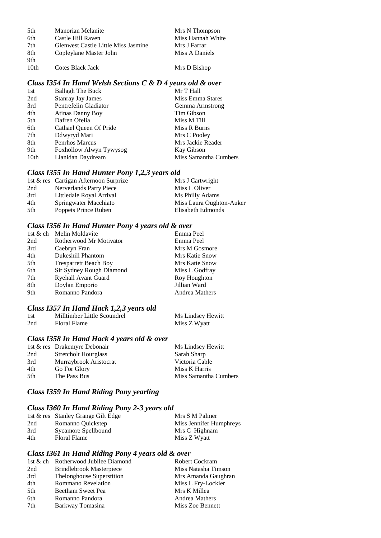| 5th              | <b>Manorian Melanite</b>                   | Mrs N Thompson    |
|------------------|--------------------------------------------|-------------------|
| 6th              | Castle Hill Raven                          | Miss Hannah White |
| 7th              | <b>Glenwest Castle Little Miss Jasmine</b> | Mrs J Farrar      |
| 8th              | Copleylane Master John                     | Miss A Daniels    |
| 9th              |                                            |                   |
| 10 <sub>th</sub> | Cotes Black Jack                           | Mrs D Bishop      |

#### *Class I354 In Hand Welsh Sections C & D 4 years old & over*

| <b>Ballagh The Buck</b>  | Mr T Hall             |
|--------------------------|-----------------------|
| <b>Stanray Jay James</b> | Miss Emma Stares      |
| Pentrefelin Gladiator    | Gemma Armstrong       |
| Atinas Danny Boy         | Tim Gibson            |
| Dafren Ofelia            | Miss M Till           |
| Cathael Queen Of Pride   | Miss R Burns          |
| Ddwyryd Mari             | Mrs C Pooley          |
| Penrhos Marcus           | Mrs Jackie Reader     |
| Foxhollow Alwyn Tywysog  | Kay Gibson            |
| Llanidan Daydream        | Miss Samantha Cumbers |
|                          |                       |

## *Class I355 In Hand Hunter Pony 1,2,3 years old*

|     | 1st & res Cartigan Afternoon Surprize | Mrs J Cartwright         |
|-----|---------------------------------------|--------------------------|
| 2nd | Nerverlands Party Piece               | Miss L Oliver            |
| 3rd | Littledale Royal Arrival              | Ms Philly Adams          |
| 4th | Springwater Macchiato                 | Miss Laura Oughton-Auker |
| 5th | Poppets Prince Ruben                  | Elisabeth Edmonds        |

## *Class I356 In Hand Hunter Pony 4 years old & over*

|     | 1st & ch Melin Moldavite     | Emma Peel             |
|-----|------------------------------|-----------------------|
| 2nd | Rotherwood Mr Motivator      | Emma Peel             |
| 3rd | Caebryn Fran                 | Mrs M Gosmore         |
| 4th | <b>Dukeshill Phantom</b>     | Mrs Katie Snow        |
| 5th | <b>Tresparrett Beach Boy</b> | Mrs Katie Snow        |
| 6th | Sir Sydney Rough Diamond     | Miss L Godfray        |
| 7th | <b>Ryehall Avant Guard</b>   | Roy Houghton          |
| 8th | Doylan Emporio               | Jillian Ward          |
| 9th | Romanno Pandora              | <b>Andrea Mathers</b> |

## *Class I357 In Hand Hack 1,2,3 years old*

| 1st | Milltimber Little Scoundrel | Ms Lindsey Hewitt |
|-----|-----------------------------|-------------------|
| 2nd | Floral Flame                | Miss Z Wyatt      |

## *Class I358 In Hand Hack 4 years old & over*

|     | 1st & res Drakemyre Debonair | Ms Lindsey Hewitt     |
|-----|------------------------------|-----------------------|
| 2nd | <b>Stretcholt Hourglass</b>  | Sarah Sharp           |
| 3rd | Murraybrook Aristocrat       | Victoria Cable        |
| 4th | Go For Glory                 | Miss K Harris         |
| 5th | The Pass Bus                 | Miss Samantha Cumbers |

#### *Class I359 In Hand Riding Pony yearling*

## *Class I360 In Hand Riding Pony 2-3 years old*

|     | 1st & res Stanley Grange Gilt Edge | Mrs S M Palmer          |
|-----|------------------------------------|-------------------------|
| 2nd | Romanno Quickstep                  | Miss Jennifer Humphreys |
| 3rd | Sycamore Spellbound                | Mrs C Highnam           |
| 4th | <b>Floral Flame</b>                | Miss Z Wyatt            |

## *Class I361 In Hand Riding Pony 4 years old & over*

|                           | <b>Robert Cockram</b>               |
|---------------------------|-------------------------------------|
| Brindlebrook Masterpiece  | Miss Natasha Timson                 |
| Thelonghouse Superstition | Mrs Amanda Gaughran                 |
| <b>Rommano Revelation</b> | Miss L Fry-Lockier                  |
| Beetham Sweet Pea         | Mrs K Millea                        |
| Romanno Pandora           | <b>Andrea Mathers</b>               |
| Barkway Tomasina          | Miss Zoe Bennett                    |
|                           | 1st & ch Rotherwood Jubilee Diamond |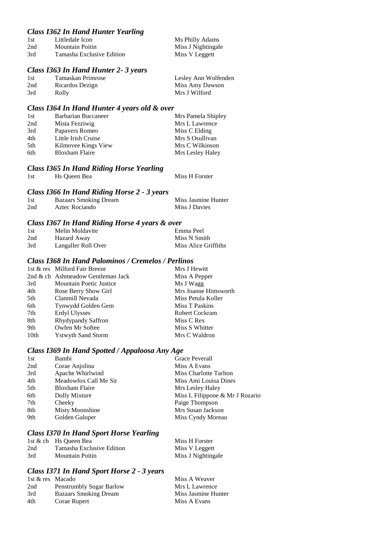## *Class I362 In Hand Hunter Yearling*

| -1st | Littledale Icon           | Ms Philly Adams    |
|------|---------------------------|--------------------|
| 2nd  | Mountain Poitin           | Miss J Nightingale |
| 3rd  | Tamasha Exclusive Edition | Miss V Leggett     |

#### *Class I363 In Hand Hunter 2- 3 years*

| 1st | Tamaskan Primrose | Lesley Ann Wolfenden |
|-----|-------------------|----------------------|
| 2nd | Ricardos Dezign   | Miss Amy Dawson      |
| 3rd | Rolly             | Mrs J Wilford        |

#### *Class I364 In Hand Hunter 4 years old & over*

| 1st | <b>Barbarian Buccaneer</b> | Mrs Pamela Shipley |
|-----|----------------------------|--------------------|
| 2nd | Mista Fezziwig             | Mrs L Lawrence     |
| 3rd | Papavers Romeo             | Miss C Elding      |
| 4th | Little Irish Cruise        | Mrs S Osullivan    |
| 5th | Kilmovee Kings View        | Mrs C Wilkinson    |
| 6th | <b>Bloxham Flaire</b>      | Mrs Lesley Haley   |

## *Class I365 In Hand Riding Horse Yearling*

## *Class I366 In Hand Riding Horse 2 - 3 years*

| -1st | <b>Bazaars Smoking Dream</b> | Miss Jasmine Hunter |
|------|------------------------------|---------------------|
| 2nd  | Aztec Rociando               | Miss J Davies       |

#### *Class I367 In Hand Riding Horse 4 years & over*

| 1st | Melin Moldavite     | Emma Peel            |
|-----|---------------------|----------------------|
| 2nd | Hazard Away         | Miss N Smith         |
| 3rd | Langaller Roll Over | Miss Alice Griffiths |

#### *Class I368 In Hand Palominos / Cremelos / Perlinos*

|                  | 1st & res Milford Fair Breeze     | Mrs J Hewitt         |
|------------------|-----------------------------------|----------------------|
|                  | 2nd & ch Ashmeadow Gentleman Jack | Miss A Pepper        |
| 3rd              | <b>Mountain Poetic Justice</b>    | Ms J Wagg            |
| 4th              | Rose Berry Show Girl              | Mrs Joanne Himsworth |
| 5th              | Clanmill Nevada                   | Miss Petula Koller   |
| 6th              | Tynwydd Golden Gem                | Miss T Paskins       |
| 7th              | Erdyl Ulysses                     | Robert Cockram       |
| 8th              | Rhydypandy Saffron                | Miss C Rex           |
| 9th              | Owfen Mr Softee                   | Miss S Whitter       |
| 10 <sub>th</sub> | <b>Ystwyth Sand Storm</b>         | Mrs C Waldron        |

## *Class I369 In Hand Spotted / Appaloosa Any Age*

| 1st | Bambi                 | Grace Peverall                  |
|-----|-----------------------|---------------------------------|
| 2nd | Corae Anjolina        | Miss A Evans                    |
| 3rd | Apache Whirlwind      | Miss Charlotte Tarlton          |
| 4th | Meadowfox Call Me Sir | Miss Ami Louisa Dines           |
| 5th | Bloxham Flaire        | Mrs Lesley Haley                |
| 6th | Dolly Mixture         | Miss L Filippone & Mr J Rozario |
| 7th | Cheeky                | Paige Thompson                  |
| 8th | Misty Moonshine       | Mrs Susan Jackson               |
| 9th | Golden Galoper        | Miss Cyndy Moreau               |
|     |                       |                                 |

## *Class I370 In Hand Sport Horse Yearling*

|     | 1st & ch Hs Queen Bea     | Miss H Forster     |
|-----|---------------------------|--------------------|
| 2nd | Tamasha Exclusive Edition | Miss V Leggett     |
| 3rd | Mountain Poitin           | Miss J Nightingale |

## *Class I371 In Hand Sport Horse 2 - 3 years*

| 1st & res Macado |                                 | Miss A Weaver       |
|------------------|---------------------------------|---------------------|
| 2nd              | <b>Penstrumbly Sugar Barlow</b> | Mrs L Lawrence      |
| 3rd              | <b>Bazaars Smoking Dream</b>    | Miss Jasmine Hunter |
| 4th              | Corae Rupert                    | Miss A Evans        |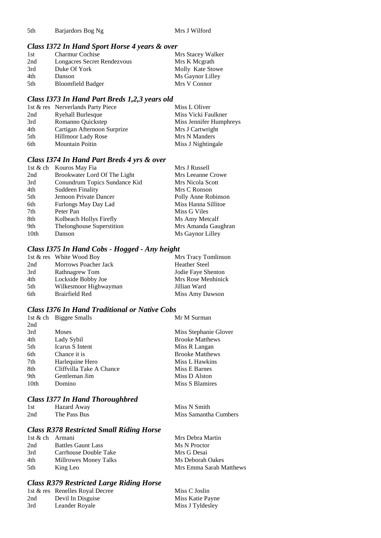## *Class I372 In Hand Sport Horse 4 years & over*

| 1st | <b>Charmur Cochise</b>      | Mrs Stacey Walker |
|-----|-----------------------------|-------------------|
| 2nd | Longacres Secret Rendezvous | Mrs K Megrath     |
| 3rd | Duke Of York                | Molly Kate Stowe  |
| 4th | Danson                      | Ms Gaynor Lilley  |
| 5th | <b>Bloomfield Badger</b>    | Mrs V Connor      |

#### *Class I373 In Hand Part Breds 1,2,3 years old*

|     | 1st & res Nerverlands Party Piece | Miss L Oliver           |
|-----|-----------------------------------|-------------------------|
| 2nd | <b>Ryehall Burlesque</b>          | Miss Vicki Faulkner     |
| 3rd | Romanno Quickstep                 | Miss Jennifer Humphreys |
| 4th | Cartigan Afternoon Surprize       | Mrs J Cartwright        |
| 5th | Hillmoor Lady Rose                | Mrs N Manders           |
| 6th | <b>Mountain Poitin</b>            | Miss J Nightingale      |

## *Class I374 In Hand Part Breds 4 yrs & over*

|      | 1st & ch Kouros May Fia       | Mrs J Russell       |
|------|-------------------------------|---------------------|
| 2nd  | Brookwater Lord Of The Light  | Mrs Leeanne Crowe   |
| 3rd  | Conundrum Topics Sundance Kid | Mrs Nicola Scott    |
| 4th  | <b>Suddeen Finality</b>       | Mrs C Ronson        |
| 5th  | Jemoon Private Dancer         | Polly Anne Robinson |
| 6th  | Furlongs May Day Lad          | Miss Hanna Sillitoe |
| 7th  | Peter Pan                     | Miss G Viles        |
| 8th  | Kolbeach Hollys Firefly       | Ms Amy Metcalf      |
| 9th  | Thelonghouse Superstition     | Mrs Amanda Gaughran |
| 10th | Danson                        | Ms Gaynor Lilley    |

#### *Class I375 In Hand Cobs - Hogged - Any height*

|     | 1st & res White Wood Boy | Mrs Tracy Tomlinson  |
|-----|--------------------------|----------------------|
| 2nd | Morrows Poacher Jack     | <b>Heather Steel</b> |
| 3rd | <b>Rathnagrew Tom</b>    | Jodie Faye Shenton   |
| 4th | Lockside Bobby Joe       | Mrs Rose Menhinick   |
| 5th | Wilkesmoor Highwayman    | Jillian Ward         |
| 6th | Brairfield Red           | Miss Amy Dawson      |

### *Class I376 In Hand Traditional or Native Cobs*

|      | 1st & ch Biggee Smalls          | Mr M Surman            |
|------|---------------------------------|------------------------|
| 2nd  |                                 |                        |
| 3rd  | <b>Moses</b>                    | Miss Stephanie Glover  |
| 4th  | Lady Sybil                      | <b>Brooke Matthews</b> |
| 5th  | Icarus S Intent                 | Miss R Langan          |
| 6th  | Chance it is                    | <b>Brooke Matthews</b> |
| 7th  | Harlequine Hero                 | Miss L Hawkins         |
| 8th  | Cliffyilla Take A Chance        | Miss E Barnes          |
| 9th  | Gentleman Jim                   | Miss D Alston          |
| 10th | Domino                          | Miss S Blamires        |
|      |                                 |                        |
|      | Class 1277 In Hand Thoroughbred |                        |

### *Class I377 In Hand Thoroughbred*

| 1st | Hazard Away  | Miss N Smith          |
|-----|--------------|-----------------------|
| 2nd | The Pass Bus | Miss Samantha Cumbers |

### *Class R378 Restricted Small Riding Horse*

| 1st & ch Armani |                           | Mrs Debra Martin        |
|-----------------|---------------------------|-------------------------|
| 2nd             | <b>Battles Gaunt Lass</b> | Ms N Proctor            |
| 3rd             | Carrhouse Double Take     | Mrs G Desai             |
| 4th             | Millrowes Money Talks     | Ms Deborah Oakes        |
| 5th             | King Leo                  | Mrs Emma Sarah Matthews |

#### *Class R379 Restricted Large Riding Horse*

|     | 1st & res Renelles Royal Decree | Miss C Joslin    |
|-----|---------------------------------|------------------|
| 2nd | Devil In Disguise               | Miss Katie Payne |
| 3rd | Leander Royale                  | Miss J Tyldesley |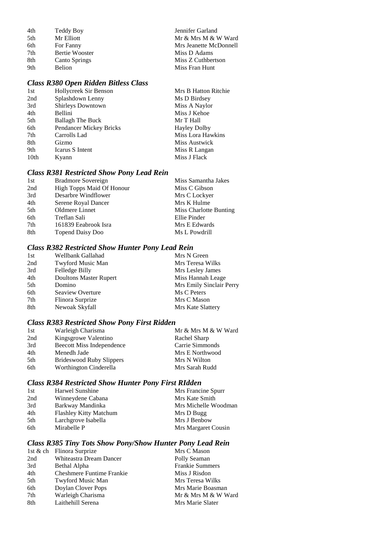| Teddy Boy            | Jennifer Garland       |
|----------------------|------------------------|
| Mr Elliott           | Mr & Mrs M & W Ward    |
| For Fanny            | Mrs Jeanette McDonnell |
| Bertie Wooster       | Miss D Adams           |
| <b>Canto Springs</b> | Miss Z Cuthbertson     |
| <b>Belion</b>        | Miss Fran Hunt         |
|                      |                        |

## *Class R380 Open Ridden Bitless Class*

| 1st  | Hollycreek Sir Benson   | Mrs B Hatton Ritchie |
|------|-------------------------|----------------------|
| 2nd  | Splashdown Lenny        | Ms D Birdsey         |
| 3rd  | Shirleys Downtown       | Miss A Naylor        |
| 4th  | Bellini                 | Miss J Kehoe         |
| 5th  | <b>Ballagh The Buck</b> | Mr T Hall            |
| 6th  | Pendancer Mickey Bricks | <b>Hayley Dolby</b>  |
| 7th  | Carrolls Lad            | Miss Lora Hawkins    |
| 8th  | Gizmo                   | Miss Austwick        |
| 9th  | Icarus S Intent         | Miss R Langan        |
| 10th | Kyann                   | Miss J Flack         |
|      |                         |                      |

## *Class R381 Restricted Show Pony Lead Rein*

| 2nd<br>High Topps Maid Of Honour<br>Miss C Gibson<br>Desarbre Windflower<br>3rd<br>Mrs C Lockyer<br>4th<br>Mrs K Hulme<br>Serene Royal Dancer<br>Oldmere Linnet<br>5th<br>Miss Charlotte Bunting |
|--------------------------------------------------------------------------------------------------------------------------------------------------------------------------------------------------|
|                                                                                                                                                                                                  |
|                                                                                                                                                                                                  |
|                                                                                                                                                                                                  |
|                                                                                                                                                                                                  |
| Ellie Pinder<br>6th<br>Treflan Sali                                                                                                                                                              |
| 7th<br>161839 Eeabrook Isra<br>Mrs E Edwards                                                                                                                                                     |
| 8th<br>Ms L Powdrill<br><b>Topend Daisy Doo</b>                                                                                                                                                  |

## *Class R382 Restricted Show Hunter Pony Lead Rein*

| 1st | Wellbank Gallahad             | Mrs N Green              |
|-----|-------------------------------|--------------------------|
| 2nd | Twyford Music Man             | Mrs Teresa Wilks         |
| 3rd | Felledge Billy                | Mrs Lesley James         |
| 4th | <b>Doultons Master Rupert</b> | Miss Hannah Leage        |
| 5th | Domino                        | Mrs Emily Sinclair Perry |
| 6th | Seaview Overture              | Ms C Peters              |
| 7th | Flinora Surprize              | Mrs C Mason              |
| 8th | Newoak Skyfall                | Mrs Kate Slattery        |

## *Class R383 Restricted Show Pony First Ridden*

| 1st | Warleigh Charisma                | Mr & Mrs M & W Ward |
|-----|----------------------------------|---------------------|
| 2nd | Kingsgrowe Valentino             | Rachel Sharp        |
| 3rd | <b>Beecott Miss Independence</b> | Carrie Simmonds     |
| 4th | Menedh Jade                      | Mrs E Northwood     |
| 5th | <b>Brideswood Ruby Slippers</b>  | Mrs N Wilton        |
| 6th | Worthington Cinderella           | Mrs Sarah Rudd      |

## *Class R384 Restricted Show Hunter Pony First RIdden*

| 1st | Harwel Sunshine               | Mrs Francine Spurr   |
|-----|-------------------------------|----------------------|
| 2nd | Winneydene Cabana             | Mrs Kate Smith       |
| 3rd | Barkway Mandinka              | Mrs Michelle Woodman |
| 4th | <b>Flashley Kitty Matchum</b> | Mrs D Bugg           |
| 5th | Larchgrove Isabella           | Mrs J Benbow         |
| 6th | Mirabelle P                   | Mrs Margaret Cousin  |

## *Class R385 Tiny Tots Show Pony/Show Hunter Pony Lead Rein*

|     | 1st & ch Flinora Surprize        | Mrs C Mason            |
|-----|----------------------------------|------------------------|
| 2nd | Whiteastra Dream Dancer          | Polly Seaman           |
| 3rd | Bethal Alpha                     | <b>Frankie Summers</b> |
| 4th | <b>Cheshmere Funtime Frankie</b> | Miss J Risdon          |
| 5th | Twyford Music Man                | Mrs Teresa Wilks       |
| 6th | Doylan Clover Pops               | Mrs Marie Boasman      |
| 7th | Warleigh Charisma                | Mr & Mrs M & W Ward    |
| 8th | Laithehill Serena                | Mrs Marie Slater       |
|     |                                  |                        |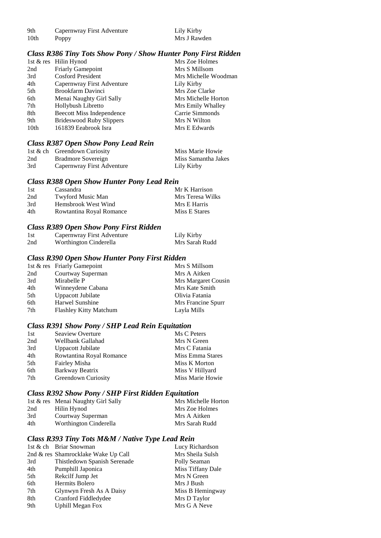| 9th  | Capernwray First Adventure | Lily Kirby   |
|------|----------------------------|--------------|
| 10th | Poppy                      | Mrs J Rawden |

#### *Class R386 Tiny Tots Show Pony / Show Hunter Pony First Ridden*

|      | 1st & res Hilin Hynod           | Mrs Zoe Holmes       |
|------|---------------------------------|----------------------|
| 2nd  | <b>Friarly Gamepoint</b>        | Mrs S Millsom        |
| 3rd  | <b>Cosford President</b>        | Mrs Michelle Woodman |
| 4th  | Capernwray First Adventure      | Lily Kirby           |
| 5th  | Brookfarm Davinci               | Mrs Zoe Clarke       |
| 6th  | Menai Naughty Girl Sally        | Mrs Michelle Horton  |
| 7th  | Hollybush Libretto              | Mrs Emily Whalley    |
| 8th  | Beecott Miss Independence       | Carrie Simmonds      |
| 9th  | <b>Brideswood Ruby Slippers</b> | Mrs N Wilton         |
| 10th | 161839 Eeabrook Isra            | Mrs E Edwards        |
|      |                                 |                      |

## *Class R387 Open Show Pony Lead Rein*

|     | 1st & ch Greendown Curiosity | Miss Marie Howie    |
|-----|------------------------------|---------------------|
| 2nd | Bradmore Sovereign           | Miss Samantha Jakes |
| 3rd | Capernwray First Adventure   | Lily Kirby          |

#### *Class R388 Open Show Hunter Pony Lead Rein*

| 1st | Cassandra                | Mr K Harrison    |
|-----|--------------------------|------------------|
| 2nd | Twyford Music Man        | Mrs Teresa Wilks |
| 3rd | Hemsbrook West Wind      | Mrs E Harris     |
| 4th | Rowtantina Royal Romance | Miss E Stares    |

## *Class R389 Open Show Pony First Ridden*

| 1st | Capernwray First Adventure | Lily Kirby     |
|-----|----------------------------|----------------|
| 2nd | Worthington Cinderella     | Mrs Sarah Rudd |

## *Class R390 Open Show Hunter Pony First Ridden*

|                               | Mrs S Millsom               |
|-------------------------------|-----------------------------|
| Courtway Superman             | Mrs A Aitken                |
| Mirabelle P                   | Mrs Margaret Cousin         |
| Winneydene Cabana             | Mrs Kate Smith              |
| <b>Uppacott Jubilate</b>      | Olivia Fatania              |
| Harwel Sunshine               | Mrs Francine Spurr          |
| <b>Flashley Kitty Matchum</b> | Layla Mills                 |
|                               | 1st & res Friarly Gamepoint |

## *Class R391 Show Pony / SHP Lead Rein Equitation*

| 1st | Seaview Overture         | Ms C Peters      |
|-----|--------------------------|------------------|
| 2nd | Wellbank Gallahad        | Mrs N Green      |
| 3rd | Uppacott Jubilate        | Mrs C Fatania    |
| 4th | Rowtantina Royal Romance | Miss Emma Stares |
| 5th | Fairley Misha            | Miss K Morton    |
| 6th | Barkway Beatrix          | Miss V Hillyard  |
| 7th | Greendown Curiosity      | Miss Marie Howie |

#### *Class R392 Show Pony / SHP First Ridden Equitation*

|     | 1st & res Menai Naughty Girl Sally | Mrs Michelle Horton |
|-----|------------------------------------|---------------------|
| 2nd | Hilin Hynod                        | Mrs Zoe Holmes      |
| 3rd | Courtway Superman                  | Mrs A Aitken        |
| 4th | Worthington Cinderella             | Mrs Sarah Rudd      |

## *Class R393 Tiny Tots M&M / Native Type Lead Rein*

|     | 1st & ch Briar Snowman              | Lucy Richardson   |
|-----|-------------------------------------|-------------------|
|     | 2nd & res Shamrocklake Wake Up Call | Mrs Sheila Sulsh  |
| 3rd | Thistledown Spanish Serenade        | Polly Seaman      |
| 4th | Pumphill Japonica                   | Miss Tiffany Dale |
| 5th | Rekcilf Jump Jet                    | Mrs N Green       |
| 6th | Hermits Bolero                      | Mrs J Bush        |
| 7th | Glynwyn Fresh As A Daisy            | Miss B Hemingway  |
| 8th | Cranford Fiddledydee                | Mrs D Taylor      |
| 9th | <b>Uphill Megan Fox</b>             | Mrs G A Neve      |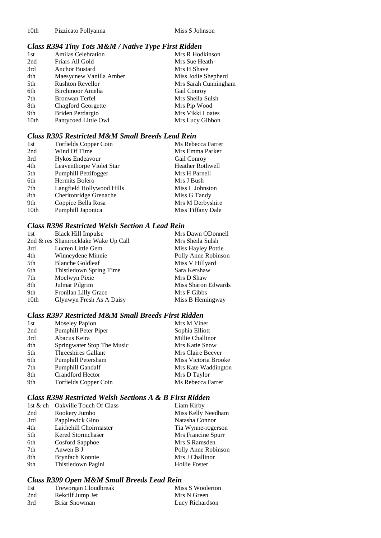## *Class R394 Tiny Tots M&M / Native Type First Ridden*

|      | . .                       |                      |
|------|---------------------------|----------------------|
| 1st  | <b>Amilas Celebration</b> | Mrs R Hodkinson      |
| 2nd  | Friars All Gold           | Mrs Sue Heath        |
| 3rd  | <b>Anchor Bustard</b>     | Mrs H Shave          |
| 4th  | Maesycnew Vanilla Amber   | Miss Jodie Shepherd  |
| 5th  | <b>Rushton Revellor</b>   | Mrs Sarah Cunningham |
| 6th  | Birchmoor Amelia          | <b>Gail Conroy</b>   |
| 7th  | Bronwan Terfel            | Mrs Sheila Sulsh     |
| 8th  | <b>Chagford Georgette</b> | Mrs Pip Wood         |
| 9th  | Briden Perdargio          | Mrs Vikki Loates     |
| 10th | Pantycoed Little Owl      | Mrs Lucy Gibbon      |
|      |                           |                      |

### *Class R395 Restricted M&M Small Breeds Lead Rein*

| 1st              | <b>Torfields Copper Coin</b> | Ms Rebecca Farrer       |
|------------------|------------------------------|-------------------------|
| 2nd              | Wind Of Time                 | Mrs Emma Parker         |
| 3rd              | Hykos Endeavour              | Gail Conroy             |
| 4th              | Leaventhorpe Violet Star     | <b>Heather Rothwell</b> |
| 5th              | Pumphill Pettifogger         | Mrs H Parnell           |
| 6th              | Hermits Bolero               | Mrs J Bush              |
| 7th              | Langfield Hollywood Hills    | Miss L Johnston         |
| 8th              | Cheritonridge Grenache       | Miss G Tandy            |
| 9th              | Coppice Bella Rosa           | Mrs M Derbyshire        |
| 10 <sub>th</sub> | Pumphill Japonica            | Miss Tiffany Dale       |

### *Class R396 Restricted Welsh Section A Lead Rein*

| 1st  | <b>Black Hill Impulse</b>           | Mrs Dawn ODonnell   |
|------|-------------------------------------|---------------------|
|      | 2nd & res Shamrocklake Wake Up Call | Mrs Sheila Sulsh    |
| 3rd  | Lucren Little Gem                   | Miss Hayley Pottle  |
| 4th  | Winneydene Minnie                   | Polly Anne Robinson |
| 5th  | <b>Blanche Goldleaf</b>             | Miss V Hillyard     |
| 6th  | Thistledown Spring Time             | Sara Kershaw        |
| 7th  | Moelwyn Pixie                       | Mrs D Shaw          |
| 8th  | Julmar Pilgrim                      | Miss Sharon Edwards |
| 9th  | Fronllan Lilly Grace                | Mrs F Gibbs         |
| 10th | Glynwyn Fresh As A Daisy            | Miss B Hemingway    |

### *Class R397 Restricted M&M Small Breeds First Ridden*

| 1st | <b>Moseley Papion</b>      | Mrs M Viner          |
|-----|----------------------------|----------------------|
| 2nd | Pumphill Peter Piper       | Sophia Elliott       |
| 3rd | Abacus Keira               | Millie Challinor     |
| 4th | Springwater Stop The Music | Mrs Katie Snow       |
| 5th | Threeshires Gallant        | Mrs Claire Beever    |
| 6th | Pumphill Petersham         | Miss Victoria Brooke |
| 7th | Pumphill Gandalf           | Mrs Kate Waddington  |
| 8th | Crandford Hector           | Mrs D Taylor         |
| 9th | Torfields Copper Coin      | Ms Rebecca Farrer    |

## *Class R398 Restricted Welsh Sections A & B First Ridden*

|     | 1st & ch Oakville Touch Of Class | Liam Kirby           |
|-----|----------------------------------|----------------------|
| 2nd | Rookery Jumbo                    | Miss Kelly Needham   |
| 3rd | Papplewick Gino                  | Natasha Connor       |
| 4th | Laithehill Choirmaster           | Tia Wynne-rogerson   |
| 5th | Kered Stormchaser                | Mrs Francine Spurr   |
| 6th | Cosford Sapphoe                  | Mrs S Ramsden        |
| 7th | Anwen B J                        | Polly Anne Robinson  |
| 8th | Brynfach Konnie                  | Mrs J Challinor      |
| 9th | Thistledown Pagini               | <b>Hollie Foster</b> |

## *Class R399 Open M&M Small Breeds Lead Rein*

| -1 st | Treworgan Cloudbreak | Miss S Woolerton |
|-------|----------------------|------------------|
| 2nd   | Rekcilf Jump Jet     | Mrs N Green      |
| 3rd   | Briar Snowman        | Lucy Richardson  |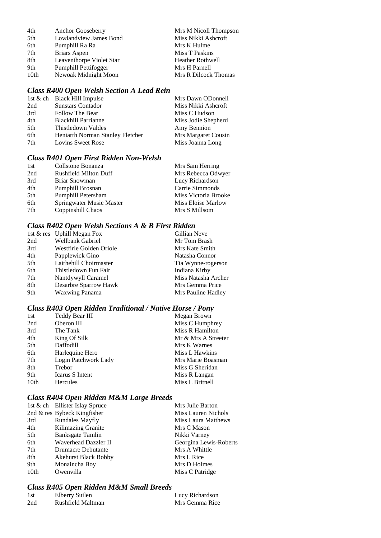| 4th  | Anchor Gooseberry        | Mrs M Nicoll Thompson   |
|------|--------------------------|-------------------------|
| 5th  | Lowlandview James Bond   | Miss Nikki Ashcroft     |
| 6th  | Pumphill Ra Ra           | Mrs K Hulme             |
| 7th  | Briars Aspen             | Miss T Paskins          |
| 8th  | Leaventhorpe Violet Star | <b>Heather Rothwell</b> |
| 9th  | Pumphill Pettifogger     | Mrs H Parnell           |
| 10th | Newoak Midnight Moon     | Mrs R Dilcock Thomas    |
|      |                          |                         |

## *Class R400 Open Welsh Section A Lead Rein*

| 1st & ch Black Hill Impulse             | Mrs Dawn ODonnell   |
|-----------------------------------------|---------------------|
| <b>Sunstars Contador</b><br>2nd         | Miss Nikki Ashcroft |
| 3rd<br>Follow The Bear                  | Miss C Hudson       |
| 4th<br><b>Blackhill Parrianne</b>       | Miss Jodie Shepherd |
| 5th<br>Thistledown Valdes               | Amy Bennion         |
| 6th<br>Heniarth Norman Stanley Fletcher | Mrs Margaret Cousin |
| 7th<br>Lovins Sweet Rose                | Miss Joanna Long    |

## *Class R401 Open First Ridden Non-Welsh*

| Collstone Bonanza            | Mrs Sam Herring      |
|------------------------------|----------------------|
| <b>Rushfield Milton Duff</b> | Mrs Rebecca Odwyer   |
| Briar Snowman                | Lucy Richardson      |
| Pumphill Brosnan             | Carrie Simmonds      |
| Pumphill Petersham           | Miss Victoria Brooke |
| Springwater Music Master     | Miss Eloise Marlow   |
| Coppinshill Chaos            | Mrs S Millsom        |
|                              |                      |

## *Class R402 Open Welsh Sections A & B First Ridden*

|     | 1st & res Uphill Megan Fox | Gillian Neve        |
|-----|----------------------------|---------------------|
| 2nd | Wellbank Gabriel           | Mr Tom Brash        |
| 3rd | Westfirle Golden Oriole    | Mrs Kate Smith      |
| 4th | Papplewick Gino            | Natasha Connor      |
| 5th | Laithehill Choirmaster     | Tia Wynne-rogerson  |
| 6th | Thistledown Fun Fair       | Indiana Kirby       |
| 7th | Nantdywyll Caramel         | Miss Natasha Archer |
| 8th | Desarbre Sparrow Hawk      | Mrs Gemma Price     |
| 9th | <b>Waxwing Panama</b>      | Mrs Pauline Hadley  |

## *Class R403 Open Ridden Traditional / Native Horse / Pony*

| 1st              | Teddy Bear III       | Megan Brown         |
|------------------|----------------------|---------------------|
| 2nd              | Oberon III           | Miss C Humphrey     |
| 3rd              | The Tank             | Miss R Hamilton     |
| 4th              | King Of Silk         | Mr & Mrs A Streeter |
| 5th              | Daffodill            | Mrs K Warnes        |
| 6th              | Harlequine Hero      | Miss L Hawkins      |
| 7th              | Login Patchwork Lady | Mrs Marie Boasman   |
| 8th              | Trebor               | Miss G Sheridan     |
| 9th              | Icarus S Intent      | Miss R Langan       |
| 10 <sub>th</sub> | Hercules             | Miss L Britnell     |
|                  |                      |                     |

## *Class R404 Open Ridden M&M Large Breeds*

|      | 1st & ch Ellister Islay Spruce | Mrs Julie Barton           |
|------|--------------------------------|----------------------------|
|      | 2nd $\&$ res Bybeck Kingfisher | Miss Lauren Nichols        |
| 3rd  | <b>Rundales Mayfly</b>         | <b>Miss Laura Matthews</b> |
| 4th  | Kilimazing Granite             | Mrs C Mason                |
| 5th  | Banksgate Tamlin               | Nikki Varney               |
| 6th  | Waverhead Dazzler II           | Georgina Lewis-Roberts     |
| 7th  | Drumacre Debutante             | Mrs A Whittle              |
| 8th  | <b>Akehurst Black Bobby</b>    | Mrs L Rice                 |
| 9th  | Monaincha Boy                  | Mrs D Holmes               |
| 10th | Owenvilla                      | Miss C Patridge            |

## *Class R405 Open Ridden M&M Small Breeds*

| 1st | Elberry Suilen    | Lucy Richardson |
|-----|-------------------|-----------------|
| 2nd | Rushfield Maltman | Mrs Gemma Rice  |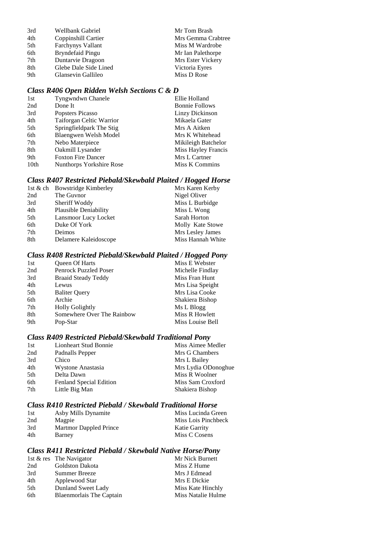| 3rd | Wellbank Gabriel         | Mr Tom Brash       |
|-----|--------------------------|--------------------|
| 4th | Coppinshill Cartier      | Mrs Gemma Crabtree |
| 5th | <b>Farchynys Vallant</b> | Miss M Wardrobe    |
| 6th | <b>Bryndefaid Pingu</b>  | Mr Ian Palethorpe  |
| 7th | Duntarvie Dragoon        | Mrs Ester Vickery  |
| 8th | Glebe Dale Side Lined    | Victoria Eyres     |
| 9th | Glansevin Gallileo       | Miss D Rose        |

## *Class R406 Open Ridden Welsh Sections C & D*

| 1st              | Tyngwndwn Chanele         | Ellie Holland         |
|------------------|---------------------------|-----------------------|
| 2nd              | Done It                   | <b>Bonnie Follows</b> |
| 3rd              | Popsters Picasso          | Linzy Dickinson       |
| 4th              | Taiforgan Celtic Warrior  | Mikaela Gater         |
| 5th              | Springfieldpark The Stig  | Mrs A Aitken          |
| 6th              | Blaengwen Welsh Model     | Mrs K Whitehead       |
| 7th              | Nebo Materpiece           | Mikileigh Batchelor   |
| 8th              | Oakmill Lysander          | Miss Hayley Francis   |
| 9th              | <b>Foxton Fire Dancer</b> | Mrs L Cartner         |
| 10 <sub>th</sub> | Nunthorps Yorkshire Rose  | Miss K Commins        |
|                  |                           |                       |

## *Class R407 Restricted Piebald/Skewbald Plaited / Hogged Horse*

|     | 1st & ch Bowstridge Kimberley | Mrs Karen Kerby   |
|-----|-------------------------------|-------------------|
| 2nd | The Guvnor                    | Nigel Oliver      |
| 3rd | Sheriff Woddy                 | Miss L Burbidge   |
| 4th | <b>Plausible Deniability</b>  | Miss L Wong       |
| 5th | Lansmoor Lucy Locket          | Sarah Horton      |
| 6th | Duke Of York                  | Molly Kate Stowe  |
| 7th | Deimos                        | Mrs Lesley James  |
| 8th | Delamere Kaleidoscope         | Miss Hannah White |
|     |                               |                   |

## *Class R408 Restricted Piebald/Skewbald Plaited / Hogged Pony*

| Queen Of Harts               | Miss E Webster   |
|------------------------------|------------------|
| <b>Penrock Puzzled Poser</b> | Michelle Findlay |
| <b>Braaid Steady Teddy</b>   | Miss Fran Hunt   |
| Lewus                        | Mrs Lisa Speight |
| <b>Baliter Query</b>         | Mrs Lisa Cooke   |
| Archie                       | Shakiera Bishop  |
| <b>Holly Golightly</b>       | Ms L Blogg       |
| Somewhere Over The Rainbow   | Miss R Howlett   |
| Pop-Star                     | Miss Louise Bell |
|                              |                  |

#### *Class R409 Restricted Piebald/Skewbald Traditional Pony*

| Mrs Lydia ODonoghue |
|---------------------|
|                     |
|                     |
|                     |
|                     |

## *Class R410 Restricted Piebald / Skewbald Traditional Horse*

| 1st | Asby Mills Dynamite    | Miss Lucinda Green   |
|-----|------------------------|----------------------|
| 2nd | Magpie                 | Miss Lois Pinchbeck  |
| 3rd | Martmor Dappled Prince | <b>Katie Garrity</b> |
| 4th | Barney                 | Miss C Cosens        |

## *Class R411 Restricted Piebald / Skewbald Native Horse/Pony*

| 1st $&$ res The Navigator       | Mr Nick Burnett    |
|---------------------------------|--------------------|
| 2nd<br>Goldston Dakota          | Miss Z Hume        |
| 3rd<br>Summer Breeze            | Mrs J Edmead       |
| 4th<br>Applewood Star           | Mrs E Dickie       |
| 5th<br>Dunland Sweet Lady       | Miss Kate Hinchly  |
| Blaenmorlais The Captain<br>6th | Miss Natalie Hulme |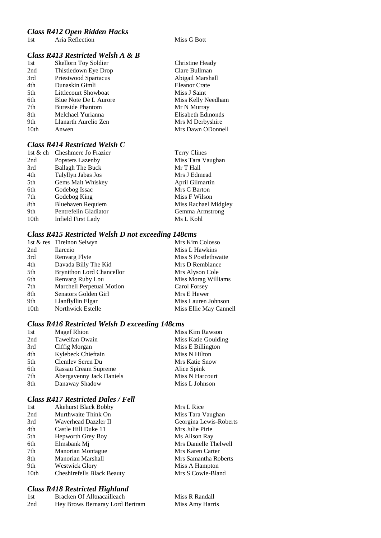#### *Class R412 Open Ridden Hacks*

1st Aria Reflection Miss G Bott

## *Class R413 Restricted Welsh A & B*

| 1st  | <b>Skellorn Toy Soldier</b> | Christine Heady    |
|------|-----------------------------|--------------------|
| 2nd  | Thistledown Eye Drop        | Clare Bullman      |
| 3rd  | Priestwood Spartacus        | Abigail Marshall   |
| 4th  | Dunaskin Gimli              | Eleanor Crate      |
| 5th  | Littlecourt Showboat        | Miss J Saint       |
| 6th  | Blue Note De L Aurore       | Miss Kelly Needham |
| 7th  | <b>Bureside Phantom</b>     | Mr N Murray        |
| 8th  | Melchael Yurianna           | Elisabeth Edmonds  |
| 9th  | Llanarth Aurelio Zen        | Mrs M Derbyshire   |
| 10th | Anwen                       | Mrs Dawn ODonnell  |
|      |                             |                    |

## *Class R414 Restricted Welsh C*

| 1st & ch | Cheshmere Jo Frazier     | <b>Terry Clines</b>  |
|----------|--------------------------|----------------------|
| 2nd      | Popsters Lazenby         | Miss Tara Vaughan    |
| 3rd      | <b>Ballagh The Buck</b>  | Mr T Hall            |
| 4th      | Talyllyn Jabas Jos       | Mrs J Edmead         |
| 5th      | Gems Malt Whiskey        | April Gilmartin      |
| 6th      | Godebog Issac            | Mrs C Barton         |
| 7th      | Godebog King             | Miss F Wilson        |
| 8th      | <b>Bluehaven Requiem</b> | Miss Rachael Midgley |
| 9th      | Pentrefelin Gladiator    | Gemma Armstrong      |
| 10th     | Infield First Lady       | Ms L Kohl            |
|          |                          |                      |

## *Class R415 Restricted Welsh D not exceeding 148cms*

|                  | 1st & res Tireinon Selwyn        | Mrs Kim Colosso        |
|------------------|----------------------------------|------------------------|
| 2nd              | <b>Ilarceio</b>                  | Miss L Hawkins         |
| 3rd              | Renvarg Flyte                    | Miss S Postlethwaite   |
| 4th              | Davada Billy The Kid             | Mrs D Remblance        |
| 5th              | <b>Brynithon Lord Chancellor</b> | Mrs Alyson Cole        |
| 6th              | Renvarg Ruby Lou                 | Miss Morag Williams    |
| 7th              | Marchell Perpetual Motion        | Carol Forsey           |
| 8th              | Senators Golden Girl             | Mrs E Hewer            |
| 9th              | Llanflyllin Elgar                | Miss Lauren Johnson    |
| 10 <sub>th</sub> | Northwick Estelle                | Miss Ellie May Cannell |

## **Class R416 Restricted Welsh D exceeding 148**

| 1st | <b>Magef Rhion</b>       | Miss Kim Rawson     |
|-----|--------------------------|---------------------|
| 2nd | Tawelfan Owain           | Miss Katie Goulding |
| 3rd | Ciffig Morgan            | Miss E Billington   |
| 4th | Kylebeck Chieftain       | Miss N Hilton       |
| 5th | Clemlev Seren Du         | Mrs Katie Snow      |
| 6th | Rassau Cream Supreme     | Alice Spink         |
| 7th | Abergavenny Jack Daniels | Miss N Harcourt     |
| 8th | Danaway Shadow           | Miss L Johnson      |
|     |                          |                     |

## *Class R417 Restricted Dales / Fell*

| 1st  | <b>Akehurst Black Bobby</b>       | Mrs L Rice             |
|------|-----------------------------------|------------------------|
| 2nd  | Murthwaite Think On               | Miss Tara Vaughan      |
| 3rd  | Waverhead Dazzler II              | Georgina Lewis-Roberts |
| 4th  | Castle Hill Duke 11               | Mrs Julie Pirie        |
| 5th  | <b>Hepworth Grey Boy</b>          | Ms Alison Ray          |
| 6th  | Elmsbank Mj                       | Mrs Danielle Thelwell  |
| 7th  | <b>Manorian Montague</b>          | Mrs Karen Carter       |
| 8th  | Manorian Marshall                 | Mrs Samantha Roberts   |
| 9th  | <b>Westwick Glory</b>             | Miss A Hampton         |
| 10th | <b>Cheshirefells Black Beauty</b> | Mrs S Cowie-Bland      |
|      |                                   |                        |

## *Class R418 Restricted Highland*

| -1 st | Bracken Of Alltnacailleach      | Miss R Randall  |
|-------|---------------------------------|-----------------|
| 2nd   | Hey Brows Bernaray Lord Bertram | Miss Amy Harris |

| Christine Heady      |
|----------------------|
| Clare Bullman        |
| Abigail Marshall     |
| <b>Eleanor Crate</b> |
| Miss J Saint         |
| Miss Kelly Needham   |
| Mr N Murray          |
| Elisabeth Edmonds    |
| Mrs M Derbyshire     |
| Mrs Dawn ODonnell    |
|                      |

| Terry Clines        |
|---------------------|
| Miss Tara Vaughan   |
| Mr T Hall           |
| Mrs J Edmead        |
| April Gilmartin     |
| Mrs C Barton        |
| Miss F Wilson       |
| Miss Rachael Midgle |
| Gemma Armstrong     |
| Ms L Kohl           |
|                     |

|      | Miiss Lauren Johnso |
|------|---------------------|
|      | Miss Ellie May Can  |
| 8cms |                     |
|      |                     |
|      | Miss Kim Rawson     |
|      | Miss Katie Goulding |
|      | Miss E Billington   |
|      | Miss N Hilton       |
|      | Mrs Katie Snow      |
|      | Alice Spink         |
|      | Miss N Harcourt     |
|      | Miss L Johnson      |
|      |                     |

| Mrs L Rice            |
|-----------------------|
| Miss Tara Vaughan     |
| Georgina Lewis-Robert |
| Mrs Julie Pirie       |
| Ms Alison Ray         |
| Mrs Danielle Thelwell |
| Mrs Karen Carter      |
| Mrs Samantha Roberts  |
| Miss A Hampton        |
| Mrs S Cowie-Bland     |
|                       |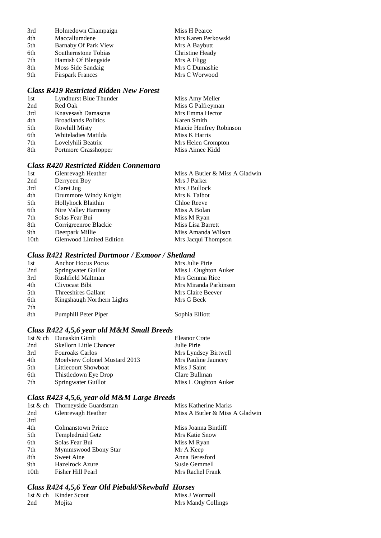| 3rd | Holmedown Champaign     | Miss H Pearce       |
|-----|-------------------------|---------------------|
| 4th | Maccallumdene           | Mrs Karen Perkowski |
| 5th | Barnaby Of Park View    | Mrs A Baybutt       |
| 6th | Southernstone Tobias    | Christine Heady     |
| 7th | Hamish Of Blengside     | Mrs A Fligg         |
| 8th | Moss Side Sandaig       | Mrs C Dumashie      |
| 9th | <b>Firspark Frances</b> | Mrs C Worwood       |

## *Class R419 Restricted Ridden New Forest*

| 1st | Lyndhurst Blue Thunder     | Miss Amy Meller         |
|-----|----------------------------|-------------------------|
| 2nd | Red Oak                    | Miss G Palfreyman       |
| 3rd | Knavesash Damascus         | Mrs Emma Hector         |
| 4th | <b>Broadlands Politics</b> | Karen Smith             |
| 5th | <b>Rowhill Misty</b>       | Maicie Henfrey Robinson |
| 6th | Whiteladies Matilda        | Miss K Harris           |
| 7th | Lovelyhili Beatrix         | Mrs Helen Crompton      |
| 8th | Portmore Grasshopper       | Miss Aimee Kidd         |

## *Class R420 Restricted Ridden Connemara*

| Glenrevagh Heather              | Miss A Butler & Miss A Gladwin |
|---------------------------------|--------------------------------|
| Derryeen Boy                    | Mrs J Parker                   |
| Claret Jug                      | Mrs J Bullock                  |
| Drummore Windy Knight           | Mrs K Talbot                   |
| Hollyhock Blaithin              | Chloe Reeve                    |
| Nire Valley Harmony             | Miss A Bolan                   |
| Solas Fear Bui                  | Miss M Ryan                    |
| Corrigreenroe Blackie           | Miss Lisa Barrett              |
| Deerpark Millie                 | Miss Amanda Wilson             |
| <b>Glenwood Limited Edition</b> | Mrs Jacqui Thompson            |
|                                 |                                |

#### *Class R421 Restricted Dartmoor / Exmoor / Shetland*

| 1st | <b>Anchor Hocus Pocus</b>  | Mrs Julie Pirie       |
|-----|----------------------------|-----------------------|
| 2nd | Springwater Guillot        | Miss L Oughton Auker  |
| 3rd | <b>Rushfield Maltman</b>   | Mrs Gemma Rice        |
| 4th | Clivocast Bibi             | Mrs Miranda Parkinson |
| 5th | Threeshires Gallant        | Mrs Claire Beever     |
| 6th | Kingshaugh Northern Lights | Mrs G Beck            |
| 7th |                            |                       |
| 8th | Pumphill Peter Piper       | Sophia Elliott        |

## *Class R422 4,5,6 year old M&M Small Breeds*

|     | 1st & ch Dunaskin Gimli        | <b>Eleanor Crate</b> |
|-----|--------------------------------|----------------------|
| 2nd | <b>Skellorn Little Chancer</b> | Julie Pirie          |
| 3rd | <b>Fouroaks Carlos</b>         | Mrs Lyndsey Birtwell |
| 4th | Moelview Colonel Mustard 2013  | Mrs Pauline Jauncey  |
| 5th | Littlecourt Showboat           | Miss J Saint         |
| 6th | Thistledown Eye Drop           | Clare Bullman        |
| 7th | Springwater Guillot            | Miss L Oughton Auker |

## *Class R423 4,5,6, year old M&M Large Breeds*

|      | 1st & ch Thorneyside Guardsman | Miss Katherine Marks           |
|------|--------------------------------|--------------------------------|
| 2nd  | Glenrevagh Heather             | Miss A Butler & Miss A Gladwin |
| 3rd  |                                |                                |
| 4th  | Colmanstown Prince             | Miss Joanna Bintliff           |
| 5th  | Templedruid Getz               | Mrs Katie Snow                 |
| 6th  | Solas Fear Bui                 | Miss M Ryan                    |
| 7th  | Mymmswood Ebony Star           | Mr A Keep                      |
| 8th  | Sweet Aine                     | Anna Beresford                 |
| 9th  | <b>Hazelrock Azure</b>         | Susie Gemmell                  |
| 10th | Fisher Hill Pearl              | Mrs Rachel Frank               |
|      |                                |                                |

## *Class R424 4,5,6 Year Old Piebald/Skewbald Horses*

|     | 1st & ch Kinder Scout | Miss J Wormall     |
|-----|-----------------------|--------------------|
| 2nd | Mojita                | Mrs Mandy Collings |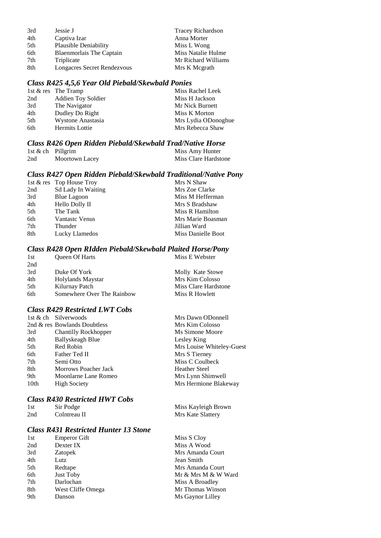| Jessie J                     | <b>Tracey Richardson</b> |
|------------------------------|--------------------------|
| Captiva Izar                 | Anna Morter              |
| <b>Plausible Deniability</b> | Miss L Wong              |
| Blaenmorlais The Captain     | Miss Natalie Hulme       |
| Triplicate                   | Mr Richard Williams      |
| Longacres Secret Rendezvous  | Mrs K Megrath            |
|                              |                          |

#### *Class R425 4,5,6 Year Old Piebald/Skewbald Ponies*

|     | 1st & res The Tramp | Miss Rachel Leek    |
|-----|---------------------|---------------------|
| 2nd | Addien Toy Soldier  | Miss H Jackson      |
| 3rd | The Navigator       | Mr Nick Burnett     |
| 4th | Dudley Do Right     | Miss K Morton       |
| 5th | Wystone Anastasia   | Mrs Lydia ODonoghue |
| 6th | Hermits Lottie      | Mrs Rebecca Shaw    |

#### *Class R426 Open Ridden Piebald/Skewbald Trad/Native Horse*

|     | 1st $\&$ ch Pillgrim | Miss Amy Hunter      |
|-----|----------------------|----------------------|
| 2nd | Moortown Lacey       | Miss Clare Hardstone |

#### *Class R427 Open Ridden Piebald/Skewbald Traditional/Native Pony*

|     | 1st & res Top House Troy  | Mrs N Shaw         |
|-----|---------------------------|--------------------|
| 2nd | <b>Sd Lady In Waiting</b> | Mrs Zoe Clarke     |
| 3rd | <b>Blue Lagoon</b>        | Miss M Hefferman   |
| 4th | Hello Dolly II            | Mrs S Bradshaw     |
| 5th | The Tank                  | Miss R Hamilton    |
| 6th | <b>Vantastc Venus</b>     | Mrs Marie Boasman  |
| 7th | Thunder                   | Jillian Ward       |
| 8th | Lucky Llamedos            | Miss Danielle Boot |

## *Class R428 Open RIdden Piebald/Skewbald Plaited Horse/Pony*

| 1st | <b>Oueen Of Harts</b>      | Miss E Webster       |
|-----|----------------------------|----------------------|
| 2nd |                            |                      |
| 3rd | Duke Of York               | Molly Kate Stowe     |
| 4th | Holylands Maystar          | Mrs Kim Colosso      |
| 5th | Kilurnay Patch             | Miss Clare Hardstone |
| 6th | Somewhere Over The Rainbow | Miss R Howlett       |

#### *Class R429 Restricted LWT Cobs*

|      | 1st & ch Silverwoods         | Mrs Dawn ODonnell         |
|------|------------------------------|---------------------------|
|      | 2nd & res Bowlands Doubtless | Mrs Kim Colosso           |
| 3rd  | <b>Chantilly Rockhopper</b>  | Ms Simone Moore           |
| 4th  | <b>Ballyskeagh Blue</b>      | Lesley King               |
| 5th  | Red Robin                    | Mrs Louise Whiteley-Guest |
| 6th  | Father Ted II                | Mrs S Tierney             |
| 7th  | Semi Otto                    | Miss C Coulbeck           |
| 8th  | <b>Morrows Poacher Jack</b>  | <b>Heather Steel</b>      |
| 9th  | Moonlarne Lane Romeo         | Mrs Lynn Shimwell         |
| 10th | <b>High Society</b>          | Mrs Hermione Blakeway     |
|      |                              |                           |

#### *Class R430 Restricted HWT Cobs*

| 1st | Sir Podge    | Miss Kayleigh Brown |
|-----|--------------|---------------------|
| 2nd | Colntreau II | Mrs Kate Slattery   |

## *Class R431 Restricted Hunter 13 Stone*

| 1st             | <b>Emperor Gift</b> |
|-----------------|---------------------|
| 2 <sub>nd</sub> | Dexter IX           |
| 3rd             | Zatopek             |
| 4th             | Lutz                |
| 5th             | Redtape             |
| 6th             | <b>Just Toby</b>    |
| 7th             | Darlochan           |
| 8th             | West Cliffe Omega   |
| 9th             | Danson              |

Miss S Cloy Miss A Wood Mrs Amanda Court Jean Smith Mrs Amanda Court Mr & Mrs M & W Ward Miss A Broadley Mr Thomas Winson Ms Gaynor Lilley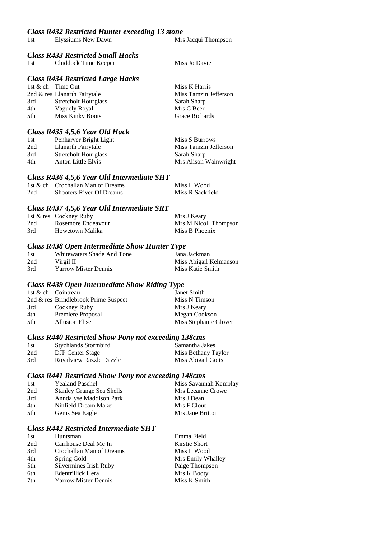#### *Class R432 Restricted Hunter exceeding 13 stone*

1st Elyssiums New Dawn Mrs Jacqui Thompson

#### *Class R433 Restricted Small Hacks*

| 1st | Chiddock Time Keeper | Miss Jo Davie |
|-----|----------------------|---------------|
|     |                      |               |

#### *Class R434 Restricted Large Hacks*

|      | 1st & ch Time Out            | Miss K Harris         |
|------|------------------------------|-----------------------|
|      | 2nd & res Llanarth Fairytale | Miss Tamzin Jefferson |
| 3rd  | <b>Stretcholt Hourglass</b>  | Sarah Sharp           |
| 4th  | Vaguely Royal                | Mrs C Beer            |
| .5th | Miss Kinky Boots             | Grace Richards        |
|      |                              |                       |

#### *Class R435 4,5,6 Year Old Hack*

| 1st | Penharver Bright Light      | Miss S Burrows        |
|-----|-----------------------------|-----------------------|
| 2nd | Llanarth Fairytale          | Miss Tamzin Jefferson |
| 3rd | <b>Stretcholt Hourglass</b> | Sarah Sharp           |
| 4th | Anton Little Elvis          | Mrs Alison Wainwright |

#### *Class R436 4,5,6 Year Old Intermediate SHT*

|     | 1st & ch Crochallan Man of Dreams | Miss L Wood      |
|-----|-----------------------------------|------------------|
| 2nd | <b>Shooters River Of Dreams</b>   | Miss R Sackfield |

#### *Class R437 4,5,6 Year Old Intermediate SRT*

|     | 1st & res Cockney Ruby | Mrs J Keary           |
|-----|------------------------|-----------------------|
| 2nd | Rosemore Endeavour     | Mrs M Nicoll Thompson |
| 3rd | Howetown Malika        | Miss B Phoenix        |

#### *Class R438 Open Intermediate Show Hunter Type*

| 1st | Whitewaters Shade And Tone  | Jana Jackman           |
|-----|-----------------------------|------------------------|
| 2nd | Virgil II                   | Miss Abigail Kelmanson |
| 3rd | <b>Yarrow Mister Dennis</b> | Miss Katie Smith       |

#### *Class R439 Open Intermediate Show Riding Type*

| 1st & ch Cointreau |                                      | Janet Smith           |
|--------------------|--------------------------------------|-----------------------|
|                    | 2nd & res Brindlebrook Prime Suspect | Miss N Timson         |
| 3rd                | Cockney Ruby                         | Mrs J Keary           |
| 4th                | Premiere Proposal                    | Megan Cookson         |
| .5th               | <b>Allusion Elise</b>                | Miss Stephanie Glover |

#### *Class R440 Restricted Show Pony not exceeding 138cms*

| 1st | <b>Stychlands Stormbird</b> | Samantha Jakes      |
|-----|-----------------------------|---------------------|
| 2nd | <b>DJP</b> Center Stage     | Miss Bethany Taylor |
| 3rd | Royalview Razzle Dazzle     | Miss Abigail Gotts  |

#### *Class R441 Restricted Show Pony not exceeding 148cms*

| 1st | <b>Yealand Paschel</b>           | Miss Savannah Kemplay |
|-----|----------------------------------|-----------------------|
| 2nd | <b>Stanley Grange Sea Shells</b> | Mrs Leeanne Crowe     |
| 3rd | Anndalyse Maddison Park          | Mrs J Dean            |
| 4th | Ninfield Dream Maker             | Mrs F Clout           |
| 5th | Gems Sea Eagle                   | Mrs Jane Britton      |

#### *Class R442 Restricted Intermediate SHT*

| 1st | Huntsman                    | Emma Field        |
|-----|-----------------------------|-------------------|
| 2nd | Carrhouse Deal Me In        | Kirstie Short     |
| 3rd | Crochallan Man of Dreams    | Miss L Wood       |
| 4th | Spring Gold                 | Mrs Emily Whalley |
| 5th | Silvermines Irish Ruby      | Paige Thompson    |
| 6th | Edentrillick Hera           | Mrs K Booty       |
| 7th | <b>Yarrow Mister Dennis</b> | Miss K Smith      |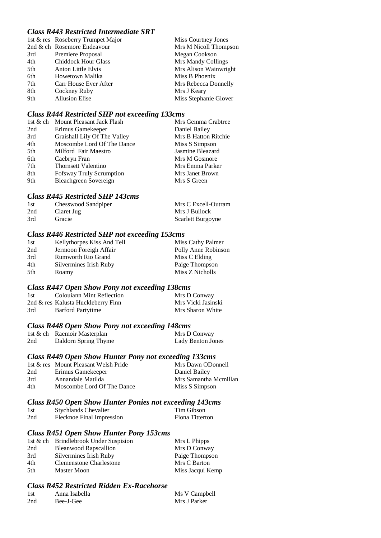## *Class R443 Restricted Intermediate SRT*

|     | 1st & res Roseberry Trumpet Major | Miss Courtney Jones   |
|-----|-----------------------------------|-----------------------|
|     | 2nd & ch Rosemore Endeavour       | Mrs M Nicoll Thompson |
| 3rd | Premiere Proposal                 | Megan Cookson         |
| 4th | <b>Chiddock Hour Glass</b>        | Mrs Mandy Collings    |
| 5th | <b>Anton Little Elvis</b>         | Mrs Alison Wainwright |
| 6th | Howetown Malika                   | Miss B Phoenix        |
| 7th | Carr House Ever After             | Mrs Rebecca Donnelly  |
| 8th | Cockney Ruby                      | Mrs J Keary           |
| 9th | <b>Allusion Elise</b>             | Miss Stephanie Glover |

#### *Class R444 Restricted SHP not exceeding 133cms*

| 1st & ch Mount Pleasant Jack Flash | Mrs Gemma Crabtree   |
|------------------------------------|----------------------|
| Erimus Gamekeeper                  | Daniel Bailey        |
| Graishall Lily Of The Valley       | Mrs B Hatton Ritchie |
| Moscombe Lord Of The Dance         | Miss S Simpson       |
| Milford Fair Maestro               | Jasmine Bleazard     |
| Caebryn Fran                       | Mrs M Gosmore        |
| <b>Thornsett Valentino</b>         | Mrs Emma Parker      |
| <b>Fofsway Truly Scrumption</b>    | Mrs Janet Brown      |
| Bleachgreen Sovereign              | Mrs S Green          |
|                                    |                      |

### *Class R445 Restricted SHP 143cms*

| 1st | Chesswood Sandpiper | Mrs C Excell-Outram |
|-----|---------------------|---------------------|
| 2nd | Claret Jug          | Mrs J Bullock       |
| 3rd | Gracie              | Scarlett Burgoyne   |

#### *Class R446 Restricted SHP not exceeding 153cms*

| 1st | Kellythorpes Kiss And Tell | Miss Cathy Palmer   |
|-----|----------------------------|---------------------|
| 2nd | Jermoon Foreigh Affair     | Polly Anne Robinson |
| 3rd | <b>Rumworth Rio Grand</b>  | Miss C Elding       |
| 4th | Silvermines Irish Ruby     | Paige Thompson      |
| 5th | Roamy                      | Miss Z Nicholls     |

#### *Class R447 Open Show Pony not exceeding 138cms*

| 1st | <b>Colouiann Mint Reflection</b>   | Mrs D Conway       |
|-----|------------------------------------|--------------------|
|     | 2nd & res Kalusta Huckleberry Finn | Mrs Vicki Jasinski |
| 3rd | <b>Barford Partytime</b>           | Mrs Sharon White   |

#### *Class R448 Open Show Pony not exceeding 148cms*

|     | 1st & ch Raemoir Masterplan | Mrs D Conway      |
|-----|-----------------------------|-------------------|
| 2nd | Daldorn Spring Thyme        | Lady Benton Jones |

### *Class R449 Open Show Hunter Pony not exceeding 133cms*

|     | 1st & res Mount Pleasant Welsh Pride | Mrs Dawn ODonnell     |
|-----|--------------------------------------|-----------------------|
| 2nd | Erimus Gamekeeper                    | Daniel Bailey         |
| 3rd | Annandale Matilda                    | Mrs Samantha Mcmillan |
| 4th | Moscombe Lord Of The Dance           | Miss S Simpson        |

#### *Class R450 Open Show Hunter Ponies not exceeding 143cms*

| 1st | <b>Stychlands Chevalier</b> | Tim Gibson      |
|-----|-----------------------------|-----------------|
| 2nd | Flecknoe Final Impression   | Fiona Titterton |

### *Class R451 Open Show Hunter Pony 153cms*

|     | 1st & ch Brindlebrook Under Suspision | Mrs L Phipps     |
|-----|---------------------------------------|------------------|
| 2nd | <b>Bleanwood Rapscallion</b>          | Mrs D Conway     |
| 3rd | Silvermines Irish Ruby                | Paige Thompson   |
| 4th | Clemenstone Charlestone               | Mrs C Barton     |
| 5th | Master Moon                           | Miss Jacqui Kemp |

## *Class R452 Restricted Ridden Ex-Racehorse*

| 1st | Anna Isabella | Ms V Campbell |
|-----|---------------|---------------|
| 2nd | Bee-J-Gee     | Mrs J Parker  |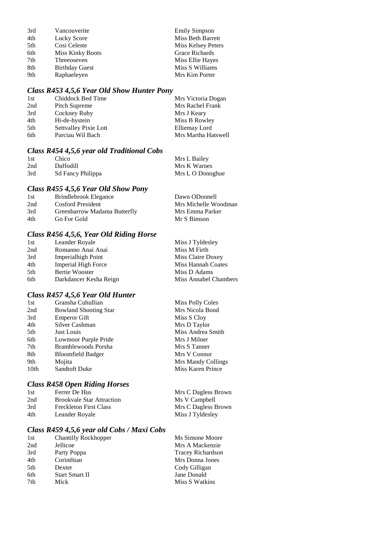| 3rd | Vancouverite            | <b>Emily Simpson</b> |
|-----|-------------------------|----------------------|
| 4th | Lucky Score             | Miss Beth Barrett    |
| 5th | Cosi Celeste            | Miss Kelsey Peters   |
| 6th | <b>Miss Kinky Boots</b> | Grace Richards       |
| 7th | Threeoseven             | Miss Ellie Hayes     |
| 8th | <b>Birthday Guest</b>   | Miss S Williams      |
| 9th | Raphaeleyen             | Mrs Kim Porter       |

## *Class R453 4,5,6 Year Old Show Hunter Pony*

| 1st | Chiddock Bed Time     | Mrs Victoria Dogan  |
|-----|-----------------------|---------------------|
| 2nd | Pitch Supreme         | Mrs Rachel Frank    |
| 3rd | Cockney Ruby          | Mrs J Keary         |
| 4th | Hi-de-hystein         | Miss B Rowley       |
| 5th | Settvalley Pixie Lott | Elliemay Lord       |
| 6th | Parciau Wil Bach      | Mrs Martha Hatswell |

## *Class R454 4,5,6 year old Traditional Cobs*

| 1st | Chico             | Mrs L Bailey     |
|-----|-------------------|------------------|
| 2nd | Daffodill         | Mrs K Warnes     |
| 3rd | Sd Fancy Philippa | Mrs L O Donoghue |

## *Class R455 4,5,6 Year Old Show Pony*

| 1st | Brindlebrook Elegance        | Dawn ODonnell        |
|-----|------------------------------|----------------------|
| 2nd | Cosford President            | Mrs Michelle Woodman |
| 3rd | Greenbarrow Madama Butterfly | Mrs Emma Parker      |
| 4th | Go For Gold                  | Mr S Bimson          |

## *Class R456 4,5,6, Year Old Riding Horse*

| 1st | Leander Royale         | Miss J Tyldesley      |
|-----|------------------------|-----------------------|
| 2nd | Romanno Anai Anai      | Miss M Firth          |
| 3rd | Imperial high Point    | Miss Claire Doxey     |
| 4th | Imperial High Force    | Miss Hannah Coates    |
| 5th | Bertie Wooster         | Miss D Adams          |
| 6th | Darkdancer Kesha Reign | Miss Annabel Chambers |

## *Class R457 4,5,6 Year Old Hunter*

| 1st  | Gransha Cuhullian            | <b>Miss Polly Coles</b> |
|------|------------------------------|-------------------------|
| 2nd  | <b>Bowland Shooting Star</b> | Mrs Nicola Bond         |
| 3rd  | <b>Emperor Gift</b>          | Miss S Cloy             |
| 4th  | Silver Cashman               | Mrs D Taylor            |
| 5th  | Just Louis                   | Miss Andrea Smith       |
| 6th  | Lowmoor Purple Pride         | Mrs J Milner            |
| 7th  | Bramblewoods Porsha          | Mrs S Tanner            |
| 8th  | <b>Bloomfield Badger</b>     | Mrs V Connor            |
| 9th  | Mojita                       | Mrs Mandy Collings      |
| 10th | <b>Sandtoft Duke</b>         | Miss Karen Prince       |
|      |                              |                         |

### *Class R458 Open Riding Horses*

| 1st | Ferrer De Hus                    | Mrs C Dagless Brown |
|-----|----------------------------------|---------------------|
| 2nd | <b>Brookvale Star Attraction</b> | Ms V Campbell       |
| 3rd | <b>Freckleton First Class</b>    | Mrs C Dagless Brown |
| 4th | Leander Royale                   | Miss J Tyldesley    |

## *Class R459 4,5,6 year old Cobs / Maxi Cobs*

| 1st | <b>Chantilly Rockhopper</b> | Ms Simone Moore          |
|-----|-----------------------------|--------------------------|
| 2nd | Jellicoe                    | Mrs A Mackenzie          |
| 3rd | Party Poppa                 | <b>Tracey Richardson</b> |
| 4th | Corinthian                  | Mrs Donna Jones          |
| 5th | Dexter                      | Cody Gilligan            |
| 6th | <b>Start Smart II</b>       | Jane Donald              |
| 7th | Mick                        | Miss S Watkins           |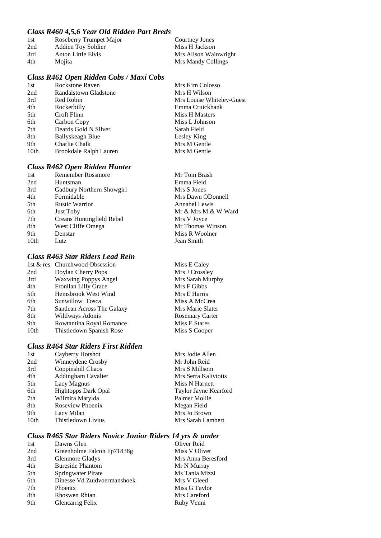#### *Class R460 4,5,6 Year Old Ridden Part Breds*

| 1st | Roseberry Trumpet Major | Courtney Jones        |
|-----|-------------------------|-----------------------|
| 2nd | Addien Toy Soldier      | Miss H Jackson        |
| 3rd | Anton Little Elvis      | Mrs Alison Wainwright |
| 4th | Mojita                  | Mrs Mandy Collings    |

#### *Class R461 Open Ridden Cobs / Maxi Cobs*

| 1st  | Rockstone Raven        |
|------|------------------------|
| 2nd  | Randalstown Gladstone  |
| 3rd  | Red Robin              |
| 4th  | Rockerbilly            |
| 5th  | Croft Flinn            |
| 6th  | Carbon Copy            |
| 7th  | Deards Gold N Silver   |
| 8th  | Ballyskeagh Blue       |
| 9th  | Charlie Chalk          |
| 10th | Brookdale Ralph Lauren |
|      |                        |

Mrs Kim Colosso Mrs H Wilson Mrs Louise Whiteley-Guest Emma Cruickhank Miss H Masters Miss L Johnson Sarah Field Lesley King Mrs M Gentle Mrs M Gentle

#### *Class R462 Open Ridden Hunter*

| 1st  | <b>Remember Rossmore</b>  | Mr Tom Brash        |
|------|---------------------------|---------------------|
| 2nd  | Huntsman                  | Emma Field          |
| 3rd  | Gadbury Northern Showgirl | Mrs S Jones         |
| 4th  | Formidable                | Mrs Dawn ODonnell   |
| 5th  | <b>Rustic Warrior</b>     | Annabel Lewis       |
| 6th  | <b>Just Toby</b>          | Mr & Mrs M & W Ward |
| 7th  | Creans Huntingfield Rebel | Mrs V Joyce         |
| 8th  | West Cliffe Omega         | Mr Thomas Winson    |
| 9th  | Denstar                   | Miss R Woolner      |
| 10th | Lutz                      | Jean Smith          |
|      |                           |                     |

## *Class R463 Star Riders Lead Rein*

|                  | 1st & res Churchwood Obsession |
|------------------|--------------------------------|
| 2nd              | Doylan Cherry Pops             |
| 3rd              | <b>Waxwing Poppys Angel</b>    |
| 4th              | Fronllan Lilly Grace           |
| 5th              | Hemsbrook West Wind            |
| 6th              | Sunwillow Tosca                |
| 7th              | Sandean Across The Galaxy      |
| 8th              | Wildways Adonis                |
| 9th              | Rowtantina Royal Romance       |
| 10 <sub>th</sub> | Thistledown Spanish Rose       |
|                  |                                |

### *Class R464 Star Riders First Ridden*

| 1st              | Cayberry Hotshot           |
|------------------|----------------------------|
| 2nd              | Winneydene Crosby          |
| 3rd              | Coppinshill Chaos          |
| 4th              | <b>Addingham Cavalier</b>  |
| 5th              | Lacy Magnus                |
| 6th              | <b>Hightopps Dark Opal</b> |
| 7th              | Wilmira Matylda            |
| 8th              | Roseview Phoenix           |
| 9th              | Lacy Milan                 |
| 10 <sub>th</sub> | Thistledown Livius         |
|                  |                            |

Mrs Jodie Allen Mr John Reid Mrs S Millsom Mrs Serra Kaliviotis **Miss N Harnett** Taylor Jayne Kearford Palmer Mollie Megan Field Mrs Jo Brown Mrs Sarah Lambert

Miss E Caley Mrs J Crossley Mrs Sarah Murphy Mrs F Gibbs Mrs E Harris Miss A McCrea Mrs Marie Slater Rosemary Carter Miss E Stares Miss S Cooper

#### *Class R465 Star Riders Novice Junior Riders 14 yrs & under*

| 1st | Dawns Glen                  | Oliver Reid        |
|-----|-----------------------------|--------------------|
| 2nd | Greenholme Falcon Fp71838g  | Miss V Oliver      |
| 3rd | <b>Glenmore Gladys</b>      | Mrs Anna Beresford |
| 4th | <b>Bureside Phantom</b>     | Mr N Murray        |
| 5th | Springwater Pirate          | Ms Tania Mizzi     |
| 6th | Dinesse Vd Zuidvoermanshoek | Mrs V Gleed        |
| 7th | Phoenix                     | Miss G Taylor      |
| 8th | Rhoswen Rhian               | Mrs Careford       |
| 9th | Glencarrig Felix            | Ruby Venni         |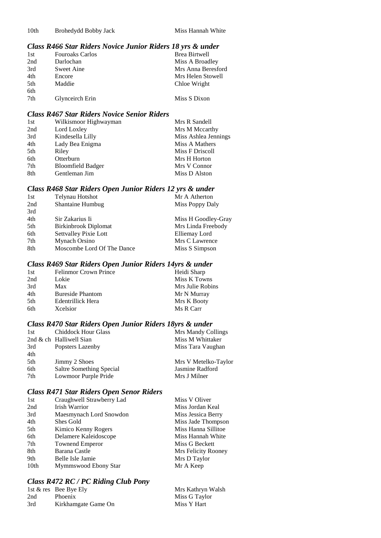### *Class R466 Star Riders Novice Junior Riders 18 yrs & under*

| 1st | <b>Fouroaks Carlos</b> | <b>Brea Birtwell</b> |
|-----|------------------------|----------------------|
| 2nd | Darlochan              | Miss A Broadley      |
| 3rd | Sweet Aine             | Mrs Anna Beresford   |
| 4th | Encore                 | Mrs Helen Stowell    |
| 5th | Maddie                 | Chloe Wright         |
| 6th |                        |                      |
| 7th | Glynceirch Erin        | Miss S Dixon         |
|     |                        |                      |

#### *Class R467 Star Riders Novice Senior Riders*

| 1st | Wilkismoor Highwayman    | Mrs R Sandell        |
|-----|--------------------------|----------------------|
| 2nd | Lord Loxley              | Mrs M Mccarthy       |
| 3rd | Kindesella Lilly         | Miss Ashlea Jennings |
| 4th | Lady Bea Enigma          | Miss A Mathers       |
| 5th | Riley                    | Miss F Driscoll      |
| 6th | Otterburn                | Mrs H Horton         |
| 7th | <b>Bloomfield Badger</b> | Mrs V Connor         |
| 8th | Gentleman Jim            | Miss D Alston        |

#### *Class R468 Star Riders Open Junior Riders 12 yrs & under*

| 1st | Telynau Hotshot            | Mr A Atherton       |
|-----|----------------------------|---------------------|
| 2nd | Shantaine Humbug           | Miss Poppy Daly     |
| 3rd |                            |                     |
| 4th | Sir Zakarius Ii            | Miss H Goodley-Gray |
| 5th | Birkinbrook Diplomat       | Mrs Linda Freebody  |
| 6th | Settvalley Pixie Lott      | Elliemay Lord       |
| 7th | Mynach Orsino              | Mrs C Lawrence      |
| 8th | Moscombe Lord Of The Dance | Miss S Simpson      |
|     |                            |                     |

### *Class R469 Star Riders Open Junior Riders 14yrs & under*

| 1st | <b>Felinmor Crown Prince</b> | Heidi Sharp      |
|-----|------------------------------|------------------|
| 2nd | Lokie                        | Miss K Towns     |
| 3rd | Max                          | Mrs Julie Robins |
| 4th | <b>Bureside Phantom</b>      | Mr N Murray      |
| 5th | Edentrillick Hera            | Mrs K Booty      |
| 6th | Xcelsior                     | Ms R Carr        |

### *Class R470 Star Riders Open Junior Riders 18yrs & under*

| 1st | <b>Chiddock Hour Glass</b> | Mrs Mandy Collings   |
|-----|----------------------------|----------------------|
|     | 2nd & ch Halliwell Sian    | Miss M Whittaker     |
| 3rd | Popsters Lazenby           | Miss Tara Vaughan    |
| 4th |                            |                      |
| 5th | Jimmy 2 Shoes              | Mrs V Metelko-Taylor |
| 6th | Saltre Something Special   | Jasmine Radford      |
| 7th | Lowmoor Purple Pride       | Mrs J Milner         |

#### *Class R471 Star Riders Open Senor Riders*

| 1st  | Craughwell Strawberry Lad | Miss V Oliver       |
|------|---------------------------|---------------------|
| 2nd  | Irish Warrior             | Miss Jordan Keal    |
| 3rd  | Maesmynach Lord Snowdon   | Miss Jessica Berry  |
| 4th  | Shes Gold                 | Miss Jade Thompson  |
| 5th  | Kimico Kenny Rogers       | Miss Hanna Sillitoe |
| 6th  | Delamere Kaleidoscope     | Miss Hannah White   |
| 7th  | <b>Townend Emperor</b>    | Miss G Beckett      |
| 8th  | Barana Castle             | Mrs Felicity Rooney |
| 9th  | Belle Isle Jamie          | Mrs D Taylor        |
| 10th | Mymmswood Ebony Star      | Mr A Keep           |

#### *Class R472 RC / PC Riding Club Pony*

|     | 1st $\&$ res Bee Bye Ely | Mrs Kathryn Walsh |
|-----|--------------------------|-------------------|
| 2nd | <b>Phoenix</b>           | Miss G Taylor     |
| 3rd | Kirkhamgate Game On      | Miss Y Hart       |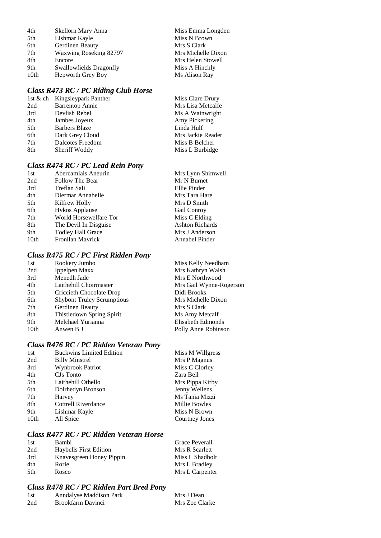| 4th  | Skellorn Mary Anna      | Miss Emma Longden  |
|------|-------------------------|--------------------|
| 5th  | Lishmar Kayle           | Miss N Brown       |
| 6th  | Gerdinen Beauty         | Mrs S Clark        |
| 7th  | Waxwing Roseking 82797  | Mrs Michelle Dixon |
| 8th  | Encore                  | Mrs Helen Stowell  |
| 9th  | Swallowfields Dragonfly | Miss A Hinchly     |
| 10th | Hepworth Grey Boy       | Ms Alison Ray      |

## *Class R473 RC / PC Riding Club Horse*

|     | 1st & ch Kingsleypark Panther | Miss Clare Drury  |
|-----|-------------------------------|-------------------|
| 2nd | <b>Barrentop Annie</b>        | Mrs Lisa Metcalfe |
| 3rd | Devlish Rebel                 | Ms A Wainwright   |
| 4th | Jambes Joyeux                 | Amy Pickering     |
| 5th | <b>Barbers Blaze</b>          | Linda Hulf        |
| 6th | Dark Grey Cloud               | Mrs Jackie Reader |
| 7th | Dalcotes Freedom              | Miss B Belcher    |
| 8th | Sheriff Woddy                 | Miss L Burbidge   |
|     |                               |                   |

#### *Class R474 RC / PC Lead Rein Pony*

| 1st              | Abercamlais Aneurin      | Mrs Lynn Shimwell      |
|------------------|--------------------------|------------------------|
| 2nd              | Follow The Bear          | Mr N Burnet            |
| 3rd              | Treflan Sali             | Ellie Pinder           |
| 4th              | Diermar Annabelle        | Mrs Tara Hare          |
| 5th              | Kilfrew Holly            | Mrs D Smith            |
| 6th              | <b>Hykos Applause</b>    | Gail Conroy            |
| 7th              | World Horsewelfare Tor   | Miss C Elding          |
| 8th              | The Devil In Disguise    | <b>Ashton Richards</b> |
| 9th              | <b>Todley Hall Grace</b> | Mrs J Anderson         |
| 10 <sub>th</sub> | <b>Fronllan Mayrick</b>  | Annabel Pinder         |
|                  |                          |                        |

## *Class R475 RC / PC First Ridden Pony*

| 1st  | Rookery Jumbo                     | Miss Kelly Needham      |
|------|-----------------------------------|-------------------------|
| 2nd  | Ippelpen Maxx                     | Mrs Kathryn Walsh       |
| 3rd  | Menedh Jade                       | Mrs E Northwood         |
| 4th  | Laithehill Choirmaster            | Mrs Gail Wynne-Rogerson |
| 5th  | Criccieth Chocolate Drop          | Didi Brooks             |
| 6th  | <b>Shybont Truley Scrumptious</b> | Mrs Michelle Dixon      |
| 7th  | Gerdinen Beauty                   | Mrs S Clark             |
| 8th  | Thistledown Spring Spirit         | Ms Amy Metcalf          |
| 9th  | Melchael Yurianna                 | Elisabeth Edmonds       |
| 10th | Anwen B J                         | Polly Anne Robinson     |
|      |                                   |                         |

## *Class R476 RC / PC Ridden Veteran Pony*

| 1st              | <b>Buckwins Limited Edition</b> | Miss M Willgress |
|------------------|---------------------------------|------------------|
| 2nd              | <b>Billy Minstrel</b>           | Mrs P Magnus     |
| 3rd              | <b>Wynbrook Patriot</b>         | Miss C Clorley   |
| 4th              | CJs Tonto                       | Zara Bell        |
| 5th              | Laithehill Othello              | Mrs Pippa Kirby  |
| 6th              | Dolrhedyn Bronson               | Jenny Wellens    |
| 7th              | Harvey                          | Ms Tania Mizzi   |
| 8th              | Cottrell Riverdance             | Millie Bowles    |
| 9th              | Lishmar Kayle                   | Miss N Brown     |
| 10 <sub>th</sub> | All Spice                       | Courtney Jones   |
|                  |                                 |                  |

## *Class R477 RC / PC Ridden Veteran Horse*

| 1st  | <b>Bambi</b>                  | Grace Peverall  |
|------|-------------------------------|-----------------|
| 2nd  | <b>Haybells First Edition</b> | Mrs R Scarlett  |
| 3rd  | Knavesgreen Honey Pippin      | Miss L Shadbolt |
| 4th  | Rorie                         | Mrs L Bradley   |
| .5th | Rosco                         | Mrs L Carpenter |

## *Class R478 RC / PC Ridden Part Bred Pony*

| 1st | Anndalyse Maddison Park | Mrs J Dean     |
|-----|-------------------------|----------------|
| 2nd | Brookfarm Davinci       | Mrs Zoe Clarke |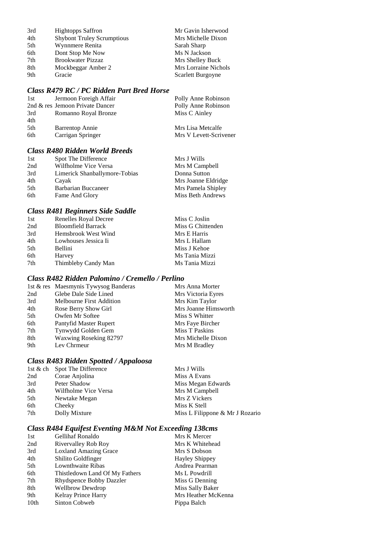| 3rd | <b>Hightopps Saffron</b>          | Mr Gavin Isherwood   |
|-----|-----------------------------------|----------------------|
| 4th | <b>Shybont Truley Scrumptious</b> | Mrs Michelle Dixon   |
| 5th | Wynnmere Renita                   | Sarah Sharp          |
| 6th | Dont Stop Me Now                  | Ms N Jackson         |
| 7th | <b>Brookwater Pizzaz</b>          | Mrs Shelley Buck     |
| 8th | Mockbeggar Amber 2                | Mrs Lorraine Nichols |
| 9th | Gracie                            | Scarlett Burgoyne    |
|     |                                   |                      |

## *Class R479 RC / PC Ridden Part Bred Horse*

| 1st | Jermoon Foreigh Affair          | Polly Anne Robinson    |
|-----|---------------------------------|------------------------|
|     | 2nd & res Jemoon Private Dancer | Polly Anne Robinson    |
| 3rd | Romanno Royal Bronze            | Miss C Ainley          |
| 4th |                                 |                        |
| 5th | <b>Barrentop Annie</b>          | Mrs Lisa Metcalfe      |
| 6th | Carrigan Springer               | Mrs V Levett-Scrivener |

## *Class R480 Ridden World Breeds*

| Spot The Difference           | Mrs J Wills         |
|-------------------------------|---------------------|
| Wilfholme Vice Versa          | Mrs M Campbell      |
| Limerick Shanballymore-Tobias | Donna Sutton        |
| Cayak                         | Mrs Joanne Eldridge |
| <b>Barbarian Buccaneer</b>    | Mrs Pamela Shipley  |
| Fame And Glory                | Miss Beth Andrews   |
|                               |                     |

## *Class R481 Beginners Side Saddle*

| Renelles Royal Decree     | Miss C Joslin     |
|---------------------------|-------------------|
| <b>Bloomfield Barrack</b> | Miss G Chittenden |
| Hemsbrook West Wind       | Mrs E Harris      |
| Lowhouses Jessica Ii      | Mrs L Hallam      |
| <b>Bellini</b>            | Miss J Kehoe      |
| Harvey                    | Ms Tania Mizzi    |
| Thimbleby Candy Man       | Ms Tania Mizzi    |
|                           |                   |

## *Class R482 Ridden Palomino / Cremello / Perlino*

|     | 1st & res Maesmynis Tywysog Banderas | Mrs Anna Morter      |
|-----|--------------------------------------|----------------------|
| 2nd | Glebe Dale Side Lined                | Mrs Victoria Eyres   |
| 3rd | Melbourne First Addition             | Mrs Kim Taylor       |
| 4th | Rose Berry Show Girl                 | Mrs Joanne Himsworth |
| 5th | Owfen Mr Softee                      | Miss S Whitter       |
| 6th | Pantyfid Master Rupert               | Mrs Faye Bircher     |
| 7th | Tynwydd Golden Gem                   | Miss T Paskins       |
| 8th | Waxwing Roseking 82797               | Mrs Michelle Dixon   |
| 9th | Lev Chrmeur                          | Mrs M Bradley        |

## *Class R483 Ridden Spotted / Appaloosa*

|     | 1st & ch Spot The Difference | Mrs J Wills                     |
|-----|------------------------------|---------------------------------|
| 2nd | Corae Anjolina               | Miss A Evans                    |
| 3rd | Peter Shadow                 | Miss Megan Edwards              |
| 4th | Wilfholme Vice Versa         | Mrs M Campbell                  |
| 5th | Newtake Megan                | Mrs Z Vickers                   |
| 6th | Cheeky                       | Miss K Stell                    |
| 7th | Dolly Mixture                | Miss L Filippone & Mr J Rozario |
|     |                              |                                 |

## *Class R484 Equifest Eventing M&M Not Exceeding 138cms*

| 1st              | Gellihaf Ronaldo               | Mrs K Mercer          |
|------------------|--------------------------------|-----------------------|
| 2nd              | Rivervalley Rob Roy            | Mrs K Whitehead       |
| 3rd              | <b>Loxland Amazing Grace</b>   | Mrs S Dobson          |
| 4th              | Shilito Goldfinger             | <b>Hayley Shippey</b> |
| 5th              | Lownthwaite Ribas              | Andrea Pearman        |
| 6th              | Thistledown Land Of My Fathers | Ms L Powdrill         |
| 7th              | Rhydspence Bobby Dazzler       | Miss G Denning        |
| 8th              | <b>Wellbrow Dewdrop</b>        | Miss Sally Baker      |
| 9th              | Kelray Prince Harry            | Mrs Heather McKenna   |
| 10 <sub>th</sub> | Sinton Cobweb                  | Pippa Balch           |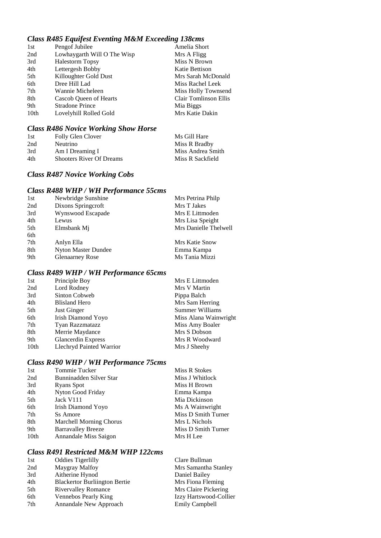## *Class R485 Equifest Eventing M&M Exceeding 138cms*

| 1st  | Pengof Jubilee              | Amelia Short          |
|------|-----------------------------|-----------------------|
| 2nd  | Lowhaygarth Will O The Wisp | Mrs A Fligg           |
| 3rd  | <b>Halestorm Topsy</b>      | Miss N Brown          |
| 4th  | Lettergesh Bobby            | Katie Bettison        |
| 5th  | Killoughter Gold Dust       | Mrs Sarah McDonald    |
| 6th  | Dree Hill Lad               | Miss Rachel Leek      |
| 7th  | Wannie Micheleen            | Miss Holly Townsend   |
| 8th  | Cascob Queen of Hearts      | Clair Tomlinson Ellis |
| 9th  | <b>Stradone Prince</b>      | Mia Biggs             |
| 10th | Lovelyhill Rolled Gold      | Mrs Katie Dakin       |
|      |                             |                       |

## *Class R486 Novice Working Show Horse*

| 1st | Folly Glen Clover               | Ms Gill Hare      |
|-----|---------------------------------|-------------------|
| 2nd | Neutrino                        | Miss R Bradby     |
| 3rd | Am I Dreaming I                 | Miss Andrea Smith |
| 4th | <b>Shooters River Of Dreams</b> | Miss R Sackfield  |

### *Class R487 Novice Working Cobs*

## *Class R488 WHP / WH Performance 55cms*

| 1st | Newbridge Sunshine         | Mrs Petrina Philp     |
|-----|----------------------------|-----------------------|
| 2nd | Dixons Springcroft         | Mrs T Jakes           |
| 3rd | Wynswood Escapade          | Mrs E Littmoden       |
| 4th | Lewus                      | Mrs Lisa Speight      |
| 5th | Elmsbank Mj                | Mrs Danielle Thelwell |
| 6th |                            |                       |
| 7th | Anlyn Ella                 | Mrs Katie Snow        |
| 8th | <b>Nyton Master Dundee</b> | Emma Kampa            |
| 9th | <b>Glenaarney Rose</b>     | Ms Tania Mizzi        |
|     |                            |                       |

## *Class R489 WHP / WH Performance 65cms*

| 1st              | Principle Boy             | Mrs E Littmoden       |
|------------------|---------------------------|-----------------------|
| 2nd              | Lord Rodney               | Mrs V Martin          |
| 3rd              | Sinton Cobweb             | Pippa Balch           |
| 4th              | <b>Blisland Hero</b>      | Mrs Sam Herring       |
| 5th              | Just Ginger               | Summer Williams       |
| 6th              | Irish Diamond Yoyo        | Miss Alana Wainwright |
| 7th              | Tyan Razzmatazz           | Miss Amy Boaler       |
| 8th              | Merrie Maydance           | Mrs S Dobson          |
| 9th              | <b>Glancerdin Express</b> | Mrs R Woodward        |
| 10 <sub>th</sub> | Llechryd Painted Warrior  | Mrs J Sheehy          |

## *Class R490 WHP / WH Performance 75cms*

| 1st              | Tommie Tucker                  | Miss R Stokes       |
|------------------|--------------------------------|---------------------|
| 2nd              | Bunninadden Silver Star        | Miss J Whitlock     |
| 3rd              | Ryans Spot                     | Miss H Brown        |
| 4th              | Nyton Good Friday              | Emma Kampa          |
| 5th              | Jack V111                      | Mia Dickinson       |
| 6th              | Irish Diamond Yoyo             | Ms A Wainwright     |
| 7th              | Ss Amore                       | Miss D Smith Turner |
| 8th              | <b>Marchell Morning Chorus</b> | Mrs L Nichols       |
| 9th              | <b>Barravalley Breeze</b>      | Miss D Smith Turner |
| 10 <sub>th</sub> | Annandale Miss Saigon          | Mrs H Lee           |
|                  |                                |                     |

## *Class R491 Restricted M&M WHP 122cms*

|                                      | Clare Bullman            |
|--------------------------------------|--------------------------|
| Maygray Malfoy                       | Mrs Samantha Stanley     |
| Aitherine Hynod                      | Daniel Bailey            |
| <b>Blackertor Burliington Bertie</b> | Mrs Fiona Fleming        |
| <b>Rivervalley Romance</b>           | Mrs Claire Pickering     |
| Vennebos Pearly King                 | Izzy Hartswood-Collier   |
| Annandale New Approach               | <b>Emily Campbell</b>    |
|                                      | <b>Oddies Tigerlilly</b> |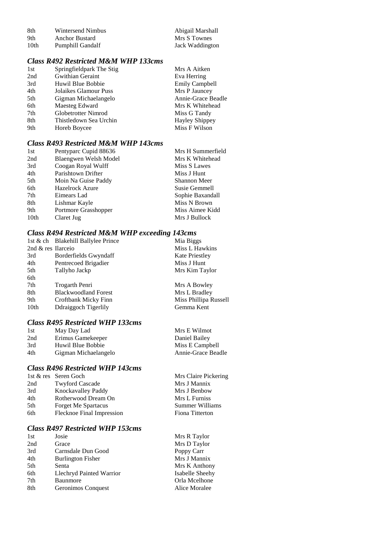| -8th | Wintersend Nimbus | Abigail Marshall |
|------|-------------------|------------------|
| 9th  | Anchor Bustard    | Mrs S Townes     |
| 10th | Pumphill Gandalf  | Jack Waddington  |

## *Class R492 Restricted M&M WHP 133cms*

| Springfieldpark The Stig | Mrs A Aitken          |
|--------------------------|-----------------------|
| Gwithian Geraint         | Eva Herring           |
| Huwil Blue Bobbie        | <b>Emily Campbell</b> |
| Jolaikes Glamour Puss    | Mrs P Jauncey         |
| Gigman Michaelangelo     | Annie-Grace Beadle    |
| Maesteg Edward           | Mrs K Whitehead       |
| Globetrotter Nimrod      | Miss G Tandy          |
| Thistledown Sea Urchin   | <b>Hayley Shippey</b> |
| Horeb Boycee             | Miss F Wilson         |
|                          |                       |

## *Class R493 Restricted M&M WHP 143cms*

| 1st              | Pentyparc Cupid 88636  | Mrs H Summerfield   |
|------------------|------------------------|---------------------|
| 2nd              | Blaengwen Welsh Model  | Mrs K Whitehead     |
| 3rd              | Coogan Royal Wulff     | Miss S Lawes        |
| 4th              | Parishtown Drifter     | Miss J Hunt         |
| 5th              | Moin Na Guise Paddy    | <b>Shannon Meer</b> |
| 6th              | <b>Hazelrock Azure</b> | Susie Gemmell       |
| 7th              | Eimears Lad            | Sophie Baxandall    |
| 8th              | Lishmar Kayle          | Miss N Brown        |
| 9th              | Portmore Grasshopper   | Miss Aimee Kidd     |
| 10 <sub>th</sub> | Claret Jug             | Mrs J Bullock       |

#### *Class R494 Restricted M&M WHP exceeding 143cms*

|                    | 1st & ch Blakehill Ballylee Prince | Mia Biggs             |
|--------------------|------------------------------------|-----------------------|
| 2nd & res Ilarceio |                                    | Miss L Hawkins        |
| 3rd                | Borderfields Gwyndaff              | <b>Kate Priestley</b> |
| 4th                | Pentrecoed Brigadier               | Miss J Hunt           |
| 5th                | Tallyho Jackp                      | Mrs Kim Taylor        |
| 6th                |                                    |                       |
| 7th                | Trogarth Penri                     | Mrs A Bowley          |
| 8th                | <b>Blackwoodland Forest</b>        | Mrs L Bradley         |
| 9th                | Croftbank Micky Finn               | Miss Phillipa Russell |
| 10th               | Ddraiggoch Tigerlily               | Gemma Kent            |
|                    |                                    |                       |

## *Class R495 Restricted WHP 133cms*

| 1st | May Day Lad          | Mrs E Wilmot       |
|-----|----------------------|--------------------|
| 2nd | Erimus Gamekeeper    | Daniel Bailey      |
| 3rd | Huwil Blue Bobbie    | Miss E Campbell    |
| 4th | Gigman Michaelangelo | Annie-Grace Beadle |

## *Class R496 Restricted WHP 143cms*

|     | 1st & res Seren Goch       | Mrs Claire Pickering |
|-----|----------------------------|----------------------|
| 2nd | <b>Twyford Cascade</b>     | Mrs J Mannix         |
| 3rd | Knockavalley Paddy         | Mrs J Benbow         |
| 4th | Rotherwood Dream On        | Mrs L Furniss        |
| 5th | <b>Forget Me Spartacus</b> | Summer Williams      |
| 6th | Flecknoe Final Impression  | Fiona Titterton      |
|     |                            |                      |

### *Class R497 Restricted WHP 153cms*

| 1st | Josie                    |
|-----|--------------------------|
| 2nd | Grace                    |
| 3rd | Carnsdale Dun Good       |
| 4th | <b>Burlington Fisher</b> |
| 5th | Senta                    |
| 6th | Llechryd Painted Warrior |
| 7th | Baunmore                 |
| 8th | Geronimos Conquest       |
|     |                          |

Mrs R Taylor Mrs D Taylor Poppy Carr Mrs J Mannix Mrs K Anthony Isabelle Sheehy Orla Mcelhone Alice Moralee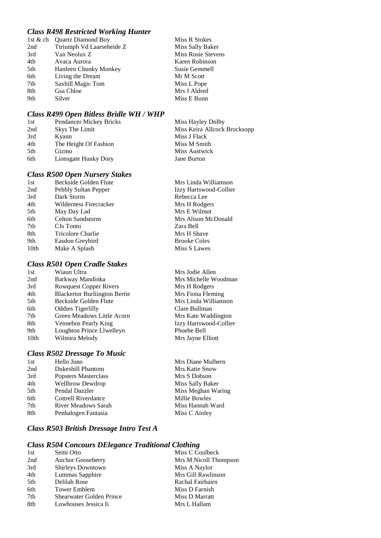#### *Class R498 Restricted Working Hunter*

|     | 1st & ch Ouartz Diamond Boy | Miss R Stokes      |
|-----|-----------------------------|--------------------|
| 2nd | Ttriumph Vd Laarseheide Z   | Miss Sally Baker   |
| 3rd | Van Neolux Z                | Miss Rosie Stevens |
| 4th | Avaca Aurora                | Karen Robinson     |
| 5th | Hanleen Chunky Monkey       | Susie Gemmell      |
| 6th | Living the Dream            | Mr M Scott         |
| 7th | Saxhill Magic Tom           | Miss L Pope        |
| 8th | Gsa Chloe                   | Mrs J Aldred       |
| 9th | Silver                      | Miss E Bunn        |
|     |                             |                    |

#### *Class R499 Open Bitless Bridle WH / WHP*

| 1st | <b>Pendancer Mickey Bricks</b> | Miss Hayley Dolby            |
|-----|--------------------------------|------------------------------|
| 2nd | Skys The Limit                 | Miss Keira Allcock Brocksopp |
| 3rd | Kyann                          | Miss J Flack                 |
| 4th | The Height Of Fashion          | Miss M Smith                 |
| 5th | Gizmo                          | Miss Austwick                |
| 6th | Lionsgate Hunky Dory           | Jane Burton                  |
|     |                                |                              |

#### *Class R500 Open Nursery Stakes*

| 1st  | Beckside Golden Flute  |
|------|------------------------|
| 2nd  | Pebbly Sultan Pepper   |
| 3rd  | Dark Storm             |
| 4th  | Wilderness Firecracker |
| 5th  | May Day Lad            |
| 6th  | Celton Sandstorm       |
| 7th  | CJs Tonto              |
| 8th  | Tricolore Charlie      |
| 9th  | Easdon Greybird        |
| 10th | Make A Splash          |
|      |                        |

### *Class R501 Open Cradle Stakes*

| 1st              | Wiaun Ultra                          |
|------------------|--------------------------------------|
| 2nd              | Barkway Mandinka                     |
| 3rd              | <b>Rowquest Copper Rivers</b>        |
| 4th              | <b>Blackertor Burliington Bertie</b> |
| 5th              | Beckside Golden Flute                |
| 6th              | <b>Oddies Tigerlilly</b>             |
| 7th              | Green Meadows Little Acorn           |
| 8th              | Vennebos Pearly King                 |
| 9th              | Loughton Prince Llwelleyn            |
| 10 <sub>th</sub> | Wilmira Melody                       |
|                  |                                      |

#### *Class R502 Dressage To Music*

| 1st | Hello Juno                 | Mrs Diane Mulhern  |
|-----|----------------------------|--------------------|
| 2nd | <b>Dukeshill Phantom</b>   | Mrs Katie Snow     |
| 3rd | Popsters Masterclass       | Mrs S Dobson       |
| 4th | <b>Wellbrow Dewdrop</b>    | Miss Sally Baker   |
| 5th | Pendal Dazzler             | Miss Meghan Waring |
| 6th | Cottrell Riverdance        | Millie Bowles      |
| 7th | <b>River Meadows Sarah</b> | Miss Hannah Ward   |
| 8th | Penhalogen Fantasia        | Miss C Ainley      |
|     |                            |                    |

### *Class R503 British Dressage Intro Test A*

### *Class R504 Concours DElegance Traditional Clothing*

| 1st | Semi Otto                       | Miss C Coulbeck       |
|-----|---------------------------------|-----------------------|
| 2nd | Anchor Gooseberry               | Mrs M Nicoll Thompson |
| 3rd | Shirleys Downtown               | Miss A Naylor         |
| 4th | Lummas Sapphire                 | Mrs Gill Rawlinson    |
| 5th | Delilah Rose                    | Rachal Fairbairn      |
| 6th | <b>Tower Emblem</b>             | Miss D Farnish        |
| 7th | <b>Shearwater Golden Prince</b> | Miss D Marratt        |
| 8th | Lowhouses Jessica Ii            | Mrs L Hallam          |
|     |                                 |                       |

Mrs Linda Williamson Izzy Hartswood-Collier Rebecca Lee Mrs H Rodgers Mrs E Wilmot Mrs Alison McDonald Zara Bell Mrs H Shave Brooke Coles Miss S Lawes

Mrs Jodie Allen Mrs Michelle Woodman Mrs H Rodgers Mrs Fiona Fleming Mrs Linda Williamson Clare Bullman Mrs Kate Waddington Izzy Hartswood-Collier Phoebe Bell Mrs Jayne Elliott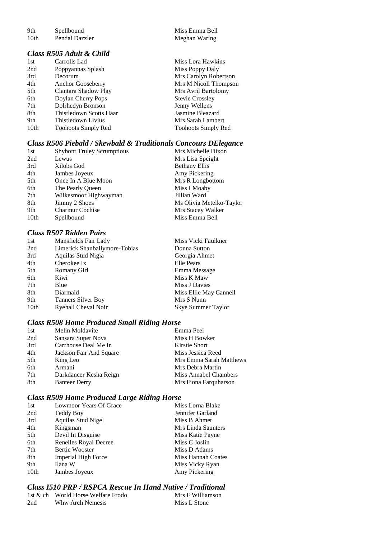9th Spellbound Miss Emma Bell<br>
10th Pendal Dazzler Meghan Waring

### *Class R505 Adult & Child*

| 1st              | Carrolls Lad               |
|------------------|----------------------------|
| 2nd              | Poppyannas Splash          |
| 3rd              | Decorum                    |
| 4th              | <b>Anchor Gooseberry</b>   |
| 5th              | Clantara Shadow Play       |
| 6th              | Doylan Cherry Pops         |
| 7th              | Dolrhedyn Bronson          |
| 8th              | Thistledown Scotts Haar    |
| 9th              | Thistledown Livius         |
| 10 <sub>th</sub> | <b>Toohoots Simply Red</b> |

Meghan Waring

Miss Lora Hawkins Miss Poppy Daly Mrs Carolyn Robertson Mrs M Nicoll Thompson Mrs Avril Bartolomy Stevie Crossley Jenny Wellens Jasmine Bleazard Mrs Sarah Lambert Toohoots Simply Red

# *Class R506 Piebald / Skewbald & Traditionals Concours DElegance*

| 1st  | <b>Shybont Truley Scrumptious</b> | Mrs Michelle Dixon       |
|------|-----------------------------------|--------------------------|
| 2nd  | Lewus                             | Mrs Lisa Speight         |
| 3rd  | Xilobs God                        | <b>Bethany Ellis</b>     |
| 4th  | Jambes Joyeux                     | Amy Pickering            |
| 5th  | Once In A Blue Moon               | Mrs R Longbottom         |
| 6th  | The Pearly Oueen                  | Miss I Moaby             |
| 7th  | Wilkesmoor Highwayman             | Jillian Ward             |
| 8th  | Jimmy 2 Shoes                     | Ms Olivia Metelko-Taylor |
| 9th  | <b>Charmur Cochise</b>            | Mrs Stacey Walker        |
| 10th | Spellbound                        | Miss Emma Bell           |
|      |                                   |                          |

### *Class R507 Ridden Pairs*

| 1st              | Mansfields Fair Lady          | Miss Vicki Faulkner    |
|------------------|-------------------------------|------------------------|
| 2nd              | Limerick Shanballymore-Tobias | Donna Sutton           |
| 3rd              | Aquilas Stud Nigia            | Georgia Ahmet          |
| 4th              | Cherokee Ix                   | Elle Pears             |
| 5th              | Romany Girl                   | Emma Message           |
| 6th              | Kiwi                          | Miss K Maw             |
| 7 <sub>th</sub>  | Blue                          | Miss J Davies          |
| 8th              | Diarmaid                      | Miss Ellie May Cannell |
| 9th              | <b>Tanners Silver Boy</b>     | Mrs S Nunn             |
| 10 <sub>th</sub> | Ryehall Cheval Noir           | Skye Summer Taylor     |

#### *Class R508 Home Produced Small Riding Horse*

| 1st | Melin Moldavite         | Emma Peel               |
|-----|-------------------------|-------------------------|
| 2nd | Sansara Super Nova      | Miss H Bowker           |
| 3rd | Carrhouse Deal Me In    | Kirstie Short           |
| 4th | Jackson Fair And Square | Miss Jessica Reed       |
| 5th | King Leo                | Mrs Emma Sarah Matthews |
| 6th | Armani                  | Mrs Debra Martin        |
| 7th | Darkdancer Kesha Reign  | Miss Annabel Chambers   |
| 8th | <b>Banteer Derry</b>    | Mrs Fiona Farquharson   |

## *Class R509 Home Produced Large Riding Horse*

| 1st  | Lowmoor Years Of Grace     | Miss Lorna Blake   |
|------|----------------------------|--------------------|
| 2nd  | Teddy Boy                  | Jennifer Garland   |
| 3rd  | Aquilas Stud Nigel         | Miss B Ahmet       |
| 4th  | Kingsman                   | Mrs Linda Saunters |
| 5th  | Devil In Disguise          | Miss Katie Payne   |
| 6th  | Renelles Royal Decree      | Miss C Joslin      |
| 7th  | <b>Bertie Wooster</b>      | Miss D Adams       |
| 8th  | <b>Imperial High Force</b> | Miss Hannah Coates |
| 9th  | Ilana W                    | Miss Vicky Ryan    |
| 10th | Jambes Joyeux              | Amy Pickering      |

## *Class I510 PRP / RSPCA Rescue In Hand Native / Traditional*

|     | 1st & ch World Horse Welfare Frodo | Mrs F Williamson |
|-----|------------------------------------|------------------|
| 2nd | Whw Arch Nemesis                   | Miss L Stone     |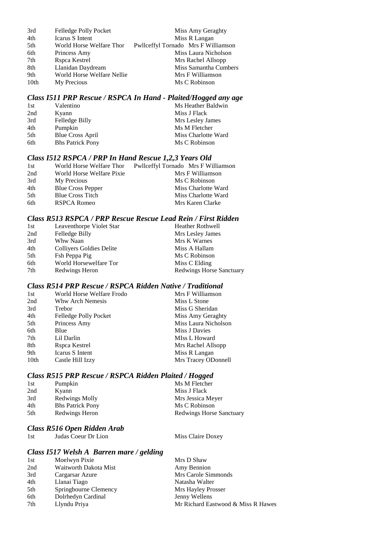| 3rd  | Felledge Polly Pocket      | Miss Amy Geraghty                   |
|------|----------------------------|-------------------------------------|
| 4th  | Icarus S Intent            | Miss R Langan                       |
| 5th  | World Horse Welfare Thor   | Pwllceffyl Tornado Mrs F Williamson |
| 6th  | Princess Amy               | Miss Laura Nicholson                |
| 7th  | Rspca Kestrel              | Mrs Rachel Allsopp                  |
| 8th  | Llanidan Daydream          | Miss Samantha Cumbers               |
| 9th  | World Horse Welfare Nellie | Mrs F Williamson                    |
| 10th | My Precious                | Ms C Robinson                       |

#### *Class I511 PRP Rescue / RSPCA In Hand - Plaited/Hogged any age*

| 1st | Valentino               | Ms Heather Baldwin  |
|-----|-------------------------|---------------------|
| 2nd | Kyann                   | Miss J Flack        |
| 3rd | Felledge Billy          | Mrs Lesley James    |
| 4th | Pumpkin                 | Ms M Fletcher       |
| 5th | Blue Cross April        | Miss Charlotte Ward |
| 6th | <b>Bhs Patrick Pony</b> | Ms C Robinson       |

#### *Class I512 RSPCA / PRP In Hand Rescue 1,2,3 Years Old*

| 1st | World Horse Welfare Thor  | Pwllceffyl Tornado Mrs F Williamson |
|-----|---------------------------|-------------------------------------|
| 2nd | World Horse Welfare Pixie | Mrs F Williamson                    |
| 3rd | My Precious               | Ms C Robinson                       |
| 4th | <b>Blue Cross Pepper</b>  | Miss Charlotte Ward                 |
| 5th | <b>Blue Cross Titch</b>   | Miss Charlotte Ward                 |
| 6th | RSPCA Romeo               | Mrs Karen Clarke                    |
|     |                           |                                     |

## *Class R513 RSPCA / PRP Rescue Rescue Lead Rein / First Ridden*

| 1st | Leaventhorpe Violet Star | <b>Heather Rothwell</b>         |
|-----|--------------------------|---------------------------------|
| 2nd | Felledge Billy           | Mrs Lesley James                |
| 3rd | Whw Naan                 | Mrs K Warnes                    |
| 4th | Colliyers Goldies Delite | Miss A Hallam                   |
| 5th | Fsh Peppa Pig            | Ms C Robinson                   |
| 6th | World Horsewelfare Tor   | Miss C Elding                   |
| 7th | Redwings Heron           | <b>Redwings Horse Sanctuary</b> |

## *Class R514 PRP Rescue / RSPCA Ridden Native / Traditional*

| 1st  | World Horse Welfare Frodo | Mrs F Williamson     |
|------|---------------------------|----------------------|
| 2nd  | Whw Arch Nemesis          | Miss L Stone         |
| 3rd  | Trebor                    | Miss G Sheridan      |
| 4th  | Felledge Polly Pocket     | Miss Amy Geraghty    |
| 5th  | Princess Amy              | Miss Laura Nicholson |
| 6th  | Blue                      | Miss J Davies        |
| 7th  | Lil Darlin                | MIss L Howard        |
| 8th  | Rspca Kestrel             | Mrs Rachel Allsopp   |
| 9th  | Icarus S Intent           | Miss R Langan        |
| 10th | Castle Hill Izzy          | Mrs Tracey ODonnell  |

#### *Class R515 PRP Rescue / RSPCA Ridden Plaited / Hogged*

| 1st | Pumpkin                 | Ms M Fletcher            |
|-----|-------------------------|--------------------------|
| 2nd | Kyann                   | Miss J Flack             |
| 3rd | Redwings Molly          | Mrs Jessica Meyer        |
| 4th | <b>Bhs Patrick Pony</b> | Ms C Robinson            |
| 5th | Redwings Heron          | Redwings Horse Sanctuary |

#### *Class R516 Open Ridden Arab*

1st Judas Coeur Dr Lion Miss Claire Doxey

| Moelwyn Pixie<br>Mrs D Shaw<br>1st                        |  |
|-----------------------------------------------------------|--|
|                                                           |  |
| Waitworth Dakota Mist<br>2nd<br>Amy Bennion               |  |
| 3rd<br>Mrs Carole Simmonds<br>Cargarsar Azure             |  |
| 4th<br>Llanai Tiago<br>Natasha Walter                     |  |
| 5th<br>Springbourne Clemency<br>Mrs Hayley Prosser        |  |
| Dolrhedyn Cardinal<br>6th<br>Jenny Wellens                |  |
| Llyndu Priya<br>Mr Richard Eastwood & Miss R Hawes<br>7th |  |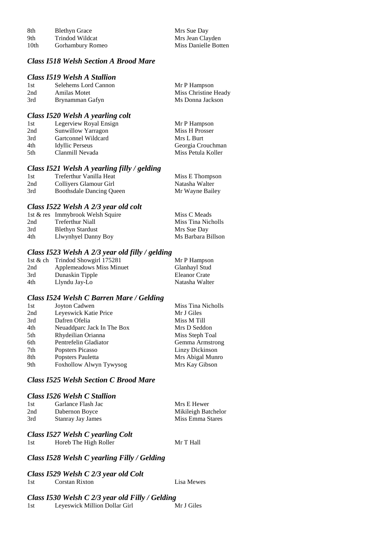| 8th  | <b>Blethyn Grace</b> | Mrs Sue Day          |
|------|----------------------|----------------------|
| 9th  | Trindod Wildcat      | Mrs Jean Clayden     |
| 10th | Gorhambury Romeo     | Miss Danielle Botten |

### *Class I518 Welsh Section A Brood Mare*

#### *Class I519 Welsh A Stallion*

| 1st | Selehems Lord Cannon | Mr P Hampson         |
|-----|----------------------|----------------------|
| 2nd | Amilas Motet         | Miss Christine Heady |
| 3rd | Brynamman Gafyn      | Ms Donna Jackson     |

### *Class I520 Welsh A yearling colt*

| 1st  | Legerview Royal Ensign | Mr P Hampson       |
|------|------------------------|--------------------|
| 2nd  | Sunwillow Yarragon     | Miss H Prosser     |
| 3rd  | Gartconnel Wildcard    | Mrs L Burt         |
| 4th  | Idyllic Perseus        | Georgia Crouchman  |
| .5th | Clanmill Nevada        | Miss Petula Koller |
|      |                        |                    |

#### *Class I521 Welsh A yearling filly / gelding*

| -1st | Treferthur Vanilla Heat         | Miss E Thompson |
|------|---------------------------------|-----------------|
| 2nd  | Collivers Glamour Girl          | Natasha Walter  |
| 3rd  | <b>Boothsdale Dancing Queen</b> | Mr Wayne Bailey |

## *Class I522 Welsh A 2/3 year old colt*

|     | 1st & res Immybrook Welsh Squire | Miss C Meads       |
|-----|----------------------------------|--------------------|
| 2nd | Treferthur Niall                 | Miss Tina Nicholls |
| 3rd | <b>Blethyn Stardust</b>          | Mrs Sue Day        |
| 4th | Llwynhyel Danny Boy              | Ms Barbara Billson |

#### *Class I523 Welsh A 2/3 year old filly / gelding*

| 1st & ch | Trindod Showgirl 175281  | Mr P Hampson   |
|----------|--------------------------|----------------|
| 2nd      | Applemeadows Miss Minuet | Glanhayl Stud  |
| 3rd      | Dunaskin Tipple          | Eleanor Crate  |
| 4th      | Llyndu Jay-Lo            | Natasha Walter |

#### *Class I524 Welsh C Barren Mare / Gelding*

| 1st<br>Joyton Cadwen              | Miss Tina Nicholls |
|-----------------------------------|--------------------|
| Leyeswick Katie Price<br>2nd      | Mr J Giles         |
| 3rd<br>Dafren Ofelia              | Miss M Till        |
| 4th<br>Neuaddparc Jack In The Box | Mrs D Seddon       |
| 5th<br>Rhydeilian Orianna         | Miss Steph Toal    |
| 6th<br>Pentrefelin Gladiator      | Gemma Armstrong    |
| 7th<br>Popsters Picasso           | Linzy Dickinson    |
| 8th<br>Popsters Pauletta          | Mrs Abigal Munro   |
| 9th<br>Foxhollow Alwyn Tywysog    | Mrs Kay Gibson     |

#### *Class I525 Welsh Section C Brood Mare*

#### *Class I526 Welsh C Stallion*

| 1st | Garlance Flash Jac | Mrs E Hewer         |
|-----|--------------------|---------------------|
| 2nd | Dabernon Boyce     | Mikileigh Batchelor |
| 3rd | Stanray Jay James  | Miss Emma Stares    |

#### *Class I527 Welsh C yearling Colt*

1st Horeb The High Roller Mr T Hall

## *Class I528 Welsh C yearling Filly / Gelding*

#### *Class I529 Welsh C 2/3 year old Colt*

| 1st | <b>Corstan Rixton</b> | Lisa Mewes |
|-----|-----------------------|------------|
|     |                       |            |

#### *Class I530 Welsh C 2/3 year old Filly / Gelding* 1st Leyeswick Million Dollar Girl Mr J Giles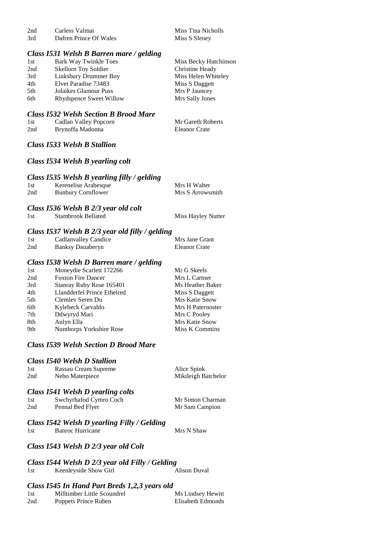| 2nd | Carless Valmai         | Miss Tina Nicholls |
|-----|------------------------|--------------------|
| 3rd | Dafren Prince Of Wales | Miss S Sleney      |

#### *Class I531 Welsh B Barren mare / gelding*

| 1st | Bark Way Twinkle Toes          | Miss Becky Hutchinson |
|-----|--------------------------------|-----------------------|
| 2nd | Skellorn Toy Soldier           | Christine Heady       |
| 3rd | Linksbury Drummer Boy          | Miss Helen Whiteley   |
| 4th | Elvet Paradise 73483           | Miss S Daggett        |
| 5th | Jolaikes Glamour Puss          | Mrs P Jauncey         |
| 6th | <b>Rhydspence Sweet Willow</b> | Mrs Sally Jones       |
|     |                                |                       |

#### *Class I532 Welsh Section B Brood Mare*

| 1st | Cadlan Valley Popcorn | Mr Gareth Roberts    |
|-----|-----------------------|----------------------|
| 2nd | Brynoffa Madonna      | <b>Eleanor Crate</b> |

*Class I533 Welsh B Stallion*

#### *Class I534 Welsh B yearling colt*

## *Class I535 Welsh B yearling filly / gelding*

| 1st | Kerenelise Arabesque      | Mrs H Walter     |
|-----|---------------------------|------------------|
| 2nd | <b>Bunbury Cornflower</b> | Mrs S Arrowsmith |

# *Class I536 Welsh B 2/3 year old colt*

1st Stambrook Bellated Miss Hayley Nutter

#### *Class I537 Welsh B 2/3 year old filly / gelding*

| 1st | <b>Cadlanvalley Candice</b> | Mrs Jane Grant       |
|-----|-----------------------------|----------------------|
| 2nd | Banksy Dauaberyn            | <b>Eleanor Crate</b> |

#### *Class I538 Welsh D Barren mare / gelding*

| Moneydie Scarlett 172266    | Mr G Skeels           |
|-----------------------------|-----------------------|
| <b>Foxton Fire Dancer</b>   | Mrs L Cartner         |
| Stanray Ruby Rose 165401    | Ms Heather Baker      |
| Llandderfel Prince Ethelred | Miss S Daggett        |
| Clemley Seren Du            | <b>Mrs Katie Snow</b> |
| Kylebeck Carvahlo           | Mrs H Paternoster     |
| Ddwyryd Mari                | Mrs C Pooley          |
| Anlyn Ella                  | Mrs Katie Snow        |
| Nunthorps Yorkshire Rose    | Miss K Commins        |
|                             |                       |

#### *Class I539 Welsh Section D Brood Mare*

#### *Class I540 Welsh D Stallion*

| 1st | Rassau Cream Supreme | Alice Spink         |
|-----|----------------------|---------------------|
| 2nd | Nebo Materpiece      | Mikileigh Batchelor |
|     |                      |                     |

## *Class I541 Welsh D yearling colts*

| 1st | Swchyrhafod Cymro Coch | Mr Simon Charman |
|-----|------------------------|------------------|
| 2nd | Pennal Bed Flyer       | Mr Sam Campion   |

#### *Class I542 Welsh D yearling Filly / Gelding*

1st Banroc Hurricane Mrs N Shaw

#### *Class I543 Welsh D 2/3 year old Colt*

*Class I544 Welsh D 2/3 year old Filly / Gelding*

| Keenleyside Show Girl<br>1st | Alison Duval |
|------------------------------|--------------|
|------------------------------|--------------|

#### *Class I545 In Hand Part Breds 1,2,3 years old*

| 1st | Milltimber Little Scoundrel | Ms Lindsey Hewitt |
|-----|-----------------------------|-------------------|
| 2nd | Poppets Prince Ruben        | Elisabeth Edmonds |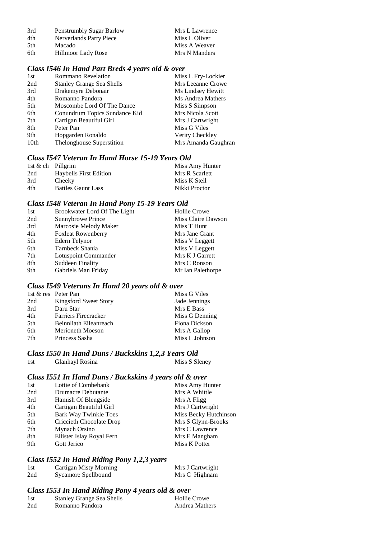| 3rd  | <b>Penstrumbly Sugar Barlow</b> | Mrs L Lawrence |
|------|---------------------------------|----------------|
| 4th  | Nerverlands Party Piece         | Miss L Oliver  |
| .5th | Macado                          | Miss A Weaver  |
| 6th  | Hillmoor Lady Rose              | Mrs N Manders  |

# *Class I546 In Hand Part Breds 4 years old & over*

| 1st              | <b>Rommano Revelation</b>        | Miss L Fry-Lockier  |
|------------------|----------------------------------|---------------------|
| 2nd              | <b>Stanley Grange Sea Shells</b> | Mrs Leeanne Crowe   |
| 3rd              | Drakemyre Debonair               | Ms Lindsey Hewitt   |
| 4th              | Romanno Pandora                  | Ms Andrea Mathers   |
| 5th              | Moscombe Lord Of The Dance       | Miss S Simpson      |
| 6th              | Conundrum Topics Sundance Kid    | Mrs Nicola Scott    |
| 7th              | Cartigan Beautiful Girl          | Mrs J Cartwright    |
| 8th              | Peter Pan                        | Miss G Viles        |
| 9th              | Hopgarden Ronaldo                | Verity Checkley     |
| 10 <sub>th</sub> | Thelonghouse Superstition        | Mrs Amanda Gaughran |

#### *Class I547 Veteran In Hand Horse 15-19 Years Old*

| 1st & ch Pillgrim |                               | Miss Amy Hunter |
|-------------------|-------------------------------|-----------------|
| 2nd               | <b>Haybells First Edition</b> | Mrs R Scarlett  |
| 3rd               | Cheeky                        | Miss K Stell    |
| 4th               | <b>Battles Gaunt Lass</b>     | Nikki Proctor   |

# *Class I548 Veteran In Hand Pony 15-19 Years Old*

| Brookwater Lord Of The Light | <b>Hollie Crowe</b> |
|------------------------------|---------------------|
| Sunnybrowe Prince            | Miss Claire Dawson  |
| Marcosie Melody Maker        | Miss T Hunt         |
| <b>Foxleat Rowenberry</b>    | Mrs Jane Grant      |
| Edern Telynor                | Miss V Leggett      |
| Tarnbeck Shania              | Miss V Leggett      |
| Lotuspoint Commander         | Mrs K J Garrett     |
| Suddeen Finality             | Mrs C Ronson        |
| Gabriels Man Friday          | Mr Ian Palethorpe   |
|                              |                     |

# *Class I549 Veterans In Hand 20 years old & over*

| 1st & res Peter Pan |                         | Miss G Viles   |
|---------------------|-------------------------|----------------|
| 2nd                 | Kingsford Sweet Story   | Jade Jennings  |
| 3rd                 | Daru Star               | Mrs E Bass     |
| 4th                 | Farriers Firecracker    | Miss G Denning |
| 5th                 | Beinnliath Eileanreach  | Fiona Dickson  |
| 6th                 | <b>Merioneth Moeson</b> | Mrs A Gallop   |
| 7th                 | Princess Sasha          | Miss L Johnson |

#### *Class I550 In Hand Duns / Buckskins 1,2,3 Years Old*

| Glanhayl Rosina<br>1st | Miss S Sleney |
|------------------------|---------------|

# *Class I551 In Hand Duns / Buckskins 4 years old & over*

| 1st | Lottie of Combebank          | Miss Amy Hunter       |
|-----|------------------------------|-----------------------|
| 2nd | <b>Drumacre Debutante</b>    | Mrs A Whittle         |
| 3rd | Hamish Of Blengside          | Mrs A Fligg           |
| 4th | Cartigan Beautiful Girl      | Mrs J Cartwright      |
| 5th | <b>Bark Way Twinkle Toes</b> | Miss Becky Hutchinson |
| 6th | Criccieth Chocolate Drop     | Mrs S Glynn-Brooks    |
| 7th | Mynach Orsino                | Mrs C Lawrence        |
| 8th | Ellister Islay Royal Fern    | Mrs E Mangham         |
| 9th | Gott Jerico                  | Miss K Potter         |
|     |                              |                       |

# *Class I552 In Hand Riding Pony 1,2,3 years*

| 1st | Cartigan Misty Morning | Mrs J Cartwright |
|-----|------------------------|------------------|
| 2nd | Sycamore Spellbound    | Mrs C Highnam    |

## *Class I553 In Hand Riding Pony 4 years old & over*

| 1st | <b>Stanley Grange Sea Shells</b> | <b>Hollie Crowe</b>   |
|-----|----------------------------------|-----------------------|
| 2nd | Romanno Pandora                  | <b>Andrea Mathers</b> |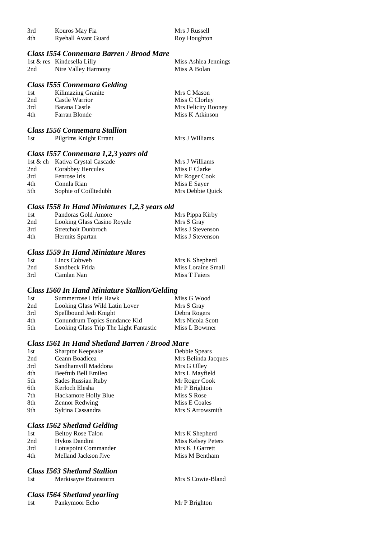| 3rd<br>4th | Kouros May Fia<br><b>Ryehall Avant Guard</b> | Mrs J Russell<br>Roy Houghton |
|------------|----------------------------------------------|-------------------------------|
|            | Class 1554 Connemara Barren / Brood Mare     |                               |
|            | 1st & res Kindesella Lilly                   | Miss Ashlea Jennings          |
| 2nd        | Nire Valley Harmony                          | Miss A Bolan                  |

#### *Class I555 Connemara Gelding*

| 1st | Kilimazing Granite | Mrs C Mason         |
|-----|--------------------|---------------------|
| 2nd | Castle Warrior     | Miss C Clorley      |
| 3rd | Barana Castle      | Mrs Felicity Rooney |
| 4th | Farran Blonde      | Miss K Atkinson     |
|     |                    |                     |

#### *Class I556 Connemara Stallion*

| Pilgrims Knight Errant<br>1st | Mrs J Williams |
|-------------------------------|----------------|
|-------------------------------|----------------|

## *Class I557 Connemara 1,2,3 years old*

|     | 1st & ch Kativa Crystal Cascade | Mrs J Williams   |
|-----|---------------------------------|------------------|
| 2nd | Corabbey Hercules               | Miss F Clarke    |
| 3rd | Fenrose Iris                    | Mr Roger Cook    |
| 4th | Connla Rian                     | Miss E Sayer     |
| 5th | Sophie of Coilltedubh           | Mrs Debbie Quick |

#### *Class I558 In Hand Miniatures 1,2,3 years old*

| 1st | Pandoras Gold Amore         | Mrs Pippa Kirby  |
|-----|-----------------------------|------------------|
| 2nd | Looking Glass Casino Royale | Mrs S Gray       |
| 3rd | <b>Stretcholt Dunbroch</b>  | Miss J Stevenson |
| 4th | Hermits Spartan             | Miss J Stevenson |

# *Class I559 In Hand Miniature Mares*

| 1st | Lincs Cobweb   | Mrs K Shepherd     |
|-----|----------------|--------------------|
| 2nd | Sandbeck Frida | Miss Loraine Small |
| 3rd | Camlan Nan     | Miss T Faiers      |

#### *Class I560 In Hand Miniature Stallion/Gelding*

| 1st | Summerrose Little Hawk                 | Miss G Wood      |
|-----|----------------------------------------|------------------|
| 2nd | Looking Glass Wild Latin Lover         | Mrs S Gray       |
| 3rd | Spellbound Jedi Knight                 | Debra Rogers     |
| 4th | Conundrum Topics Sundance Kid          | Mrs Nicola Scott |
| 5th | Looking Glass Trip The Light Fantastic | Miss L Bowmer    |

#### *Class I561 In Hand Shetland Barren / Brood Mare*

| 1st | <b>Sharptor Keepsake</b> | Debbie Spears       |
|-----|--------------------------|---------------------|
| 2nd | Ceann Boadicea           | Mrs Belinda Jacques |
| 3rd | Sandhamvill Maddona      | Mrs G Olley         |
| 4th | Beeftub Bell Emileo      | Mrs L Mayfield      |
| 5th | Sades Russian Ruby       | Mr Roger Cook       |
| 6th | Kerloch Elesha           | Mr P Brighton       |
| 7th | Hackamore Holly Blue     | Miss S Rose         |
| 8th | <b>Zennor Redwing</b>    | Miss E Coales       |
| 9th | Syltina Cassandra        | Mrs S Arrowsmith    |
|     |                          |                     |

## *Class I562 Shetland Gelding*

| 1st | <b>Beltoy Rose Talon</b> |
|-----|--------------------------|
| 2nd | Hykos Dandini            |
| 3rd | Lotuspoint Commander     |
| 4th | Melland Jackson Jive     |

#### *Class I563 Shetland Stallion*

| 1st | Merkisayre Brainstorm |
|-----|-----------------------|
|     |                       |

# *Class I564 Shetland yearling*

Mrs K Shepherd Miss Kelsey Peters Mrs K J Garrett Miss M Bentham

Mrs S Cowie-Bland

Pankymoor Echo Mr P Brighton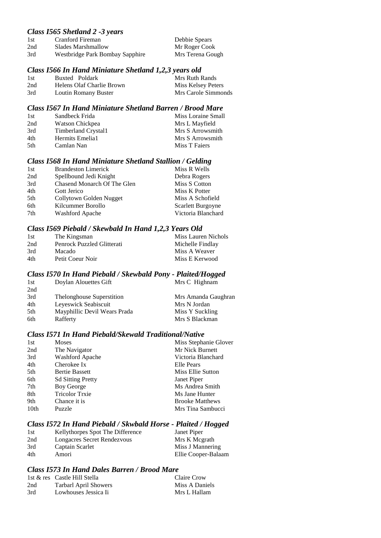## *Class I565 Shetland 2 -3 years*

| 1st | Cranford Fireman                | Debbie Spears    |
|-----|---------------------------------|------------------|
| 2nd | Slades Marshmallow              | Mr Roger Cook    |
| 3rd | Westbridge Park Bombay Sapphire | Mrs Terena Gough |

#### *Class I566 In Hand Miniature Shetland 1,2,3 years old*

| -1st | Buxted Poldark            | Mrs Ruth Rands      |
|------|---------------------------|---------------------|
| 2nd  | Helens Olaf Charlie Brown | Miss Kelsey Peters  |
| 3rd  | Loutin Romany Buster      | Mrs Carole Simmonds |

## *Class I567 In Hand Miniature Shetland Barren / Brood Mare*

| 1st | Sandbeck Frida      | Miss Loraine Small |
|-----|---------------------|--------------------|
| 2nd | Watson Chickpea     | Mrs L Mayfield     |
| 3rd | Timberland Crystal1 | Mrs S Arrowsmith   |
| 4th | Hermits Emelia1     | Mrs S Arrowsmith   |
| 5th | Camlan Nan          | Miss T Faiers      |

#### *Class I568 In Hand Miniature Shetland Stallion / Gelding*

| 1st | <b>Brandeston Limerick</b>  | Miss R Wells       |
|-----|-----------------------------|--------------------|
| 2nd | Spellbound Jedi Knight      | Debra Rogers       |
| 3rd | Chasend Monarch Of The Glen | Miss S Cotton      |
| 4th | Gott Jerico                 | Miss K Potter      |
| 5th | Collytown Golden Nugget     | Miss A Schofield   |
| 6th | Kilcummer Borollo           | Scarlett Burgoyne  |
| 7th | <b>Washford Apache</b>      | Victoria Blanchard |

#### *Class I569 Piebald / Skewbald In Hand 1,2,3 Years Old*

| 1st | The Kingsman               | Miss Lauren Nichols |
|-----|----------------------------|---------------------|
| 2nd | Penrock Puzzled Glitterati | Michelle Findlay    |
| 3rd | <b>Macado</b>              | Miss A Weaver       |
| 4th | Petit Coeur Noir           | Miss E Kerwood      |

#### *Class I570 In Hand Piebald / Skewbald Pony - Plaited/Hogged*

| 1st | Doylan Alouettes Gift            | Mrs C Highnam       |
|-----|----------------------------------|---------------------|
| 2nd |                                  |                     |
| 3rd | <b>Thelonghouse Superstition</b> | Mrs Amanda Gaughran |
| 4th | Leyeswick Seabiscuit             | Mrs N Jordan        |
| 5th | Mayphillic Devil Wears Prada     | Miss Y Suckling     |
| 6th | Rafferty                         | Mrs S Blackman      |

# *Class I571 In Hand Piebald/Skewald Traditional/Native*

| 1st              | <b>Moses</b>             | Miss Stephanie Glover  |
|------------------|--------------------------|------------------------|
| 2nd              | The Navigator            | Mr Nick Burnett        |
| 3rd              | Washford Apache          | Victoria Blanchard     |
| 4th              | Cherokee Ix              | Elle Pears             |
| 5th              | <b>Bertie Bassett</b>    | Miss Ellie Sutton      |
| 6th              | <b>Sd Sitting Pretty</b> | Janet Piper            |
| 7th              | Boy George               | Ms Andrea Smith        |
| 8th              | <b>Tricolor Trxie</b>    | Ms Jane Hunter         |
| 9th              | Chance it is             | <b>Brooke Matthews</b> |
| 10 <sub>th</sub> | Puzzle                   | Mrs Tina Sambucci      |

## *Class I572 In Hand Piebald / Skwbald Horse - Plaited / Hogged*

| 1st | Kellythorpes Spot The Difference | Janet Piper         |
|-----|----------------------------------|---------------------|
| 2nd | Longacres Secret Rendezvous      | Mrs K Megrath       |
| 3rd | Captain Scarlet                  | Miss J Mannering    |
| 4th | Amori                            | Ellie Cooper-Balaam |

## *Class I573 In Hand Dales Barren / Brood Mare*

|     | 1st & res Castle Hill Stella | Claire Crow    |
|-----|------------------------------|----------------|
| 2nd | <b>Tarbarl April Showers</b> | Miss A Daniels |
| 3rd | Lowhouses Jessica Ii         | Mrs L Hallam   |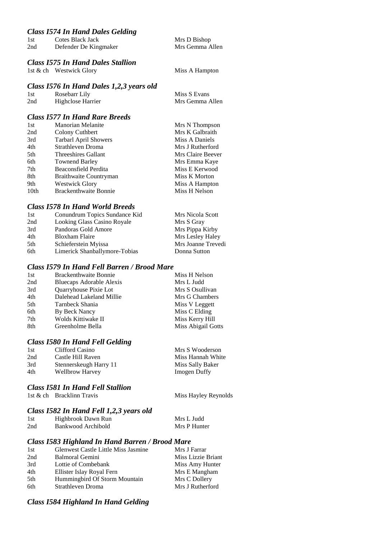#### *Class I574 In Hand Dales Gelding*

| 1st | Cotes Black Jack      | Mrs D Bishop    |
|-----|-----------------------|-----------------|
| 2nd | Defender De Kingmaker | Mrs Gemma Allen |
|     |                       |                 |

#### *Class I575 In Hand Dales Stallion*

1st & ch Westwick Glory Miss A Hampton

#### *Class I576 In Hand Dales 1,2,3 years old*

| 1st | Rosebarr Lily            | Miss S Evans    |
|-----|--------------------------|-----------------|
| 2nd | <b>Highclose Harrier</b> | Mrs Gemma Allen |

# *Class I577 In Hand Rare Breeds*

| 1st              | <b>Manorian Melanite</b>     | Mrs N Thompson    |
|------------------|------------------------------|-------------------|
| 2nd              | Colony Cuthbert              | Mrs K Galbraith   |
| 3rd              | <b>Tarbarl April Showers</b> | Miss A Daniels    |
| 4th              | Strathleven Droma            | Mrs J Rutherford  |
| 5th              | Threeshires Gallant          | Mrs Claire Beever |
| 6th              | <b>Townend Barley</b>        | Mrs Emma Kaye     |
| 7th              | Beaconsfield Perdita         | Miss E Kerwood    |
| 8th              | Braithwaite Countryman       | Miss K Morton     |
| 9th              | <b>Westwick Glory</b>        | Miss A Hampton    |
| 10 <sub>th</sub> | <b>Brackenthwaite Bonnie</b> | Miss H Nelson     |

## *Class I578 In Hand World Breeds*

| 1st | Conundrum Topics Sundance Kid | Mrs Nicola Scott   |
|-----|-------------------------------|--------------------|
| 2nd | Looking Glass Casino Royale   | Mrs S Gray         |
| 3rd | Pandoras Gold Amore           | Mrs Pippa Kirby    |
| 4th | <b>Bloxham Flaire</b>         | Mrs Lesley Haley   |
| 5th | Schieferstein Myissa          | Mrs Joanne Trevedi |
| 6th | Limerick Shanballymore-Tobias | Donna Sutton       |

# *Class I579 In Hand Fell Barren / Brood Mare*

| <b>Brackenthwaite Bonnie</b> | Miss H Nelson      |
|------------------------------|--------------------|
| Bluecaps Adorable Alexis     | Mrs L Judd         |
| Quarryhouse Pixie Lot        | Mrs S Osullivan    |
| Dalehead Lakeland Millie     | Mrs G Chambers     |
| Tarnbeck Shania              | Miss V Leggett     |
| By Beck Nancy                | Miss C Elding      |
| Wolds Kittiwake II           | Miss Kerry Hill    |
| Greenholme Bella             | Miss Abigail Gotts |
|                              |                    |

## *Class I580 In Hand Fell Gelding*

| 1st | Clifford Casino        | Mrs S Wooderson     |
|-----|------------------------|---------------------|
| 2nd | Castle Hill Raven      | Miss Hannah White   |
| 3rd | Stennerskeugh Harry 11 | Miss Sally Baker    |
| 4th | <b>Wellbrow Harvey</b> | <b>Imogen Duffy</b> |

#### *Class I581 In Hand Fell Stallion*

1st & ch Bracklinn Travis Miss Hayley Reynolds

## *Class I582 In Hand Fell 1,2,3 years old*

| 1st | Highbrook Dawn Run | Mrs L Judd   |
|-----|--------------------|--------------|
| 2nd | Bankwood Archibold | Mrs P Hunter |

#### *Class I583 Highland In Hand Barren / Brood Mare*

| 1st | Glenwest Castle Little Miss Jasmine | Mrs J Farrar       |
|-----|-------------------------------------|--------------------|
| 2nd | Balmoral Gemini                     | Miss Lizzie Briant |
| 3rd | Lottie of Combebank                 | Miss Amy Hunter    |
| 4th | Ellister Islay Royal Fern           | Mrs E Mangham      |
| 5th | Hummingbird Of Storm Mountain       | Mrs C Dollery      |
| 6th | Strathleven Droma                   | Mrs J Rutherford   |

# *Class I584 Highland In Hand Gelding*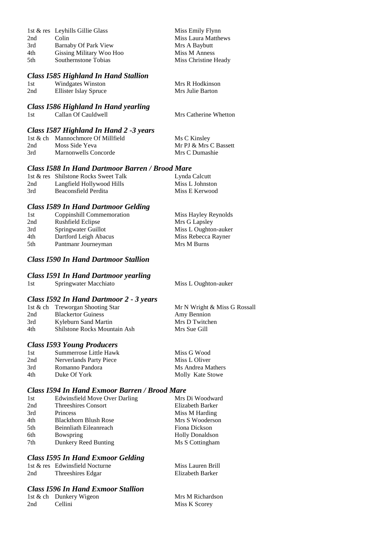|      | 1st & res Leyhills Gillie Glass | Miss Emily Flynn     |
|------|---------------------------------|----------------------|
| 2nd  | Colin                           | Miss Laura Matthews  |
| 3rd  | Barnaby Of Park View            | Mrs A Baybutt        |
| 4th  | Gissing Military Woo Hoo        | Miss M Anness        |
| .5th | Southernstone Tobias            | Miss Christine Heady |

## *Class I585 Highland In Hand Stallion*

| 1st | Windgates Winston     | Mrs R Hodkinson  |
|-----|-----------------------|------------------|
| 2nd | Ellister Islay Spruce | Mrs Julie Barton |

#### *Class I586 Highland In Hand yearling*

1st Callan Of Cauldwell Mrs Catherine Whetton

| Class 1587 Highland In Hand 2 -3 years |                                   |                       |  |
|----------------------------------------|-----------------------------------|-----------------------|--|
|                                        | 1st & ch Mannochmore Of Millfield | Ms C Kinsley          |  |
| 2nd                                    | Moss Side Yeva                    | Mr PJ & Mrs C Bassett |  |
| 3rd                                    | Marnonwells Concorde              | Mrs C Dumashie        |  |

#### *Class I588 In Hand Dartmoor Barren / Brood Mare*

|     | 1st & res Shilstone Rocks Sweet Talk | Lynda Calcutt   |
|-----|--------------------------------------|-----------------|
| 2nd | Langfield Hollywood Hills            | Miss L Johnston |
| 3rd | Beaconsfield Perdita                 | Miss E Kerwood  |

### *Class I589 In Hand Dartmoor Gelding*

| 1st | Coppinshill Commemoration | Miss Hayley Reynolds |
|-----|---------------------------|----------------------|
| 2nd | Rushfield Eclipse         | Mrs G Lapsley        |
| 3rd | Springwater Guillot       | Miss L Oughton-auker |
| 4th | Dartford Leigh Abacus     | Miss Rebecca Rayner  |
| 5th | Pantmanr Journeyman       | Mrs M Burns          |
|     |                           |                      |

# *Class I590 In Hand Dartmoor Stallion*

#### *Class I591 In Hand Dartmoor yearling*

1st Springwater Macchiato Miss L Oughton-auker

Mrs M Richardson Miss K Scorey

#### *Class I592 In Hand Dartmoor 2 - 3 years*

|     | 1st & ch Treworgan Shooting Star    | Mr N Wright & Miss G Rossall |
|-----|-------------------------------------|------------------------------|
| 2nd | <b>Blackertor Guiness</b>           | Amy Bennion                  |
| 3rd | Kyleburn Sand Martin                | Mrs D Twitchen               |
| 4th | <b>Shilstone Rocks Mountain Ash</b> | Mrs Sue Gill                 |

## *Class I593 Young Producers*

| 1st | Summerrose Little Hawk  | Miss G Wood       |
|-----|-------------------------|-------------------|
| 2nd | Nerverlands Party Piece | Miss L Oliver     |
| 3rd | Romanno Pandora         | Ms Andrea Mathers |
| 4th | Duke Of York            | Molly Kate Stowe  |

# *Class I594 In Hand Exmoor Barren / Brood Mare*

| <b>Edwinsfield Move Over Darling</b> | Mrs Di Woodward        |
|--------------------------------------|------------------------|
| <b>Threeshires Consort</b>           | Elizabeth Barker       |
| Princess                             | Miss M Harding         |
| <b>Blackthorn Blush Rose</b>         | Mrs S Wooderson        |
| Beinnliath Eileanreach               | Fiona Dickson          |
| Bowspring                            | <b>Holly Donaldson</b> |
| Dunkery Reed Bunting                 | Ms S Cottingham        |
|                                      |                        |

## *Class I595 In Hand Exmoor Gelding*

|     | 1st & res Edwinsfield Nocturne | Miss Lauren Brill |
|-----|--------------------------------|-------------------|
| 2nd | Threeshires Edgar              | Elizabeth Barker  |

# *Class I596 In Hand Exmoor Stallion*

|     | 1st & ch Dunkery Wigeon |
|-----|-------------------------|
| 2nd | Cellini                 |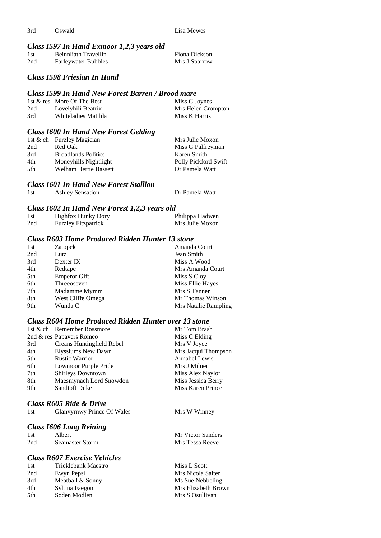3rd Oswald Lisa Mewes

#### *Class I597 In Hand Exmoor 1,2,3 years old*

| 1st | Beinnliath Travellin       | Fiona Dickson |
|-----|----------------------------|---------------|
| 2nd | <b>Farleywater Bubbles</b> | Mrs J Sparrow |

#### *Class I598 Friesian In Hand*

#### *Class I599 In Hand New Forest Barren / Brood mare*

|     | 1st & res More Of The Best | Miss C Joynes      |
|-----|----------------------------|--------------------|
| 2nd | Lovelyhili Beatrix         | Mrs Helen Crompton |
| 3rd | Whiteladies Matilda        | Miss K Harris      |

#### *Class I600 In Hand New Forest Gelding*

|      | 1st & ch Furzley Magician  | Mrs Julie Moxon      |
|------|----------------------------|----------------------|
| 2nd  | Red Oak                    | Miss G Palfreyman    |
| 3rd  | <b>Broadlands Politics</b> | Karen Smith          |
| 4th  | Moneyhills Nightlight      | Polly Pickford Swift |
| .5th | Welham Bertie Bassett      | Dr Pamela Watt       |

#### *Class I601 In Hand New Forest Stallion*

| 1st<br><b>Ashley Sensation</b> | Dr Pamela Watt |
|--------------------------------|----------------|
|--------------------------------|----------------|

#### *Class I602 In Hand New Forest 1,2,3 years old*

| 1st | <b>Highfox Hunky Dory</b>  | Philippa Hadwen |
|-----|----------------------------|-----------------|
| 2nd | <b>Furzley Fitzpatrick</b> | Mrs Julie Moxon |

#### *Class R603 Home Produced Ridden Hunter 13 stone*

| 1st | Zatopek             | Amanda Court         |
|-----|---------------------|----------------------|
| 2nd | Lutz                | Jean Smith           |
| 3rd | Dexter IX           | Miss A Wood          |
| 4th | Redtape             | Mrs Amanda Court     |
| 5th | <b>Emperor Gift</b> | Miss S Cloy          |
| 6th | Threeoseven         | Miss Ellie Hayes     |
| 7th | Madamme Mymm        | Mrs S Tanner         |
| 8th | West Cliffe Omega   | Mr Thomas Winson     |
| 9th | Wunda C             | Mrs Natalie Rampling |

## *Class R604 Home Produced Ridden Hunter over 13 stone*

|     | 1st & ch Remember Rossmore | Mr Tom Brash        |
|-----|----------------------------|---------------------|
|     | 2nd & res Papavers Romeo   | Miss C Elding       |
| 3rd | Creans Huntingfield Rebel  | Mrs V Joyce         |
| 4th | Elyssiums New Dawn         | Mrs Jacqui Thompson |
| 5th | <b>Rustic Warrior</b>      | Annabel Lewis       |
| 6th | Lowmoor Purple Pride       | Mrs J Milner        |
| 7th | <b>Shirleys Downtown</b>   | Miss Alex Naylor    |
| 8th | Maesmynach Lord Snowdon    | Miss Jessica Berry  |
| 9th | <b>Sandtoft Duke</b>       | Miss Karen Prince   |

Mrs W Winney

Mr Victor Sanders Mrs Tessa Reeve

#### *Class R605 Ride & Drive*

#### *Class I606 Long Reining*

| 1st | Albert                 |
|-----|------------------------|
| 2nd | <b>Seamaster Storm</b> |

#### *Class R607 Exercise Vehicles*

| 1st | Tricklebank Maestro | Miss L Scott        |
|-----|---------------------|---------------------|
| 2nd | Ewyn Pepsi          | Mrs Nicola Salter   |
| 3rd | Meatball & Sonny    | Ms Sue Nebbeling    |
| 4th | Syltina Faegon      | Mrs Elizabeth Brown |
| 5th | Soden Modlen        | Mrs S Osullivan     |
|     |                     |                     |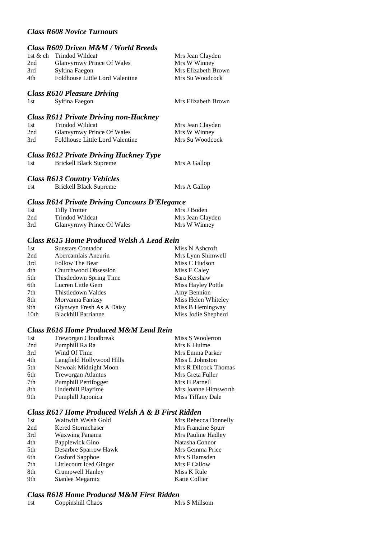## *Class R608 Novice Turnouts*

# *Class R609 Driven M&M / World Breeds*

|     | 1st & ch Trindod Wildcat        | Mrs Jean Clayden    |
|-----|---------------------------------|---------------------|
| 2nd | Glanvyrnwy Prince Of Wales      | Mrs W Winney        |
| 3rd | Syltina Faegon                  | Mrs Elizabeth Brown |
| 4th | Foldhouse Little Lord Valentine | Mrs Su Woodcock     |
|     |                                 |                     |

# *Class R610 Pleasure Driving*

Mrs Elizabeth Brown

## *Class R611 Private Driving non-Hackney*

| 1st | Trindod Wildcat                   | Mrs Jean Clayden |
|-----|-----------------------------------|------------------|
| 2nd | <b>Glanvyrnwy Prince Of Wales</b> | Mrs W Winney     |
| 3rd | Foldhouse Little Lord Valentine   | Mrs Su Woodcock  |

## *Class R612 Private Driving Hackney Type*

1st Brickell Black Supreme Mrs A Gallop

# *Class R613 Country Vehicles*

| <b>Brickell Black Supreme</b><br>1st | Mrs A Gallop |
|--------------------------------------|--------------|

#### *Class R614 Private Driving Concours D'Elegance*

| 1st | Tilly Trotter                     | Mrs J Boden      |
|-----|-----------------------------------|------------------|
| 2nd | Trindod Wildcat                   | Mrs Jean Clayden |
| 3rd | <b>Glanvyrnwy Prince Of Wales</b> | Mrs W Winney     |

#### *Class R615 Home Produced Welsh A Lead Rein*

| 1st              | <b>Sunstars Contador</b>   | Miss N Ashcroft     |
|------------------|----------------------------|---------------------|
| 2nd              | Abercamlais Aneurin        | Mrs Lynn Shimwell   |
| 3rd              | Follow The Bear            | Miss C Hudson       |
| 4th              | Churchwood Obsession       | Miss E Caley        |
| 5th              | Thistledown Spring Time    | Sara Kershaw        |
| 6th              | Lucren Little Gem          | Miss Hayley Pottle  |
| 7th              | Thistledown Valdes         | Amy Bennion         |
| 8th              | Morvanna Fantasy           | Miss Helen Whiteley |
| 9th              | Glynwyn Fresh As A Daisy   | Miss B Hemingway    |
| 10 <sub>th</sub> | <b>Blackhill Parrianne</b> | Miss Jodie Shepherd |

#### *Class R616 Home Produced M&M Lead Rein*

| 1st | Treworgan Cloudbreak      | Miss S Woolerton     |
|-----|---------------------------|----------------------|
| 2nd | Pumphill Ra Ra            | Mrs K Hulme          |
| 3rd | Wind Of Time              | Mrs Emma Parker      |
| 4th | Langfield Hollywood Hills | Miss L Johnston      |
| 5th | Newoak Midnight Moon      | Mrs R Dilcock Thomas |
| 6th | <b>Treworgan Atlantus</b> | Mrs Greta Fuller     |
| 7th | Pumphill Pettifogger      | Mrs H Parnell        |
| 8th | Underhill Playtime        | Mrs Joanne Himsworth |
| 9th | Pumphill Japonica         | Miss Tiffany Dale    |

# *Class R617 Home Produced Welsh A & B First Ridden*

| 1st | Waitwith Welsh Gold     | Mrs Rebecca Donnelly |
|-----|-------------------------|----------------------|
| 2nd | Kered Stormchaser       | Mrs Francine Spurr   |
| 3rd | <b>Waxwing Panama</b>   | Mrs Pauline Hadley   |
| 4th | Papplewick Gino         | Natasha Connor       |
| 5th | Desarbre Sparrow Hawk   | Mrs Gemma Price      |
| 6th | Cosford Sapphoe         | Mrs S Ramsden        |
| 7th | Littlecourt Iced Ginger | Mrs F Callow         |
| 8th | Crumpwell Hanley        | Miss K Rule          |
| 9th | Sianlee Megamix         | Katie Collier        |
|     |                         |                      |

## *Class R618 Home Produced M&M First Ridden*

| 1st | Coppinshill Chaos | Mrs S Millsom |
|-----|-------------------|---------------|
|     |                   |               |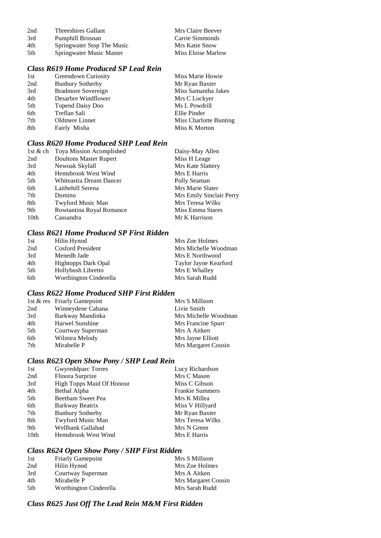| 2nd  | Threeshires Gallant        | Mrs Claire Beever  |
|------|----------------------------|--------------------|
| 3rd  | Pumphill Brosnan           | Carrie Simmonds    |
| 4th  | Springwater Stop The Music | Mrs Katie Snow     |
| .5th | Springwater Music Master   | Miss Eloise Marlow |

# *Class R619 Home Produced SP Lead Rein*

| 1st | Greendown Curiosity     | Miss Marie Howie       |
|-----|-------------------------|------------------------|
| 2nd | <b>Bunbury Sotherby</b> | Mr Ryan Baxter         |
| 3rd | Bradmore Sovereign      | Miss Samantha Jakes    |
| 4th | Desarbre Windflower     | Mrs C Lockyer          |
| 5th | <b>Topend Daisy Doo</b> | Ms L Powdrill          |
| 6th | Treflan Sali            | Ellie Pinder           |
| 7th | Oldmere Linnet          | Miss Charlotte Bunting |
| 8th | Fairly Misha            | Miss K Morton          |

## *Class R620 Home Produced SHP Lead Rein*

|                  | 1st & ch Toya Mission Acomplished | Daisy-May Allen          |
|------------------|-----------------------------------|--------------------------|
| 2nd              | <b>Doultons Master Rupert</b>     | Miss H Leage             |
| 3rd              | Newoak Skyfall                    | Mrs Kate Slattery        |
| 4th              | Hemsbrook West Wind               | Mrs E Harris             |
| 5th              | Whiteastra Dream Dancer           | Polly Seaman             |
| 6th              | Laithehill Serena                 | Mrs Marie Slater         |
| 7th              | Domino                            | Mrs Emily Sinclair Perry |
| 8th              | Twyford Music Man                 | Mrs Teresa Wilks         |
| 9th              | Rowtantina Royal Romance          | Miss Emma Stares         |
| 10 <sub>th</sub> | Cassandra                         | Mr K Harrison            |

# *Class R621 Home Produced SP First Ridden*

| 1st | Hilin Hynod                | Mrs Zoe Holmes        |
|-----|----------------------------|-----------------------|
| 2nd | <b>Cosford President</b>   | Mrs Michelle Woodman  |
| 3rd | Menedh Jade                | Mrs E Northwood       |
| 4th | <b>Hightopps Dark Opal</b> | Taylor Jayne Kearford |
| 5th | Hollybush Libretto         | Mrs E Whalley         |
| 6th | Worthington Cinderella     | Mrs Sarah Rudd        |

## *Class R622 Home Produced SHP First Ridden*

|                   | Mrs S Millsom               |
|-------------------|-----------------------------|
| Winneydene Cabana | Livie Smith                 |
| Barkway Mandinka  | Mrs Michelle Woodman        |
| Harwel Sunshine   | Mrs Francine Spurr          |
| Courtway Superman | Mrs A Aitken                |
| Wilmira Melody    | Mrs Jayne Elliott           |
| Mirabelle P       | Mrs Margaret Cousin         |
|                   | 1st & res Friarly Gamepoint |

# *Class R623 Open Show Pony / SHP Lead Rein*

| 1st              | Gwyreddparc Torres               | Lucy Richardson        |
|------------------|----------------------------------|------------------------|
| 2nd              | Flinora Surprize                 | Mrs C Mason            |
| 3rd              | <b>High Topps Maid Of Honour</b> | Miss C Gibson          |
| 4th              | Bethal Alpha                     | <b>Frankie Summers</b> |
| 5th              | Beetham Sweet Pea                | Mrs K Millea           |
| 6th              | Barkway Beatrix                  | Miss V Hillyard        |
| 7th              | <b>Bunbury Sotherby</b>          | Mr Ryan Baxter         |
| 8th              | Twyford Music Man                | Mrs Teresa Wilks       |
| 9th              | Wellbank Gallahad                | Mrs N Green            |
| 10 <sub>th</sub> | Hemsbrook West Wind              | Mrs E Harris           |
|                  |                                  |                        |

# *Class R624 Open Show Pony / SHP First Ridden*

| 1st  | <b>Friarly Gamepoint</b> | Mrs S Millsom       |
|------|--------------------------|---------------------|
| 2nd  | Hilin Hynod              | Mrs Zoe Holmes      |
| 3rd  | Courtway Superman        | Mrs A Aitken        |
| 4th  | Mirabelle P              | Mrs Margaret Cousin |
| .5th | Worthington Cinderella   | Mrs Sarah Rudd      |

# *Class R625 Just Off The Lead Rein M&M First Ridden*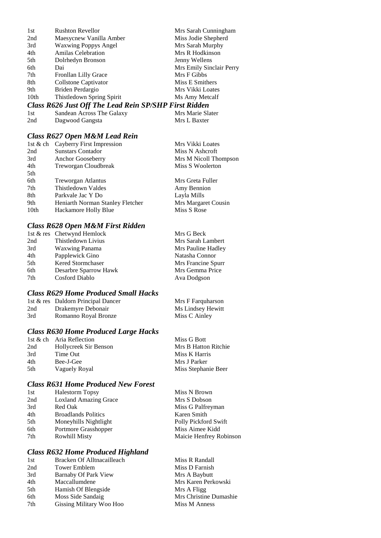| 1st  | <b>Rushton Revellor</b>                               | Mrs Sarah Cunningham     |
|------|-------------------------------------------------------|--------------------------|
| 2nd  | Maesycnew Vanilla Amber                               | Miss Jodie Shepherd      |
| 3rd  | <b>Waxwing Poppys Angel</b>                           | Mrs Sarah Murphy         |
| 4th  | <b>Amilas Celebration</b>                             | Mrs R Hodkinson          |
| 5th  | Dolrhedyn Bronson                                     | Jenny Wellens            |
| 6th  | Dai                                                   | Mrs Emily Sinclair Perry |
| 7th  | Fronllan Lilly Grace                                  | Mrs F Gibbs              |
| 8th  | Collstone Captivator                                  | Miss E Smithers          |
| 9th. | Briden Perdargio                                      | Mrs Vikki Loates         |
| 10th | Thistledown Spring Spirit                             | Ms Amy Metcalf           |
|      | Class R626 Just Off The Lead Rein SP/SHP First Ridden |                          |

| <b>Class R626 Just Off The Lead Rein SP/SHP First Ridden</b> |  |  |  |  |  |
|--------------------------------------------------------------|--|--|--|--|--|
|--------------------------------------------------------------|--|--|--|--|--|

| -1st | Sandean Across The Galaxy | Mrs Marie Slater |
|------|---------------------------|------------------|
| 2nd  | Dagwood Gangsta           | Mrs L Baxter     |

# *Class R627 Open M&M Lead Rein*

|      | 1st & ch Cayberry First Impression | Mrs Vikki Loates      |
|------|------------------------------------|-----------------------|
| 2nd  | <b>Sunstars Contador</b>           | Miss N Ashcroft       |
| 3rd  | Anchor Gooseberry                  | Mrs M Nicoll Thompson |
| 4th  | Treworgan Cloudbreak               | Miss S Woolerton      |
| 5th  |                                    |                       |
| 6th  | <b>Treworgan Atlantus</b>          | Mrs Greta Fuller      |
| 7th  | Thistledown Valdes                 | Amy Bennion           |
| 8th  | Parkvale Jac Y Do                  | Layla Mills           |
| 9th  | Heniarth Norman Stanley Fletcher   | Mrs Margaret Cousin   |
| 10th | Hackamore Holly Blue               | Miss S Rose           |
|      |                                    |                       |

# *Class R628 Open M&M First Ridden*

|     | 1st & res Chetwynd Hemlock | Mrs G Beck         |
|-----|----------------------------|--------------------|
| 2nd | Thistledown Livius         | Mrs Sarah Lambert  |
| 3rd | <b>Waxwing Panama</b>      | Mrs Pauline Hadley |
| 4th | Papplewick Gino            | Natasha Connor     |
| 5th | <b>Kered Stormchaser</b>   | Mrs Francine Spurr |
| 6th | Desarbre Sparrow Hawk      | Mrs Gemma Price    |
| 7th | Cosford Diablo             | Ava Dodgson        |
|     |                            |                    |

# *Class R629 Home Produced Small Hacks*

|     | 1st & res Daldorn Principal Dancer | Mrs F Farquharson |
|-----|------------------------------------|-------------------|
| 2nd | Drakemyre Debonair                 | Ms Lindsey Hewitt |
| 3rd | Romanno Royal Bronze               | Miss C Ainley     |

# *Class R630 Home Produced Large Hacks*

|      | 1st & ch Aria Reflection | Miss G Bott          |
|------|--------------------------|----------------------|
| 2nd  | Hollycreek Sir Benson    | Mrs B Hatton Ritchie |
| 3rd  | Time Out                 | Miss K Harris        |
| 4th  | Bee-J-Gee                | Mrs J Parker         |
| .5th | Vaguely Royal            | Miss Stephanie Beer  |
|      |                          |                      |

# *Class R631 Home Produced New Forest*

| 1st | <b>Halestorm Topsy</b>       | Miss N Brown            |
|-----|------------------------------|-------------------------|
| 2nd | <b>Loxland Amazing Grace</b> | Mrs S Dobson            |
| 3rd | Red Oak                      | Miss G Palfreyman       |
| 4th | <b>Broadlands Politics</b>   | Karen Smith             |
| 5th | Moneyhills Nightlight        | Polly Pickford Swift    |
| 6th | Portmore Grasshopper         | Miss Aimee Kidd         |
| 7th | <b>Rowhill Misty</b>         | Maicie Henfrey Robinson |

# *Class R632 Home Produced Highland*

| 1st | Bracken Of Alltnacailleach | Miss R Randall         |
|-----|----------------------------|------------------------|
| 2nd | <b>Tower Emblem</b>        | Miss D Farnish         |
| 3rd | Barnaby Of Park View       | Mrs A Baybutt          |
| 4th | Maccallumdene              | Mrs Karen Perkowski    |
| 5th | Hamish Of Blengside        | Mrs A Fligg            |
| 6th | Moss Side Sandaig          | Mrs Christine Dumashie |
| 7th | Gissing Military Woo Hoo   | Miss M Anness          |
|     |                            |                        |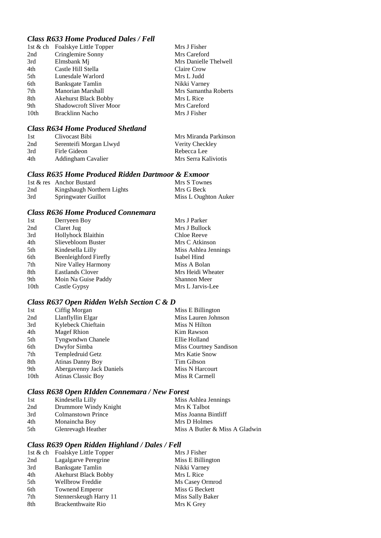# *Class R633 Home Produced Dales / Fell*

| 1st & ch | Foalskye Little Topper         | Mrs J Fisher          |
|----------|--------------------------------|-----------------------|
| 2nd      | Cringlemire Sonny              | Mrs Careford          |
| 3rd      | Elmsbank Mj                    | Mrs Danielle Thelwell |
| 4th      | Castle Hill Stella             | Claire Crow           |
| 5th      | Lunesdale Warlord              | Mrs L Judd            |
| 6th      | Banksgate Tamlin               | Nikki Varney          |
| 7th      | Manorian Marshall              | Mrs Samantha Roberts  |
| 8th      | <b>Akehurst Black Bobby</b>    | Mrs L Rice            |
| 9th      | <b>Shadowcroft Sliver Moor</b> | Mrs Careford          |
| 10th     | Bracklinn Nacho                | Mrs J Fisher          |

## *Class R634 Home Produced Shetland*

| 1st | Clivocast Bibi          | Mrs Miranda Parkinson |
|-----|-------------------------|-----------------------|
| 2nd | Serenteifi Morgan Llwyd | Verity Checkley       |
| 3rd | Firle Gideon            | Rebecca Lee           |
| 4th | Addingham Cavalier      | Mrs Serra Kaliviotis  |

# *Class R635 Home Produced Ridden Dartmoor & Exmoor*

|     | 1st & res Anchor Bustard   | Mrs S Townes         |
|-----|----------------------------|----------------------|
| 2nd | Kingshaugh Northern Lights | Mrs G Beck           |
| 3rd | Springwater Guillot        | Miss L Oughton Auker |

#### *Class R636 Home Produced Connemara*

| Derryeen Boy            | Mrs J Parker         |
|-------------------------|----------------------|
| Claret Jug              | Mrs J Bullock        |
| Hollyhock Blaithin      | Chloe Reeve          |
| Slievebloom Buster      | Mrs C Atkinson       |
| Kindesella Lilly        | Miss Ashlea Jennings |
| Beenleighford Firefly   | Isabel Hind          |
| Nire Valley Harmony     | Miss A Bolan         |
| <b>Eastlands Clover</b> | Mrs Heidi Wheater    |
| Moin Na Guise Paddy     | Shannon Meer         |
| Castle Gypsy            | Mrs L Jarvis-Lee     |
|                         |                      |

## *Class R637 Open Ridden Welsh Section C & D*

| 1st              | Ciffig Morgan             | Miss E Billington      |
|------------------|---------------------------|------------------------|
| 2nd              | Llanflyllin Elgar         | Miss Lauren Johnson    |
| 3rd              | Kylebeck Chieftain        | Miss N Hilton          |
| 4th              | <b>Magef Rhion</b>        | Kim Rawson             |
| 5th              | Tyngwndwn Chanele         | Ellie Holland          |
| 6th              | Dwyfor Simba              | Miss Courtney Sandison |
| 7th              | Templedruid Getz          | Mrs Katie Snow         |
| 8th              | Atinas Danny Boy          | Tim Gibson             |
| 9th              | Abergavenny Jack Daniels  | Miss N Harcourt        |
| 10 <sub>th</sub> | <b>Atinas Classic Boy</b> | Miss R Carmell         |

## *Class R638 Open RIdden Connemara / New Forest*

| 1st | Kindesella Lilly          | Miss Ashlea Jennings           |
|-----|---------------------------|--------------------------------|
| 2nd | Drummore Windy Knight     | Mrs K Talbot                   |
| 3rd | <b>Colmanstown Prince</b> | Miss Joanna Bintliff           |
| 4th | Monaincha Boy             | Mrs D Holmes                   |
| 5th | Glenrevagh Heather        | Miss A Butler & Miss A Gladwin |

# *Class R639 Open Ridden Highland / Dales / Fell*

|     | 1st & ch Foalskye Little Topper | Mrs J Fisher      |
|-----|---------------------------------|-------------------|
| 2nd | Lagalgarve Peregrine            | Miss E Billington |
| 3rd | <b>Banksgate Tamlin</b>         | Nikki Varney      |
| 4th | <b>Akehurst Black Bobby</b>     | Mrs L Rice        |
| 5th | Wellbrow Freddie                | Ms Casey Ormrod   |
| 6th | <b>Townend Emperor</b>          | Miss G Beckett    |
| 7th | Stennerskeugh Harry 11          | Miss Sally Baker  |
| 8th | Brackenthwaite Rio              | Mrs K Grey        |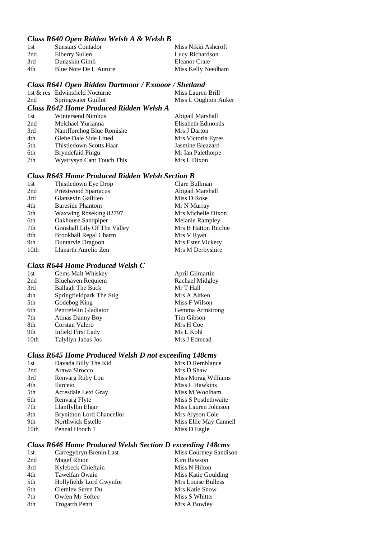## *Class R640 Open Ridden Welsh A & Welsh B*

| Sunstars Contador     | Miss Nikki Ashcroft |
|-----------------------|---------------------|
| Elberry Suilen        | Lucy Richardson     |
| Dunaskin Gimli        | Eleanor Crate       |
| Blue Note De L Aurore | Miss Kelly Needham  |
|                       |                     |

#### *Class R641 Open Ridden Dartmoor / Exmoor / Shetland*

|     | 1st & res Edwinsfield Nocturne          | Miss Lauren Brill    |
|-----|-----------------------------------------|----------------------|
| 2nd | Springwater Guillot                     | Miss L Oughton Auker |
|     | Class R642 Home Produced Ridden Welsh A |                      |
| 1st | Wintersend Nimbus                       | Abigail Marshall     |
| 2nd | Melchael Yurianna                       | Elisabeth Edmonds    |
| 3rd | Nantfforchog Blue Romishe               | Mrs J Darton         |

4th Glebe Dale Side Lined Mrs Victoria Eyres<br>
5th Thistledown Scotts Haar Jasmine Bleazard 5th Thistledown Scotts Haar 6th Bryndefaid Pingu Mr Ian Palethorpe<br>
7th Wystrysyn Cant Touch This Mrs L Dixon Wystrysyn Cant Touch This

# *Class R643 Home Produced Ridden Welsh Section B*

| 1st  | Thistledown Eye Drop         | Clare Bullman        |
|------|------------------------------|----------------------|
| 2nd  | Priestwood Spartacus         | Abigail Marshall     |
| 3rd  | Glansevin Gallileo           | Miss D Rose          |
| 4th  | <b>Bureside Phantom</b>      | Mr N Murray          |
| 5th  | Waxwing Roseking 82797       | Mrs Michelle Dixon   |
| 6th  | Oakhouse Sandpiper           | Melanie Rampley      |
| 7th  | Graishall Lily Of The Valley | Mrs B Hatton Ritchie |
| 8th  | <b>Brookhall Regal Charm</b> | Mrs V Ryan           |
| 9th  | Duntarvie Dragoon            | Mrs Ester Vickery    |
| 10th | Llanarth Aurelio Zen         | Mrs M Derbyshire     |
|      |                              |                      |

# *Class R644 Home Produced Welsh C*

| 1st  | Gems Malt Whiskey        | April Gilmartin |
|------|--------------------------|-----------------|
| 2nd  | Bluehaven Requiem        | Rachael Midgley |
| 3rd  | <b>Ballagh The Buck</b>  | Mr T Hall       |
| 4th  | Springfieldpark The Stig | Mrs A Aitken    |
| 5th  | Godebog King             | Miss F Wilson   |
| 6th  | Pentrefelin Gladiator    | Gemma Armstrong |
| 7th  | Atinas Danny Boy         | Tim Gibson      |
| 8th  | Corstan Valero           | Mrs H Coe       |
| 9th  | Infield First Lady       | Ms L Kohl       |
| 10th | Talyllyn Jabas Jos       | Mrs J Edmead    |
|      |                          |                 |

# *Class R645 Home Produced Welsh D not exceeding 148cms*

| 1st  | Davada Billy The Kid             | Mrs D Remblance        |
|------|----------------------------------|------------------------|
| 2nd  | Arawa Sirocco                    | Mrs D Shaw             |
| 3rd  | Renvarg Ruby Lou                 | Miss Morag Williams    |
| 4th  | <b>Ilarceio</b>                  | Miss L Hawkins         |
| 5th  | Acresdale Lexi Gray              | Miss M Woolham         |
| 6th  | Renvarg Flyte                    | Miss S Postlethwaite   |
| 7th  | Llanflyllin Elgar                | Miss Lauren Johnson    |
| 8th  | <b>Brynithon Lord Chancellor</b> | Mrs Alyson Cole        |
| 9th  | Northwick Estelle                | Miss Ellie May Cannell |
| 10th | Pennal Hooch 1                   | Miss D Eagle           |
|      |                                  |                        |

# *Class R646 Home Produced Welsh Section D exceeding 148cms*

| 1st | Carregybryn Brenin Last  | Miss Courtney Sandison |
|-----|--------------------------|------------------------|
| 2nd | <b>Magef Rhion</b>       | Kim Rawson             |
| 3rd | Kylebeck Chieftain       | Miss N Hilton          |
| 4th | Tawelfan Owain           | Miss Katie Goulding    |
| 5th | Hollyfields Lord Gwynfor | Mrs Louise Bulless     |
| 6th | Clemley Seren Du         | Mrs Katie Snow         |
| 7th | Owfen Mr Softee          | Miss S Whitter         |
| 8th | Trogarth Penri           | Mrs A Bowley           |
|     |                          |                        |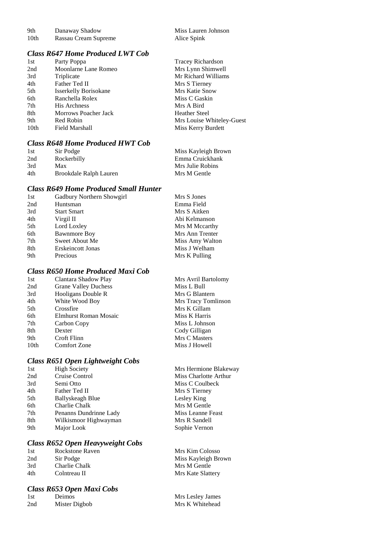| 9th  | Danaway Shadow       |
|------|----------------------|
| 10th | Rassau Cream Supreme |

## *Class R647 Home Produced LWT Cob*

| 1st<br>Party Poppa                  | <b>Tracey Richardson</b>  |
|-------------------------------------|---------------------------|
| Moonlarne Lane Romeo<br>2nd         | Mrs Lynn Shimwell         |
| 3rd<br>Triplicate                   | Mr Richard Williams       |
| 4th<br>Father Ted II                | Mrs S Tierney             |
| 5th<br><b>Isserkelly Borisokane</b> | Mrs Katie Snow            |
| 6th<br>Ranchella Rolex              | Miss C Gaskin             |
| 7th<br>His Archness                 | Mrs A Bird                |
| 8th<br>Morrows Poacher Jack         | <b>Heather Steel</b>      |
| 9th<br>Red Robin                    | Mrs Louise Whiteley-Guest |
| 10 <sub>th</sub><br>Field Marshall  | Miss Kerry Burdett        |

## *Class R648 Home Produced HWT Cob*

| 1st | Sir Podge              | Miss Kayleigh Brown |
|-----|------------------------|---------------------|
| 2nd | Rockerbilly            | Emma Cruickhank     |
| 3rd | Max                    | Mrs Julie Robins    |
| 4th | Brookdale Ralph Lauren | Mrs M Gentle        |

# *Class R649 Home Produced Small Hunter*

| 1st | Gadbury Northern Showgirl | Mrs S Jones     |
|-----|---------------------------|-----------------|
| 2nd | Huntsman                  | Emma Field      |
| 3rd | <b>Start Smart</b>        | Mrs S Aitken    |
| 4th | Virgil II                 | Abi Kelmanson   |
| 5th | Lord Loxley               | Mrs M Mccarthy  |
| 6th | <b>Bawnmore Boy</b>       | Mrs Ann Trenter |
| 7th | Sweet About Me            | Miss Amy Walton |
| 8th | Erskeincott Jonas         | Miss J Welham   |
| 9th | Precious                  | Mrs K Pulling   |
|     |                           |                 |

## *Class R650 Home Produced Maxi Cob*

| 1st              | Clantara Shadow Play        | Mrs Avril Bartolomy |
|------------------|-----------------------------|---------------------|
| 2nd              | <b>Grane Valley Duchess</b> | Miss L Bull         |
| 3rd              | Hooligans Double R          | Mrs G Blantern      |
| 4th              | White Wood Boy              | Mrs Tracy Tomlinson |
| 5th              | Crossfire                   | Mrs K Gillam        |
| 6th              | Elmhurst Roman Mosaic       | Miss K Harris       |
| 7th              | Carbon Copy                 | Miss L Johnson      |
| 8th              | Dexter                      | Cody Gilligan       |
| 9th              | Croft Flinn                 | Mrs C Masters       |
| 10 <sub>th</sub> | <b>Comfort Zone</b>         | Miss J Howell       |

## *Class R651 Open Lightweight Cobs*

| 1st | <b>High Society</b>    | N |
|-----|------------------------|---|
| 2nd | Cruise Control         | A |
| 3rd | Semi Otto              | N |
| 4th | Father Ted II          | N |
| 5th | Ballyskeagh Blue       |   |
| 6th | Charlie Chalk          | N |
| 7th | Penanns Dundrinne Lady | N |
| 8th | Wilkismoor Highwayman  | N |
| 9th | Major Look             | S |
|     |                        |   |

# *Class R652 Open Heavyweight Cobs*

| 1st | Rockstone Raven | Mrs Kim Colosso   |
|-----|-----------------|-------------------|
| 2nd | Sir Podge       | Miss Kayleigh Br  |
| 3rd | Charlie Chalk   | Mrs M Gentle      |
| 4th | Colntreau II    | Mrs Kate Slattery |

## *Class R653 Open Maxi Cobs*

| 1st             | Deimos        |
|-----------------|---------------|
| 2 <sub>nd</sub> | Mister Digbob |

Miss Lauren Johnson Alice Spink

Ars Hermione Blakeway **Miss Charlotte Arthur** Aiss C Coulbeck Ars S Tierney esley King Ars M Gentle **The Peast** Ars R Sandell Sophie Vernon

eigh Brown

Mrs Lesley James Mrs K Whitehead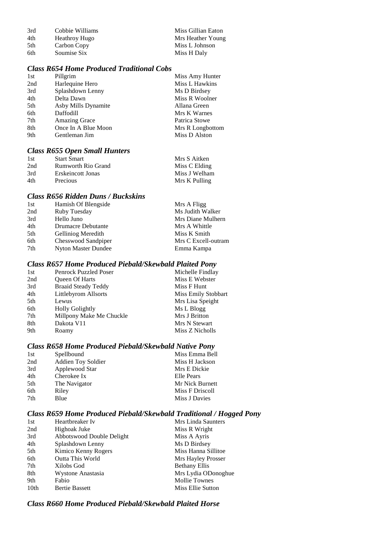| 3rd | Cobbie Williams      | Miss Gillian Eaton |
|-----|----------------------|--------------------|
| 4th | <b>Heathroy Hugo</b> | Mrs Heather Young  |
| 5th | Carbon Copy          | Miss L Johnson     |
| 6th | Soumise Six          | Miss H Daly        |

# *Class R654 Home Produced Traditional Cobs*

| 1st | Pillgrim             | Miss Amy Hunter  |
|-----|----------------------|------------------|
| 2nd | Harlequine Hero      | Miss L Hawkins   |
| 3rd | Splashdown Lenny     | Ms D Birdsey     |
| 4th | Delta Dawn           | Miss R Woolner   |
| 5th | Asby Mills Dynamite  | Allana Green     |
| 6th | Daffodill            | Mrs K Warnes     |
| 7th | <b>Amazing Grace</b> | Patrica Stowe    |
| 8th | Once In A Blue Moon  | Mrs R Longbottom |
| 9th | Gentleman Jim        | Miss D Alston    |
|     |                      |                  |

# *Class R655 Open Small Hunters*

| 1st | <b>Start Smart</b>        | Mrs S Aitken  |
|-----|---------------------------|---------------|
| 2nd | <b>Rumworth Rio Grand</b> | Miss C Elding |
| 3rd | Erskeincott Jonas         | Miss J Welham |
| 4th | Precious                  | Mrs K Pulling |

## *Class R656 Ridden Duns / Buckskins*

| Hamish Of Blengside       | Mrs A Fligg         |
|---------------------------|---------------------|
| Ruby Tuesday              | Ms Judith Walker    |
| Hello Juno                | Mrs Diane Mulhern   |
| <b>Drumacre Debutante</b> | Mrs A Whittle       |
| Gelliniog Meredith        | Miss K Smith        |
| Chesswood Sandpiper       | Mrs C Excell-outram |
| Nyton Master Dundee       | Emma Kampa          |
|                           |                     |

# *Class R657 Home Produced Piebald/Skewbald Plaited Pony*

| 1st | <b>Penrock Puzzled Poser</b> | Michelle Findlay    |
|-----|------------------------------|---------------------|
| 2nd | <b>Oueen Of Harts</b>        | Miss E Webster      |
| 3rd | <b>Braaid Steady Teddy</b>   | Miss F Hunt         |
| 4th | Littlebyrom Allsorts         | Miss Emily Stobbart |
| 5th | Lewus                        | Mrs Lisa Speight    |
| 6th | <b>Holly Golightly</b>       | Ms L Blogg          |
| 7th | Millpony Make Me Chuckle     | Mrs J Britton       |
| 8th | Dakota V11                   | Mrs N Stewart       |
| 9th | Roamy                        | Miss Z Nicholls     |

# *Class R658 Home Produced Piebald/Skewbald Native Pony*

| Spellbound         | Miss Emma Bell  |
|--------------------|-----------------|
| Addien Toy Soldier | Miss H Jackson  |
| Applewood Star     | Mrs E Dickie    |
| Cherokee Ix        | Elle Pears      |
| The Navigator      | Mr Nick Burnett |
| Riley              | Miss F Driscoll |
| Blue               | Miss J Davies   |
|                    |                 |

# *Class R659 Home Produced Piebald/Skewbald Traditional / Hogged Pony*

| 1st  | Heartbreaker Iv           | Mrs Linda Saunters   |
|------|---------------------------|----------------------|
| 2nd  | Highoak Juke              | Miss R Wright        |
| 3rd  | Abbotswood Double Delight | Miss A Ayris         |
| 4th  | Splashdown Lenny          | Ms D Birdsey         |
| 5th  | Kimico Kenny Rogers       | Miss Hanna Sillitoe  |
| 6th  | <b>Outta This World</b>   | Mrs Hayley Prosser   |
| 7th  | Xilobs God                | <b>Bethany Ellis</b> |
| 8th  | Wystone Anastasia         | Mrs Lydia ODonoghue  |
| 9th  | Fabio                     | <b>Mollie Townes</b> |
| 10th | <b>Bertie Bassett</b>     | Miss Ellie Sutton    |

# *Class R660 Home Produced Piebald/Skewbald Plaited Horse*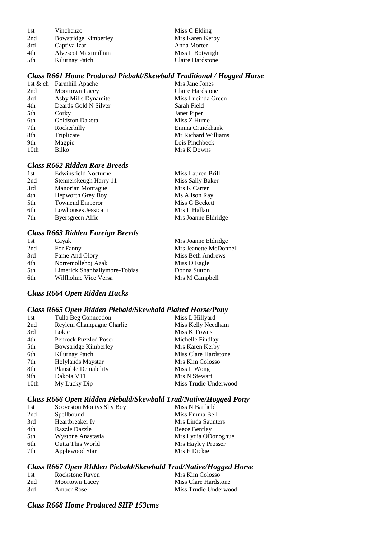| Vinchenzo            |
|----------------------|
| Bowstridge Kimberley |
| Captiva Izar         |
| Alvescot Maximillian |
| Kilurnay Patch       |
|                      |

Miss C Elding Mrs Karen Kerby Anna Morter Miss L Botwright Claire Hardstone

#### *Class R661 Home Produced Piebald/Skewbald Traditional / Hogged Horse*

|      | 1st & ch Farmhill Apache | Mrs Jane Jones      |
|------|--------------------------|---------------------|
| 2nd  | Moortown Lacey           | Claire Hardstone    |
| 3rd  | Asby Mills Dynamite      | Miss Lucinda Green  |
| 4th  | Deards Gold N Silver     | Sarah Field         |
| 5th  | Corky                    | Janet Piper         |
| 6th  | Goldston Dakota          | Miss Z Hume         |
| 7th  | Rockerbilly              | Emma Cruickhank     |
| 8th  | Triplicate               | Mr Richard Williams |
| 9th  | Magpie                   | Lois Pinchbeck      |
| 10th | Bilko                    | Mrs K Downs         |
|      |                          |                     |

# *Class R662 Ridden Rare Breeds*

| 1st | <b>Edwinsfield Nocturne</b> | Miss Lauren Brill   |
|-----|-----------------------------|---------------------|
| 2nd | Stennerskeugh Harry 11      | Miss Sally Baker    |
| 3rd | <b>Manorian Montague</b>    | Mrs K Carter        |
| 4th | Hepworth Grey Boy           | Ms Alison Ray       |
| 5th | <b>Townend Emperor</b>      | Miss G Beckett      |
| 6th | Lowhouses Jessica Ii        | Mrs L Hallam        |
| 7th | Byersgreen Alfie            | Mrs Joanne Eldridge |

#### *Class R663 Ridden Foreign Breeds*

| 1st | Cayak                         | Mrs Joanne Eldridge    |
|-----|-------------------------------|------------------------|
| 2nd | For Fanny                     | Mrs Jeanette McDonnell |
| 3rd | Fame And Glory                | Miss Beth Andrews      |
| 4th | Norremollehoj Azak            | Miss D Eagle           |
| 5th | Limerick Shanballymore-Tobias | Donna Sutton           |
| 6th | Wilfholme Vice Versa          | Mrs M Campbell         |

#### *Class R664 Open Ridden Hacks*

#### *Class R665 Open Ridden Piebald/Skewbald Plaited Horse/Pony*

| Miss L Hillyard                                                                                                                                                                                               |
|---------------------------------------------------------------------------------------------------------------------------------------------------------------------------------------------------------------|
| Miss Kelly Needham                                                                                                                                                                                            |
| Miss K Towns                                                                                                                                                                                                  |
| Michelle Findlay                                                                                                                                                                                              |
| Mrs Karen Kerby                                                                                                                                                                                               |
| Miss Clare Hardstone                                                                                                                                                                                          |
| Mrs Kim Colosso                                                                                                                                                                                               |
| Miss L Wong                                                                                                                                                                                                   |
| Mrs N Stewart                                                                                                                                                                                                 |
| Miss Trudie Underwood                                                                                                                                                                                         |
| Tulla Beg Connection<br>Reylem Champagne Charlie<br><b>Penrock Puzzled Poser</b><br><b>Bowstridge Kimberley</b><br>Kilurnay Patch<br>Holylands Maystar<br>Plausible Deniability<br>Dakota V11<br>My Lucky Dip |

## *Class R666 Open Ridden Piebald/Skewbald Trad/Native/Hogged Pony*

| 1st | <b>Scoveston Montys Shy Boy</b> | Miss N Barfield     |
|-----|---------------------------------|---------------------|
| 2nd | Spellbound                      | Miss Emma Bell      |
| 3rd | Heartbreaker Iv                 | Mrs Linda Saunters  |
| 4th | <b>Razzle Dazzle</b>            | Reece Bentley       |
| 5th | Wystone Anastasia               | Mrs Lydia ODonoghue |
| 6th | <b>Outta This World</b>         | Mrs Hayley Prosser  |
| 7th | Applewood Star                  | Mrs E Dickie        |

## *Class R667 Open RIdden Piebald/Skewbald Trad/Native/Hogged Horse*

| - 1 st | Rockstone Raven | Mrs Kim Colosso       |
|--------|-----------------|-----------------------|
| 2nd    | Moortown Lacey  | Miss Clare Hardstone  |
| 3rd    | Amber Rose      | Miss Trudie Underwood |

## *Class R668 Home Produced SHP 153cms*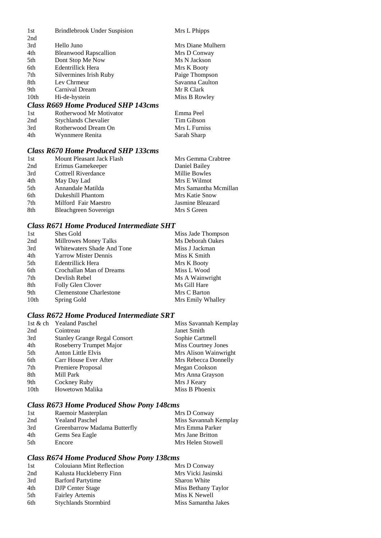| 1st  | <b>Brindlebrook Under Suspision</b>        | Mrs L Phipps      |
|------|--------------------------------------------|-------------------|
| 2nd  |                                            |                   |
| 3rd  | Hello Juno                                 | Mrs Diane Mulhern |
| 4th  | <b>Bleanwood Rapscallion</b>               | Mrs D Conway      |
| 5th  | Dont Stop Me Now                           | Ms N Jackson      |
| 6th  | Edentrillick Hera                          | Mrs K Booty       |
| 7th  | Silvermines Irish Ruby                     | Paige Thompson    |
| 8th  | Lev Chrmeur                                | Savanna Caulton   |
| 9th  | Carnival Dream                             | Mr R Clark        |
| 10th | Hi-de-hystein                              | Miss B Rowley     |
|      | <b>Class R669 Home Produced SHP 143cms</b> |                   |
|      |                                            |                   |

| Rotherwood Mr Motivator     | Emma Peel     |
|-----------------------------|---------------|
| <b>Stychlands Chevalier</b> | Tim Gibson    |
| Rotherwood Dream On         | Mrs L Furniss |
| Wynnmere Renita             | Sarah Sharp   |
|                             |               |

# *Class R670 Home Produced SHP 133cms*

| 1st | Mount Pleasant Jack Flash | Mrs Gemma Crabtree    |
|-----|---------------------------|-----------------------|
| 2nd | Erimus Gamekeeper         | Daniel Bailey         |
| 3rd | Cottrell Riverdance       | Millie Bowles         |
| 4th | May Day Lad               | Mrs E Wilmot          |
| 5th | Annandale Matilda         | Mrs Samantha Mcmillan |
| 6th | Dukeshill Phantom         | Mrs Katie Snow        |
| 7th | Milford Fair Maestro      | Jasmine Bleazard      |
| 8th | Bleachgreen Sovereign     | Mrs S Green           |

# *Class R671 Home Produced Intermediate SHT*

| 1st              | Shes Gold                         | Miss Jade Thompson |
|------------------|-----------------------------------|--------------------|
| 2nd              | Millrowes Money Talks             | Ms Deborah Oakes   |
| 3rd              | <b>Whitewaters Shade And Tone</b> | Miss J Jackman     |
| 4th              | <b>Yarrow Mister Dennis</b>       | Miss K Smith       |
| 5th              | Edentrillick Hera                 | Mrs K Booty        |
| 6th              | Crochallan Man of Dreams          | Miss L Wood        |
| 7th              | Devlish Rebel                     | Ms A Wainwright    |
| 8th              | Folly Glen Clover                 | Ms Gill Hare       |
| 9th              | <b>Clemenstone Charlestone</b>    | Mrs C Barton       |
| 10 <sub>th</sub> | Spring Gold                       | Mrs Emily Whalley  |

# *Class R672 Home Produced Intermediate SRT*

|                  | 1st & ch Yealand Paschel            | Miss Savannah Kemplay      |
|------------------|-------------------------------------|----------------------------|
| 2nd              | Cointreau                           | Janet Smith                |
| 3rd              | <b>Stanley Grange Regal Consort</b> | Sophie Cartmell            |
| 4th              | Roseberry Trumpet Major             | <b>Miss Courtney Jones</b> |
| 5th              | <b>Anton Little Elvis</b>           | Mrs Alison Wainwright      |
| 6th              | Carr House Ever After               | Mrs Rebecca Donnelly       |
| 7th              | Premiere Proposal                   | Megan Cookson              |
| 8th              | Mill Park                           | Mrs Anna Grayson           |
| 9th              | Cockney Ruby                        | Mrs J Keary                |
| 10 <sub>th</sub> | Howetown Malika                     | Miss B Phoenix             |

# *Class R673 Home Produced Show Pony 148cms*

| 1st | Raemoir Masterplan           | Mrs D Conway          |
|-----|------------------------------|-----------------------|
| 2nd | <b>Yealand Paschel</b>       | Miss Savannah Kemplay |
| 3rd | Greenbarrow Madama Butterfly | Mrs Emma Parker       |
| 4th | Gems Sea Eagle               | Mrs Jane Britton      |
| 5th | Encore                       | Mrs Helen Stowell     |

# *Class R674 Home Produced Show Pony 138cms*

| 1st | <b>Colouiann Mint Reflection</b> | Mrs D Conway        |
|-----|----------------------------------|---------------------|
| 2nd | Kalusta Huckleberry Finn         | Mrs Vicki Jasinski  |
| 3rd | <b>Barford Partytime</b>         | <b>Sharon White</b> |
| 4th | <b>DJP</b> Center Stage          | Miss Bethany Taylor |
| 5th | <b>Fairley Artemis</b>           | Miss K Newell       |
| 6th | Stychlands Stormbird             | Miss Samantha Jakes |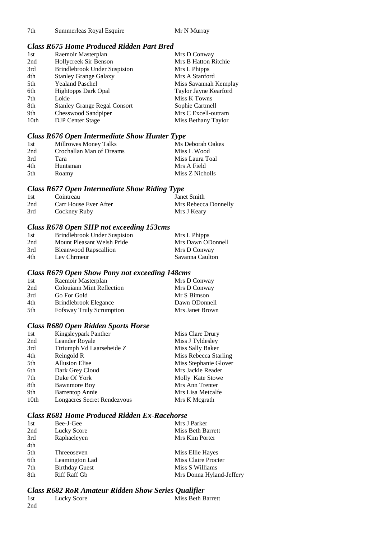7th Summerleas Royal Esquire Mr N Murray

## *Class R675 Home Produced Ridden Part Bred*

| 1st              | Raemoir Masterplan                  | Mrs D Conway          |
|------------------|-------------------------------------|-----------------------|
| 2nd              | Hollycreek Sir Benson               | Mrs B Hatton Ritchie  |
| 3rd              | <b>Brindlebrook Under Suspision</b> | Mrs L Phipps          |
| 4th              | <b>Stanley Grange Galaxy</b>        | Mrs A Stanford        |
| 5th              | <b>Yealand Paschel</b>              | Miss Savannah Kemplay |
| 6th              | <b>Hightopps Dark Opal</b>          | Taylor Jayne Kearford |
| 7th              | Lokie                               | Miss K Towns          |
| 8th              | <b>Stanley Grange Regal Consort</b> | Sophie Cartmell       |
| 9th              | Chesswood Sandpiper                 | Mrs C Excell-outram   |
| 10 <sub>th</sub> | <b>DJP</b> Center Stage             | Miss Bethany Taylor   |

# *Class R676 Open Intermediate Show Hunter Type*

| 1st | Millrowes Money Talks    | Ms Deborah Oakes |
|-----|--------------------------|------------------|
| 2nd | Crochallan Man of Dreams | Miss L Wood      |
| 3rd | Tara                     | Miss Laura Toal  |
| 4th | Huntsman                 | Mrs A Field      |
| 5th | Roamy                    | Miss Z Nicholls  |

#### *Class R677 Open Intermediate Show Riding Type*

| -1st | Cointreau             | Janet Smith          |
|------|-----------------------|----------------------|
| 2nd  | Carr House Ever After | Mrs Rebecca Donnelly |
| 3rd  | Cockney Ruby          | Mrs J Keary          |

# *Class R678 Open SHP not exceeding 153cms*

| 1st | Brindlebrook Under Suspision | Mrs L Phipps      |
|-----|------------------------------|-------------------|
| 2nd | Mount Pleasant Welsh Pride   | Mrs Dawn ODonnell |
| 3rd | <b>Bleanwood Rapscallion</b> | Mrs D Conway      |
| 4th | Lev Chrmeur                  | Savanna Caulton   |

#### *Class R679 Open Show Pony not exceeding 148cms*

| Raemoir Masterplan               | Mrs D Conway    |
|----------------------------------|-----------------|
| <b>Colouiann Mint Reflection</b> | Mrs D Conway    |
| Go For Gold                      | Mr S Bimson     |
| Brindlebrook Elegance            | Dawn ODonnell   |
| <b>Fofsway Truly Scrumption</b>  | Mrs Janet Brown |
|                                  |                 |

# *Class R680 Open Ridden Sports Horse*

| Kingsleypark Panther        | Miss Clare Drury      |
|-----------------------------|-----------------------|
| Leander Royale              | Miss J Tyldesley      |
| Ttriumph Vd Laarseheide Z   | Miss Sally Baker      |
| Reingold R                  | Miss Rebecca Starling |
| <b>Allusion Elise</b>       | Miss Stephanie Glover |
| Dark Grey Cloud             | Mrs Jackie Reader     |
| Duke Of York                | Molly Kate Stowe      |
| <b>Bawnmore Boy</b>         | Mrs Ann Trenter       |
| <b>Barrentop Annie</b>      | Mrs Lisa Metcalfe     |
| Longacres Secret Rendezvous | Mrs K Megrath         |
|                             |                       |

#### *Class R681 Home Produced Ridden Ex-Racehorse*

| 1st | Bee-J-Gee             | Mrs J Parker             |
|-----|-----------------------|--------------------------|
| 2nd | Lucky Score           | Miss Beth Barrett        |
| 3rd | Raphaeleyen           | Mrs Kim Porter           |
| 4th |                       |                          |
| 5th | Threeoseven           | Miss Ellie Hayes         |
| 6th | Leamington Lad        | Miss Claire Procter      |
| 7th | <b>Birthday Guest</b> | Miss S Williams          |
| 8th | <b>Riff Raff Gb</b>   | Mrs Donna Hyland-Jeffery |

# *Class R682 RoR Amateur Ridden Show Series Qualifier*

| 1st | Lucky Score | Miss Beth Barrett |
|-----|-------------|-------------------|
| 2nd |             |                   |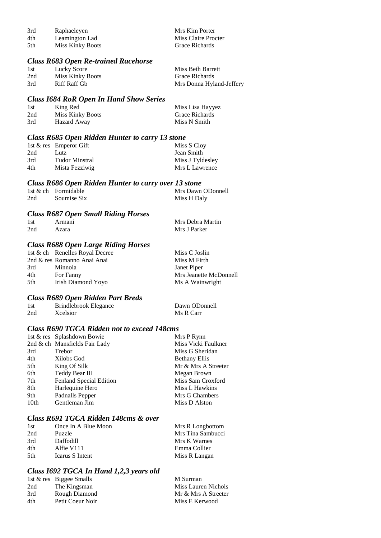| 3rd  | Raphaeleyen             | Mrs Kim Porter      |
|------|-------------------------|---------------------|
| 4th  | Leamington Lad          | Miss Claire Procter |
| -5th | <b>Miss Kinky Boots</b> | Grace Richards      |

## *Class R683 Open Re-trained Racehorse*

| 1st | Lucky Score      | Miss Beth Barrett        |
|-----|------------------|--------------------------|
| 2nd | Miss Kinky Boots | Grace Richards           |
| 3rd | Riff Raff Gb     | Mrs Donna Hyland-Jeffery |

#### *Class I684 RoR Open In Hand Show Series*

| 1st | King Red                | Miss Lisa Hayyez      |
|-----|-------------------------|-----------------------|
| 2nd | <b>Miss Kinky Boots</b> | <b>Grace Richards</b> |
| 3rd | Hazard Away             | Miss N Smith          |

# *Class R685 Open Ridden Hunter to carry 13 stone*

|     | 1st $\&$ res Emperor Gift | Miss S Cloy      |
|-----|---------------------------|------------------|
| 2nd | Lutz                      | Jean Smith       |
| 3rd | <b>Tudor Minstral</b>     | Miss J Tyldesley |
| 4th | Mista Fezziwig            | Mrs L Lawrence   |

|     | Class R686 Open Ridden Hunter to carry over 13 stone |                   |
|-----|------------------------------------------------------|-------------------|
|     | 1st & ch Formidable                                  | Mrs Dawn ODonnell |
| 2nd | Soumise Six                                          | Miss H Daly       |

#### *Class R687 Open Small Riding Horses*

| 1st | Armani | Mrs Debra Martin |
|-----|--------|------------------|
| 2nd | Azara  | Mrs J Parker     |

# *Class R688 Open Large Riding Horses*

|     | 1st & ch Renelles Royal Decree | Miss C Joslin          |
|-----|--------------------------------|------------------------|
|     | 2nd & res Romanno Anai Anai    | Miss M Firth           |
| 3rd | <b>Minnola</b>                 | Janet Piper            |
| 4th | For Fanny                      | Mrs Jeanette McDonnell |
| 5th | Irish Diamond Yoyo             | Ms A Wainwright        |

# *Class R689 Open Ridden Part Breds*

| 1st | Brindlebrook Elegance | Dawn ODonnell |
|-----|-----------------------|---------------|
| 2nd | Xcelsior              | Ms R Carr     |

#### *Class R690 TGCA Ridden not to exceed 148cms*

|                  | 1st & res Splashdown Bowie    | Mrs P Rynn           |
|------------------|-------------------------------|----------------------|
|                  | 2nd & ch Mansfields Fair Lady | Miss Vicki Faulkner  |
| 3rd              | Trebor                        | Miss G Sheridan      |
| 4th              | Xilobs God                    | <b>Bethany Ellis</b> |
| 5th              | King Of Silk                  | Mr & Mrs A Streeter  |
| 6th              | Teddy Bear III                | Megan Brown          |
| 7th              | Fenland Special Edition       | Miss Sam Croxford    |
| 8th              | Harlequine Hero               | Miss L Hawkins       |
| 9th              | Padnalls Pepper               | Mrs G Chambers       |
| 10 <sub>th</sub> | Gentleman Jim                 | Miss D Alston        |

## *Class R691 TGCA Ridden 148cms & over*

| 1st  | Once In A Blue Moon | Mrs R Longbottom  |
|------|---------------------|-------------------|
| 2nd  | Puzzle              | Mrs Tina Sambucci |
| 3rd  | <b>Daffodill</b>    | Mrs K Warnes      |
| 4th  | Alfie V111          | Emma Collier      |
| .5th | Icarus S Intent     | Miss R Langan     |
|      |                     |                   |

# *Class I692 TGCA In Hand 1,2,3 years old*

|     | 1st & res Biggee Smalls | M Surman            |
|-----|-------------------------|---------------------|
| 2nd | The Kingsman            | Miss Lauren Nichols |
| 3rd | Rough Diamond           | Mr & Mrs A Streeter |
| 4th | Petit Coeur Noir        | Miss E Kerwood      |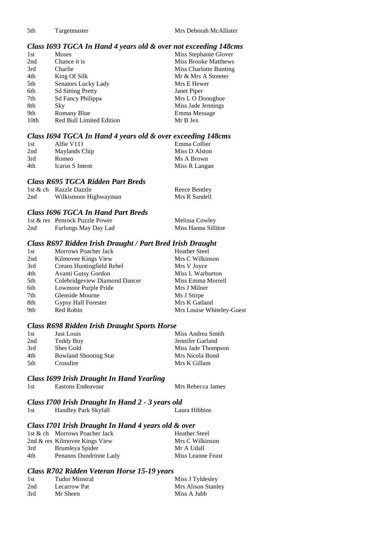#### *Class I693 TGCA In Hand 4 years old & over not exceeding 148cms*

| 1st              | <b>Moses</b>                    | Miss Stephanie Glover       |
|------------------|---------------------------------|-----------------------------|
| 2nd              | Chance it is                    | <b>Miss Brooke Matthews</b> |
| 3rd              | Charlie                         | Miss Charlotte Bunting      |
| 4th              | King Of Silk                    | Mr & Mrs A Streeter         |
| 5th              | Senators Lucky Lady             | Mrs E Hewer                 |
| 6th              | <b>Sd Sitting Pretty</b>        | Janet Piper                 |
| 7th              | Sd Fancy Philippa               | Mrs L O Donoghue            |
| 8th              | Sky                             | Miss Jade Jennings          |
| 9th              | Romany Blue                     | Emma Message                |
| 10 <sub>th</sub> | <b>Red Bull Limited Edition</b> | Mr B Jex                    |

#### *Class I694 TGCA In Hand 4 years old & over exceeding 148cms*

| 1st | Alfie V111      | Emma Collier  |
|-----|-----------------|---------------|
| 2nd | Maylands Chip   | Miss D Alston |
| 3rd | Romeo           | Ms A Brown    |
| 4th | Icarus S Intent | Miss R Langan |

#### *Class R695 TGCA Ridden Part Breds*

|     | 1st & ch Razzle Dazzle | Reece Bentley |
|-----|------------------------|---------------|
| 2nd | Wilkismoor Highwayman  | Mrs R Sandell |

#### *Class I696 TGCA In Hand Part Breds*

|     | 1st & res Penrock Puzzle Power | Melissa Cowley      |
|-----|--------------------------------|---------------------|
| 2nd | Furlongs May Day Lad           | Miss Hanna Sillitoe |

#### *Class R697 Ridden Irish Draught / Part Bred Irish Draught*

| 1st | Morrows Poacher Jack          | <b>Heather Steel</b>      |
|-----|-------------------------------|---------------------------|
| 2nd | Kilmovee Kings View           | Mrs C Wilkinson           |
| 3rd | Creans Huntingfield Rebel     | Mrs V Joyce               |
| 4th | Avanti Gutsy Gordon           | Miss L Warburton          |
| 5th | Colebridgeview Diamond Dancer | Miss Emma Morrell         |
| 6th | Lowmoor Purple Pride          | Mrs J Milner              |
| 7th | Glenside Mourne               | Ms J Stirpe               |
| 8th | Gypsy Hall Forester           | Mrs K Gatland             |
| 9th | Red Robin                     | Mrs Louise Whiteley-Guest |

#### *Class R698 Ridden Irish Draught Sports Horse*

| 1st  | Just Louis                   | Miss Andrea Smith  |
|------|------------------------------|--------------------|
| 2nd  | Teddy Boy                    | Jennifer Garland   |
| 3rd  | Shes Gold                    | Miss Jade Thompson |
| 4th  | <b>Bowland Shooting Star</b> | Mrs Nicola Bond    |
| .5th | Crossfire                    | Mrs K Gillam       |

#### *Class I699 Irish Draught In Hand Yearling*

1st Eastons Endeavour Mrs Rebecca James

# *Class I700 Irish Draught In Hand 2 - 3 years old*

1st Handley Park Skyfall

## *Class I701 Irish Draught In Hand 4 years old & over*

|     | 1st & ch Morrows Poacher Jack    | <b>Heather Steel</b> |
|-----|----------------------------------|----------------------|
|     | 2nd $\&$ res Kilmovee Kings View | Mrs C Wilkinson      |
| 3rd | Brumleya Spider                  | Mr A Udall           |
| 4th | Penanns Dundrinne Lady           | Miss Leanne Feast    |

### *Class R702 Ridden Veteran Horse 15-19 years*

| 1st | Tudor Minstral | Miss J Tyldesley   |
|-----|----------------|--------------------|
| 2nd | Lecarrow Pat   | Mrs Alison Stanley |
| 3rd | Mr Sheen       | Miss A Jubb        |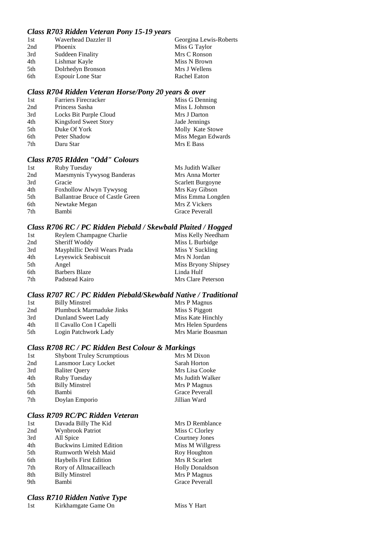## *Class R703 Ridden Veteran Pony 15-19 years*

| 1st | Waverhead Dazzler II     | Georgina Lewis-Roberts |
|-----|--------------------------|------------------------|
| 2nd | Phoenix                  | Miss G Taylor          |
| 3rd | <b>Suddeen Finality</b>  | Mrs C Ronson           |
| 4th | Lishmar Kayle            | Miss N Brown           |
| 5th | Dolrhedyn Bronson        | Mrs J Wellens          |
| 6th | <b>Espouir Lone Star</b> | Rachel Eaton           |

#### *Class R704 Ridden Veteran Horse/Pony 20 years & over*

| 1st | <b>Farriers Firecracker</b> | Miss G Denning     |
|-----|-----------------------------|--------------------|
| 2nd | Princess Sasha              | Miss L Johnson     |
| 3rd | Locks Bit Purple Cloud      | Mrs J Darton       |
| 4th | Kingsford Sweet Story       | Jade Jennings      |
| 5th | Duke Of York                | Molly Kate Stowe   |
| 6th | Peter Shadow                | Miss Megan Edwards |
| 7th | Daru Star                   | Mrs E Bass         |
|     |                             |                    |

## *Class R705 RIdden "Odd" Colours*

| 1st  | Ruby Tuesday                            | Ms Judith Walker  |
|------|-----------------------------------------|-------------------|
| 2nd  | Maesmynis Tywysog Banderas              | Mrs Anna Morter   |
| 3rd  | Gracie                                  | Scarlett Burgoyne |
| 4th  | Foxhollow Alwyn Tywysog                 | Mrs Kay Gibson    |
| .5th | <b>Ballantrae Bruce of Castle Green</b> | Miss Emma Longden |
| 6th  | Newtake Megan                           | Mrs Z Vickers     |
| 7th  | Bambi                                   | Grace Peverall    |

#### *Class R706 RC / PC Ridden Piebald / Skewbald Plaited / Hogged*

| 1st | Reylem Champagne Charlie     | Miss Kelly Needham  |
|-----|------------------------------|---------------------|
| 2nd | Sheriff Woddy                | Miss L Burbidge     |
| 3rd | Mayphillic Devil Wears Prada | Miss Y Suckling     |
| 4th | Leyeswick Seabiscuit         | Mrs N Jordan        |
| 5th | Angel                        | Miss Bryony Shipsey |
| 6th | <b>Barbers Blaze</b>         | Linda Hulf          |
| 7th | Padstead Kairo               | Mrs Clare Peterson  |

#### *Class R707 RC / PC Ridden Piebald/Skewbald Native / Traditional*

| 1st | <b>Billy Minstrel</b>    | Mrs P Magnus       |
|-----|--------------------------|--------------------|
| 2nd | Plumbuck Marmaduke Jinks | Miss S Piggott     |
| 3rd | Dunland Sweet Lady       | Miss Kate Hinchly  |
| 4th | Il Cavallo Con I Capelli | Mrs Helen Spurdens |
| 5th | Login Patchwork Lady     | Mrs Marie Boasman  |

## *Class R708 RC / PC Ridden Best Colour & Markings*

| 1st | <b>Shybont Truley Scrumptious</b> | Mrs M Dixon      |
|-----|-----------------------------------|------------------|
| 2nd | Lansmoor Lucy Locket              | Sarah Horton     |
| 3rd | <b>Baliter Query</b>              | Mrs Lisa Cooke   |
| 4th | Ruby Tuesday                      | Ms Judith Walker |
| 5th | <b>Billy Minstrel</b>             | Mrs P Magnus     |
| 6th | Bambi                             | Grace Peverall   |
| 7th | Doylan Emporio                    | Jillian Ward     |
|     |                                   |                  |

#### *Class R709 RC/PC Ridden Veteran*

| 1st | Davada Billy The Kid            | Mrs D Remblance        |
|-----|---------------------------------|------------------------|
| 2nd | <b>Wynbrook Patriot</b>         | Miss C Clorley         |
| 3rd | All Spice                       | <b>Courtney Jones</b>  |
| 4th | <b>Buckwins Limited Edition</b> | Miss M Willgress       |
| 5th | Rumworth Welsh Maid             | Roy Houghton           |
| 6th | <b>Haybells First Edition</b>   | Mrs R Scarlett         |
| 7th | Rory of Alltnacailleach         | <b>Holly Donaldson</b> |
| 8th | <b>Billy Minstrel</b>           | Mrs P Magnus           |
| 9th | Bambi                           | <b>Grace Peverall</b>  |
|     |                                 |                        |

## *Class R710 Ridden Native Type*

1st Kirkhamgate Game On Miss Y Hart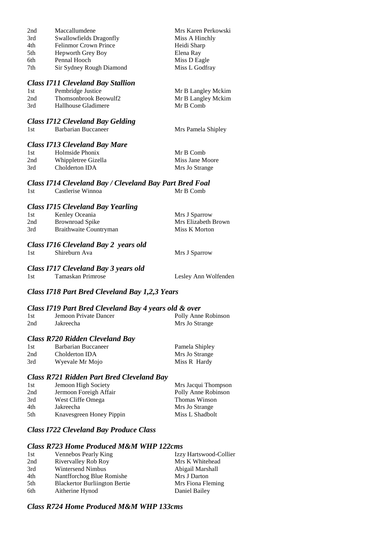| 2nd | Maccallumdene                            | Mrs Karen Perkowski |
|-----|------------------------------------------|---------------------|
| 3rd | Swallowfields Dragonfly                  | Miss A Hinchly      |
| 4th | <b>Felinmor Crown Prince</b>             | Heidi Sharp         |
| 5th | Hepworth Grey Boy                        | Elena Ray           |
| 6th | Pennal Hooch                             | Miss D Eagle        |
| 7th | Sir Sydney Rough Diamond                 | Miss L Godfray      |
|     |                                          |                     |
|     | <b>Class I711 Cleveland Bay Stallion</b> |                     |
| 1st | Pembridge Justice                        | Mr B Langley Mckim  |
| 2nd | Thomsonbrook Beowulf2                    | Mr B Langley Mckim  |
| 3rd | Hallhouse Gladimere                      | Mr B Comb           |
|     |                                          |                     |
|     | <b>Class I712 Cleveland Bay Gelding</b>  |                     |
| 1st | Barbarian Buccaneer                      | Mrs Pamela Shipley  |

#### *Class I713 Cleveland Bay Mare*

| 1st | Holmside Phonix     | Mr B Comb       |
|-----|---------------------|-----------------|
| 2nd | Whippletree Gizella | Miss Jane Moore |
| 3rd | Cholderton IDA      | Mrs Jo Strange  |

*Class I714 Cleveland Bay / Cleveland Bay Part Bred Foal* 1st Castlerise Winnoa

#### *Class I715 Cleveland Bay Yearling*

| 1st | Kenley Oceania         | Mrs J Sparrow       |
|-----|------------------------|---------------------|
| 2nd | Brownroad Spike        | Mrs Elizabeth Brown |
| 3rd | Braithwaite Countryman | Miss K Morton       |

#### *Class I716 Cleveland Bay 2 years old*

1st Shireburn Ava Mrs J Sparrow

# *Class I717 Cleveland Bay 3 years old*

1st Tamaskan Primrose Lesley Ann Wolfenden

## *Class I718 Part Bred Cleveland Bay 1,2,3 Years*

#### *Class I719 Part Bred Cleveland Bay 4 years old & over*

| 1st | Jemoon Private Dancer | Polly Anne Robinson |
|-----|-----------------------|---------------------|
| 2nd | Jakreecha             | Mrs Jo Strange      |

#### *Class R720 Ridden Cleveland Bay*

| 1st | Barbarian Buccaneer | Pamela Shipley |
|-----|---------------------|----------------|
| 2nd | Cholderton IDA      | Mrs Jo Strange |
| 3rd | Wyevale Mr Mojo     | Miss R Hardy   |

#### *Class R721 Ridden Part Bred Cleveland Bay*

| 1st | Jemoon High Society      | Mrs Jacqui Thompson |
|-----|--------------------------|---------------------|
| 2nd | Jermoon Foreigh Affair   | Polly Anne Robinson |
| 3rd | West Cliffe Omega        | Thomas Winson       |
| 4th | Jakreecha                | Mrs Jo Strange      |
| 5th | Knavesgreen Honey Pippin | Miss L Shadbolt     |

# *Class I722 Cleveland Bay Produce Class*

# *Class R723 Home Produced M&M WHP 122cms*

| Vennebos Pearly King                | Izzy Hartswood-Collier |
|-------------------------------------|------------------------|
| Rivervalley Rob Roy                 | Mrs K Whitehead        |
| Wintersend Nimbus                   | Abigail Marshall       |
| Nantfforchog Blue Romishe           | Mrs J Darton           |
| <b>Blackertor Burlington Bertie</b> | Mrs Fiona Fleming      |
| Aitherine Hynod                     | Daniel Bailey          |
|                                     |                        |

#### *Class R724 Home Produced M&M WHP 133cms*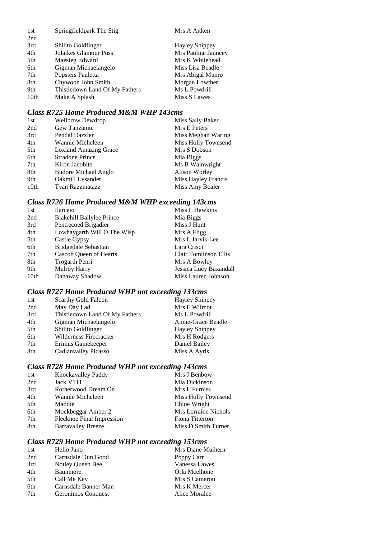| Springfieldpark The Stig       | Mrs A Aitken          |
|--------------------------------|-----------------------|
|                                |                       |
| Shilito Goldfinger             | <b>Hayley Shippey</b> |
| Jolaikes Glamour Puss          | Mrs Pauline Jauncey   |
| Maesteg Edward                 | Mrs K Whitehead       |
| Gigman Michaelangelo           | Miss Lisa Beadle      |
| Popsters Pauletta              | Mrs Abigal Munro      |
| Chywoon John Smith             | Morgan Lowther        |
| Thistledown Land Of My Fathers | Ms L Powdrill         |
| Make A Splash                  | Miss S Lawes          |
|                                |                       |

## *Class R725 Home Produced M&M WHP 143cms*

| 1st  | <b>Wellbrow Dewdrop</b>      | Miss Sally Baker    |
|------|------------------------------|---------------------|
| 2nd  | Gew Tanzanite                | Mrs E Peters        |
| 3rd  | Pendal Dazzler               | Miss Meghan Waring  |
| 4th  | Wannie Micheleen             | Miss Holly Townsend |
| 5th  | <b>Loxland Amazing Grace</b> | Mrs S Dobson        |
| 6th  | <b>Stradone Prince</b>       | Mia Biggs           |
| 7th  | Kiron Jacobite               | Ms B Wainwright     |
| 8th  | <b>Budore Michael Anglo</b>  | Alison Worley       |
| 9th  | Oakmill Lysander             | Miss Hayley Francis |
| 10th | Tyan Razzmatazz              | Miss Amy Boaler     |

# *Class R726 Home Produced M&M WHP exceeding 143cms*

| 1st  | <b>Ilarceio</b>             | Miss L Hawkins         |
|------|-----------------------------|------------------------|
| 2nd  | Blakehill Ballylee Prince   | Mia Biggs              |
| 3rd  | Pentrecoed Brigadier        | Miss J Hunt            |
| 4th  | Lowhaygarth Will O The Wisp | Mrs A Fligg            |
| 5th  | Castle Gypsy                | Mrs L Jarvis-Lee       |
| 6th  | Bridgedale Sebastian        | Lara Crisci            |
| 7th  | Cascob Queen of Hearts      | Clair Tomlinson Ellis  |
| 8th  | Trogarth Penri              | Mrs A Bowley           |
| 9th  | <b>Mulroy Harry</b>         | Jessica Lucy Baxandall |
| 10th | Danaway Shadow              | Miss Lauren Johnson    |

# *Class R727 Home Produced WHP not exceeding 133cms*

| 1st | Scarthy Gold Falcon            | <b>Hayley Shippey</b> |
|-----|--------------------------------|-----------------------|
| 2nd | May Day Lad                    | Mrs E Wilmot          |
| 3rd | Thistledown Land Of My Fathers | Ms L Powdrill         |
| 4th | Gigman Michaelangelo           | Annie-Grace Beadle    |
| 5th | Shilito Goldfinger             | <b>Hayley Shippey</b> |
| 6th | Wilderness Firecracker         | Mrs H Rodgers         |
| 7th | Erimus Gamekeeper              | Daniel Bailey         |
| 8th | Cadlanvalley Picasso           | Miss A Ayris          |

# *Class R728 Home Produced WHP not exceeding 143cms*

| 1st | Knockavalley Paddy        | Mrs J Benbow         |
|-----|---------------------------|----------------------|
| 2nd | Jack V111                 | Mia Dickinson        |
| 3rd | Rotherwood Dream On       | Mrs L Furniss        |
| 4th | Wannie Micheleen          | Miss Holly Townsend  |
| 5th | Maddie                    | Chloe Wright         |
| 6th | Mockbeggar Amber 2        | Mrs Lorraine Nichols |
| 7th | Flecknoe Final Impression | Fiona Titterton      |
| 8th | <b>Barravalley Breeze</b> | Miss D Smith Turner  |
|     |                           |                      |

# *Class R729 Home Produced WHP not exceeding 153cms*

| 1st | Hello Juno           | Mrs Diane Mulhern |
|-----|----------------------|-------------------|
| 2nd | Carnsdale Dun Good   | Poppy Carr        |
| 3rd | Notley Queen Bee     | Vanessa Lawes     |
| 4th | Baunmore             | Orla Mcelhone     |
| 5th | Call Me Kev          | Mrs S Cameron     |
| 6th | Carnsdale Banner Man | Mrs K Mercer      |
| 7th | Geronimos Conquest   | Alice Moralee     |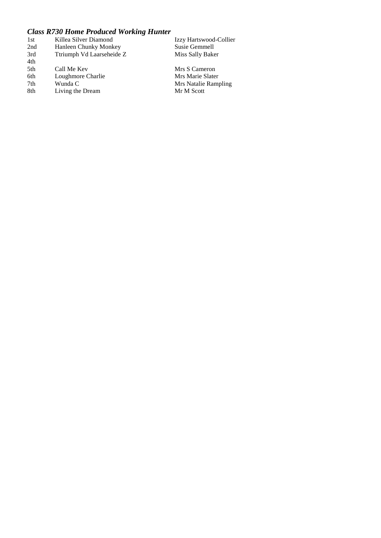# *Class R730 Home Produced Working Hunter*

| 1st | Killea Silver Diamond     | Izzy Hartswood-Collier |
|-----|---------------------------|------------------------|
| 2nd | Hanleen Chunky Monkey     | Susie Gemmell          |
| 3rd | Ttriumph Vd Laarseheide Z | Miss Sally Baker       |
| 4th |                           |                        |
| 5th | Call Me Kev               | Mrs S Cameron          |
| 6th | Loughmore Charlie         | Mrs Marie Slater       |
| 7th | Wunda C                   | Mrs Natalie Rampling   |
| 8th | Living the Dream          | Mr M Scott             |
|     |                           |                        |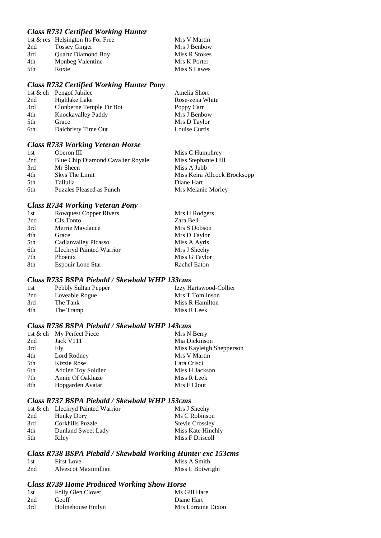# *Class R731 Certified Working Hunter*

|     | 1st & res Helsington Its For Free | Mrs V Martin  |
|-----|-----------------------------------|---------------|
| 2nd | <b>Tossey Ginger</b>              | Mrs J Benbow  |
| 3rd | <b>Quartz Diamond Boy</b>         | Miss R Stokes |
| 4th | Monbeg Valentine                  | Mrs K Porter  |
| 5th | Roxie                             | Miss S Lawes  |

#### *Class R732 Certified Working Hunter Pony*

|     | 1st $\&$ ch Pengof Jubilee | Amelia Short    |
|-----|----------------------------|-----------------|
| 2nd | Highlake Lake              | Rose-zena White |
| 3rd | Clonberne Temple Fir Boi   | Poppy Carr      |
| 4th | Knockavalley Paddy         | Mrs J Benbow    |
| 5th | Grace                      | Mrs D Taylor    |
| 6th | Daichristy Time Out        | Louise Curtis   |

# *Class R733 Working Veteran Horse*

| 1st  | Oberon III                               | Miss C Humphrey              |
|------|------------------------------------------|------------------------------|
| 2nd  | <b>Blue Chip Diamond Cavalier Royale</b> | Miss Stephanie Hill          |
| 3rd  | Mr Sheen                                 | Miss A Jubb                  |
| 4th  | Skys The Limit                           | Miss Keira Allcock Brocksopp |
| .5th | Tallulla                                 | Diane Hart                   |
| 6th  | Puzzles Pleased as Punch                 | Mrs Melanie Morley           |

# *Class R734 Working Veteran Pony*

| 1st | <b>Rowquest Copper Rivers</b> | Mrs H Rodgers |
|-----|-------------------------------|---------------|
| 2nd | CJs Tonto                     | Zara Bell     |
| 3rd | Merrie Maydance               | Mrs S Dobson  |
| 4th | Grace                         | Mrs D Taylor  |
| 5th | Cadlanvalley Picasso          | Miss A Ayris  |
| 6th | Llechryd Painted Warrior      | Mrs J Sheehy  |
| 7th | Phoenix                       | Miss G Taylor |
| 8th | <b>Espouir Lone Star</b>      | Rachel Eaton  |

## *Class R735 BSPA Piebald / Skewbald WHP 133cms*

| 1st | Pebbly Sultan Pepper | Izzy Hartswood-Collier |
|-----|----------------------|------------------------|
| 2nd | Loveable Rogue       | Mrs T Tomlinson        |
| 3rd | The Tank             | Miss R Hamilton        |
| 4th | The Tramp            | Miss R Leek            |

# *Class R736 BSPA Piebald / Skewbald WHP 143cms*

|     | 1st & ch My Perfect Piece | Mrs N Berry              |
|-----|---------------------------|--------------------------|
| 2nd | Jack V111                 | Mia Dickinson            |
| 3rd | Fly                       | Miss Kayleigh Shepperson |
| 4th | Lord Rodney               | Mrs V Martin             |
| 5th | Kizzie Rose               | Lara Crisci              |
| 6th | <b>Addien Toy Soldier</b> | Miss H Jackson           |
| 7th | Annie Of Oakhaze          | Miss R Leek              |
| 8th | Hopgarden Avatar          | Mrs F Clout              |

## *Class R737 BSPA Piebald / Skewbald WHP 153cms*

|     | 1st & ch Llechryd Painted Warrior | Mrs J Sheehy           |
|-----|-----------------------------------|------------------------|
| 2nd | Hunky Dory                        | Ms C Robinson          |
| 3rd | Corkhills Puzzle                  | <b>Stevie Crossley</b> |
| 4th | Dunland Sweet Lady                | Miss Kate Hinchly      |
| 5th | Riley                             | Miss F Driscoll        |

# *Class R738 BSPA Piebald / Skewbald Working Hunter exc 153cms*

| 1st | <b>First Love</b>    | Miss A Smith     |
|-----|----------------------|------------------|
| 2nd | Alvescot Maximillian | Miss L Botwright |

## *Class R739 Home Produced Working Show Horse*

| Folly Glen Clover | Ms Gill Hare       |
|-------------------|--------------------|
| Geoff             | Diane Hart         |
| Holmehouse Emlyn  | Mrs Lorraine Dixon |
|                   |                    |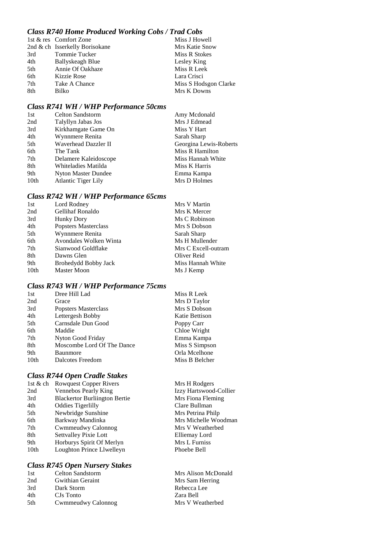# *Class R740 Home Produced Working Cobs / Trad Cobs*

|     | 1st & res Comfort Zone         | Miss J Howell         |
|-----|--------------------------------|-----------------------|
|     | 2nd & ch Isserkelly Borisokane | Mrs Katie Snow        |
| 3rd | Tommie Tucker                  | Miss R Stokes         |
| 4th | Ballyskeagh Blue               | Lesley King           |
| 5th | Annie Of Oakhaze               | Miss R Leek           |
| 6th | Kizzie Rose                    | Lara Crisci           |
| 7th | Take A Chance                  | Miss S Hodsgon Clarke |
| 8th | Bilko                          | Mrs K Downs           |
|     |                                |                       |

## *Class R741 WH / WHP Performance 50cms*

| <b>Celton Sandstorm</b>    | Amy Mcdonald           |
|----------------------------|------------------------|
| Talyllyn Jabas Jos         | Mrs J Edmead           |
| Kirkhamgate Game On        | Miss Y Hart            |
| Wynnmere Renita            | Sarah Sharp            |
| Waverhead Dazzler II       | Georgina Lewis-Roberts |
| The Tank                   | Miss R Hamilton        |
| Delamere Kaleidoscope      | Miss Hannah White      |
| Whiteladies Matilda        | Miss K Harris          |
| <b>Nyton Master Dundee</b> | Emma Kampa             |
| <b>Atlantic Tiger Lily</b> | Mrs D Holmes           |
|                            |                        |

## *Class R742 WH / WHP Performance 65cms*

| Lord Rodney            | Mrs V Martin        |
|------------------------|---------------------|
| Gellihaf Ronaldo       | Mrs K Mercer        |
| <b>Hunky Dory</b>      | Ms C Robinson       |
| Popsters Masterclass   | Mrs S Dobson        |
| Wynnmere Renita        | Sarah Sharp         |
| Avondales Wolken Winta | Ms H Mullender      |
| Sianwood Goldflake     | Mrs C Excell-outram |
| Dawns Glen             | Oliver Reid         |
| Brohedydd Bobby Jack   | Miss Hannah White   |
| Master Moon            | Ms J Kemp           |
|                        |                     |

## *Class R743 WH / WHP Performance 75cms*

| 1st  | Dree Hill Lad              | Miss R Leek    |
|------|----------------------------|----------------|
| 2nd  | Grace                      | Mrs D Taylor   |
| 3rd  | Popsters Masterclass       | Mrs S Dobson   |
| 4th  | Lettergesh Bobby           | Katie Bettison |
| 5th  | Carnsdale Dun Good         | Poppy Carr     |
| 6th  | Maddie                     | Chloe Wright   |
| 7th  | Nyton Good Friday          | Emma Kampa     |
| 8th  | Moscombe Lord Of The Dance | Miss S Simpson |
| 9th  | Baunmore                   | Orla Mcelhone  |
| 10th | Dalcotes Freedom           | Miss B Belcher |

## *Class R744 Open Cradle Stakes*

| 1st $&$ ch | <b>Rowquest Copper Rivers</b>        |
|------------|--------------------------------------|
| 2nd        | Vennebos Pearly King                 |
| 3rd        | <b>Blackertor Burliington Bertie</b> |
| 4th        | <b>Oddies Tigerlilly</b>             |
| 5th        | Newbridge Sunshine                   |
| 6th        | Barkway Mandinka                     |
| 7th        | Cwmmeudwy Calonnog                   |
| 8th        | <b>Settvalley Pixie Lott</b>         |
| 9th        | Horburys Spirit Of Merlyn            |
| 10th       | Loughton Prince Llwelleyn            |

## *Class R745 Open Nursery Stakes*

| 1st | <b>Celton Sandstorm</b> |  |
|-----|-------------------------|--|
| 2nd | Gwithian Geraint        |  |
| 3rd | Dark Storm              |  |
| 4th | CJs Tonto               |  |
| 5th | Cwmmeudwy Calonnog      |  |

Mrs H Rodgers Izzy Hartswood-Collier Mrs Fiona Fleming Clare Bullman Mrs Petrina Philp Mrs Michelle Woodman Mrs V Weatherbed Elliemay Lord Mrs L Furniss Phoebe Bell

Mrs Alison McDonald Mrs Sam Herring Rebecca Lee Zara Bell Mrs V Weatherbed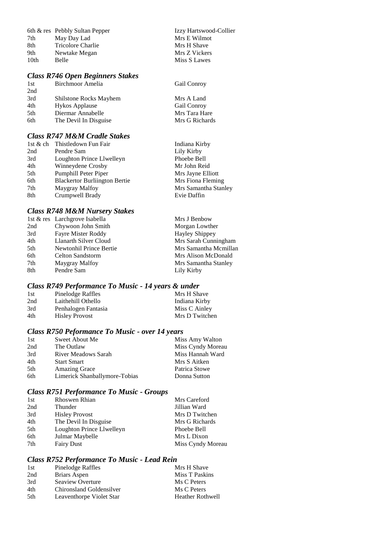|                  | 6th & res Pebbly Sultan Pepper | Izzy Hartswood-Collier |
|------------------|--------------------------------|------------------------|
| 7th              | May Day Lad                    | Mrs E Wilmot           |
| 8th              | Tricolore Charlie              | Mrs H Shave            |
| 9th              | Newtake Megan                  | Mrs Z Vickers          |
| 10 <sub>th</sub> | Belle                          | Miss S Lawes           |
|                  |                                |                        |

# *Class R746 Open Beginners Stakes*

| 1st | Birchmoor Amelia       | Gail Conroy        |
|-----|------------------------|--------------------|
| 2nd |                        |                    |
| 3rd | Shilstone Rocks Mayhem | Mrs A Land         |
| 4th | <b>Hykos Applause</b>  | <b>Gail Conroy</b> |
| 5th | Diermar Annabelle      | Mrs Tara Hare      |
| 6th | The Devil In Disguise  | Mrs G Richards     |

# *Class R747 M&M Cradle Stakes*

|     | 1st & ch Thistledown Fun Fair        | Indiana Kirby        |
|-----|--------------------------------------|----------------------|
| 2nd | Pendre Sam                           | Lily Kirby           |
| 3rd | Loughton Prince Llwelleyn            | Phoebe Bell          |
| 4th | Winneydene Crosby                    | Mr John Reid         |
| 5th | Pumphill Peter Piper                 | Mrs Jayne Elliott    |
| 6th | <b>Blackertor Burliington Bertie</b> | Mrs Fiona Fleming    |
| 7th | Maygray Malfoy                       | Mrs Samantha Stanley |
| 8th | Crumpwell Brady                      | Evie Daffin          |

# *Class R748 M&M Nursery Stakes*

|     | 1st & res Larchgrove Isabella | Mrs J Benbow          |
|-----|-------------------------------|-----------------------|
| 2nd | Chywoon John Smith            | Morgan Lowther        |
| 3rd | Fayre Mister Roddy            | <b>Hayley Shippey</b> |
| 4th | Llanarth Silver Cloud         | Mrs Sarah Cunningham  |
| 5th | Newtonhil Prince Bertie       | Mrs Samantha Mcmillan |
| 6th | Celton Sandstorm              | Mrs Alison McDonald   |
| 7th | Maygray Malfoy                | Mrs Samantha Stanley  |
| 8th | Pendre Sam                    | Lily Kirby            |
|     |                               |                       |

# *Class R749 Performance To Music - 14 years & under*

| 1st | Pinelodge Raffles     | Mrs H Shave    |
|-----|-----------------------|----------------|
| 2nd | Laithehill Othello    | Indiana Kirby  |
| 3rd | Penhalogen Fantasia   | Miss C Ainley  |
| 4th | <b>Hisley Provost</b> | Mrs D Twitchen |

# *Class R750 Peformance To Music - over 14 years*

| 1st | Sweet About Me                | Miss Amy Walton   |
|-----|-------------------------------|-------------------|
| 2nd | The Outlaw                    | Miss Cyndy Moreau |
| 3rd | <b>River Meadows Sarah</b>    | Miss Hannah Ward  |
| 4th | <b>Start Smart</b>            | Mrs S Aitken      |
| 5th | <b>Amazing Grace</b>          | Patrica Stowe     |
| 6th | Limerick Shanballymore-Tobias | Donna Sutton      |

# *Class R751 Performance To Music - Groups*

| 1st | Rhoswen Rhian             | Mrs Careford      |
|-----|---------------------------|-------------------|
| 2nd | Thunder                   | Jillian Ward      |
| 3rd | <b>Hisley Provost</b>     | Mrs D Twitchen    |
| 4th | The Devil In Disguise     | Mrs G Richards    |
| 5th | Loughton Prince Llwelleyn | Phoebe Bell       |
| 6th | Julmar Maybelle           | Mrs L Dixon       |
| 7th | <b>Fairy Dust</b>         | Miss Cyndy Moreau |
|     |                           |                   |

# *Class R752 Performance To Music - Lead Rein*

| Pinelodge Raffles        | Mrs H Shave             |
|--------------------------|-------------------------|
| Briars Aspen             | Miss T Paskins          |
| Seaview Overture         | Ms C Peters             |
| Chironsland Goldensilver | Ms C Peters             |
| Leaventhorpe Violet Star | <b>Heather Rothwell</b> |
|                          |                         |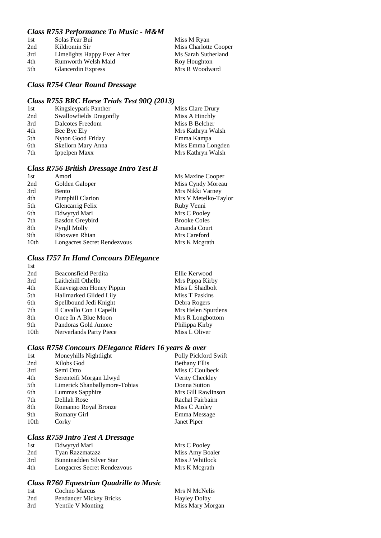# *Class R753 Performance To Music - M&M*

| 1st | Solas Fear Bui              | Miss M Ryan           |
|-----|-----------------------------|-----------------------|
| 2nd | Kildromin Sir               | Miss Charlotte Cooper |
| 3rd | Limelights Happy Ever After | Ms Sarah Sutherland   |
| 4th | <b>Rumworth Welsh Maid</b>  | Roy Houghton          |
| 5th | <b>Glancerdin Express</b>   | Mrs R Woodward        |
|     |                             |                       |

## *Class R754 Clear Round Dressage*

# *Class R755 BRC Horse Trials Test 90Q (2013)*

| 1st | Kingsleypark Panther    | Miss Clare Drury  |
|-----|-------------------------|-------------------|
| 2nd | Swallowfields Dragonfly | Miss A Hinchly    |
| 3rd | Dalcotes Freedom        | Miss B Belcher    |
| 4th | Bee Bye Ely             | Mrs Kathryn Walsh |
| 5th | Nyton Good Friday       | Emma Kampa        |
| 6th | Skellorn Mary Anna      | Miss Emma Longden |
| 7th | Ippelpen Maxx           | Mrs Kathryn Walsh |

## *Class R756 British Dressage Intro Test B*

| 1st  | Amori                       | Ms Maxine Cooper     |
|------|-----------------------------|----------------------|
| 2nd  | Golden Galoper              | Miss Cyndy Moreau    |
| 3rd  | Bento                       | Mrs Nikki Varney     |
| 4th  | <b>Pumphill Clarion</b>     | Mrs V Metelko-Taylor |
| 5th  | Glencarrig Felix            | Ruby Venni           |
| 6th  | Ddwyryd Mari                | Mrs C Pooley         |
| 7th  | Easdon Greybird             | <b>Brooke Coles</b>  |
| 8th  | Pyrgll Molly                | Amanda Court         |
| 9th  | <b>Rhoswen Rhian</b>        | Mrs Careford         |
| 10th | Longacres Secret Rendezvous | Mrs K Megrath        |
|      |                             |                      |

#### *Class I757 In Hand Concours DElegance* 1st

| 2nd              | Beaconsfield Perdita     | Ellie Kerwood      |
|------------------|--------------------------|--------------------|
| 3rd              | Laithehill Othello       | Mrs Pippa Kirby    |
| 4th              | Knavesgreen Honey Pippin | Miss L Shadbolt    |
| 5th              | Hallmarked Gilded Lily   | Miss T Paskins     |
| 6th              | Spellbound Jedi Knight   | Debra Rogers       |
| 7th              | Il Cavallo Con I Capelli | Mrs Helen Spurdens |
| 8th              | Once In A Blue Moon      | Mrs R Longbottom   |
| 9th              | Pandoras Gold Amore      | Philippa Kirby     |
| 10 <sub>th</sub> | Nerverlands Party Piece  | Miss L Oliver      |
|                  |                          |                    |

# *Class R758 Concours DElegance Riders 16 years & over*

| 1st              | Moneyhills Nightlight         | Polly Pickford Swift |
|------------------|-------------------------------|----------------------|
| 2nd              | Xilobs God                    | <b>Bethany Ellis</b> |
| 3rd              | Semi Otto                     | Miss C Coulbeck      |
| 4th              | Serenteifi Morgan Llwyd       | Verity Checkley      |
| 5th              | Limerick Shanballymore-Tobias | Donna Sutton         |
| 6th              | Lummas Sapphire               | Mrs Gill Rawlinson   |
| 7th              | Delilah Rose                  | Rachal Fairbairn     |
| 8th              | Romanno Royal Bronze          | Miss C Ainley        |
| 9th              | Romany Girl                   | Emma Message         |
| 10 <sub>th</sub> | Corky                         | Janet Piper          |
|                  |                               |                      |

# *Class R759 Intro Test A Dressage*

| 1st | Ddwyryd Mari                | Mrs C Pooley    |
|-----|-----------------------------|-----------------|
| 2nd | Tyan Razzmatazz             | Miss Amy Boaler |
| 3rd | Bunninadden Silver Star     | Miss J Whitlock |
| 4th | Longacres Secret Rendezvous | Mrs K Megrath   |

### *Class R760 Equestrian Quadrille to Music*

| 1st | Cochno Marcus           | Mrs N McNelis       |
|-----|-------------------------|---------------------|
| 2nd | Pendancer Mickey Bricks | <b>Hayley Dolby</b> |
| 3rd | Yentile V Monting       | Miss Mary Morgan    |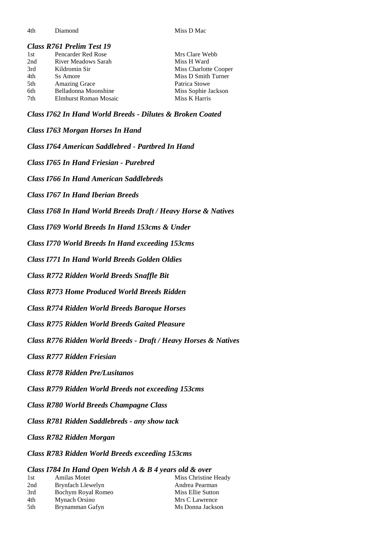4th Diamond Miss D Mac

# *Class R761 Prelim Test 19*

| 1st | Pencarder Red Rose    | Mrs Clare Webb        |
|-----|-----------------------|-----------------------|
| 2nd | River Meadows Sarah   | Miss H Ward           |
| 3rd | Kildromin Sir         | Miss Charlotte Cooper |
| 4th | Ss Amore              | Miss D Smith Turner   |
| 5th | <b>Amazing Grace</b>  | Patrica Stowe         |
| 6th | Belladonna Moonshine  | Miss Sophie Jackson   |
| 7th | Elmhurst Roman Mosaic | Miss K Harris         |
|     |                       |                       |

*Class I762 In Hand World Breeds - Dilutes & Broken Coated*

*Class I763 Morgan Horses In Hand*

*Class I764 American Saddlebred - Partbred In Hand*

*Class I765 In Hand Friesian - Purebred*

*Class I766 In Hand American Saddlebreds*

*Class I767 In Hand Iberian Breeds*

*Class I768 In Hand World Breeds Draft / Heavy Horse & Natives*

*Class I769 World Breeds In Hand 153cms & Under*

*Class I770 World Breeds In Hand exceeding 153cms*

*Class I771 In Hand World Breeds Golden Oldies*

*Class R772 Ridden World Breeds Snaffle Bit*

*Class R773 Home Produced World Breeds Ridden*

*Class R774 Ridden World Breeds Baroque Horses*

*Class R775 Ridden World Breeds Gaited Pleasure*

*Class R776 Ridden World Breeds - Draft / Heavy Horses & Natives*

*Class R777 Ridden Friesian*

*Class R778 Ridden Pre/Lusitanos*

*Class R779 Ridden World Breeds not exceeding 153cms*

*Class R780 World Breeds Champagne Class*

*Class R781 Ridden Saddlebreds - any show tack*

*Class R782 Ridden Morgan*

*Class R783 Ridden World Breeds exceeding 153cms*

#### *Class I784 In Hand Open Welsh A & B 4 years old & over*

| 1st | Amilas Motet       | Miss Christine Heady |
|-----|--------------------|----------------------|
| 2nd | Brynfach Llewelyn  | Andrea Pearman       |
| 3rd | Bochym Royal Romeo | Miss Ellie Sutton    |
| 4th | Mynach Orsino      | Mrs C Lawrence       |
| 5th | Brynamman Gafyn    | Ms Donna Jackson     |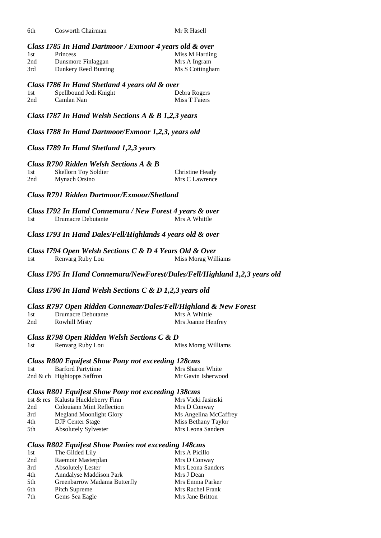| 6th | Cosworth Chairman |  |
|-----|-------------------|--|
|     |                   |  |

Mr R Hasell

#### *Class I785 In Hand Dartmoor / Exmoor 4 years old & over*

| 1st | <b>Princess</b>      | Miss M Harding  |
|-----|----------------------|-----------------|
| 2nd | Dunsmore Finlaggan   | Mrs A Ingram    |
| 3rd | Dunkery Reed Bunting | Ms S Cottingham |

#### *Class I786 In Hand Shetland 4 years old & over*

| 1st | Spellbound Jedi Knight | Debra Rogers  |
|-----|------------------------|---------------|
| 2nd | Camlan Nan             | Miss T Faiers |

*Class I787 In Hand Welsh Sections A & B 1,2,3 years*

*Class I788 In Hand Dartmoor/Exmoor 1,2,3, years old*

### *Class I789 In Hand Shetland 1,2,3 years*

#### *Class R790 Ridden Welsh Sections A & B*

| 1st | <b>Skellorn Toy Soldier</b> | Christine Heady |
|-----|-----------------------------|-----------------|
| 2nd | Mynach Orsino               | Mrs C Lawrence  |

# *Class R791 Ridden Dartmoor/Exmoor/Shetland*

*Class I792 In Hand Connemara / New Forest 4 years & over* 1st Drumacre Debutante Mrs A Whittle

*Class I793 In Hand Dales/Fell/Highlands 4 years old & over*

*Class I794 Open Welsh Sections C & D 4 Years Old & Over* 1st Renvarg Ruby Lou Miss Morag Williams

*Class I795 In Hand Connemara/NewForest/Dales/Fell/Highland 1,2,3 years old*

#### *Class I796 In Hand Welsh Sections C & D 1,2,3 years old*

#### *Class R797 Open Ridden Connemar/Dales/Fell/Highland & New Forest* 1st Drumacre Debutante

| 1 D L | Diamacic Debuumie    |                    |
|-------|----------------------|--------------------|
| 2nd   | <b>Rowhill Misty</b> | Mrs Joanne Henfrey |

#### *Class R798 Open Ridden Welsh Sections C & D*

1st Renvarg Ruby Lou Miss Morag Williams

# *Class R800 Equifest Show Pony not exceeding 128cms*

| 1st | <b>Barford Partytime</b>      | Mrs Sharon White   |
|-----|-------------------------------|--------------------|
|     | 2nd $\&$ ch Hightopps Saffron | Mr Gavin Isherwood |

## *Class R801 Equifest Show Pony not exceeding 138cms*

|     | 1st & res Kalusta Huckleberry Finn | Mrs Vicki Jasinski    |
|-----|------------------------------------|-----------------------|
| 2nd | <b>Colouiann Mint Reflection</b>   | Mrs D Conway          |
| 3rd | Megland Moonlight Glory            | Ms Angelina McCaffrey |
| 4th | <b>DJP</b> Center Stage            | Miss Bethany Taylor   |
| 5th | <b>Absolutely Sylvester</b>        | Mrs Leona Sanders     |
|     |                                    |                       |

# *Class R802 Equifest Show Ponies not exceeding 148cms*

| 1st | The Gilded Lily                | Mrs A Picillo     |
|-----|--------------------------------|-------------------|
| 2nd | Raemoir Masterplan             | Mrs D Conway      |
| 3rd | <b>Absolutely Lester</b>       | Mrs Leona Sanders |
| 4th | <b>Anndalyse Maddison Park</b> | Mrs J Dean        |
| 5th | Greenbarrow Madama Butterfly   | Mrs Emma Parker   |
| 6th | Pitch Supreme                  | Mrs Rachel Frank  |
| 7th | Gems Sea Eagle                 | Mrs Jane Britton  |
|     |                                |                   |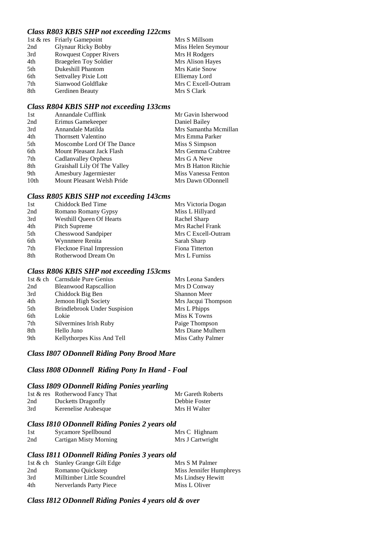# *Class R803 KBIS SHP not exceeding 122cms*

|     | 1st & res Friarly Gamepoint   | Mrs S Millsom       |
|-----|-------------------------------|---------------------|
| 2nd | <b>Glynaur Ricky Bobby</b>    | Miss Helen Seymour  |
| 3rd | <b>Rowquest Copper Rivers</b> | Mrs H Rodgers       |
| 4th | <b>Braegelen Toy Soldier</b>  | Mrs Alison Hayes    |
| 5th | Dukeshill Phantom             | Mrs Katie Snow      |
| 6th | <b>Settvalley Pixie Lott</b>  | Elliemay Lord       |
| 7th | Sianwood Goldflake            | Mrs C Excell-Outram |
| 8th | Gerdinen Beauty               | Mrs S Clark         |

# *Class R804 KBIS SHP not exceeding 133cms*

| 1st  | Annandale Cufflink           | Mr Gavin Isherwood    |
|------|------------------------------|-----------------------|
| 2nd  | Erimus Gamekeeper            | Daniel Bailey         |
| 3rd  | Annandale Matilda            | Mrs Samantha Mcmillan |
| 4th  | Thornsett Valentino          | Mrs Emma Parker       |
| 5th  | Moscombe Lord Of The Dance   | Miss S Simpson        |
| 6th  | Mount Pleasant Jack Flash    | Mrs Gemma Crabtree    |
| 7th  | Cadlanvalley Orpheus         | Mrs G A Neve          |
| 8th  | Graishall Lily Of The Valley | Mrs B Hatton Ritchie  |
| 9th  | Amesbury Jagermiester        | Miss Vanessa Fenton   |
| 10th | Mount Pleasant Welsh Pride   | Mrs Dawn ODonnell     |

## *Class R805 KBIS SHP not exceeding 143cms*

| 1st | Chiddock Bed Time               | Mrs Victoria Dogan  |
|-----|---------------------------------|---------------------|
| 2nd | Romano Romany Gypsy             | Miss L Hillyard     |
| 3rd | <b>Westhill Queen Of Hearts</b> | Rachel Sharp        |
| 4th | Pitch Supreme                   | Mrs Rachel Frank    |
| 5th | Chesswood Sandpiper             | Mrs C Excell-Outram |
| 6th | Wynnmere Renita                 | Sarah Sharp         |
| 7th | Flecknoe Final Impression       | Fiona Titterton     |
| 8th | Rotherwood Dream On             | Mrs L Furniss       |

#### *Class R806 KBIS SHP not exceeding 153cms*

|     | 1st & ch Carnsdale Pure Genius      | Mrs Leona Sanders   |
|-----|-------------------------------------|---------------------|
| 2nd | <b>Bleanwood Rapscallion</b>        | Mrs D Conway        |
| 3rd | Chiddock Big Ben                    | <b>Shannon Meer</b> |
| 4th | Jemoon High Society                 | Mrs Jacqui Thompson |
| 5th | <b>Brindlebrook Under Suspision</b> | Mrs L Phipps        |
| 6th | Lokie                               | Miss K Towns        |
| 7th | Silvermines Irish Ruby              | Paige Thompson      |
| 8th | Hello Juno                          | Mrs Diane Mulhern   |
| 9th | Kellythorpes Kiss And Tell          | Miss Cathy Palmer   |

## *Class I807 ODonnell Riding Pony Brood Mare*

## *Class I808 ODonnell Riding Pony In Hand - Foal*

## *Class I809 ODonnell Riding Ponies yearling*

|     | 1st & res Rotherwood Fancy That | Mr Gareth Roberts |
|-----|---------------------------------|-------------------|
| 2nd | Ducketts Dragonfly              | Debbie Foster     |
| 3rd | Kerenelise Arabesque            | Mrs H Walter      |

#### *Class I810 ODonnell Riding Ponies 2 years old*

| 1st | Sycamore Spellbound           | Mrs C Highnam    |
|-----|-------------------------------|------------------|
| 2nd | <b>Cartigan Misty Morning</b> | Mrs J Cartwright |

## *Class I811 ODonnell Riding Ponies 3 years old*

|     | 1st & ch Stanley Grange Gilt Edge | Mrs S M Palmer          |
|-----|-----------------------------------|-------------------------|
| 2nd | Romanno Quickstep                 | Miss Jennifer Humphreys |
| 3rd | Milltimber Little Scoundrel       | Ms Lindsey Hewitt       |
| 4th | Nerverlands Party Piece           | Miss L Oliver           |

## *Class I812 ODonnell Riding Ponies 4 years old & over*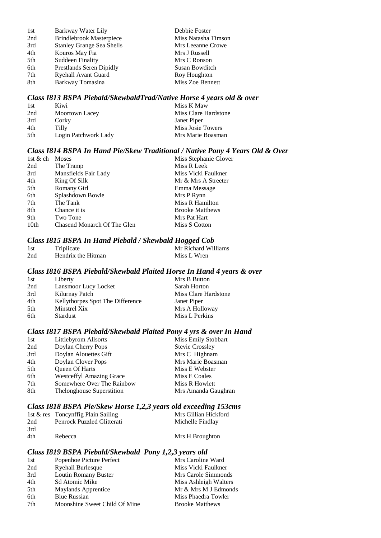| 1st | Barkway Water Lily               | Debbie Foster       |
|-----|----------------------------------|---------------------|
| 2nd | <b>Brindlebrook Masterpiece</b>  | Miss Natasha Timson |
| 3rd | <b>Stanley Grange Sea Shells</b> | Mrs Leeanne Crowe   |
| 4th | Kouros May Fia                   | Mrs J Russell       |
| 5th | <b>Suddeen Finality</b>          | Mrs C Ronson        |
| 6th | Prestlands Seren Dipidly         | Susan Bowditch      |
| 7th | <b>Ryehall Avant Guard</b>       | Roy Houghton        |
| 8th | Barkway Tomasina                 | Miss Zoe Bennett    |

#### *Class I813 BSPA Piebald/SkewbaldTrad/Native Horse 4 years old & over*

| 1st | Kiwi                 | Miss K Maw           |
|-----|----------------------|----------------------|
| 2nd | Moortown Lacey       | Miss Clare Hardstone |
| 3rd | Corky                | Janet Piper          |
| 4th | Tilly                | Miss Josie Towers    |
| 5th | Login Patchwork Lady | Mrs Marie Boasman    |

## *Class I814 BSPA In Hand Pie/Skew Traditional / Native Pony 4 Years Old & Over*

| 1st & ch         | Moses                       | Miss Stephanie Glover  |
|------------------|-----------------------------|------------------------|
| 2nd              | The Tramp                   | Miss R Leek            |
| 3rd              | Mansfields Fair Lady        | Miss Vicki Faulkner    |
| 4th              | King Of Silk                | Mr & Mrs A Streeter    |
| 5th              | Romany Girl                 | Emma Message           |
| 6th              | Splashdown Bowie            | Mrs P Rynn             |
| 7th              | The Tank                    | Miss R Hamilton        |
| 8th              | Chance it is                | <b>Brooke Matthews</b> |
| 9th              | Two Tone                    | Mrs Pat Hart           |
| 10 <sub>th</sub> | Chasend Monarch Of The Glen | Miss S Cotton          |

#### *Class I815 BSPA In Hand Piebald / Skewbald Hogged Cob*

| 1st | Triplicate         | Mr Richard Williams |
|-----|--------------------|---------------------|
| 2nd | Hendrix the Hitman | Miss L Wren         |

#### *Class I816 BSPA Piebald/Skewbald Plaited Horse In Hand 4 years & over*

| 1st  | Liberty                          | Mrs B Button         |
|------|----------------------------------|----------------------|
| 2nd  | Lansmoor Lucy Locket             | Sarah Horton         |
| 3rd  | Kilurnay Patch                   | Miss Clare Hardstone |
| 4th  | Kellythorpes Spot The Difference | Janet Piper          |
| .5th | Minstrel Xix                     | Mrs A Holloway       |
| 6th  | Stardust                         | Miss L Perkins       |

## *Class I817 BSPA Piebald/Skewbald Plaited Pony 4 yrs & over In Hand*

| 1st | Littlebyrom Allsorts            | <b>Miss Emily Stobbart</b> |
|-----|---------------------------------|----------------------------|
| 2nd | Doylan Cherry Pops              | <b>Stevie Crossley</b>     |
| 3rd | Doylan Alouettes Gift           | Mrs C Highnam              |
| 4th | Doylan Clover Pops              | Mrs Marie Boasman          |
| 5th | <b>Oueen Of Harts</b>           | Miss E Webster             |
| 6th | <b>Westceffyl Amazing Grace</b> | Miss E Coales              |
| 7th | Somewhere Over The Rainbow      | Miss R Howlett             |
| 8th | Thelonghouse Superstition       | Mrs Amanda Gaughran        |

# *Class I818 BSPA Pie/Skew Horse 1,2,3 years old exceeding 153cms*

|     | 1st & res Toncynffig Plain Sailing | Mrs Gillian Hickford |
|-----|------------------------------------|----------------------|
| 2nd | Penrock Puzzled Glitterati         | Michelle Findlay     |
| 3rd |                                    |                      |
| 4th | Rebecca                            | Mrs H Broughton      |

#### *Class I819 BSPA Piebald/Skewbald Pony 1,2,3 years old*

| 1st | Popenhoe Picture Perfect      | Mrs Caroline Ward      |
|-----|-------------------------------|------------------------|
| 2nd | <b>Ryehall Burlesque</b>      | Miss Vicki Faulkner    |
| 3rd | Loutin Romany Buster          | Mrs Carole Simmonds    |
| 4th | Sd Atomic Mike                | Miss Ashleigh Walters  |
| 5th | Maylands Apprentice           | Mr & Mrs M J Edmonds   |
| 6th | <b>Blue Russian</b>           | Miss Phaedra Towler    |
| 7th | Moonshine Sweet Child Of Mine | <b>Brooke Matthews</b> |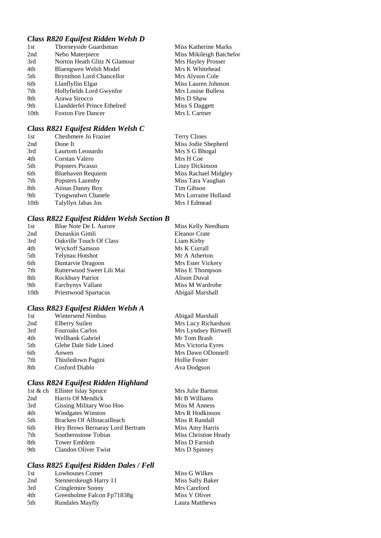# *Class R820 Equifest Ridden Welsh D*

| 1st  | Thorneyside Guardsman            | Miss Katherine Marks     |
|------|----------------------------------|--------------------------|
| 2nd  | Nebo Materpiece                  | Miss Mikileigh Batchelor |
| 3rd  | Norton Heath Glitz N Glamour     | Mrs Hayley Prosser       |
| 4th  | Blaengwen Welsh Model            | Mrs K Whitehead          |
| 5th  | <b>Brynithon Lord Chancellor</b> | Mrs Alyson Cole          |
| 6th  | Llanflyllin Elgar                | Miss Lauren Johnson      |
| 7th  | Hollyfields Lord Gwynfor         | Mrs Louise Bulless       |
| 8th  | Arawa Sirocco                    | Mrs D Shaw               |
| 9th  | Llandderfel Prince Ethelred      | Miss S Daggett           |
| 10th | <b>Foxton Fire Dancer</b>        | Mrs L Cartner            |
|      |                                  |                          |

# *Class R821 Equifest Ridden Welsh C*

| Cheshmere Jo Frazier     | <b>Terry Clines</b>  |
|--------------------------|----------------------|
| Done It                  | Miss Jodie Shepherd  |
| Laurtom Leonardo         | Mrs S G Bhogal       |
| Corstan Valero           | Mrs H Coe            |
| Popsters Picasso         | Linzy Dickinson      |
| <b>Bluehaven Requiem</b> | Miss Rachael Midgley |
| Popsters Lazenby         | Miss Tara Vaughan    |
| <b>Atinas Danny Boy</b>  | Tim Gibson           |
| Tyngwndwn Chanele        | Mrs Lorraine Holland |
| Talyllyn Jabas Jos       | Mrs J Edmead         |
|                          |                      |

# *Class R822 Equifest Ridden Welsh Section B*

| Blue Note De L Aurore     | Miss Kelly Needham   |
|---------------------------|----------------------|
| Dunaskin Gimli            | <b>Eleanor Crate</b> |
| Oakville Touch Of Class   | Liam Kirby           |
| Wyckoff Samson            | Ms K Currall         |
| Telynau Hotshot           | Mr A Atherton        |
| Duntarvie Dragoon         | Mrs Ester Vickery    |
| Rutterwood Sweet Lili Mai | Miss E Thompson      |
| Rockbury Patriot          | Alison Duval         |
| <b>Farchynys Vallant</b>  | Miss M Wardrobe      |
| Priestwood Spartacus      | Abigail Marshall     |
|                           |                      |

# *Class R823 Equifest Ridden Welsh A*

| 1st | <b>Wintersend Nimbus</b> | Abigail Marshall     |
|-----|--------------------------|----------------------|
| 2nd | Elberry Suilen           | Mrs Lucy Richardson  |
| 3rd | <b>Fouroaks Carlos</b>   | Mrs Lyndsey Birtwell |
| 4th | Wellbank Gabriel         | Mr Tom Brash         |
| 5th | Glebe Dale Side Lined    | Mrs Victoria Eyres   |
| 6th | Anwen                    | Mrs Dawn ODonnell    |
| 7th | Thistledown Pagini       | <b>Hollie Foster</b> |
| 8th | Cosford Diablo           | Ava Dodgson          |

# *Class R824 Equifest Ridden Highland*

|     | 1st & ch Ellister Islay Spruce  | Mrs Julie Barton     |
|-----|---------------------------------|----------------------|
| 2nd | Harris Of Mendick               | Mr B Williams        |
| 3rd | Gissing Military Woo Hoo        | Miss M Anness        |
| 4th | <b>Windgates Winston</b>        | Mrs R Hodkinson      |
| 5th | Bracken Of Alltnacailleach      | Miss R Randall       |
| 6th | Hey Brows Bernaray Lord Bertram | Miss Amy Harris      |
| 7th | Southernstone Tobias            | Miss Christine Heady |
| 8th | <b>Tower Emblem</b>             | Miss D Farnish       |
| 9th | Clandon Oliver Twist            | Mrs D Spinney        |
|     |                                 |                      |

# *Class R825 Equifest Ridden Dales / Fell*

| 1st | <b>Lowhouses Comet</b>     | Miss G Wilkes    |
|-----|----------------------------|------------------|
| 2nd | Stennerskeugh Harry 11     | Miss Sally Baker |
| 3rd | Cringlemire Sonny          | Mrs Careford     |
| 4th | Greenholme Falcon Fp71838g | Miss V Oliver    |
| 5th | <b>Rundales Mayfly</b>     | Laura Matthews   |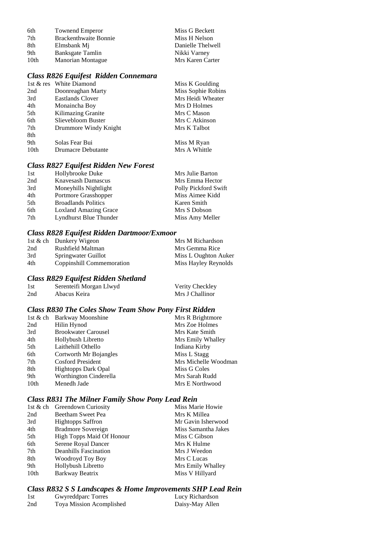| 6th              | <b>Townend Emperor</b>       | Miss G Beckett    |
|------------------|------------------------------|-------------------|
| 7th              | <b>Brackenthwaite Bonnie</b> | Miss H Nelson     |
| 8th              | Elmsbank Mi                  | Danielle Thelwell |
| 9th              | Banksgate Tamlin             | Nikki Varney      |
| 10 <sub>th</sub> | <b>Manorian Montague</b>     | Mrs Karen Carter  |

# *Class R826 Equifest Ridden Connemara*

|                  | 1st & res White Diamond | Miss K Goulding    |
|------------------|-------------------------|--------------------|
| 2nd              | Doonreaghan Marty       | Miss Sophie Robins |
| 3rd              | Eastlands Clover        | Mrs Heidi Wheater  |
| 4th              | Monaincha Boy           | Mrs D Holmes       |
| 5th              | Kilimazing Granite      | Mrs C Mason        |
| 6th              | Slievebloom Buster      | Mrs C Atkinson     |
| 7th              | Drummore Windy Knight   | Mrs K Talbot       |
| 8th              |                         |                    |
| 9th              | Solas Fear Bui          | Miss M Ryan        |
| 10 <sub>th</sub> | Drumacre Debutante      | Mrs A Whittle      |

#### *Class R827 Equifest Ridden New Forest*

| 1st | Hollybrooke Duke             | Mrs Julie Barton     |
|-----|------------------------------|----------------------|
| 2nd | Knavesash Damascus           | Mrs Emma Hector      |
| 3rd | Moneyhills Nightlight        | Polly Pickford Swift |
| 4th | Portmore Grasshopper         | Miss Aimee Kidd      |
| 5th | <b>Broadlands Politics</b>   | Karen Smith          |
| 6th | <b>Loxland Amazing Grace</b> | Mrs S Dobson         |
| 7th | Lyndhurst Blue Thunder       | Miss Amy Meller      |

# *Class R828 Equifest Ridden Dartmoor/Exmoor*

|     | 1st & ch Dunkery Wigeon   | Mrs M Richardson     |
|-----|---------------------------|----------------------|
| 2nd | Rushfield Maltman         | Mrs Gemma Rice       |
| 3rd | Springwater Guillot       | Miss L Oughton Auker |
| 4th | Coppinshill Commemoration | Miss Hayley Reynolds |

#### *Class R829 Equifest Ridden Shetland*

| 1st | Serenteifi Morgan Llwyd | Verity Checkley |
|-----|-------------------------|-----------------|
| 2nd | Abacus Keira            | Mrs J Challinor |

## *Class R830 The Coles Show Team Show Pony First Ridden*

|      | 1st & ch Barkway Moonshine | Mrs R Brightmore     |
|------|----------------------------|----------------------|
| 2nd  | Hilin Hynod                | Mrs Zoe Holmes       |
| 3rd  | <b>Brookwater Carousel</b> | Mrs Kate Smith       |
| 4th  | Hollybush Libretto         | Mrs Emily Whalley    |
| 5th  | Laithehill Othello         | Indiana Kirby        |
| 6th  | Cortworth Mr Bojangles     | Miss L Stagg         |
| 7th  | <b>Cosford President</b>   | Mrs Michelle Woodman |
| 8th  | <b>Hightopps Dark Opal</b> | Miss G Coles         |
| 9th  | Worthington Cinderella     | Mrs Sarah Rudd       |
| 10th | Menedh Jade                | Mrs E Northwood      |

# *Class R831 The Milner Family Show Pony Lead Rein*

|                  | 1st & ch Greendown Curiosity     | Miss Marie Howie    |
|------------------|----------------------------------|---------------------|
| 2nd              | Beetham Sweet Pea                | Mrs K Millea        |
| 3rd              | <b>Hightopps Saffron</b>         | Mr Gavin Isherwood  |
| 4th              | <b>Bradmore Sovereign</b>        | Miss Samantha Jakes |
| 5th              | <b>High Topps Maid Of Honour</b> | Miss C Gibson       |
| 6th              | Serene Royal Dancer              | Mrs K Hulme         |
| 7th              | <b>Deanhills Fascination</b>     | Mrs J Weedon        |
| 8th              | Woodroyd Toy Boy                 | Mrs C Lucas         |
| 9th              | Hollybush Libretto               | Mrs Emily Whalley   |
| 10 <sub>th</sub> | Barkway Beatrix                  | Miss V Hillyard     |
|                  |                                  |                     |

# *Class R832 S S Landscapes & Home Improvements SHP Lead Rein*

| 1st | Gwyreddparc Torres       | Lucy Richardson |
|-----|--------------------------|-----------------|
| 2nd | Toya Mission Acomplished | Daisy-May Allen |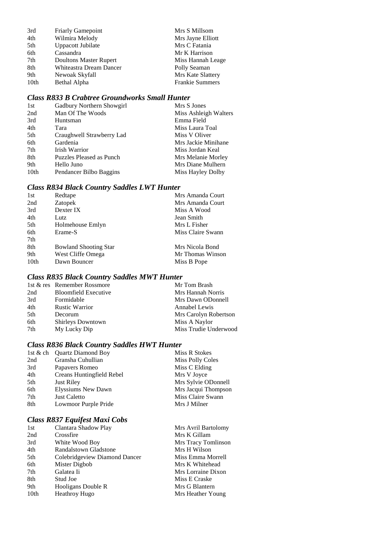| 3rd  | <b>Friarly Gamepoint</b> | Mrs S Millsom          |
|------|--------------------------|------------------------|
| 4th  | Wilmira Melody           | Mrs Jayne Elliott      |
| 5th  | <b>Uppacott Jubilate</b> | Mrs C Fatania          |
| 6th  | Cassandra                | Mr K Harrison          |
| 7th  | Doultons Master Rupert   | Miss Hannah Leage      |
| 8th  | Whiteastra Dream Dancer  | Polly Seaman           |
| 9th  | Newoak Skyfall           | Mrs Kate Slattery      |
| 10th | Bethal Alpha             | <b>Frankie Summers</b> |

# *Class R833 B Crabtree Groundworks Small Hunter*

| 1st  | Gadbury Northern Showgirl | Mrs S Jones           |
|------|---------------------------|-----------------------|
| 2nd  | Man Of The Woods          | Miss Ashleigh Walters |
| 3rd  | Huntsman                  | Emma Field            |
| 4th  | Tara                      | Miss Laura Toal       |
| 5th  | Craughwell Strawberry Lad | Miss V Oliver         |
| 6th  | Gardenia                  | Mrs Jackie Minihane   |
| 7th  | Irish Warrior             | Miss Jordan Keal      |
| 8th  | Puzzles Pleased as Punch  | Mrs Melanie Morley    |
| 9th  | Hello Juno                | Mrs Diane Mulhern     |
| 10th | Pendancer Bilbo Baggins   | Miss Hayley Dolby     |

# *Class R834 Black Country Saddles LWT Hunter*

| 1st  | Redtape                      | Mrs Amanda Court  |
|------|------------------------------|-------------------|
| 2nd  | Zatopek                      | Mrs Amanda Court  |
| 3rd  | Dexter IX                    | Miss A Wood       |
| 4th  | Lutz                         | Jean Smith        |
| 5th  | Holmehouse Emlyn             | Mrs L Fisher      |
| 6th  | Erame-S                      | Miss Claire Swann |
| 7th  |                              |                   |
| 8th  | <b>Bowland Shooting Star</b> | Mrs Nicola Bond   |
| 9th  | West Cliffe Omega            | Mr Thomas Winson  |
| 10th | Dawn Bouncer                 | Miss B Pope       |
|      |                              |                   |

# *Class R835 Black Country Saddles MWT Hunter*

| 1st & res Remember Rossmore | Mr Tom Brash          |
|-----------------------------|-----------------------|
| <b>Bloomfield Executive</b> | Mrs Hannah Norris     |
| Formidable                  | Mrs Dawn ODonnell     |
| <b>Rustic Warrior</b>       | Annabel Lewis         |
| Decorum                     | Mrs Carolyn Robertson |
| <b>Shirleys Downtown</b>    | Miss A Naylor         |
| My Lucky Dip                | Miss Trudie Underwood |
|                             |                       |

# *Class R836 Black Country Saddles HWT Hunter*

|     | 1st & ch Quartz Diamond Boy | Miss R Stokes           |
|-----|-----------------------------|-------------------------|
| 2nd | Gransha Cuhullian           | <b>Miss Polly Coles</b> |
| 3rd | Papavers Romeo              | Miss C Elding           |
| 4th | Creans Huntingfield Rebel   | Mrs V Joyce             |
| 5th | <b>Just Riley</b>           | Mrs Sylvie ODonnell     |
| 6th | Elyssiums New Dawn          | Mrs Jacqui Thompson     |
| 7th | <b>Just Caletto</b>         | Miss Claire Swann       |
| 8th | Lowmoor Purple Pride        | Mrs J Milner            |
|     |                             |                         |

# *Class R837 Equifest Maxi Cobs*

| 1st              | Clantara Shadow Play          | Mrs Avril Bartolomy |
|------------------|-------------------------------|---------------------|
| 2nd              | Crossfire                     | Mrs K Gillam        |
| 3rd              | White Wood Boy                | Mrs Tracy Tomlinson |
| 4th              | Randalstown Gladstone         | Mrs H Wilson        |
| 5th              | Colebridgeview Diamond Dancer | Miss Emma Morrell   |
| 6th              | Mister Digbob                 | Mrs K Whitehead     |
| 7th              | Galatea Ii                    | Mrs Lorraine Dixon  |
| 8th              | Stud Joe                      | Miss E Craske       |
| 9th              | Hooligans Double R            | Mrs G Blantern      |
| 10 <sub>th</sub> | <b>Heathroy Hugo</b>          | Mrs Heather Young   |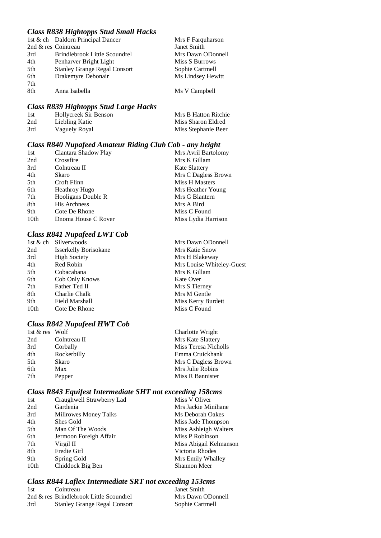## *Class R838 Hightopps Stud Small Hacks*

|     | 1st & ch Daldorn Principal Dancer   | Mrs F Farquharson |
|-----|-------------------------------------|-------------------|
|     | 2nd & res Cointreau                 | Janet Smith       |
| 3rd | Brindlebrook Little Scoundrel       | Mrs Dawn ODonnell |
| 4th | Penharver Bright Light              | Miss S Burrows    |
| 5th | <b>Stanley Grange Regal Consort</b> | Sophie Cartmell   |
| 6th | Drakemyre Debonair                  | Ms Lindsey Hewitt |
| 7th |                                     |                   |
| 8th | Anna Isabella                       | Ms V Campbell     |
|     |                                     |                   |

#### *Class R839 Hightopps Stud Large Hacks*

| 1st | Hollycreek Sir Benson | Mrs B Hatton Ritchie |
|-----|-----------------------|----------------------|
| 2nd | Liebling Katie        | Miss Sharon Eldred   |
| 3rd | Vaguely Royal         | Miss Stephanie Beer  |

## *Class R840 Nupafeed Amateur Riding Club Cob - any height*

| 1st  | Clantara Shadow Play | Mrs Avril Bartolomy  |
|------|----------------------|----------------------|
| 2nd  | Crossfire            | Mrs K Gillam         |
| 3rd  | Colntreau II         | <b>Kate Slattery</b> |
| 4th  | Skaro                | Mrs C Dagless Brown  |
| 5th  | Croft Flinn          | Miss H Masters       |
| 6th  | <b>Heathroy Hugo</b> | Mrs Heather Young    |
| 7th  | Hooligans Double R   | Mrs G Blantern       |
| 8th  | <b>His Archness</b>  | Mrs A Bird           |
| 9th  | Cote De Rhone        | Miss C Found         |
| 10th | Dnoma House C Rover  | Miss Lydia Harrison  |

## *Class R841 Nupafeed LWT Cob*

|      | 1st & ch Silverwoods         | Mrs Dawn ODonnell         |
|------|------------------------------|---------------------------|
| 2nd  | <b>Isserkelly Borisokane</b> | Mrs Katie Snow            |
| 3rd  | <b>High Society</b>          | Mrs H Blakeway            |
| 4th  | Red Robin                    | Mrs Louise Whiteley-Guest |
| 5th  | Cobacabana                   | Mrs K Gillam              |
| 6th  | Cob Only Knows               | Kate Over                 |
| 7th  | Father Ted II                | Mrs S Tierney             |
| 8th  | Charlie Chalk                | Mrs M Gentle              |
| 9th  | Field Marshall               | Miss Kerry Burdett        |
| 10th | Cote De Rhone                | Miss C Found              |
|      |                              |                           |

Charlotte Wright Mrs Kate Slattery Miss Teresa Nicholls Emma Cruickhank Mrs C Dagless Brown Mrs Julie Robins

#### *Class R842 Nupafeed HWT Cob*

| $1st \& res$ Wolf |              | Charlotte Wright  |
|-------------------|--------------|-------------------|
| 2nd               | Colntreau II | Mrs Kate Slattery |
| 3rd               | Corbally     | Miss Teresa Nich  |
| 4th               | Rockerbilly  | Emma Cruickhan    |
| 5th               | Skaro        | Mrs C Dagless Br  |
| 6th               | Max          | Mrs Julie Robins  |
| 7th               | Pepper       | Miss R Bannister  |
|                   |              |                   |

# *Class R843 Equifest Intermediate SHT not exceeding 158cms*

|      | Cluss K045 Equifest Intermediate SHT not exceeding 156cms |                        |
|------|-----------------------------------------------------------|------------------------|
| 1st  | Craughwell Strawberry Lad                                 | Miss V Oliver          |
| 2nd  | Gardenia                                                  | Mrs Jackie Minihane    |
| 3rd  | Millrowes Money Talks                                     | Ms Deborah Oakes       |
| 4th  | Shes Gold                                                 | Miss Jade Thompson     |
| 5th  | Man Of The Woods                                          | Miss Ashleigh Walters  |
| 6th  | Jermoon Foreigh Affair                                    | Miss P Robinson        |
| 7th  | Virgil II                                                 | Miss Abigail Kelmanson |
| 8th  | Fredie Girl                                               | Victoria Rhodes        |
| 9th  | Spring Gold                                               | Mrs Emily Whalley      |
| 10th | Chiddock Big Ben                                          | <b>Shannon Meer</b>    |

# *Class R844 Laflex Intermediate SRT not exceeding 153cms*

| 1st | Cointreau                               | Janet Smith       |
|-----|-----------------------------------------|-------------------|
|     | 2nd & res Brindlebrook Little Scoundrel | Mrs Dawn ODonnell |
| 3rd | <b>Stanley Grange Regal Consort</b>     | Sophie Cartmell   |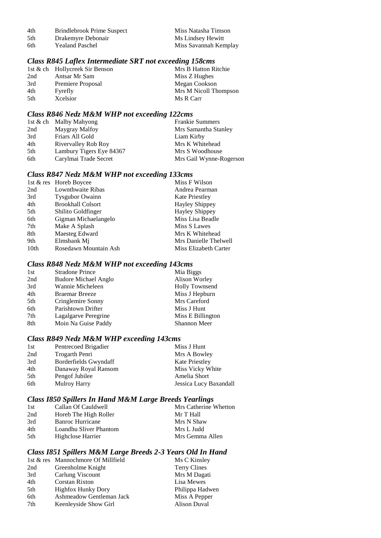| 4th | Brindlebrook Prime Suspec |  |
|-----|---------------------------|--|
|     |                           |  |

- 5th Drakemyre Debonair<br>6th Yealand Paschel
- 4th Brindlebrook Prime Suspect Miss Natasha Timson<br>5th Drakemyre Debonair Ms Lindsey Hewitt Miss Savannah Kemplay

## *Class R845 Laflex Intermediate SRT not exceeding 158cms*

|     | 1st & ch Hollycreek Sir Benson | Mrs B Hatton Ritchie  |
|-----|--------------------------------|-----------------------|
| 2nd | Antsar Mr Sam                  | Miss Z Hughes         |
| 3rd | Premiere Proposal              | Megan Cookson         |
| 4th | Fyrefly                        | Mrs M Nicoll Thompson |
| 5th | Xcelsior                       | Ms R Carr             |
|     |                                |                       |

#### *Class R846 Nedz M&M WHP not exceeding 122cms*

|     | 1st & ch Malby Mahyong   | <b>Frankie Summers</b>  |
|-----|--------------------------|-------------------------|
| 2nd | Maygray Malfoy           | Mrs Samantha Stanley    |
| 3rd | Friars All Gold          | Liam Kirby              |
| 4th | Rivervalley Rob Roy      | Mrs K Whitehead         |
| 5th | Lambury Tigers Eye 84367 | Mrs S Woodhouse         |
| 6th | Carylmai Trade Secret    | Mrs Gail Wynne-Rogerson |

### *Class R847 Nedz M&M WHP not exceeding 133cms*

| 1st & res Horeb Boycee   | Miss F Wilson         |
|--------------------------|-----------------------|
| Lownthwaite Ribas        | Andrea Pearman        |
| <b>Tysgubor Owainn</b>   | <b>Kate Priestley</b> |
| <b>Brookhall Colsort</b> | <b>Hayley Shippey</b> |
| Shilito Goldfinger       | <b>Hayley Shippey</b> |
| Gigman Michaelangelo     | Miss Lisa Beadle      |
| Make A Splash            | Miss S Lawes          |
| Maesteg Edward           | Mrs K Whitehead       |
| Elmsbank Mj              | Mrs Danielle Thelwell |
| Rosedawn Mountain Ash    | Miss Elizabeth Carter |
|                          |                       |

## *Class R848 Nedz M&M WHP not exceeding 143cms*

| 1st | <b>Stradone Prince</b>      | Mia Biggs             |
|-----|-----------------------------|-----------------------|
| 2nd | <b>Budore Michael Anglo</b> | Alison Worley         |
| 3rd | Wannie Micheleen            | <b>Holly Townsend</b> |
| 4th | <b>Braemar Breeze</b>       | Miss J Hepburn        |
| 5th | Cringlemire Sonny           | Mrs Careford          |
| 6th | Parishtown Drifter          | Miss J Hunt           |
| 7th | Lagalgarve Peregrine        | Miss E Billington     |
| 8th | Moin Na Guise Paddy         | Shannon Meer          |
|     |                             |                       |

## *Class R849 Nedz M&M WHP exceeding 143cms*

| 1st | Pentrecoed Brigadier  | Miss J Hunt            |
|-----|-----------------------|------------------------|
| 2nd | Trogarth Penri        | Mrs A Bowley           |
| 3rd | Borderfields Gwyndaff | <b>Kate Priestley</b>  |
| 4th | Danaway Royal Ransom  | Miss Vicky White       |
| 5th | Pengof Jubilee        | Amelia Short           |
| 6th | <b>Mulroy Harry</b>   | Jessica Lucy Baxandall |

## *Class I850 Spillers In Hand M&M Large Breeds Yearlings*

| 1st | Callan Of Cauldwell    |                 | Mrs Catherine Whetton |
|-----|------------------------|-----------------|-----------------------|
| 2nd | Horeb The High Roller  | Mr T Hall       |                       |
| 3rd | Banroc Hurricane       | Mrs N Shaw      |                       |
| 4th | Loandhu Sliver Phantom | Mrs L Judd      |                       |
| 5th | Highclose Harrier      | Mrs Gemma Allen |                       |
|     |                        |                 |                       |

#### *Class I851 Spillers M&M Large Breeds 2-3 Years Old In Hand*

|     | 1st & res Mannochmore Of Millfield | Ms C Kinsley        |
|-----|------------------------------------|---------------------|
| 2nd | Greenholme Knight                  | <b>Terry Clines</b> |
| 3rd | Carlung Viscount                   | Mrs M Dagati        |
| 4th | Corstan Rixton                     | Lisa Mewes          |
| 5th | <b>Highfox Hunky Dory</b>          | Philippa Hadwen     |
| 6th | Ashmeadow Gentleman Jack           | Miss A Pepper       |
| 7th | Keenleyside Show Girl              | Alison Duval        |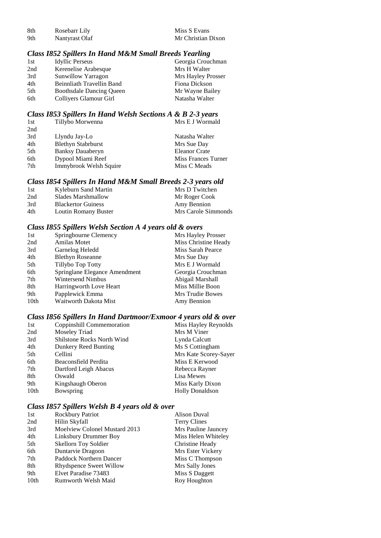| 8th | Rosebarr Lily  |
|-----|----------------|
| 9th | Nantvrast Olaf |

#### *Class I852 Spillers In Hand M&M Small Breeds Yearling*

| <b>Idyllic Perseus</b>          | Georgia Crouchman  |
|---------------------------------|--------------------|
| Kerenelise Arabesque            | Mrs H Walter       |
| <b>Sunwillow Yarragon</b>       | Mrs Hayley Prosser |
| Beinnliath Travellin Band       | Fiona Dickson      |
| <b>Boothsdale Dancing Oueen</b> | Mr Wayne Bailey    |
| Colliyers Glamour Girl          | Natasha Walter     |
|                                 |                    |

#### *Class I853 Spillers In Hand Welsh Sections A & B 2-3 years*

| 1st | Tillybo Morwenna          | Mrs E J Wormald      |
|-----|---------------------------|----------------------|
| 2nd |                           |                      |
| 3rd | Llyndu Jay-Lo             | Natasha Walter       |
| 4th | <b>Blethyn Stabrburst</b> | Mrs Sue Day          |
| 5th | <b>Banksy Dauaberyn</b>   | <b>Eleanor Crate</b> |
| 6th | Dypool Miami Reef         | Miss Frances Turner  |
| 7th | Immybrook Welsh Squire    | Miss C Meads         |
|     |                           |                      |

#### *Class I854 Spillers In Hand M&M Small Breeds 2-3 years old*

| 1st | Kyleburn Sand Martin      | Mrs D Twitchen      |
|-----|---------------------------|---------------------|
| 2nd | Slades Marshmallow        | Mr Roger Cook       |
| 3rd | <b>Blackertor Guiness</b> | Amy Bennion         |
| 4th | Loutin Romany Buster      | Mrs Carole Simmonds |

### *Class I855 Spillers Welsh Section A 4 years old & overs*

| 1st              | Springbourne Clemency         | Mrs Hayley Prosser   |
|------------------|-------------------------------|----------------------|
| 2nd              | <b>Amilas Motet</b>           | Miss Christine Heady |
| 3rd              | Garnelog Heledd               | Miss Sarah Pearce    |
| 4th              | <b>Blethyn Roseanne</b>       | Mrs Sue Day          |
| 5th              | Tillybo Top Totty             | Mrs E J Wormald      |
| 6th              | Springlane Elegance Amendment | Georgia Crouchman    |
| 7th              | <b>Wintersend Nimbus</b>      | Abigail Marshall     |
| 8th              | Harringworth Love Heart       | Miss Millie Boon     |
| 9th              | Papplewick Emma               | Mrs Trudie Bowes     |
| 10 <sub>th</sub> | Waitworth Dakota Mist         | Amy Bennion          |

#### *Class I856 Spillers In Hand Dartmoor/Exmoor 4 years old & over*

| 1st              | Coppinshill Commemoration  | Miss Hayley Reynolds   |
|------------------|----------------------------|------------------------|
| 2nd              | Moseley Triad              | Mrs M Viner            |
| 3rd              | Shilstone Rocks North Wind | Lynda Calcutt          |
| 4th              | Dunkery Reed Bunting       | Ms S Cottingham        |
| 5th              | Cellini                    | Mrs Kate Scorey-Sayer  |
| 6th              | Beaconsfield Perdita       | Miss E Kerwood         |
| 7th              | Dartford Leigh Abacus      | Rebecca Rayner         |
| 8th              | Oswald                     | Lisa Mewes             |
| 9th              | Kingshaugh Oberon          | Miss Karly Dixon       |
| 10 <sub>th</sub> | Bowspring                  | <b>Holly Donaldson</b> |

## *Class I857 Spillers Welsh B 4 years old & over*

| 1st              | Rockbury Patriot              | <b>Alison Duval</b> |
|------------------|-------------------------------|---------------------|
| 2nd              | Hilin Skyfall                 | <b>Terry Clines</b> |
| 3rd              | Moelview Colonel Mustard 2013 | Mrs Pauline Jauncey |
| 4th              | Linksbury Drummer Boy         | Miss Helen Whiteley |
| 5th              | <b>Skellorn Toy Soldier</b>   | Christine Heady     |
| 6th              | Duntarvie Dragoon             | Mrs Ester Vickery   |
| 7th              | Paddock Northern Dancer       | Miss C Thompson     |
| 8th              | Rhydspence Sweet Willow       | Mrs Sally Jones     |
| 9th              | Elvet Paradise 73483          | Miss S Daggett      |
| 10 <sub>th</sub> | Rumworth Welsh Maid           | Roy Houghton        |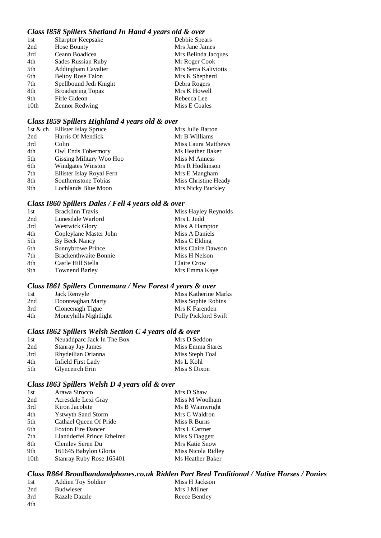### *Class I858 Spillers Shetland In Hand 4 years old & over*

| 1st  | <b>Sharptor Keepsake</b> | Debbie Spears        |
|------|--------------------------|----------------------|
| 2nd  | Hose Bounty              | Mrs Jane James       |
| 3rd  | Ceann Boadicea           | Mrs Belinda Jacques  |
| 4th  | Sades Russian Ruby       | Mr Roger Cook        |
| 5th  | Addingham Cavalier       | Mrs Serra Kaliviotis |
| 6th  | <b>Beltoy Rose Talon</b> | Mrs K Shepherd       |
| 7th  | Spellbound Jedi Knight   | Debra Rogers         |
| 8th  | <b>Broadspring Topaz</b> | Mrs K Howell         |
| 9th  | Firle Gideon             | Rebecca Lee          |
| 10th | <b>Zennor Redwing</b>    | Miss E Coales        |
|      |                          |                      |

### *Class I859 Spillers Highland 4 years old & over*

|     | 1st & ch Ellister Islay Spruce | Mrs Julie Barton           |
|-----|--------------------------------|----------------------------|
| 2nd | Harris Of Mendick              | Mr B Williams              |
| 3rd | Colin                          | <b>Miss Laura Matthews</b> |
| 4th | Owl Ends Tobermory             | Ms Heather Baker           |
| 5th | Gissing Military Woo Hoo       | Miss M Anness              |
| 6th | <b>Windgates Winston</b>       | Mrs R Hodkinson            |
| 7th | Ellister Islay Royal Fern      | Mrs E Mangham              |
| 8th | Southernstone Tobias           | Miss Christine Heady       |
| 9th | Lochlands Blue Moon            | Mrs Nicky Buckley          |

#### *Class I860 Spillers Dales / Fell 4 years old & over*

| <b>Bracklinn Travis</b>      | Miss Hayley Reynolds |
|------------------------------|----------------------|
| Lunesdale Warlord            | Mrs L Judd           |
| <b>Westwick Glory</b>        | Miss A Hampton       |
| Copleylane Master John       | Miss A Daniels       |
| By Beck Nancy                | Miss C Elding        |
| Sunnybrowe Prince            | Miss Claire Dawson   |
| <b>Brackenthwaite Bonnie</b> | Miss H Nelson        |
| Castle Hill Stella           | Claire Crow          |
| <b>Townend Barley</b>        | Mrs Emma Kaye        |
|                              |                      |

#### *Class I861 Spillers Connemara / New Forest 4 years & over*

| 1st | Jack Renvyle          | Miss Katherine Marks |
|-----|-----------------------|----------------------|
| 2nd | Doonreaghan Marty     | Miss Sophie Robins   |
| 3rd | Cloneenagh Tigue      | Mrs K Farenden       |
| 4th | Moneyhills Nightlight | Polly Pickford Swift |

#### *Class I862 Spillers Welsh Section C 4 years old & over*

| 1st | Neuaddparc Jack In The Box | Mrs D Seddon     |
|-----|----------------------------|------------------|
| 2nd | Stanray Jay James          | Miss Emma Stares |
| 3rd | Rhydeilian Orianna         | Miss Steph Toal  |
| 4th | Infield First Lady         | Ms L Kohl        |
| 5th | Glynceirch Erin            | Miss S Dixon     |

#### *Class I863 Spillers Welsh D 4 years old & over*

| 1st              | Arawa Sirocco               | Mrs D Shaw         |
|------------------|-----------------------------|--------------------|
| 2nd              | Acresdale Lexi Gray         | Miss M Woolham     |
| 3rd              | Kiron Jacobite              | Ms B Wainwright    |
| 4th              | <b>Y</b> stwyth Sand Storm  | Mrs C Waldron      |
| 5th              | Cathael Queen Of Pride      | Miss R Burns       |
| 6th              | <b>Foxton Fire Dancer</b>   | Mrs L Cartner      |
| 7th              | Llandderfel Prince Ethelred | Miss S Daggett     |
| 8th              | Clemley Seren Du            | Mrs Katie Snow     |
| 9th              | 161645 Babylon Gloria       | Miss Nicola Ridley |
| 10 <sub>th</sub> | Stanray Ruby Rose 165401    | Ms Heather Baker   |
|                  |                             |                    |

*Class R864 Broadbandandphones.co.uk Ridden Part Bred Traditional / Native Horses / Ponies*

| -1st | <b>Addien Toy Soldier</b> | Miss H Jackson |
|------|---------------------------|----------------|
| 2nd  | <b>Budwieser</b>          | Mrs J Milner   |
| 3rd  | <b>Razzle Dazzle</b>      | Reece Bentley  |
| 4th  |                           |                |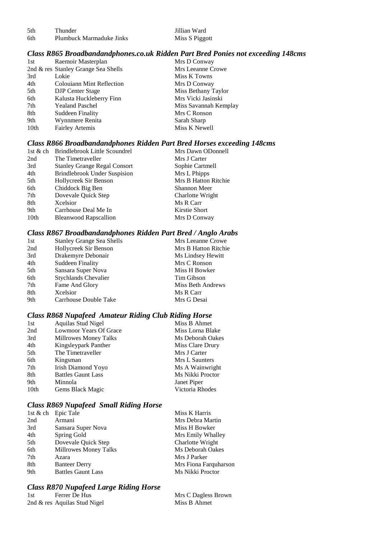| .5th | Thunder                  |
|------|--------------------------|
| 6th  | Plumbuck Marmaduke Jinks |

Jillian Ward Miss S Piggott

#### *Class R865 Broadbandandphones.co.uk Ridden Part Bred Ponies not exceeding 148cms*

| 1st  | Raemoir Masterplan                  | Mrs D Conway          |
|------|-------------------------------------|-----------------------|
|      | 2nd & res Stanley Grange Sea Shells | Mrs Leeanne Crowe     |
| 3rd  | Lokie                               | Miss K Towns          |
| 4th  | <b>Colouiann Mint Reflection</b>    | Mrs D Conway          |
| 5th  | <b>DJP</b> Center Stage             | Miss Bethany Taylor   |
| 6th  | Kalusta Huckleberry Finn            | Mrs Vicki Jasinski    |
| 7th  | <b>Yealand Paschel</b>              | Miss Savannah Kemplay |
| 8th  | <b>Suddeen Finality</b>             | Mrs C Ronson          |
| 9th  | Wynnmere Renita                     | Sarah Sharp           |
| 10th | <b>Fairley Artemis</b>              | Miss K Newell         |
|      |                                     |                       |

## *Class R866 Broadbandandphones Ridden Part Bred Horses exceeding 148cms*

|                  | 1st & ch Brindlebrook Little Scoundrel | Mrs Dawn ODonnell    |
|------------------|----------------------------------------|----------------------|
| 2nd              | The Timetraveller                      | Mrs J Carter         |
| 3rd              | <b>Stanley Grange Regal Consort</b>    | Sophie Cartmell      |
| 4th              | <b>Brindlebrook Under Suspision</b>    | Mrs L Phipps         |
| 5th              | Hollycreek Sir Benson                  | Mrs B Hatton Ritchie |
| 6th              | Chiddock Big Ben                       | Shannon Meer         |
| 7th              | Dovevale Quick Step                    | Charlotte Wright     |
| 8th              | Xcelsior                               | Ms R Carr            |
| 9th              | Carrhouse Deal Me In                   | Kirstie Short        |
| 10 <sub>th</sub> | <b>Bleanwood Rapscallion</b>           | Mrs D Conway         |

## *Class R867 Broadbandandphones Ridden Part Bred / Anglo Arabs*

| <b>Stanley Grange Sea Shells</b> | Mrs Leeanne Crowe    |
|----------------------------------|----------------------|
| Hollycreek Sir Benson            | Mrs B Hatton Ritchie |
| Drakemyre Debonair               | Ms Lindsey Hewitt    |
| <b>Suddeen Finality</b>          | Mrs C Ronson         |
| Sansara Super Nova               | Miss H Bowker        |
| <b>Stychlands Chevalier</b>      | Tim Gibson           |
| Fame And Glory                   | Miss Beth Andrews    |
| Xcelsior                         | Ms R Carr            |
| Carrhouse Double Take            | Mrs G Desai          |
|                                  |                      |

#### *Class R868 Nupafeed Amateur Riding Club Riding Horse*

| 1st              | Aquilas Stud Nigel        | Miss B Ahmet     |
|------------------|---------------------------|------------------|
| 2nd              | Lowmoor Years Of Grace    | Miss Lorna Blake |
| 3rd              | Millrowes Money Talks     | Ms Deborah Oakes |
| 4th              | Kingsleypark Panther      | Miss Clare Drury |
| 5th              | The Timetraveller         | Mrs J Carter     |
| 6th              | Kingsman                  | Mrs L Saunters   |
| 7th              | Irish Diamond Yoyo        | Ms A Wainwright  |
| 8th              | <b>Battles Gaunt Lass</b> | Ms Nikki Proctor |
| 9th              | Minnola                   | Janet Piper      |
| 10 <sub>th</sub> | Gems Black Magic          | Victoria Rhodes  |

## *Class R869 Nupafeed Small Riding Horse*

|     | 1st & ch Epic Tale           | Miss K Harris         |
|-----|------------------------------|-----------------------|
| 2nd | Armani                       | Mrs Debra Martin      |
| 3rd | Sansara Super Nova           | Miss H Bowker         |
| 4th | Spring Gold                  | Mrs Emily Whalley     |
| 5th | Dovevale Quick Step          | Charlotte Wright      |
| 6th | <b>Millrowes Money Talks</b> | Ms Deborah Oakes      |
| 7th | Azara                        | Mrs J Parker          |
| 8th | <b>Banteer Derry</b>         | Mrs Fiona Farquharson |
| 9th | <b>Battles Gaunt Lass</b>    | Ms Nikki Proctor      |

# *Class R870 Nupafeed Large Riding Horse*

| 1st | Ferrer De Hus                | Mrs C Dagless Brown |
|-----|------------------------------|---------------------|
|     | 2nd & res Aquilas Stud Nigel | Miss B Ahmet        |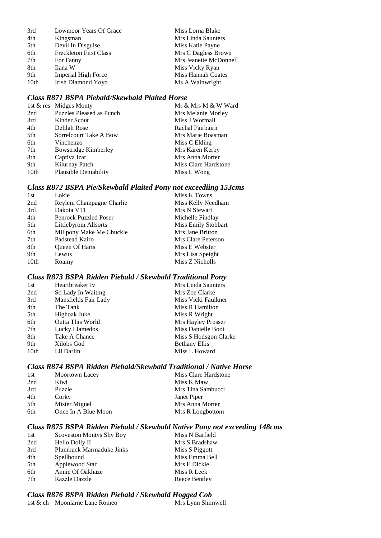| 3rd  | Lowmoor Years Of Grace        | Miss Lorna Blake       |
|------|-------------------------------|------------------------|
| 4th  | Kingsman                      | Mrs Linda Saunters     |
| 5th  | Devil In Disguise             | Miss Katie Payne       |
| 6th  | <b>Freckleton First Class</b> | Mrs C Dagless Brown    |
| 7th  | For Fanny                     | Mrs Jeanette McDonnell |
| 8th  | Ilana W                       | Miss Vicky Ryan        |
| 9th  | Imperial High Force           | Miss Hannah Coates     |
| 10th | Irish Diamond Yoyo            | Ms A Wainwright        |
|      |                               |                        |

## *Class R871 BSPA Piebald/Skewbald Plaited Horse*

|      | 1st & res Midges Monty      | Mr & Mrs M & W Ward  |
|------|-----------------------------|----------------------|
| 2nd  | Puzzles Pleased as Punch    | Mrs Melanie Morley   |
| 3rd  | Kinder Scout                | Miss J Wormall       |
| 4th  | Delilah Rose                | Rachal Fairbairn     |
| 5th  | Sorrelcourt Take A Bow      | Mrs Marie Boasman    |
| 6th  | Vinchenzo                   | Miss C Elding        |
| 7th  | <b>Bowstridge Kimberley</b> | Mrs Karen Kerby      |
| 8th  | Captiva Izar                | Mrs Anna Morter      |
| 9th  | Kilurnay Patch              | Miss Clare Hardstone |
| 10th | Plausible Deniability       | Miss L Wong          |

## *Class R872 BSPA Pie/Skewbald Plaited Pony not exceediing 153cms*

| 1st  | Lokie                        | Miss K Towns        |
|------|------------------------------|---------------------|
| 2nd  | Reylem Champagne Charlie     | Miss Kelly Needham  |
| 3rd  | Dakota V11                   | Mrs N Stewart       |
| 4th  | <b>Penrock Puzzled Poser</b> | Michelle Findlay    |
| 5th  | Littlebyrom Allsorts         | Miss Emily Stobbart |
| 6th  | Millpony Make Me Chuckle     | Mrs Jane Britton    |
| 7th  | Padstead Kairo               | Mrs Clare Peterson  |
| 8th  | <b>Oueen Of Harts</b>        | Miss E Webster      |
| 9th  | Lewus                        | Mrs Lisa Speight    |
| 10th | Roamy                        | Miss Z Nicholls     |
|      |                              |                     |

## *Class R873 BSPA Ridden Piebald / Skewbald Traditional Pony*

| Heartbreaker Iv           | Mrs Linda Saunters    |
|---------------------------|-----------------------|
| <b>Sd Lady In Waiting</b> | Mrs Zoe Clarke        |
| Mansfields Fair Lady      | Miss Vicki Faulkner   |
| The Tank                  | Miss R Hamilton       |
| Highoak Juke              | Miss R Wright         |
| Outta This World          | Mrs Hayley Prosser    |
| Lucky Llamedos            | Miss Danielle Boot    |
| Take A Chance             | Miss S Hodsgon Clarke |
| Xilobs God                | <b>Bethany Ellis</b>  |
| Lil Darlin                | MIss L Howard         |
|                           |                       |

#### *Class R874 BSPA Ridden Piebald/Skewbald Traditional / Native Horse*

| 1st | Moortown Lacey      | Miss Clare Hardstone |
|-----|---------------------|----------------------|
| 2nd | Kiwi                | Miss K Maw           |
| 3rd | Puzzle              | Mrs Tina Sambucci    |
| 4th | Corky               | Janet Piper          |
| 5th | Mister Miguel       | Mrs Anna Morter      |
| 6th | Once In A Blue Moon | Mrs R Longbottom     |

#### *Class R875 BSPA Ridden Piebald / Skewbald Native Pony not exceeding 148cms*

| 1st | <b>Scoveston Montys Shy Boy</b> | Miss N Barfield |
|-----|---------------------------------|-----------------|
| 2nd | Hello Dolly II                  | Mrs S Bradshaw  |
| 3rd | Plumbuck Marmaduke Jinks        | Miss S Piggott  |
| 4th | Spellbound                      | Miss Emma Bell  |
| 5th | Applewood Star                  | Mrs E Dickie    |
| 6th | Annie Of Oakhaze                | Miss R Leek     |
| 7th | Razzle Dazzle                   | Reece Bentley   |

# *Class R876 BSPA Ridden Piebald / Skewbald Hogged Cob*

| 1st & ch Moonlarne Lane Romeo | Mrs Lynn Shimwell |
|-------------------------------|-------------------|
|                               |                   |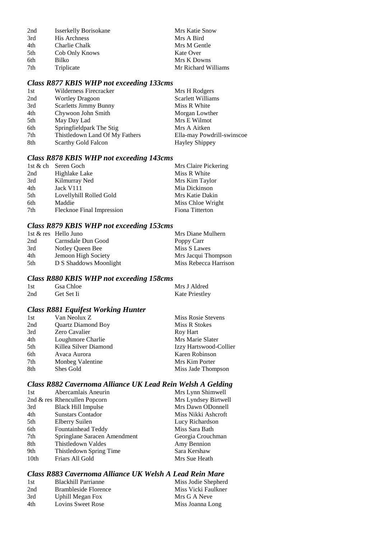| 2nd | <b>Isserkelly Borisokane</b> | Mrs Katie Snow      |
|-----|------------------------------|---------------------|
| 3rd | <b>His Archness</b>          | Mrs A Bird          |
| 4th | Charlie Chalk                | Mrs M Gentle        |
| 5th | Cob Only Knows               | Kate Over           |
| 6th | Bilko                        | Mrs K Downs         |
| 7th | Triplicate                   | Mr Richard Williams |

# *Class R877 KBIS WHP not exceeding 133cms*

| 1st | Wilderness Firecracker         | Mrs H Rodgers              |
|-----|--------------------------------|----------------------------|
| 2nd | <b>Wortley Dragoon</b>         | Scarlett Williams          |
| 3rd | <b>Scarletts Jimmy Bunny</b>   | Miss R White               |
| 4th | Chywoon John Smith             | Morgan Lowther             |
| 5th | May Day Lad                    | Mrs E Wilmot               |
| 6th | Springfieldpark The Stig       | Mrs A Aitken               |
| 7th | Thistledown Land Of My Fathers | Ella-may Powdrill-swinscoe |
| 8th | <b>Scarthy Gold Falcon</b>     | <b>Hayley Shippey</b>      |
|     |                                |                            |

## *Class R878 KBIS WHP not exceeding 143cms*

|     | 1st & ch Seren Goch       | Mrs Claire Pickering |
|-----|---------------------------|----------------------|
| 2nd | Highlake Lake             | Miss R White         |
| 3rd | Kilmurray Ned             | Mrs Kim Taylor       |
| 4th | Jack V111                 | Mia Dickinson        |
| 5th | Lovellyhill Rolled Gold   | Mrs Katie Dakin      |
| 6th | Maddie                    | Miss Chloe Wright    |
| 7th | Flecknoe Final Impression | Fiona Titterton      |

## *Class R879 KBIS WHP not exceeding 153cms*

|     | 1st & res Hello Juno   | Mrs Diane Mulhern     |
|-----|------------------------|-----------------------|
| 2nd | Carnsdale Dun Good     | Poppy Carr            |
| 3rd | Notley Queen Bee       | Miss S Lawes          |
| 4th | Jemoon High Society    | Mrs Jacqui Thompson   |
| 5th | D S Shaddows Moonlight | Miss Rebecca Harrison |

## *Class R880 KBIS WHP not exceeding 158cms*

| 1st | Gsa Chloe  | Mrs J Aldred          |
|-----|------------|-----------------------|
| 2nd | Get Set Ii | <b>Kate Priestley</b> |

## *Class R881 Equifest Working Hunter*

| Van Neolux Z              | Miss Rosie Stevens     |
|---------------------------|------------------------|
| <b>Quartz Diamond Boy</b> | Miss R Stokes          |
| Zero Cavalier             | Roy Hart               |
| Loughmore Charlie         | Mrs Marie Slater       |
| Killea Silver Diamond     | Izzy Hartswood-Collier |
| Avaca Aurora              | Karen Robinson         |
| Monbeg Valentine          | Mrs Kim Porter         |
| Shes Gold                 | Miss Jade Thompson     |
|                           |                        |

## *Class R882 Cavernoma Alliance UK Lead Rein Welsh A Gelding*

| 1st  | Abercamlais Aneurin             | Mrs Lynn Shimwell    |
|------|---------------------------------|----------------------|
|      | 2nd $\&$ res Rhencullen Popcorn | Mrs Lyndsey Birtwell |
| 3rd  | <b>Black Hill Impulse</b>       | Mrs Dawn ODonnell    |
| 4th  | <b>Sunstars Contador</b>        | Miss Nikki Ashcroft  |
| 5th  | Elberry Suilen                  | Lucy Richardson      |
| 6th  | Fountainhead Teddy              | Miss Sara Bath       |
| 7th  | Springlane Saracen Amendment    | Georgia Crouchman    |
| 8th  | Thistledown Valdes              | Amy Bennion          |
| 9th  | Thistledown Spring Time         | Sara Kershaw         |
| 10th | Friars All Gold                 | Mrs Sue Heath        |
|      |                                 |                      |

## *Class R883 Cavernoma Alliance UK Welsh A Lead Rein Mare*

| <b>Blackhill Parrianne</b> | Miss Jodie Shepherd |
|----------------------------|---------------------|
| Brambleside Florence       | Miss Vicki Faulkner |
| Uphill Megan Fox           | Mrs G A Neve        |
| Lovins Sweet Rose          | Miss Joanna Long    |
|                            |                     |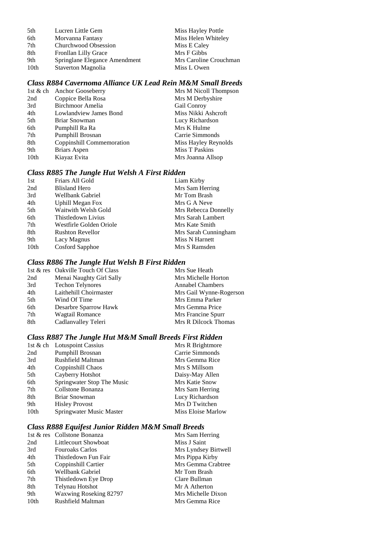| 5th  | Lucren Little Gem             | Miss Hayley Pottle     |
|------|-------------------------------|------------------------|
| 6th  | Morvanna Fantasy              | Miss Helen Whiteley    |
| 7th  | Churchwood Obsession          | Miss E Caley           |
| 8th  | Fronllan Lilly Grace          | Mrs F Gibbs            |
| 9th  | Springlane Elegance Amendment | Mrs Caroline Crouchman |
| 10th | Staverton Magnolia            | Miss L Owen            |

## *Class R884 Cavernoma Alliance UK Lead Rein M&M Small Breeds*

|      | 1st & ch Anchor Gooseberry | Mrs M Nicoll Thompson |
|------|----------------------------|-----------------------|
| 2nd  | Coppice Bella Rosa         | Mrs M Derbyshire      |
| 3rd  | Birchmoor Amelia           | Gail Conroy           |
| 4th  | Lowlandview James Bond     | Miss Nikki Ashcroft   |
| 5th  | Briar Snowman              | Lucy Richardson       |
| 6th  | Pumphill Ra Ra             | Mrs K Hulme           |
| 7th  | Pumphill Brosnan           | Carrie Simmonds       |
| 8th  | Coppinshill Commemoration  | Miss Hayley Reynolds  |
| 9th  | Briars Aspen               | Miss T Paskins        |
| 10th | Kiayaz Evita               | Mrs Joanna Allsop     |
|      |                            |                       |

## *Class R885 The Jungle Hut Welsh A First Ridden*

| 1st  | Friars All Gold         | Liam Kirby           |
|------|-------------------------|----------------------|
| 2nd  | <b>Blisland Hero</b>    | Mrs Sam Herring      |
| 3rd  | Wellbank Gabriel        | Mr Tom Brash         |
| 4th  | <b>Uphill Megan Fox</b> | Mrs G A Neve         |
| 5th  | Waitwith Welsh Gold     | Mrs Rebecca Donnelly |
| 6th  | Thistledown Livius      | Mrs Sarah Lambert    |
| 7th  | Westfirle Golden Oriole | Mrs Kate Smith       |
| 8th  | <b>Rushton Revellor</b> | Mrs Sarah Cunningham |
| 9th  | Lacy Magnus             | Miss N Harnett       |
| 10th | Cosford Sapphoe         | Mrs S Ramsden        |

### *Class R886 The Jungle Hut Welsh B First Ridden*

|     | 1st & res Oakville Touch Of Class | Mrs Sue Heath           |
|-----|-----------------------------------|-------------------------|
| 2nd | Menai Naughty Girl Sally          | Mrs Michelle Horton     |
| 3rd | <b>Techon Telynores</b>           | <b>Annabel Chambers</b> |
| 4th | Laithehill Choirmaster            | Mrs Gail Wynne-Rogerson |
| 5th | Wind Of Time                      | Mrs Emma Parker         |
| 6th | Desarbre Sparrow Hawk             | Mrs Gemma Price         |
| 7th | <b>Wagtail Romance</b>            | Mrs Francine Spurr      |
| 8th | Cadlanvalley Teleri               | Mrs R Dilcock Thomas    |
|     |                                   |                         |

#### *Class R887 The Jungle Hut M&M Small Breeds First Ridden*

|                  | 1st & ch Lotuspoint Cassius | Mrs R Brightmore   |
|------------------|-----------------------------|--------------------|
| 2nd              | Pumphill Brosnan            | Carrie Simmonds    |
| 3rd              | Rushfield Maltman           | Mrs Gemma Rice     |
| 4th              | Coppinshill Chaos           | Mrs S Millsom      |
| 5th              | Cayberry Hotshot            | Daisy-May Allen    |
| 6th              | Springwater Stop The Music  | Mrs Katie Snow     |
| 7th              | Collstone Bonanza           | Mrs Sam Herring    |
| 8th              | Briar Snowman               | Lucy Richardson    |
| 9th              | <b>Hisley Provost</b>       | Mrs D Twitchen     |
| 10 <sub>th</sub> | Springwater Music Master    | Miss Eloise Marlow |

# *Class R888 Equifest Junior Ridden M&M Small Breeds*

|                  | 1st & res Collstone Bonanza | Mrs Sam Herring      |
|------------------|-----------------------------|----------------------|
| 2nd              | Littlecourt Showboat        | Miss J Saint         |
| 3rd              | <b>Fouroaks Carlos</b>      | Mrs Lyndsey Birtwell |
| 4th              | Thistledown Fun Fair        | Mrs Pippa Kirby      |
| 5th              | Coppinshill Cartier         | Mrs Gemma Crabtree   |
| 6th              | Wellbank Gabriel            | Mr Tom Brash         |
| 7th              | Thistledown Eye Drop        | Clare Bullman        |
| 8th              | Telynau Hotshot             | Mr A Atherton        |
| 9th              | Waxwing Roseking 82797      | Mrs Michelle Dixon   |
| 10 <sub>th</sub> | Rushfield Maltman           | Mrs Gemma Rice       |
|                  |                             |                      |